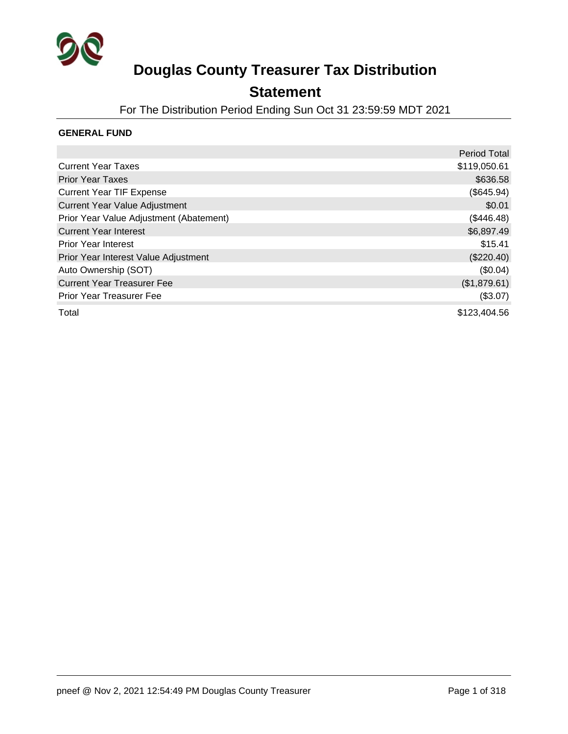

### **Statement**

For The Distribution Period Ending Sun Oct 31 23:59:59 MDT 2021

### **GENERAL FUND**

|                                         | <b>Period Total</b> |
|-----------------------------------------|---------------------|
| <b>Current Year Taxes</b>               | \$119,050.61        |
| <b>Prior Year Taxes</b>                 | \$636.58            |
| <b>Current Year TIF Expense</b>         | (\$645.94)          |
| <b>Current Year Value Adjustment</b>    | \$0.01              |
| Prior Year Value Adjustment (Abatement) | (\$446.48)          |
| <b>Current Year Interest</b>            | \$6,897.49          |
| <b>Prior Year Interest</b>              | \$15.41             |
| Prior Year Interest Value Adjustment    | $(\$220.40)$        |
| Auto Ownership (SOT)                    | (\$0.04)            |
| <b>Current Year Treasurer Fee</b>       | (\$1,879.61)        |
| <b>Prior Year Treasurer Fee</b>         | (\$3.07)            |
| Total                                   | \$123,404.56        |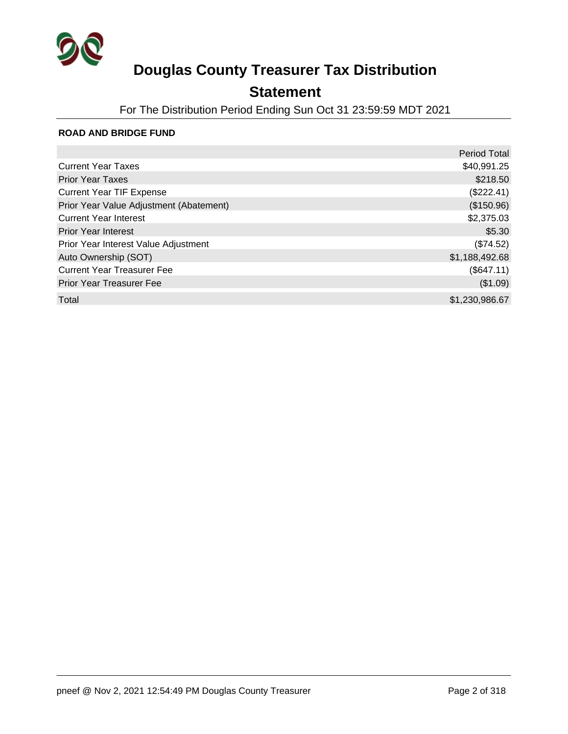

## **Statement**

For The Distribution Period Ending Sun Oct 31 23:59:59 MDT 2021

### **ROAD AND BRIDGE FUND**

|                                         | <b>Period Total</b> |
|-----------------------------------------|---------------------|
| <b>Current Year Taxes</b>               | \$40,991.25         |
| <b>Prior Year Taxes</b>                 | \$218.50            |
| <b>Current Year TIF Expense</b>         | (\$222.41)          |
| Prior Year Value Adjustment (Abatement) | (\$150.96)          |
| <b>Current Year Interest</b>            | \$2,375.03          |
| <b>Prior Year Interest</b>              | \$5.30              |
| Prior Year Interest Value Adjustment    | (\$74.52)           |
| Auto Ownership (SOT)                    | \$1,188,492.68      |
| <b>Current Year Treasurer Fee</b>       | (\$647.11)          |
| <b>Prior Year Treasurer Fee</b>         | (\$1.09)            |
| Total                                   | \$1,230,986.67      |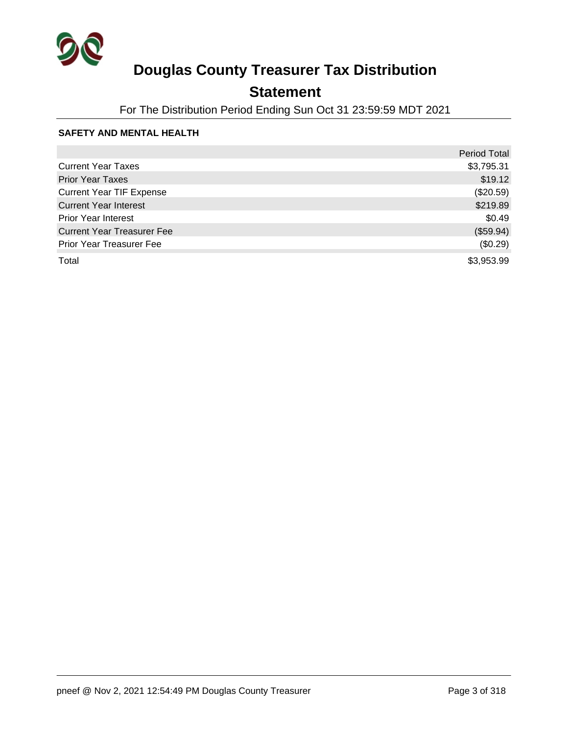

## **Statement**

For The Distribution Period Ending Sun Oct 31 23:59:59 MDT 2021

### **SAFETY AND MENTAL HEALTH**

|                                   | <b>Period Total</b> |
|-----------------------------------|---------------------|
| <b>Current Year Taxes</b>         | \$3,795.31          |
| <b>Prior Year Taxes</b>           | \$19.12             |
| <b>Current Year TIF Expense</b>   | (\$20.59)           |
| <b>Current Year Interest</b>      | \$219.89            |
| <b>Prior Year Interest</b>        | \$0.49              |
| <b>Current Year Treasurer Fee</b> | (\$59.94)           |
| <b>Prior Year Treasurer Fee</b>   | (\$0.29)            |
| Total                             | \$3,953.99          |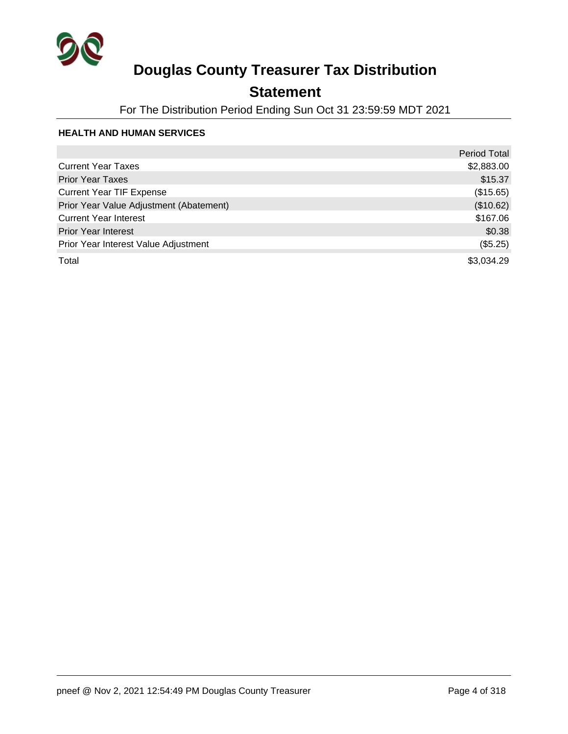

## **Statement**

For The Distribution Period Ending Sun Oct 31 23:59:59 MDT 2021

### **HEALTH AND HUMAN SERVICES**

|                                         | <b>Period Total</b> |
|-----------------------------------------|---------------------|
| <b>Current Year Taxes</b>               | \$2,883.00          |
| <b>Prior Year Taxes</b>                 | \$15.37             |
| <b>Current Year TIF Expense</b>         | (\$15.65)           |
| Prior Year Value Adjustment (Abatement) | (\$10.62)           |
| <b>Current Year Interest</b>            | \$167.06            |
| <b>Prior Year Interest</b>              | \$0.38              |
| Prior Year Interest Value Adjustment    | (\$5.25)            |
| Total                                   | \$3,034.29          |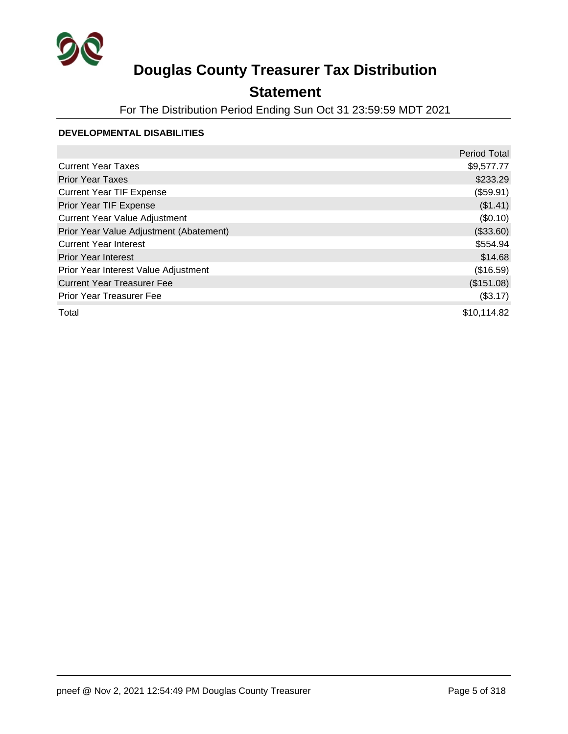

## **Statement**

For The Distribution Period Ending Sun Oct 31 23:59:59 MDT 2021

### **DEVELOPMENTAL DISABILITIES**

|                                         | <b>Period Total</b> |
|-----------------------------------------|---------------------|
| <b>Current Year Taxes</b>               | \$9,577.77          |
| <b>Prior Year Taxes</b>                 | \$233.29            |
| <b>Current Year TIF Expense</b>         | (\$59.91)           |
| Prior Year TIF Expense                  | (\$1.41)            |
| <b>Current Year Value Adjustment</b>    | (\$0.10)            |
| Prior Year Value Adjustment (Abatement) | (\$33.60)           |
| <b>Current Year Interest</b>            | \$554.94            |
| <b>Prior Year Interest</b>              | \$14.68             |
| Prior Year Interest Value Adjustment    | (\$16.59)           |
| <b>Current Year Treasurer Fee</b>       | (\$151.08)          |
| <b>Prior Year Treasurer Fee</b>         | (\$3.17)            |
| Total                                   | \$10,114.82         |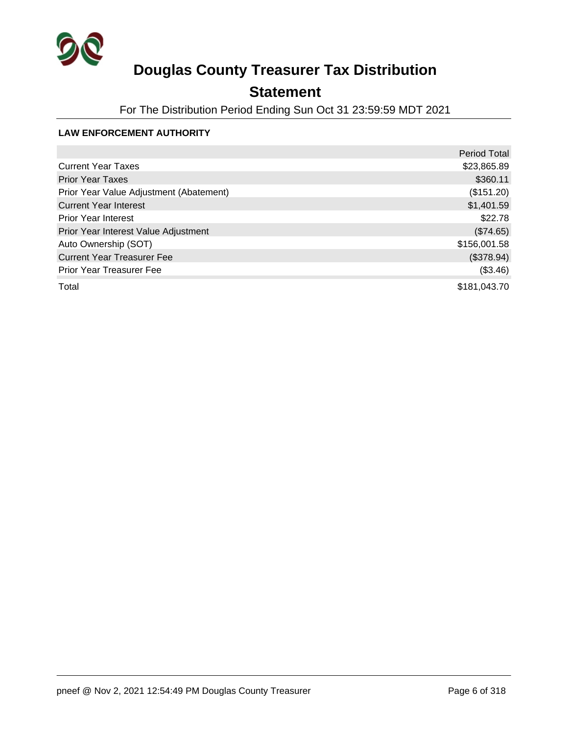

## **Statement**

For The Distribution Period Ending Sun Oct 31 23:59:59 MDT 2021

### **LAW ENFORCEMENT AUTHORITY**

|                                         | <b>Period Total</b> |
|-----------------------------------------|---------------------|
| <b>Current Year Taxes</b>               | \$23,865.89         |
| <b>Prior Year Taxes</b>                 | \$360.11            |
| Prior Year Value Adjustment (Abatement) | (\$151.20)          |
| <b>Current Year Interest</b>            | \$1,401.59          |
| <b>Prior Year Interest</b>              | \$22.78             |
| Prior Year Interest Value Adjustment    | (\$74.65)           |
| Auto Ownership (SOT)                    | \$156,001.58        |
| <b>Current Year Treasurer Fee</b>       | (\$378.94)          |
| <b>Prior Year Treasurer Fee</b>         | (\$3.46)            |
| Total                                   | \$181,043.70        |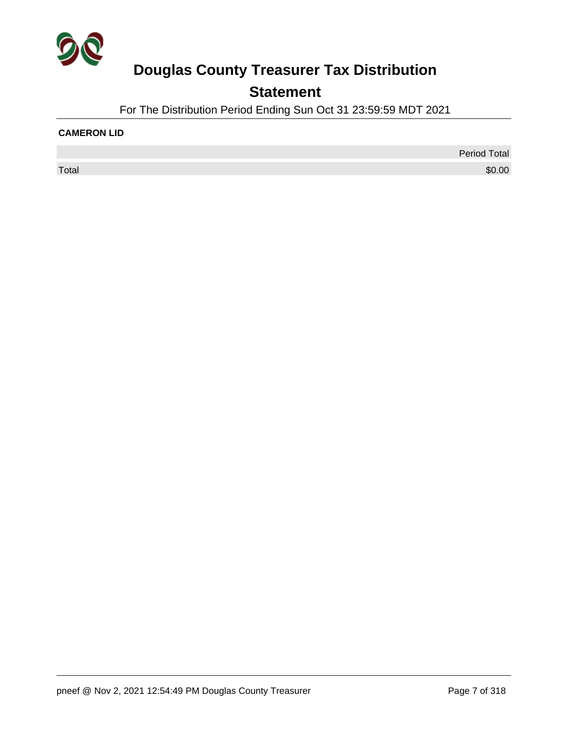

## **Statement**

For The Distribution Period Ending Sun Oct 31 23:59:59 MDT 2021

### **CAMERON LID**

Period Total  $\sf Total$   $\$0.00$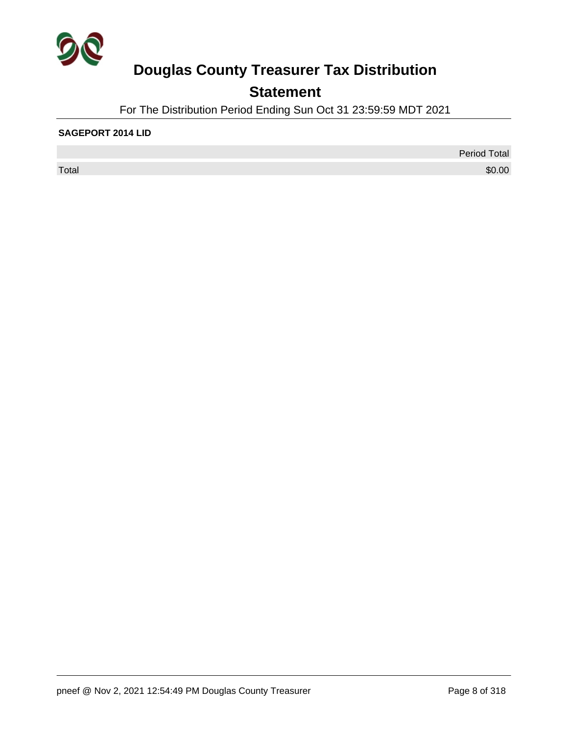

## **Statement**

For The Distribution Period Ending Sun Oct 31 23:59:59 MDT 2021

### **SAGEPORT 2014 LID**

 $\sf Total$   $\$0.00$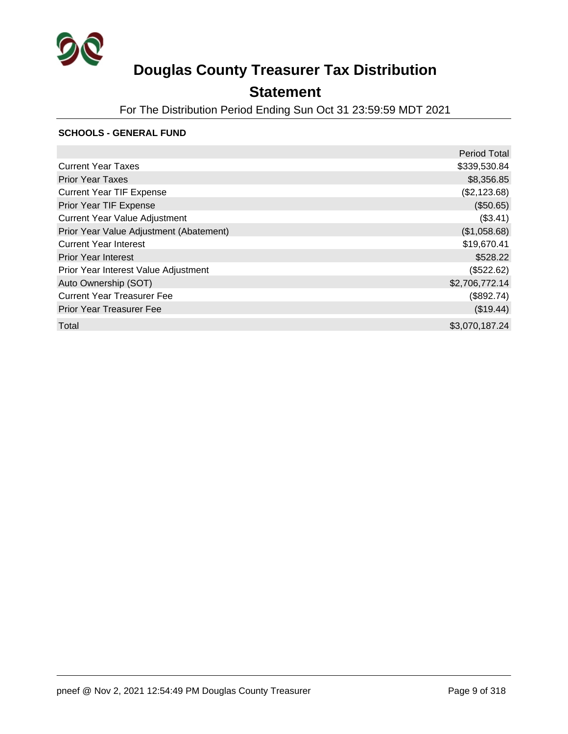

## **Statement**

For The Distribution Period Ending Sun Oct 31 23:59:59 MDT 2021

#### **SCHOOLS - GENERAL FUND**

|                                         | <b>Period Total</b> |
|-----------------------------------------|---------------------|
| <b>Current Year Taxes</b>               | \$339,530.84        |
| <b>Prior Year Taxes</b>                 | \$8,356.85          |
| <b>Current Year TIF Expense</b>         | (\$2,123.68)        |
| Prior Year TIF Expense                  | (\$50.65)           |
| <b>Current Year Value Adjustment</b>    | (\$3.41)            |
| Prior Year Value Adjustment (Abatement) | (\$1,058.68)        |
| <b>Current Year Interest</b>            | \$19,670.41         |
| <b>Prior Year Interest</b>              | \$528.22            |
| Prior Year Interest Value Adjustment    | (\$522.62)          |
| Auto Ownership (SOT)                    | \$2,706,772.14      |
| <b>Current Year Treasurer Fee</b>       | (\$892.74)          |
| <b>Prior Year Treasurer Fee</b>         | (\$19.44)           |
| Total                                   | \$3,070,187.24      |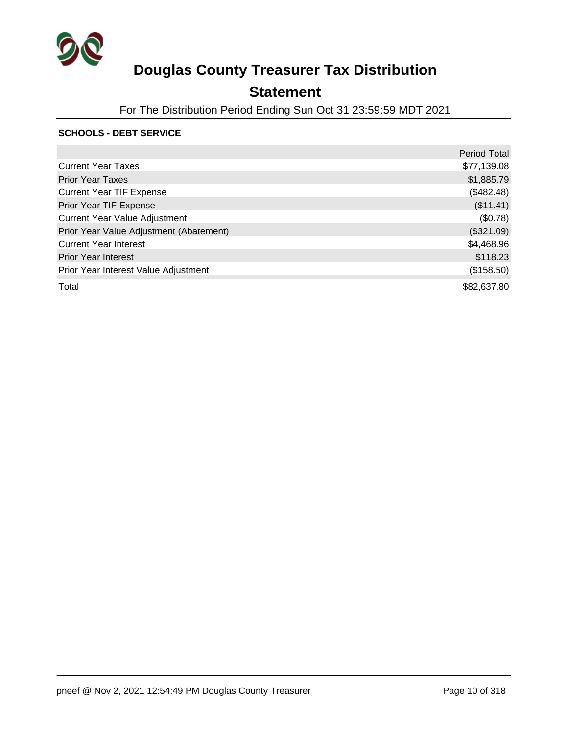

## **Statement**

For The Distribution Period Ending Sun Oct 31 23:59:59 MDT 2021

### **SCHOOLS - DEBT SERVICE**

|                                         | <b>Period Total</b> |
|-----------------------------------------|---------------------|
| <b>Current Year Taxes</b>               | \$77,139.08         |
| <b>Prior Year Taxes</b>                 | \$1,885.79          |
| <b>Current Year TIF Expense</b>         | (\$482.48)          |
| Prior Year TIF Expense                  | (\$11.41)           |
| <b>Current Year Value Adjustment</b>    | (\$0.78)            |
| Prior Year Value Adjustment (Abatement) | (\$321.09)          |
| <b>Current Year Interest</b>            | \$4,468.96          |
| <b>Prior Year Interest</b>              | \$118.23            |
| Prior Year Interest Value Adjustment    | (\$158.50)          |
| Total                                   | \$82,637.80         |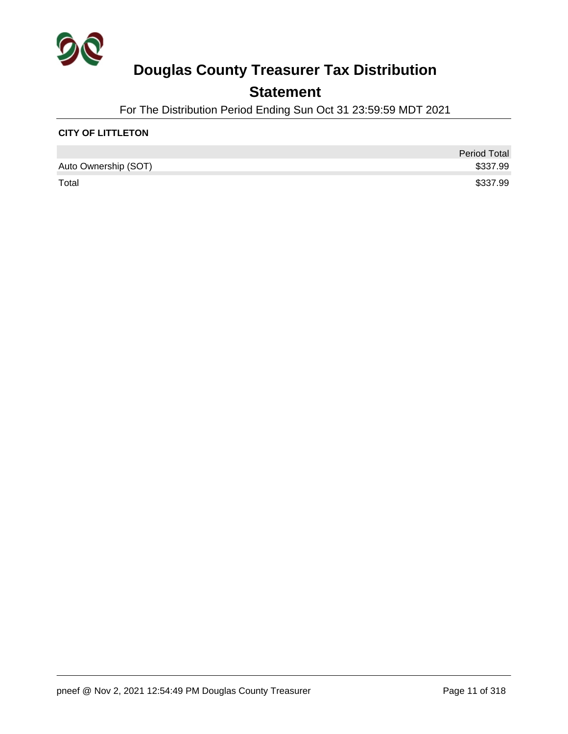

## **Statement**

For The Distribution Period Ending Sun Oct 31 23:59:59 MDT 2021

### **CITY OF LITTLETON**

|                      | <b>Period Total</b> |
|----------------------|---------------------|
| Auto Ownership (SOT) | \$337.99            |
| Total                | \$337.99            |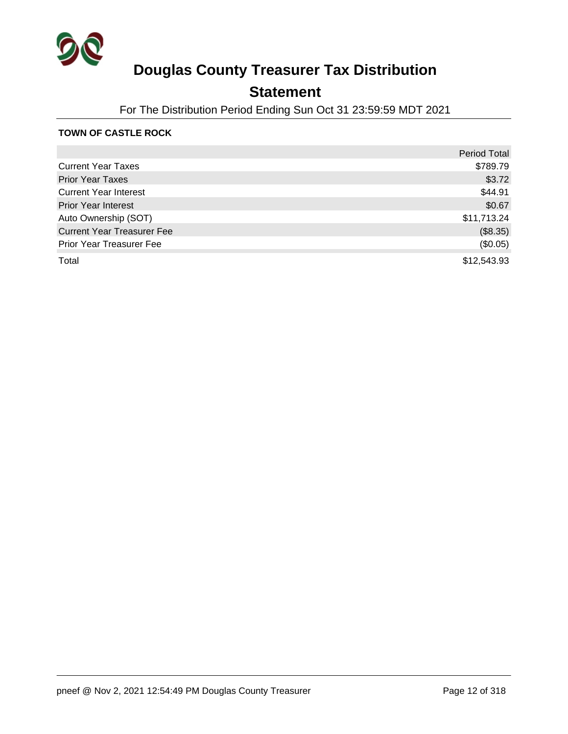

## **Statement**

For The Distribution Period Ending Sun Oct 31 23:59:59 MDT 2021

### **TOWN OF CASTLE ROCK**

|                                   | <b>Period Total</b> |
|-----------------------------------|---------------------|
| <b>Current Year Taxes</b>         | \$789.79            |
| <b>Prior Year Taxes</b>           | \$3.72              |
| <b>Current Year Interest</b>      | \$44.91             |
| <b>Prior Year Interest</b>        | \$0.67              |
| Auto Ownership (SOT)              | \$11,713.24         |
| <b>Current Year Treasurer Fee</b> | (\$8.35)            |
| Prior Year Treasurer Fee          | (\$0.05)            |
| Total                             | \$12,543.93         |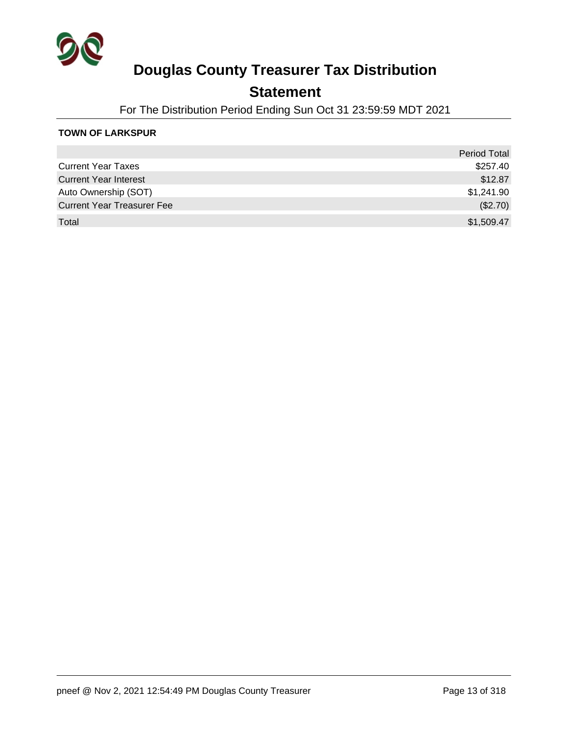

### **Statement**

For The Distribution Period Ending Sun Oct 31 23:59:59 MDT 2021

### **TOWN OF LARKSPUR**

|                                   | <b>Period Total</b> |
|-----------------------------------|---------------------|
| <b>Current Year Taxes</b>         | \$257.40            |
| <b>Current Year Interest</b>      | \$12.87             |
| Auto Ownership (SOT)              | \$1,241.90          |
| <b>Current Year Treasurer Fee</b> | (\$2.70)            |
| Total                             | \$1,509.47          |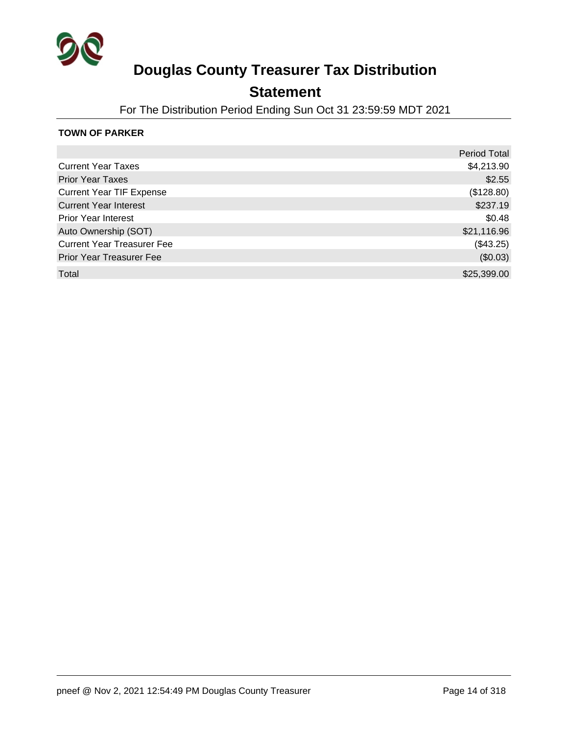

### **Statement**

For The Distribution Period Ending Sun Oct 31 23:59:59 MDT 2021

### **TOWN OF PARKER**

|                                   | <b>Period Total</b> |
|-----------------------------------|---------------------|
| <b>Current Year Taxes</b>         | \$4,213.90          |
| <b>Prior Year Taxes</b>           | \$2.55              |
| <b>Current Year TIF Expense</b>   | (\$128.80)          |
| <b>Current Year Interest</b>      | \$237.19            |
| <b>Prior Year Interest</b>        | \$0.48              |
| Auto Ownership (SOT)              | \$21,116.96         |
| <b>Current Year Treasurer Fee</b> | (\$43.25)           |
| <b>Prior Year Treasurer Fee</b>   | (\$0.03)            |
| Total                             | \$25,399.00         |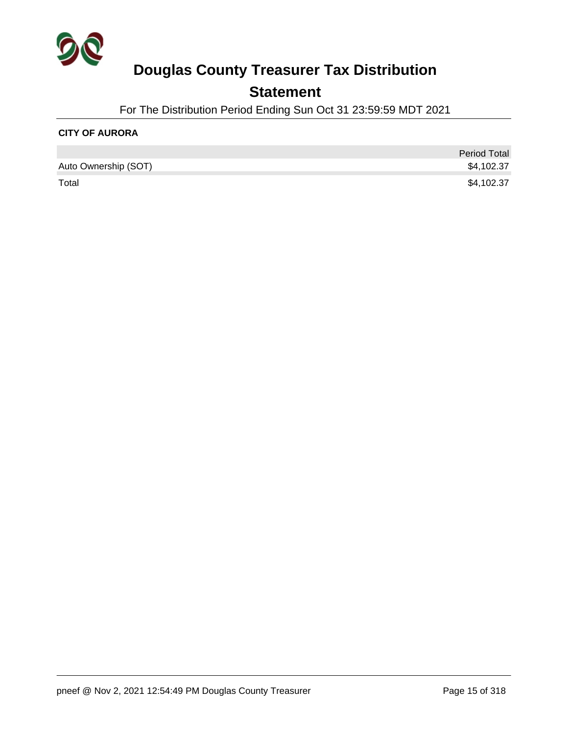

## **Statement**

For The Distribution Period Ending Sun Oct 31 23:59:59 MDT 2021

### **CITY OF AURORA**

|                      | <b>Period Total</b> |
|----------------------|---------------------|
| Auto Ownership (SOT) | \$4,102.37          |
| Total                | \$4,102.37          |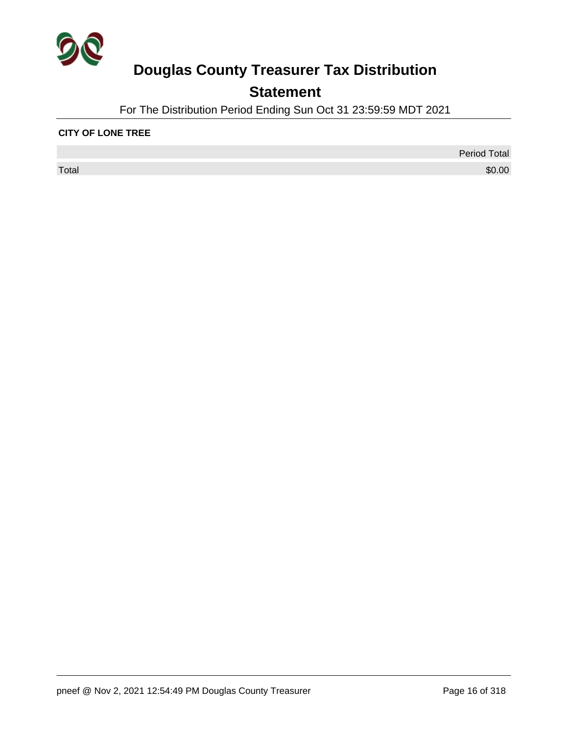

## **Statement**

For The Distribution Period Ending Sun Oct 31 23:59:59 MDT 2021

### **CITY OF LONE TREE**

 $\sf Total$   $\$0.00$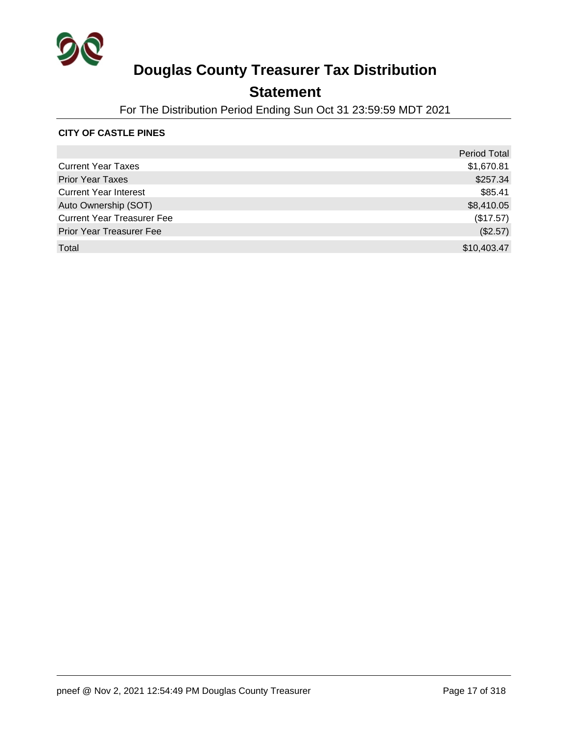

### **Statement**

For The Distribution Period Ending Sun Oct 31 23:59:59 MDT 2021

### **CITY OF CASTLE PINES**

|                                   | <b>Period Total</b> |
|-----------------------------------|---------------------|
| <b>Current Year Taxes</b>         | \$1,670.81          |
| <b>Prior Year Taxes</b>           | \$257.34            |
| <b>Current Year Interest</b>      | \$85.41             |
| Auto Ownership (SOT)              | \$8,410.05          |
| <b>Current Year Treasurer Fee</b> | (\$17.57)           |
| <b>Prior Year Treasurer Fee</b>   | (\$2.57)            |
| Total                             | \$10,403.47         |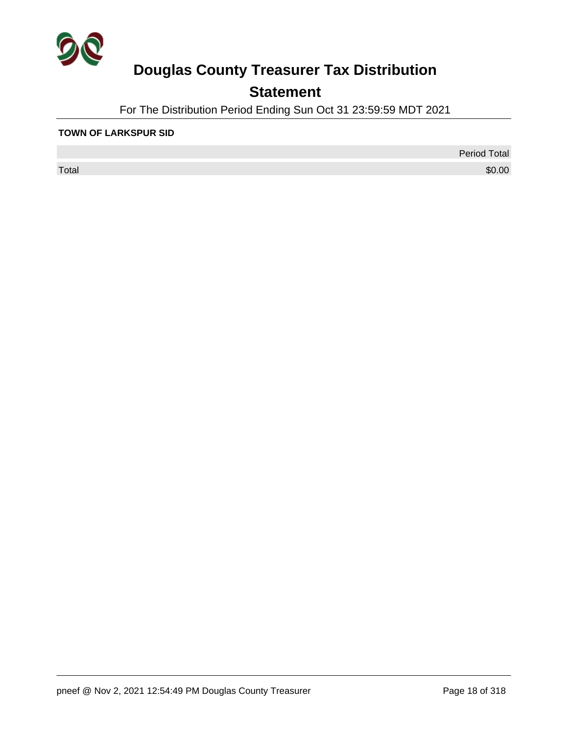

## **Statement**

For The Distribution Period Ending Sun Oct 31 23:59:59 MDT 2021

#### **TOWN OF LARKSPUR SID**

 $\sf Total$   $\$0.00$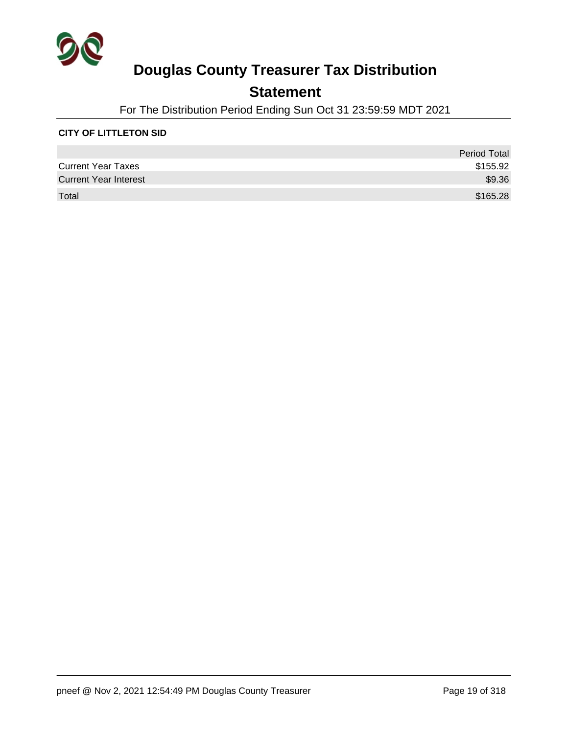

## **Statement**

For The Distribution Period Ending Sun Oct 31 23:59:59 MDT 2021

### **CITY OF LITTLETON SID**

|                              | <b>Period Total</b> |
|------------------------------|---------------------|
| <b>Current Year Taxes</b>    | \$155.92            |
| <b>Current Year Interest</b> | \$9.36              |
| Total                        | \$165.28            |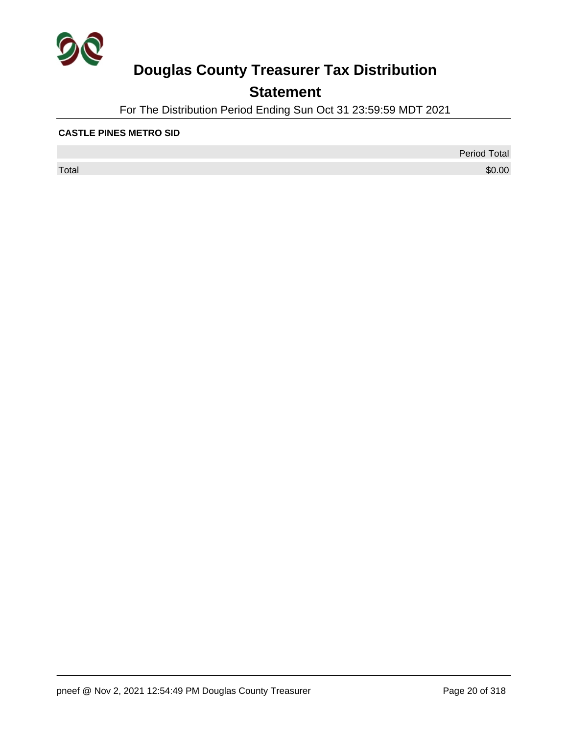

## **Statement**

For The Distribution Period Ending Sun Oct 31 23:59:59 MDT 2021

### **CASTLE PINES METRO SID**

 $\sf Total$   $\$0.00$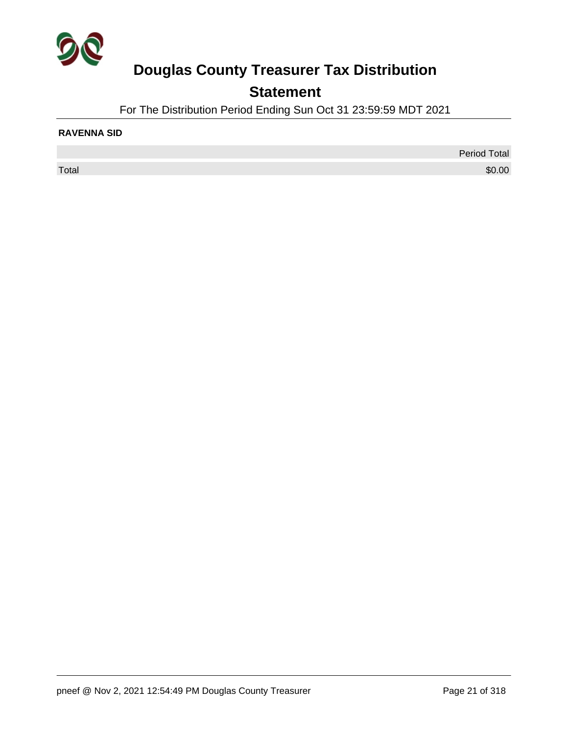

## **Statement**

For The Distribution Period Ending Sun Oct 31 23:59:59 MDT 2021

### **RAVENNA SID**

Period Total  $\sf Total$   $\$0.00$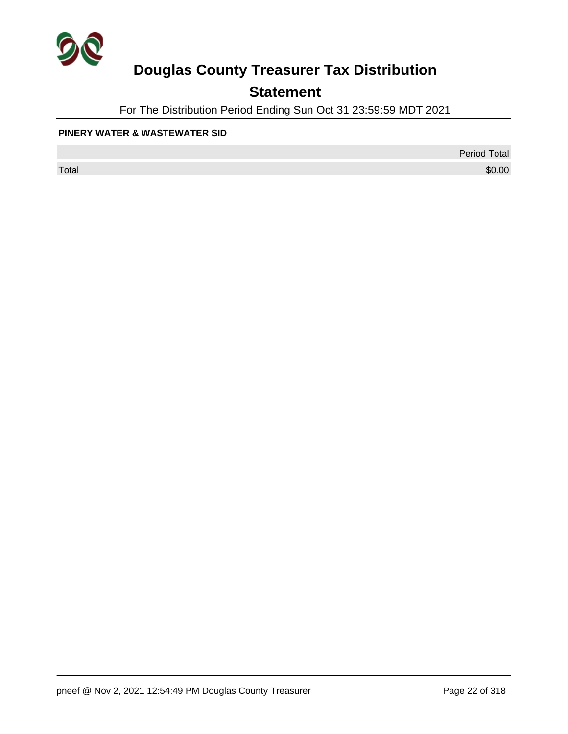

## **Statement**

For The Distribution Period Ending Sun Oct 31 23:59:59 MDT 2021

### **PINERY WATER & WASTEWATER SID**

 $\sf Total$   $\$0.00$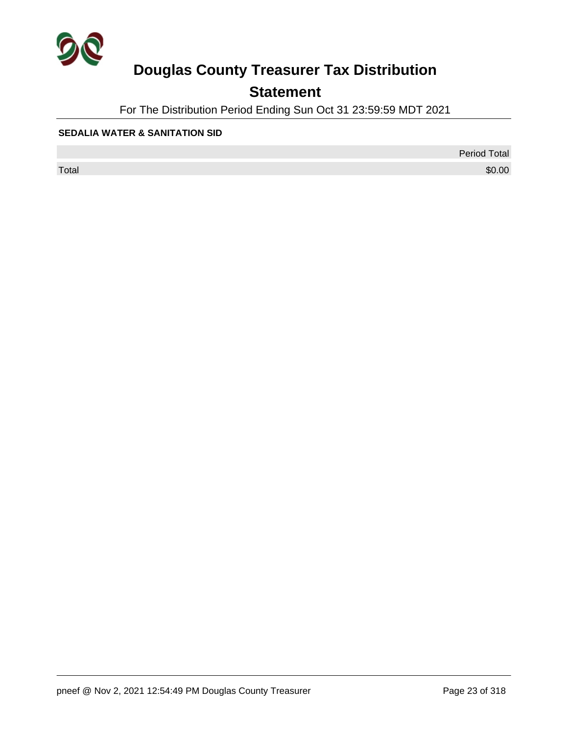

## **Statement**

For The Distribution Period Ending Sun Oct 31 23:59:59 MDT 2021

### **SEDALIA WATER & SANITATION SID**

 $\sf Total$   $\$0.00$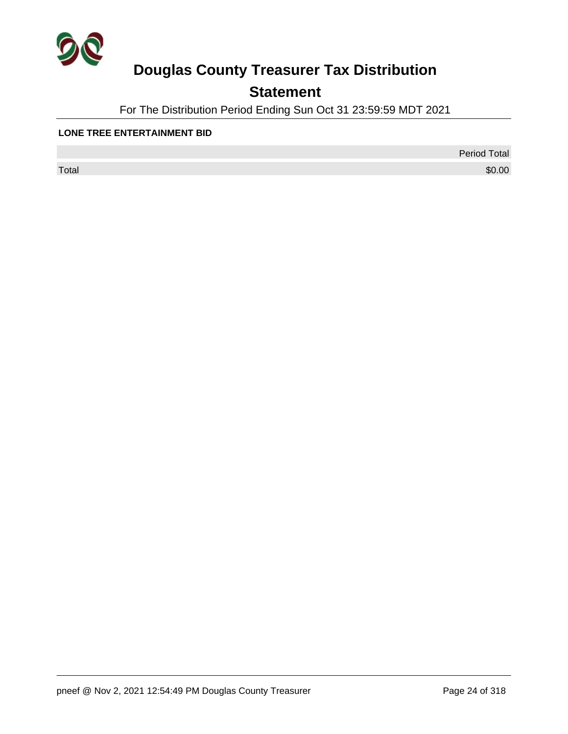

## **Statement**

For The Distribution Period Ending Sun Oct 31 23:59:59 MDT 2021

### **LONE TREE ENTERTAINMENT BID**

 $\sf Total$   $\$0.00$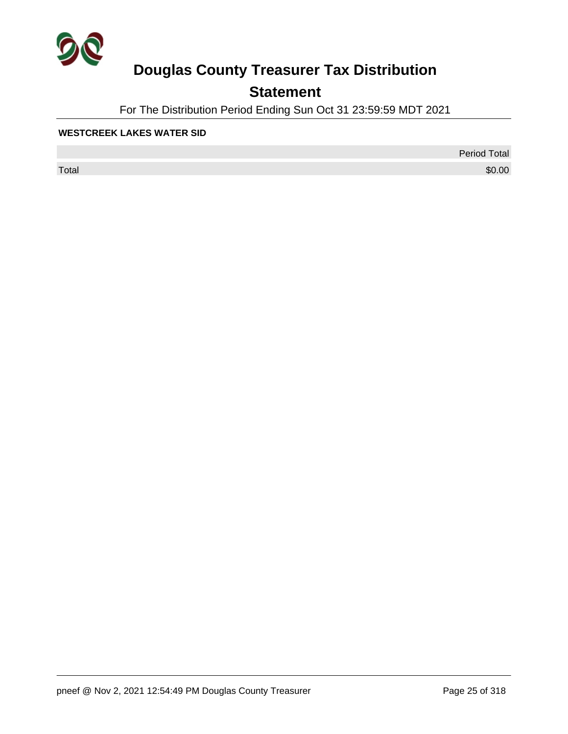

## **Statement**

For The Distribution Period Ending Sun Oct 31 23:59:59 MDT 2021

### **WESTCREEK LAKES WATER SID**

 $\sf Total$   $\$0.00$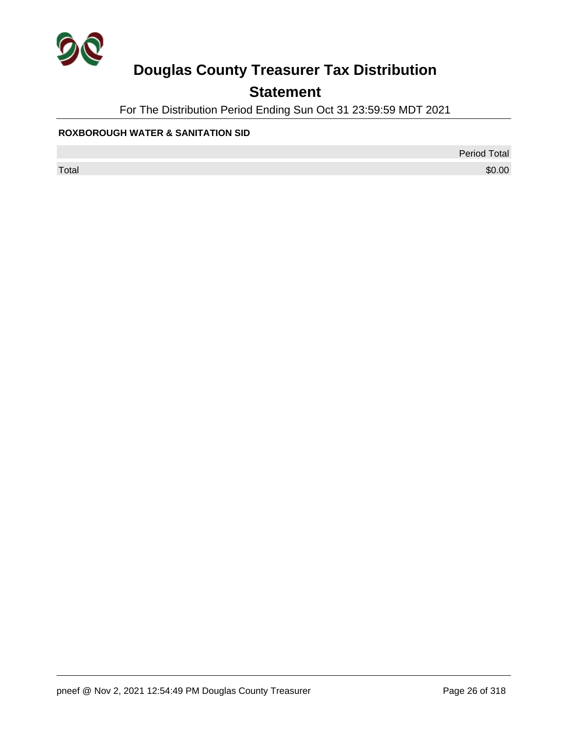

## **Statement**

For The Distribution Period Ending Sun Oct 31 23:59:59 MDT 2021

### **ROXBOROUGH WATER & SANITATION SID**

Period Total

 $\sf Total$   $\$0.00$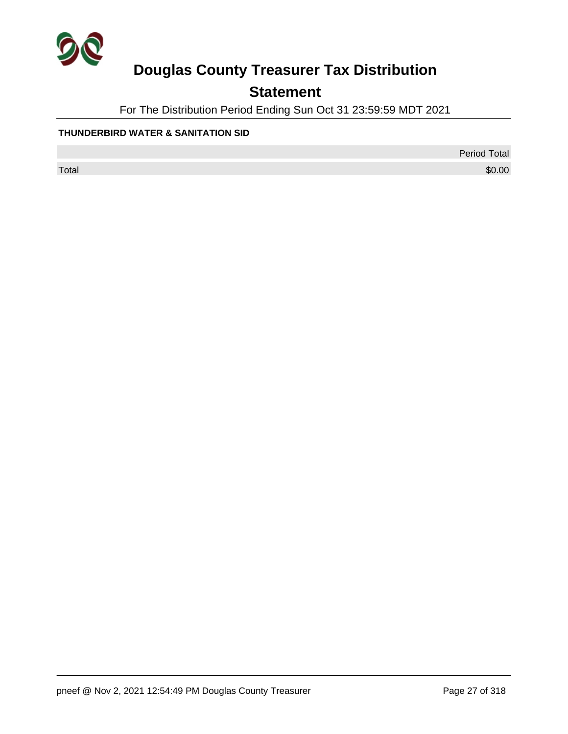

## **Statement**

For The Distribution Period Ending Sun Oct 31 23:59:59 MDT 2021

### **THUNDERBIRD WATER & SANITATION SID**

Period Total

 $\sf Total$   $\$0.00$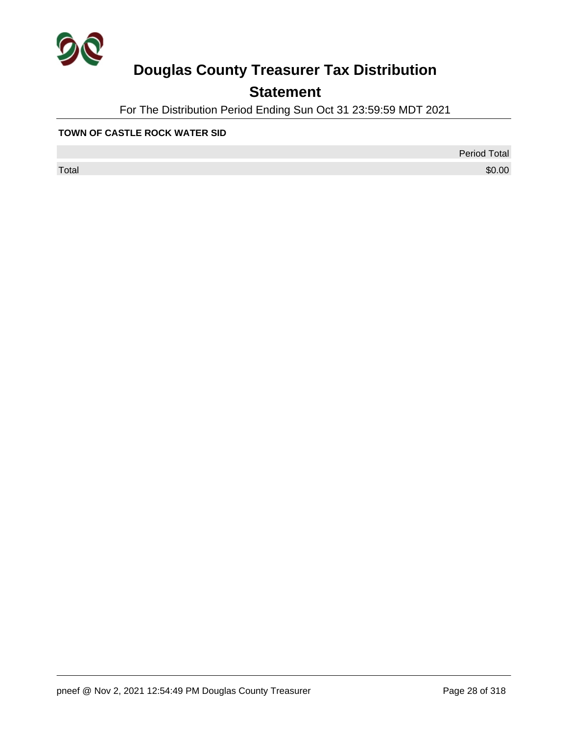

## **Statement**

For The Distribution Period Ending Sun Oct 31 23:59:59 MDT 2021

### **TOWN OF CASTLE ROCK WATER SID**

 $\sf Total$   $\$0.00$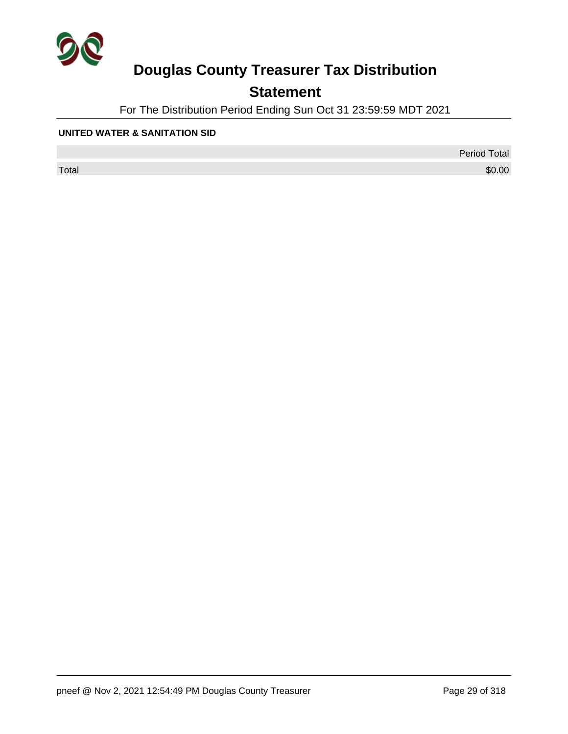

## **Statement**

For The Distribution Period Ending Sun Oct 31 23:59:59 MDT 2021

### **UNITED WATER & SANITATION SID**

 $\sf Total$   $\$0.00$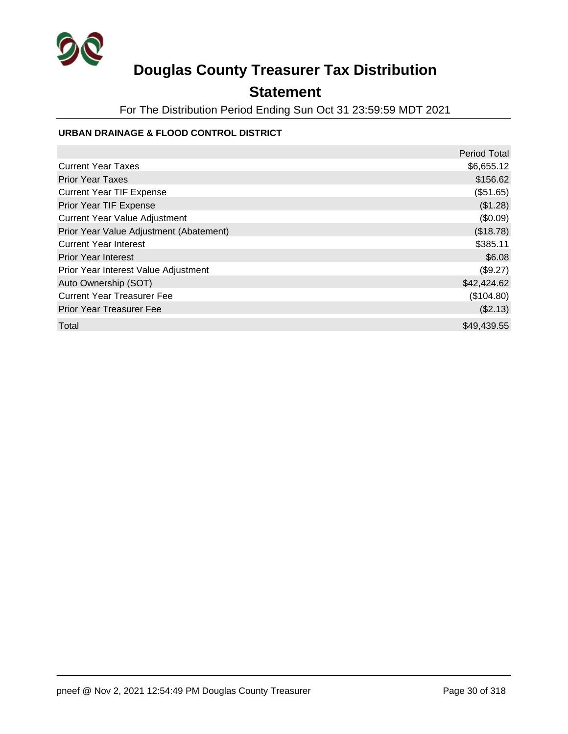

## **Statement**

For The Distribution Period Ending Sun Oct 31 23:59:59 MDT 2021

### **URBAN DRAINAGE & FLOOD CONTROL DISTRICT**

|                                         | <b>Period Total</b> |
|-----------------------------------------|---------------------|
| <b>Current Year Taxes</b>               | \$6,655.12          |
| <b>Prior Year Taxes</b>                 | \$156.62            |
| <b>Current Year TIF Expense</b>         | (\$51.65)           |
| <b>Prior Year TIF Expense</b>           | (\$1.28)            |
| <b>Current Year Value Adjustment</b>    | (\$0.09)            |
| Prior Year Value Adjustment (Abatement) | (\$18.78)           |
| <b>Current Year Interest</b>            | \$385.11            |
| <b>Prior Year Interest</b>              | \$6.08              |
| Prior Year Interest Value Adjustment    | (\$9.27)            |
| Auto Ownership (SOT)                    | \$42,424.62         |
| <b>Current Year Treasurer Fee</b>       | (\$104.80)          |
| <b>Prior Year Treasurer Fee</b>         | (\$2.13)            |
| Total                                   | \$49,439.55         |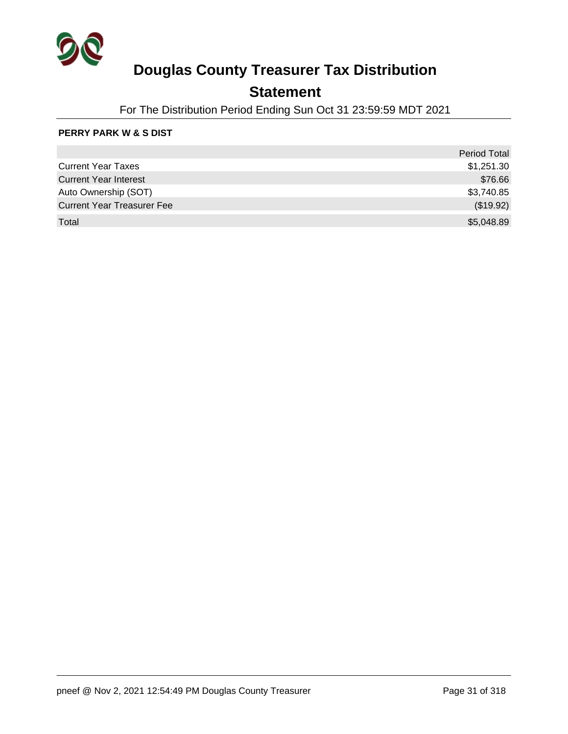

## **Statement**

For The Distribution Period Ending Sun Oct 31 23:59:59 MDT 2021

### **PERRY PARK W & S DIST**

|                                   | <b>Period Total</b> |
|-----------------------------------|---------------------|
| <b>Current Year Taxes</b>         | \$1,251.30          |
| <b>Current Year Interest</b>      | \$76.66             |
| Auto Ownership (SOT)              | \$3,740.85          |
| <b>Current Year Treasurer Fee</b> | (\$19.92)           |
| Total                             | \$5,048.89          |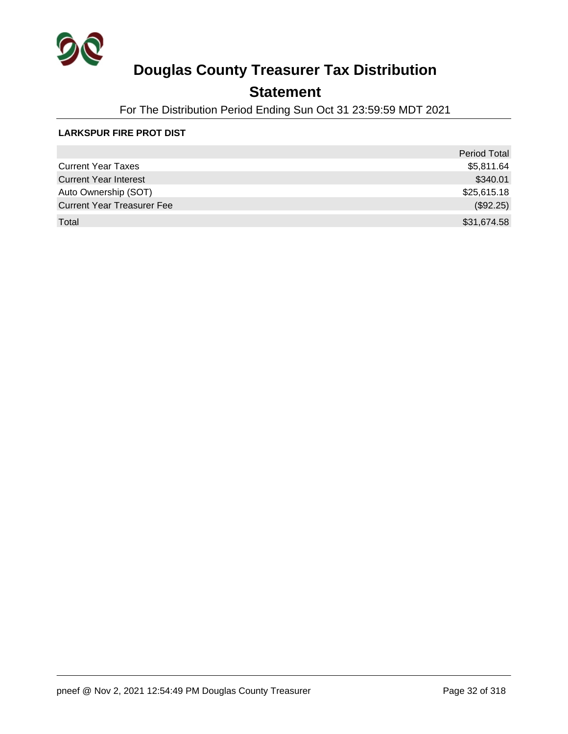

## **Statement**

For The Distribution Period Ending Sun Oct 31 23:59:59 MDT 2021

### **LARKSPUR FIRE PROT DIST**

|                                   | <b>Period Total</b> |
|-----------------------------------|---------------------|
| <b>Current Year Taxes</b>         | \$5,811.64          |
| <b>Current Year Interest</b>      | \$340.01            |
| Auto Ownership (SOT)              | \$25,615.18         |
| <b>Current Year Treasurer Fee</b> | (\$92.25)           |
| Total                             | \$31,674.58         |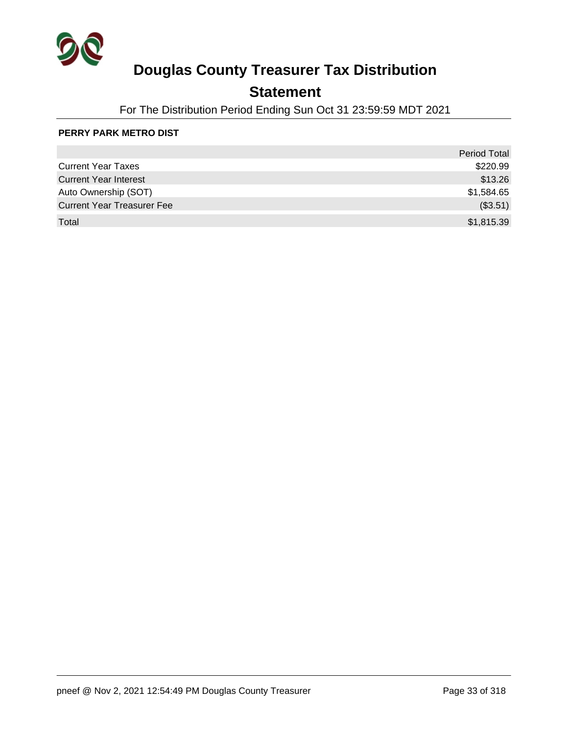

## **Statement**

For The Distribution Period Ending Sun Oct 31 23:59:59 MDT 2021

### **PERRY PARK METRO DIST**

|                                   | <b>Period Total</b> |
|-----------------------------------|---------------------|
| <b>Current Year Taxes</b>         | \$220.99            |
| <b>Current Year Interest</b>      | \$13.26             |
| Auto Ownership (SOT)              | \$1,584.65          |
| <b>Current Year Treasurer Fee</b> | (\$3.51)            |
| Total                             | \$1,815.39          |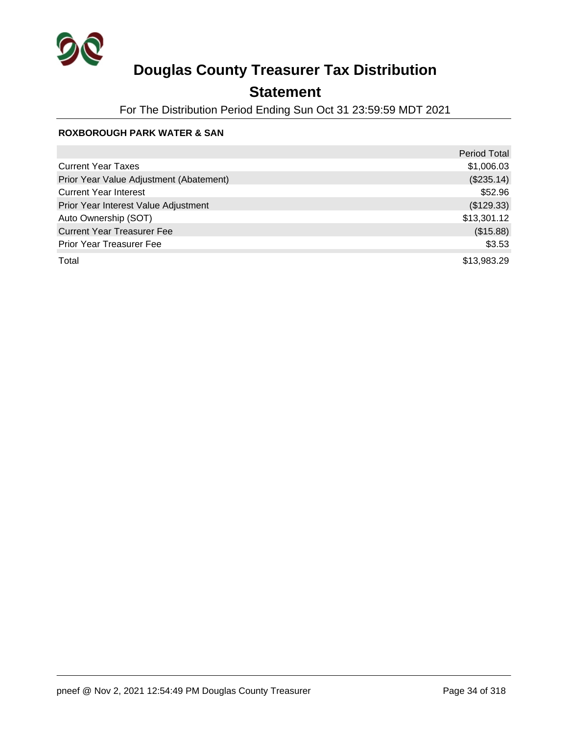

## **Statement**

For The Distribution Period Ending Sun Oct 31 23:59:59 MDT 2021

### **ROXBOROUGH PARK WATER & SAN**

|                                         | <b>Period Total</b> |
|-----------------------------------------|---------------------|
| <b>Current Year Taxes</b>               | \$1,006.03          |
| Prior Year Value Adjustment (Abatement) | (\$235.14)          |
| <b>Current Year Interest</b>            | \$52.96             |
| Prior Year Interest Value Adjustment    | (\$129.33)          |
| Auto Ownership (SOT)                    | \$13,301.12         |
| <b>Current Year Treasurer Fee</b>       | (\$15.88)           |
| <b>Prior Year Treasurer Fee</b>         | \$3.53              |
| Total                                   | \$13,983.29         |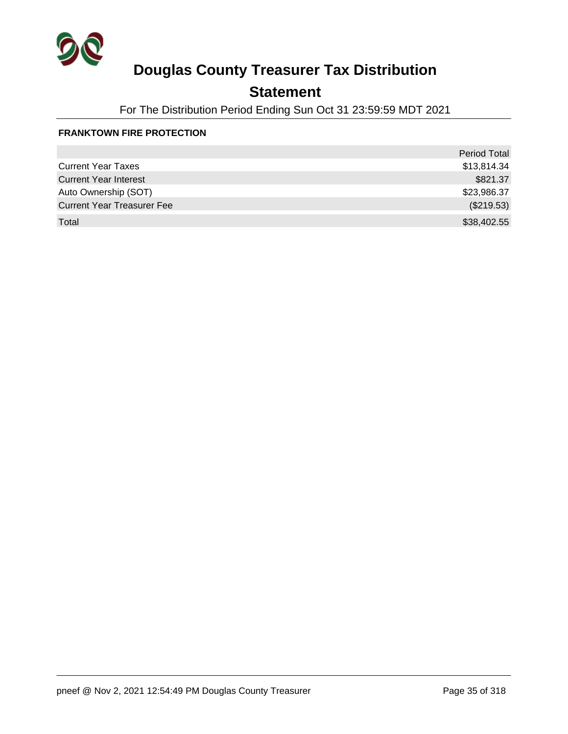

## **Statement**

For The Distribution Period Ending Sun Oct 31 23:59:59 MDT 2021

### **FRANKTOWN FIRE PROTECTION**

|                                   | Period Total |
|-----------------------------------|--------------|
| <b>Current Year Taxes</b>         | \$13,814.34  |
| <b>Current Year Interest</b>      | \$821.37     |
| Auto Ownership (SOT)              | \$23,986.37  |
| <b>Current Year Treasurer Fee</b> | (\$219.53)   |
| Total                             | \$38,402.55  |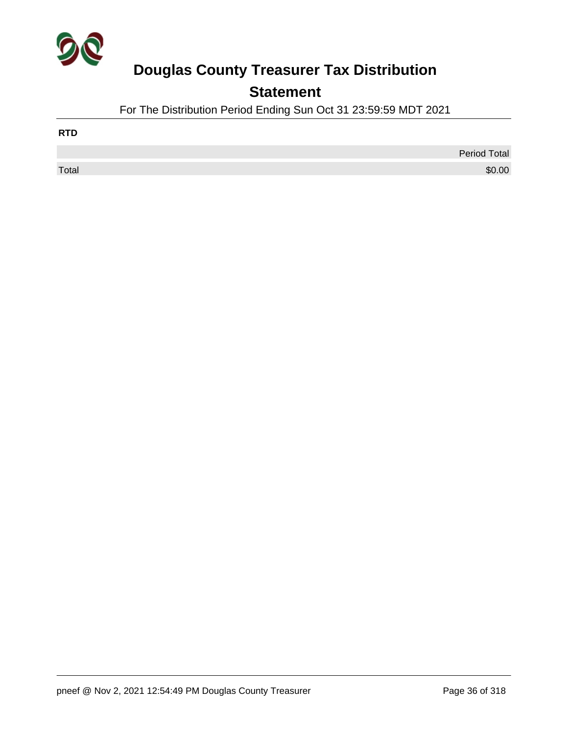

## **Statement**

For The Distribution Period Ending Sun Oct 31 23:59:59 MDT 2021

| <b>RTD</b> |                     |
|------------|---------------------|
|            | <b>Period Total</b> |
| Total      | \$0.00              |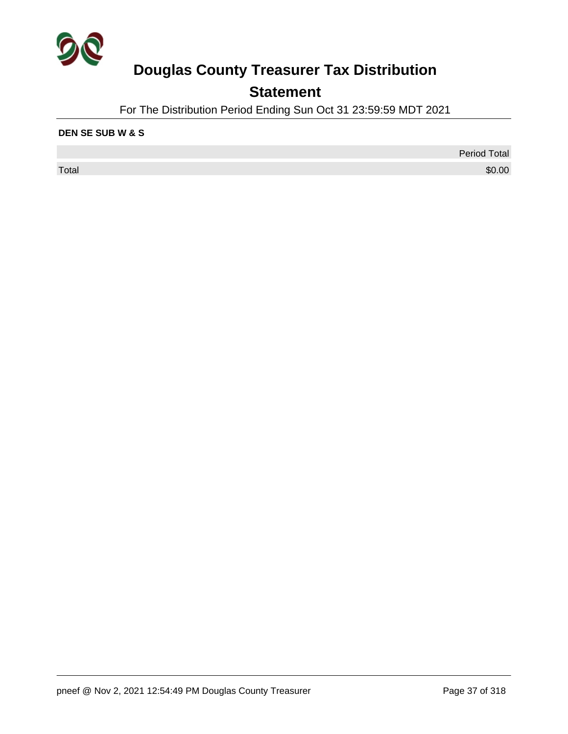

## **Statement**

For The Distribution Period Ending Sun Oct 31 23:59:59 MDT 2021

#### **DEN SE SUB W & S**

Period Total  $\sf Total$   $\$0.00$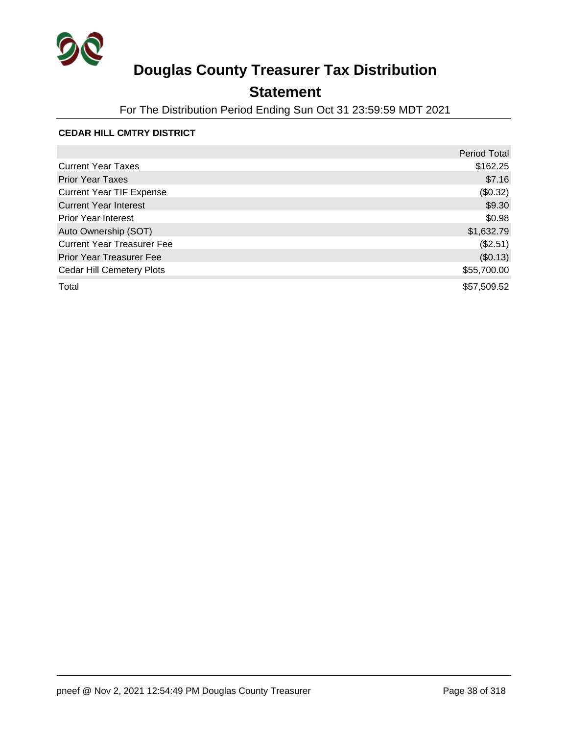

## **Statement**

For The Distribution Period Ending Sun Oct 31 23:59:59 MDT 2021

#### **CEDAR HILL CMTRY DISTRICT**

|                                   | <b>Period Total</b> |
|-----------------------------------|---------------------|
| <b>Current Year Taxes</b>         | \$162.25            |
| <b>Prior Year Taxes</b>           | \$7.16              |
| <b>Current Year TIF Expense</b>   | (\$0.32)            |
| <b>Current Year Interest</b>      | \$9.30              |
| <b>Prior Year Interest</b>        | \$0.98              |
| Auto Ownership (SOT)              | \$1,632.79          |
| <b>Current Year Treasurer Fee</b> | (\$2.51)            |
| <b>Prior Year Treasurer Fee</b>   | (\$0.13)            |
| <b>Cedar Hill Cemetery Plots</b>  | \$55,700.00         |
| Total                             | \$57,509.52         |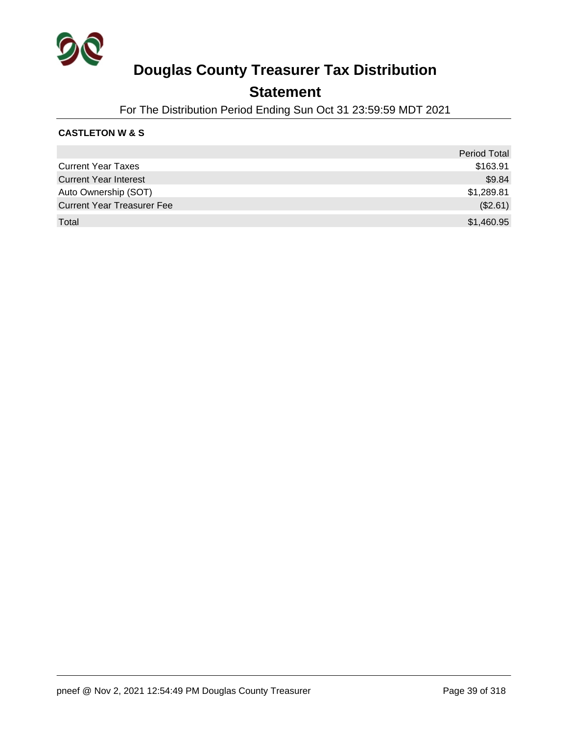

### **Statement**

For The Distribution Period Ending Sun Oct 31 23:59:59 MDT 2021

#### **CASTLETON W & S**

|                                   | <b>Period Total</b> |
|-----------------------------------|---------------------|
| <b>Current Year Taxes</b>         | \$163.91            |
| <b>Current Year Interest</b>      | \$9.84              |
| Auto Ownership (SOT)              | \$1,289.81          |
| <b>Current Year Treasurer Fee</b> | (\$2.61)            |
| Total                             | \$1,460.95          |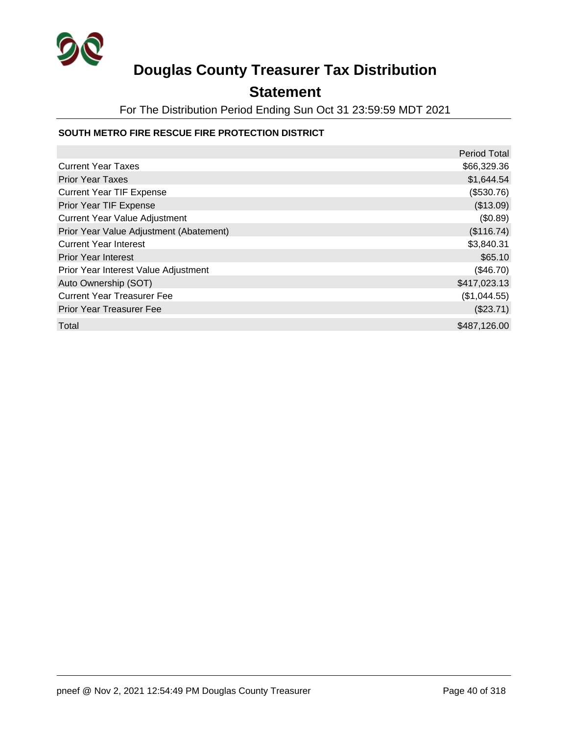

### **Statement**

For The Distribution Period Ending Sun Oct 31 23:59:59 MDT 2021

#### **SOUTH METRO FIRE RESCUE FIRE PROTECTION DISTRICT**

|                                         | <b>Period Total</b> |
|-----------------------------------------|---------------------|
| <b>Current Year Taxes</b>               | \$66,329.36         |
| <b>Prior Year Taxes</b>                 | \$1,644.54          |
| <b>Current Year TIF Expense</b>         | (\$530.76)          |
| Prior Year TIF Expense                  | (\$13.09)           |
| <b>Current Year Value Adjustment</b>    | (\$0.89)            |
| Prior Year Value Adjustment (Abatement) | (\$116.74)          |
| <b>Current Year Interest</b>            | \$3,840.31          |
| <b>Prior Year Interest</b>              | \$65.10             |
| Prior Year Interest Value Adjustment    | (\$46.70)           |
| Auto Ownership (SOT)                    | \$417,023.13        |
| <b>Current Year Treasurer Fee</b>       | (\$1,044.55)        |
| <b>Prior Year Treasurer Fee</b>         | (\$23.71)           |
| Total                                   | \$487,126.00        |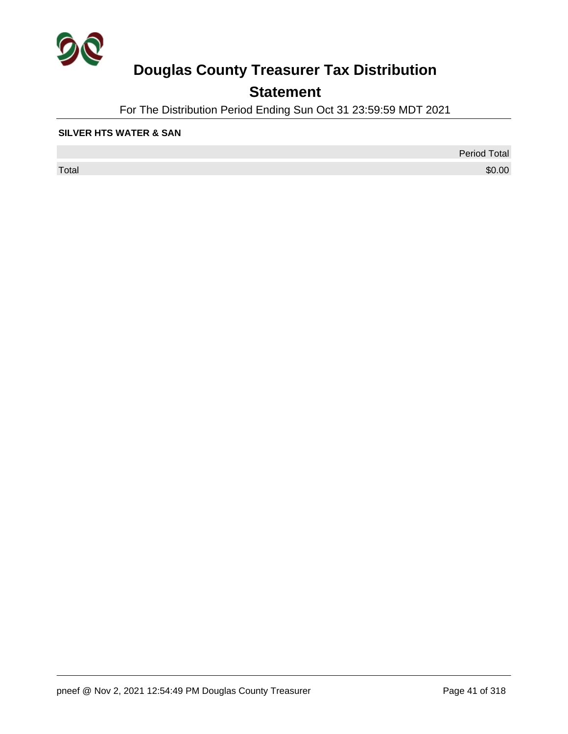

## **Statement**

For The Distribution Period Ending Sun Oct 31 23:59:59 MDT 2021

#### **SILVER HTS WATER & SAN**

 $\sf Total$   $\$0.00$ 

Period Total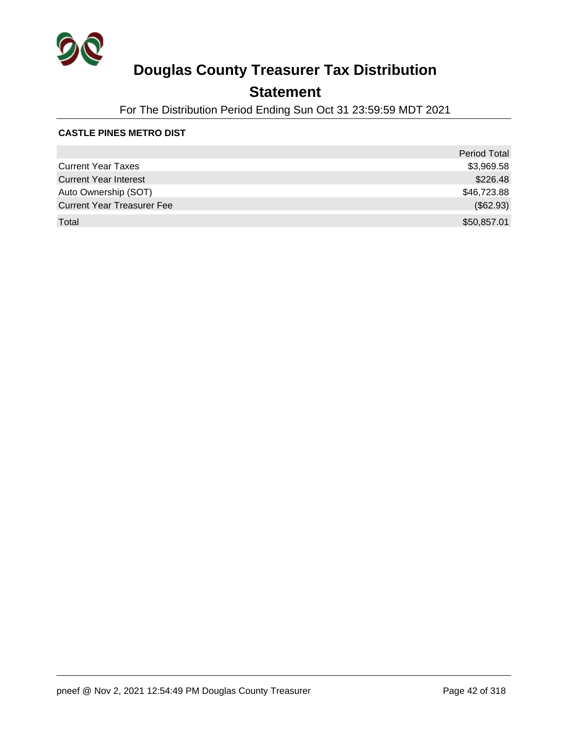

## **Statement**

For The Distribution Period Ending Sun Oct 31 23:59:59 MDT 2021

#### **CASTLE PINES METRO DIST**

|                                   | <b>Period Total</b> |
|-----------------------------------|---------------------|
| <b>Current Year Taxes</b>         | \$3,969.58          |
| <b>Current Year Interest</b>      | \$226.48            |
| Auto Ownership (SOT)              | \$46,723.88         |
| <b>Current Year Treasurer Fee</b> | (\$62.93)           |
| Total                             | \$50,857.01         |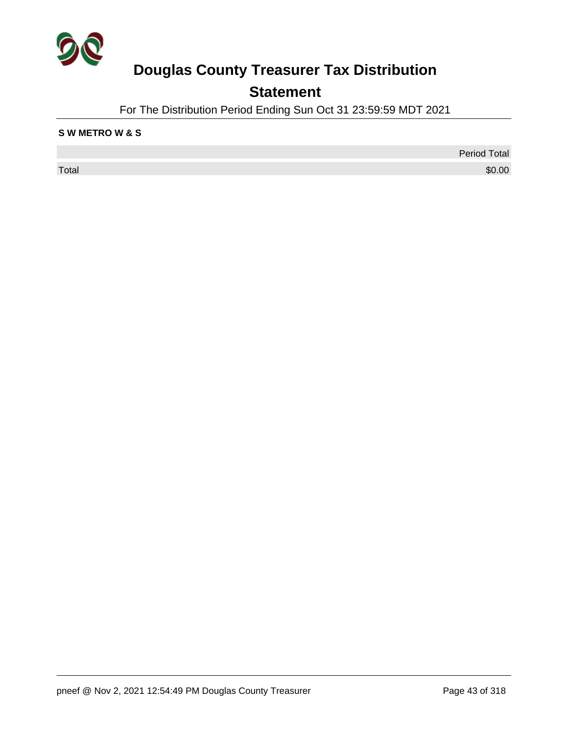

## **Statement**

For The Distribution Period Ending Sun Oct 31 23:59:59 MDT 2021

#### **S W METRO W & S**

Period Total  $\sf Total$   $\$0.00$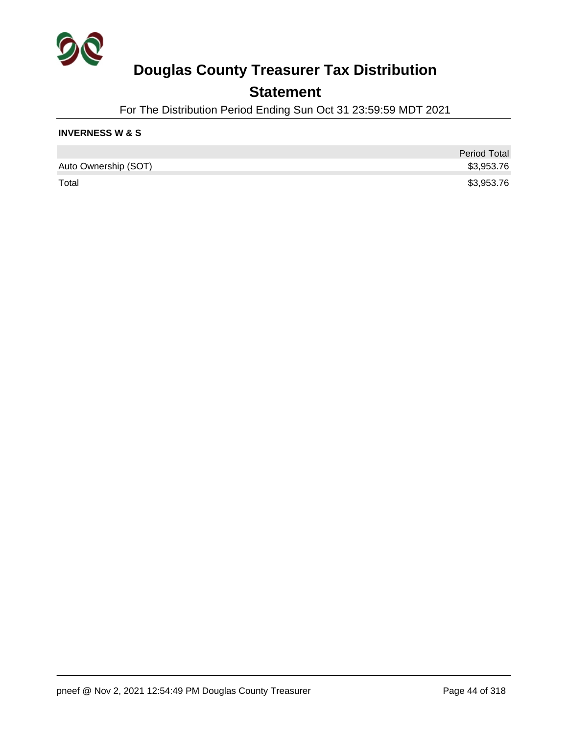

### **Statement**

For The Distribution Period Ending Sun Oct 31 23:59:59 MDT 2021

#### **INVERNESS W & S**

|                      | <b>Period Total</b> |
|----------------------|---------------------|
| Auto Ownership (SOT) | \$3,953.76          |
| Total                | \$3,953.76          |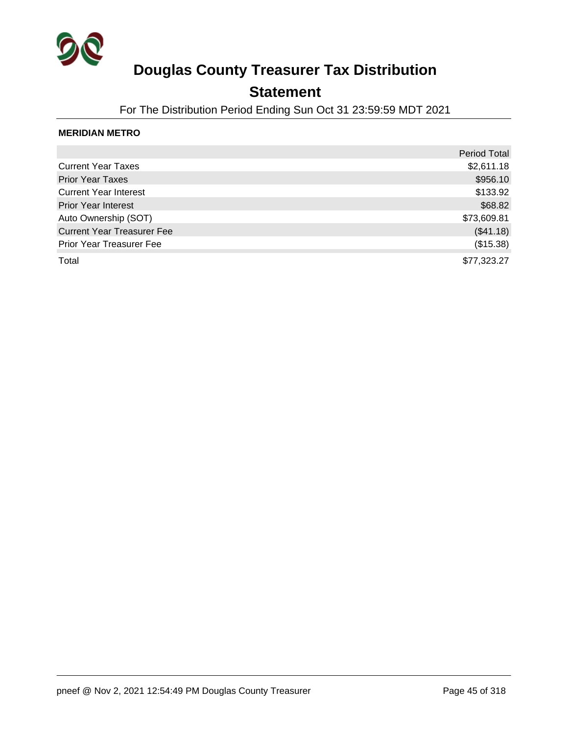

### **Statement**

For The Distribution Period Ending Sun Oct 31 23:59:59 MDT 2021

#### **MERIDIAN METRO**

|                                   | <b>Period Total</b> |
|-----------------------------------|---------------------|
| <b>Current Year Taxes</b>         | \$2,611.18          |
| <b>Prior Year Taxes</b>           | \$956.10            |
| <b>Current Year Interest</b>      | \$133.92            |
| <b>Prior Year Interest</b>        | \$68.82             |
| Auto Ownership (SOT)              | \$73,609.81         |
| <b>Current Year Treasurer Fee</b> | (\$41.18)           |
| Prior Year Treasurer Fee          | (\$15.38)           |
| Total                             | \$77,323.27         |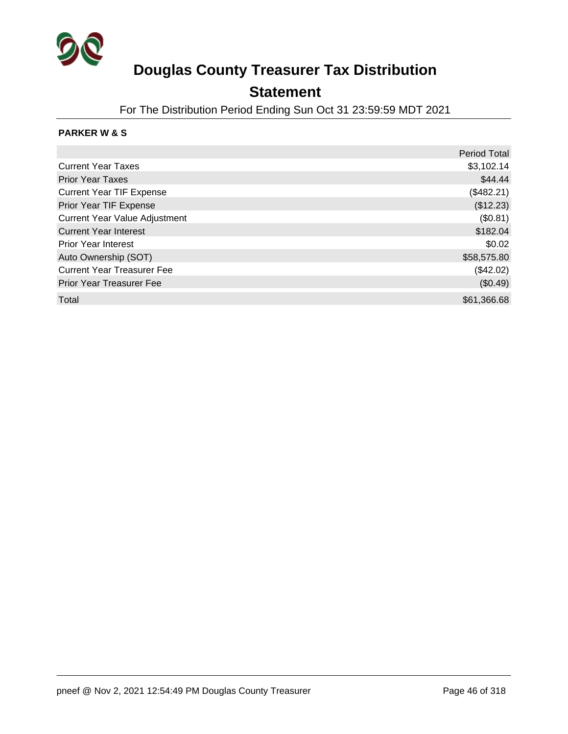

### **Statement**

For The Distribution Period Ending Sun Oct 31 23:59:59 MDT 2021

#### **PARKER W & S**

|                                      | <b>Period Total</b> |
|--------------------------------------|---------------------|
| <b>Current Year Taxes</b>            | \$3,102.14          |
| <b>Prior Year Taxes</b>              | \$44.44             |
| <b>Current Year TIF Expense</b>      | (\$482.21)          |
| Prior Year TIF Expense               | (\$12.23)           |
| <b>Current Year Value Adjustment</b> | (\$0.81)            |
| <b>Current Year Interest</b>         | \$182.04            |
| <b>Prior Year Interest</b>           | \$0.02              |
| Auto Ownership (SOT)                 | \$58,575.80         |
| <b>Current Year Treasurer Fee</b>    | (\$42.02)           |
| <b>Prior Year Treasurer Fee</b>      | (\$0.49)            |
| Total                                | \$61,366.68         |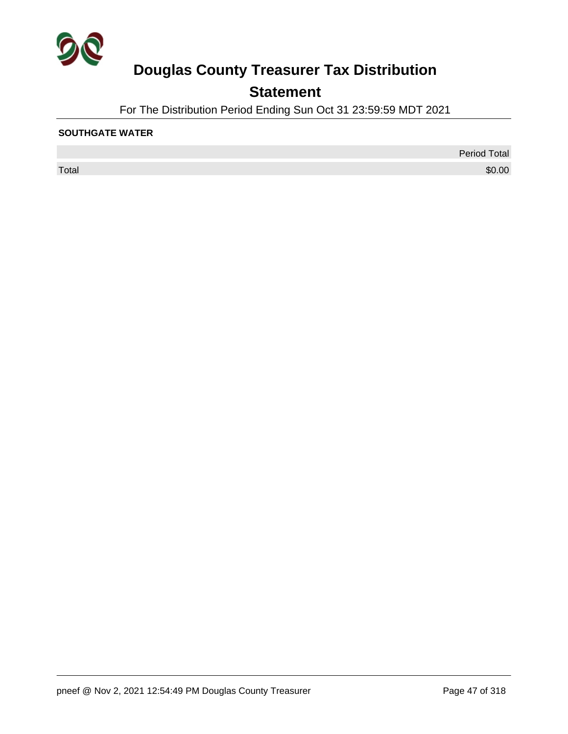

## **Statement**

For The Distribution Period Ending Sun Oct 31 23:59:59 MDT 2021

#### **SOUTHGATE WATER**

 $\sf Total$   $\$0.00$ 

Period Total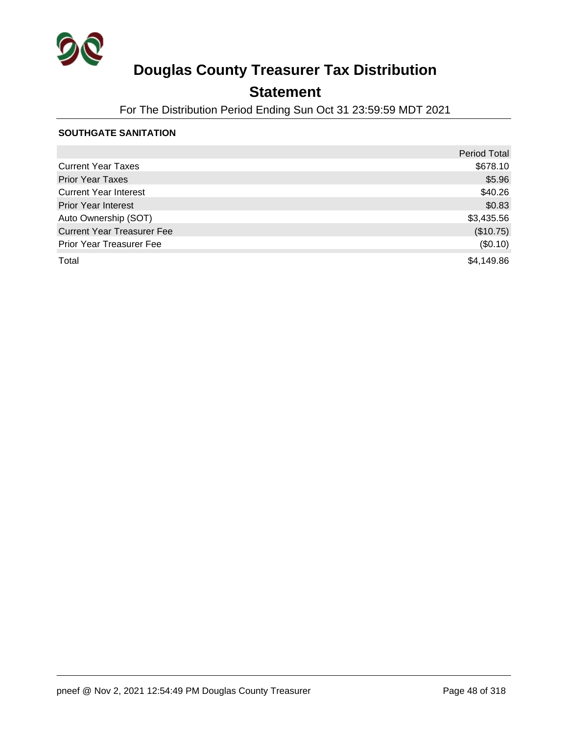

## **Statement**

For The Distribution Period Ending Sun Oct 31 23:59:59 MDT 2021

#### **SOUTHGATE SANITATION**

|                                   | <b>Period Total</b> |
|-----------------------------------|---------------------|
| <b>Current Year Taxes</b>         | \$678.10            |
| <b>Prior Year Taxes</b>           | \$5.96              |
| <b>Current Year Interest</b>      | \$40.26             |
| <b>Prior Year Interest</b>        | \$0.83              |
| Auto Ownership (SOT)              | \$3,435.56          |
| <b>Current Year Treasurer Fee</b> | (\$10.75)           |
| <b>Prior Year Treasurer Fee</b>   | (\$0.10)            |
| Total                             | \$4,149.86          |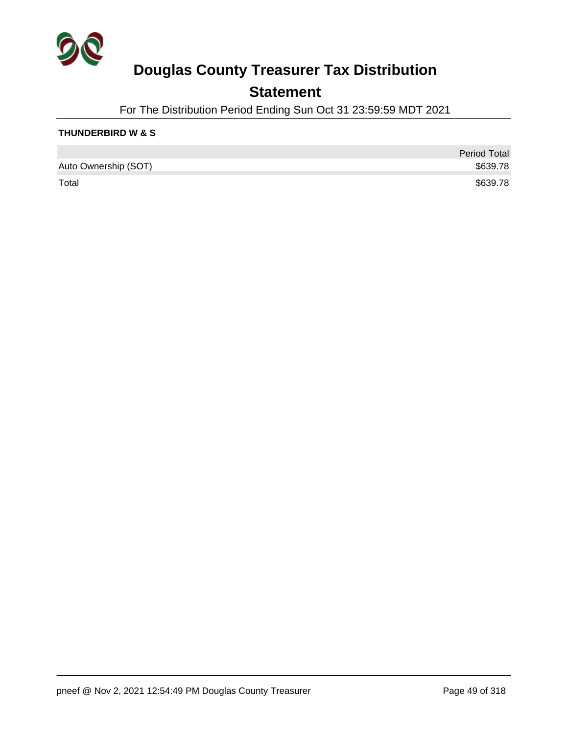

### **Statement**

For The Distribution Period Ending Sun Oct 31 23:59:59 MDT 2021

#### **THUNDERBIRD W & S**

|                      | Period Total |
|----------------------|--------------|
| Auto Ownership (SOT) | \$639.78     |
| Total                | \$639.78     |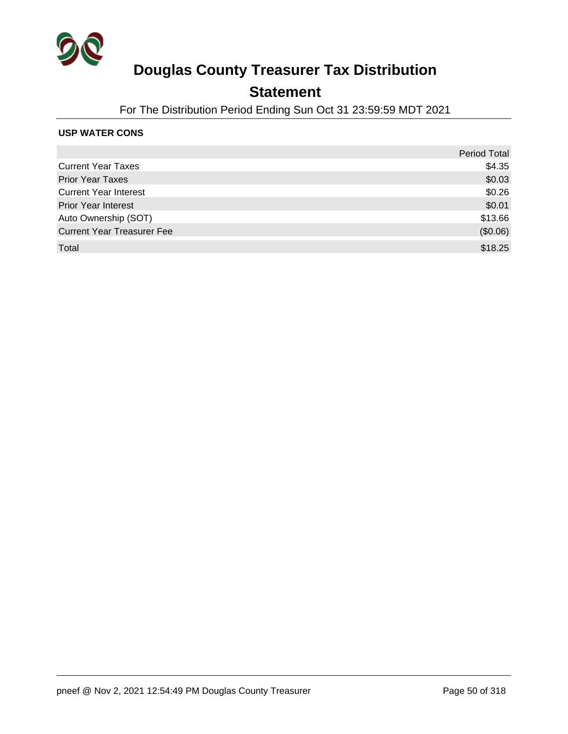

### **Statement**

For The Distribution Period Ending Sun Oct 31 23:59:59 MDT 2021

#### **USP WATER CONS**

|                                   | <b>Period Total</b> |
|-----------------------------------|---------------------|
| <b>Current Year Taxes</b>         | \$4.35              |
| <b>Prior Year Taxes</b>           | \$0.03              |
| <b>Current Year Interest</b>      | \$0.26              |
| <b>Prior Year Interest</b>        | \$0.01              |
| Auto Ownership (SOT)              | \$13.66             |
| <b>Current Year Treasurer Fee</b> | (\$0.06)            |
| Total                             | \$18.25             |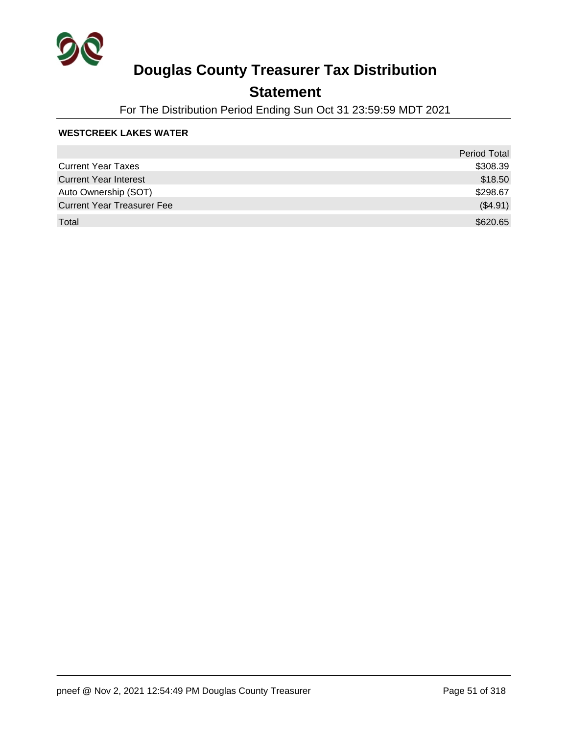

## **Statement**

For The Distribution Period Ending Sun Oct 31 23:59:59 MDT 2021

#### **WESTCREEK LAKES WATER**

|                                   | <b>Period Total</b> |
|-----------------------------------|---------------------|
| <b>Current Year Taxes</b>         | \$308.39            |
| <b>Current Year Interest</b>      | \$18.50             |
| Auto Ownership (SOT)              | \$298.67            |
| <b>Current Year Treasurer Fee</b> | (\$4.91)            |
| Total                             | \$620.65            |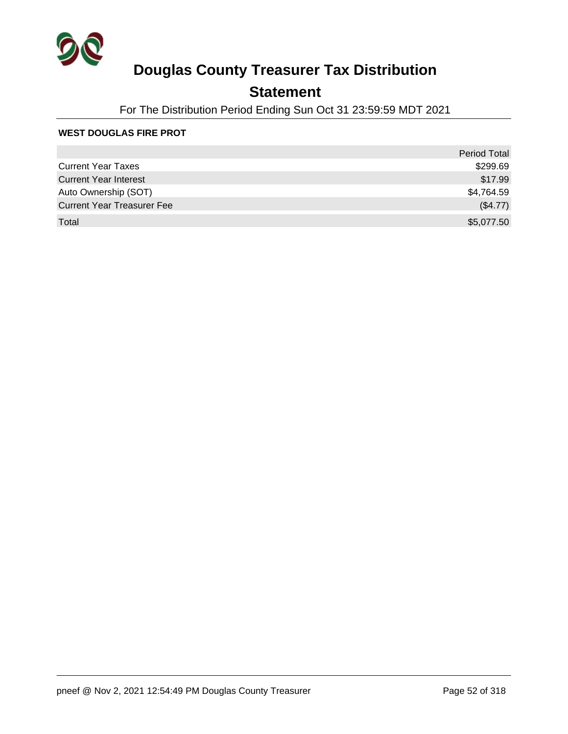

## **Statement**

For The Distribution Period Ending Sun Oct 31 23:59:59 MDT 2021

#### **WEST DOUGLAS FIRE PROT**

|                                   | <b>Period Total</b> |
|-----------------------------------|---------------------|
| <b>Current Year Taxes</b>         | \$299.69            |
| <b>Current Year Interest</b>      | \$17.99             |
| Auto Ownership (SOT)              | \$4,764.59          |
| <b>Current Year Treasurer Fee</b> | (\$4.77)            |
| Total                             | \$5,077.50          |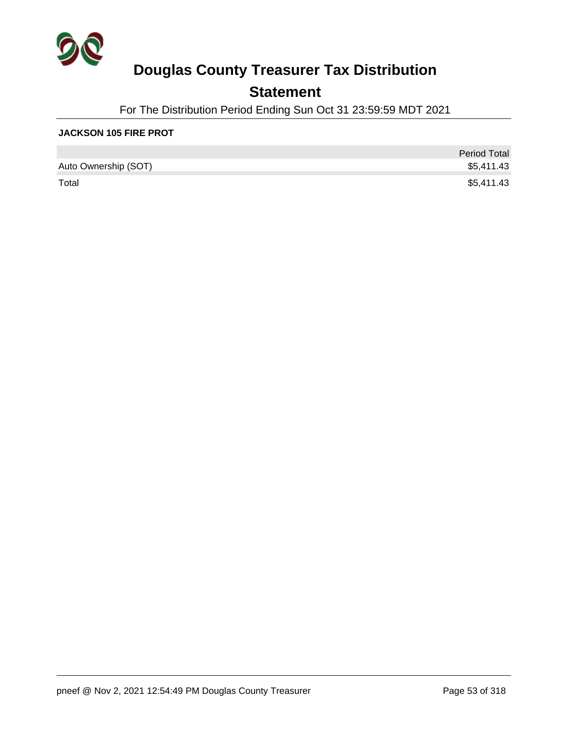

## **Statement**

For The Distribution Period Ending Sun Oct 31 23:59:59 MDT 2021

#### **JACKSON 105 FIRE PROT**

|                      | <b>Period Total</b> |
|----------------------|---------------------|
| Auto Ownership (SOT) | \$5,411.43          |
| Total                | \$5,411.43          |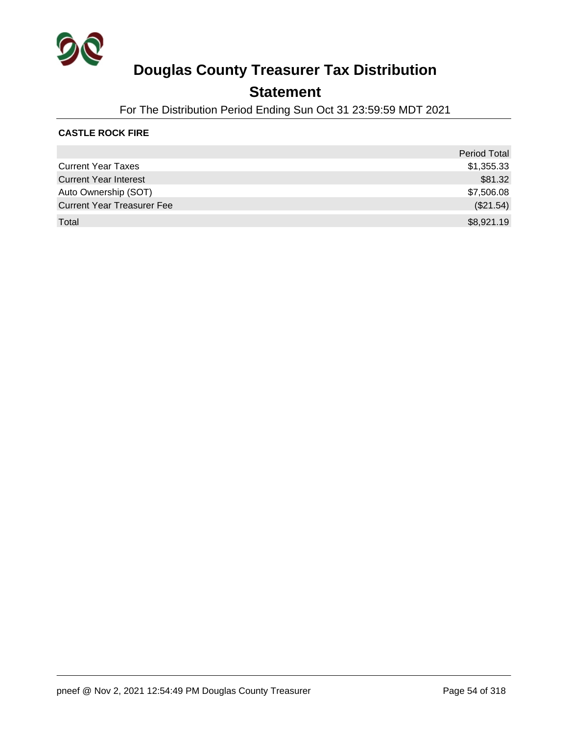

### **Statement**

For The Distribution Period Ending Sun Oct 31 23:59:59 MDT 2021

#### **CASTLE ROCK FIRE**

|                                   | <b>Period Total</b> |
|-----------------------------------|---------------------|
| <b>Current Year Taxes</b>         | \$1,355.33          |
| <b>Current Year Interest</b>      | \$81.32             |
| Auto Ownership (SOT)              | \$7,506.08          |
| <b>Current Year Treasurer Fee</b> | (\$21.54)           |
| Total                             | \$8,921.19          |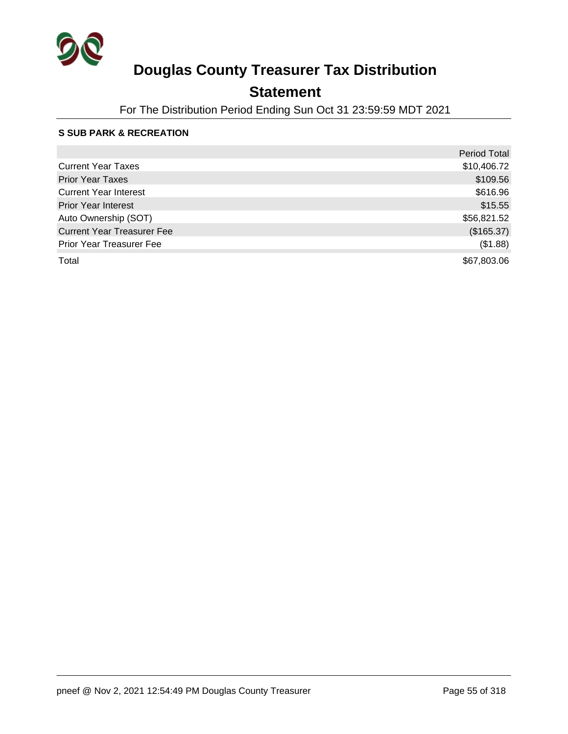

## **Statement**

For The Distribution Period Ending Sun Oct 31 23:59:59 MDT 2021

#### **S SUB PARK & RECREATION**

|                                   | <b>Period Total</b> |
|-----------------------------------|---------------------|
| <b>Current Year Taxes</b>         | \$10,406.72         |
| <b>Prior Year Taxes</b>           | \$109.56            |
| <b>Current Year Interest</b>      | \$616.96            |
| <b>Prior Year Interest</b>        | \$15.55             |
| Auto Ownership (SOT)              | \$56,821.52         |
| <b>Current Year Treasurer Fee</b> | (\$165.37)          |
| Prior Year Treasurer Fee          | (\$1.88)            |
| Total                             | \$67,803.06         |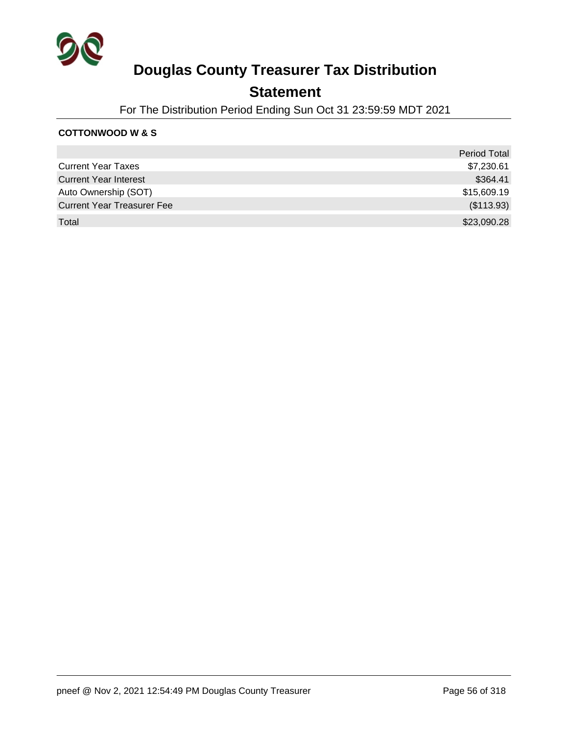

### **Statement**

For The Distribution Period Ending Sun Oct 31 23:59:59 MDT 2021

#### **COTTONWOOD W & S**

|                                   | <b>Period Total</b> |
|-----------------------------------|---------------------|
| <b>Current Year Taxes</b>         | \$7,230.61          |
| <b>Current Year Interest</b>      | \$364.41            |
| Auto Ownership (SOT)              | \$15,609.19         |
| <b>Current Year Treasurer Fee</b> | (\$113.93)          |
| Total                             | \$23,090.28         |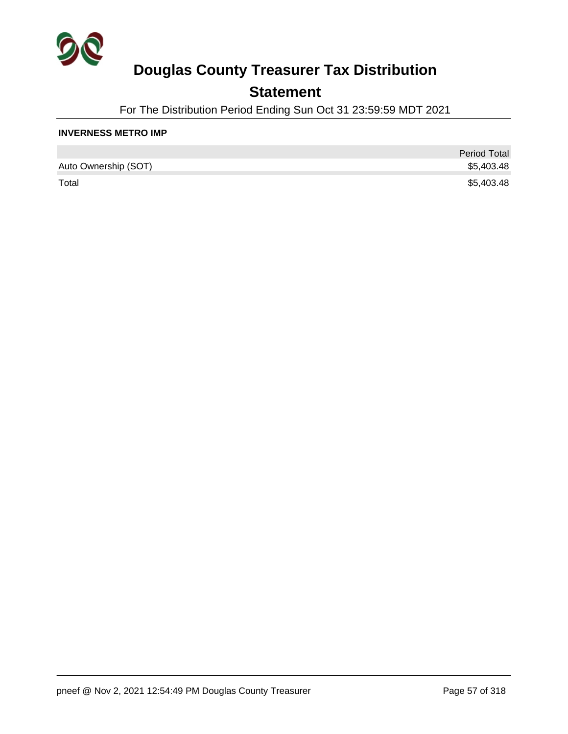

## **Statement**

For The Distribution Period Ending Sun Oct 31 23:59:59 MDT 2021

#### **INVERNESS METRO IMP**

|                      | <b>Period Total</b> |
|----------------------|---------------------|
| Auto Ownership (SOT) | \$5,403.48          |
| Total                | \$5,403.48          |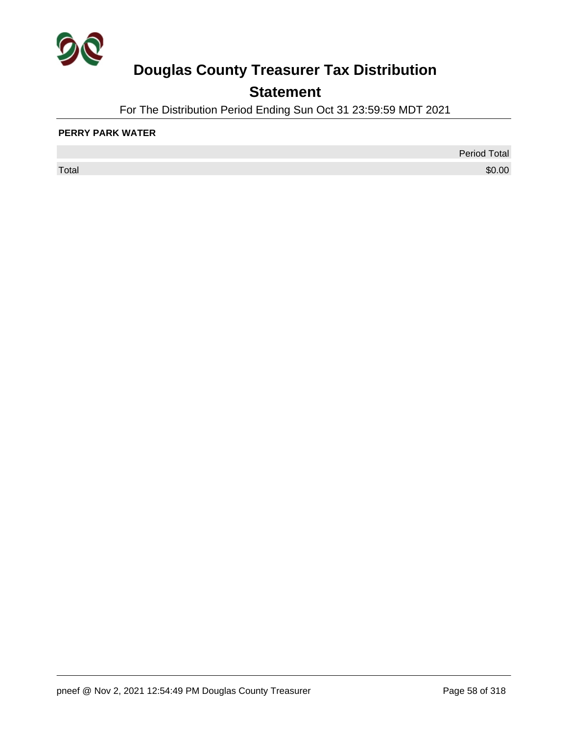

## **Statement**

For The Distribution Period Ending Sun Oct 31 23:59:59 MDT 2021

#### **PERRY PARK WATER**

 $\sf Total$   $\$0.00$ 

Period Total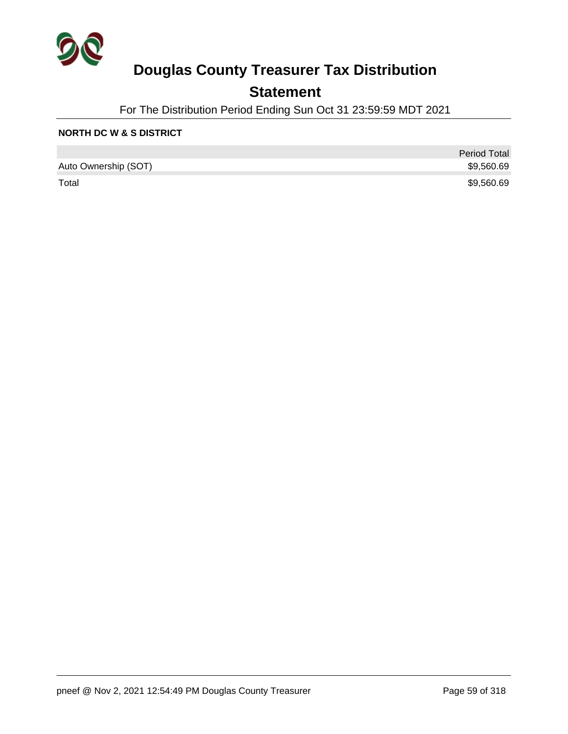

## **Statement**

For The Distribution Period Ending Sun Oct 31 23:59:59 MDT 2021

#### **NORTH DC W & S DISTRICT**

|                      | <b>Period Total</b> |
|----------------------|---------------------|
| Auto Ownership (SOT) | \$9,560.69          |
| Total                | \$9,560.69          |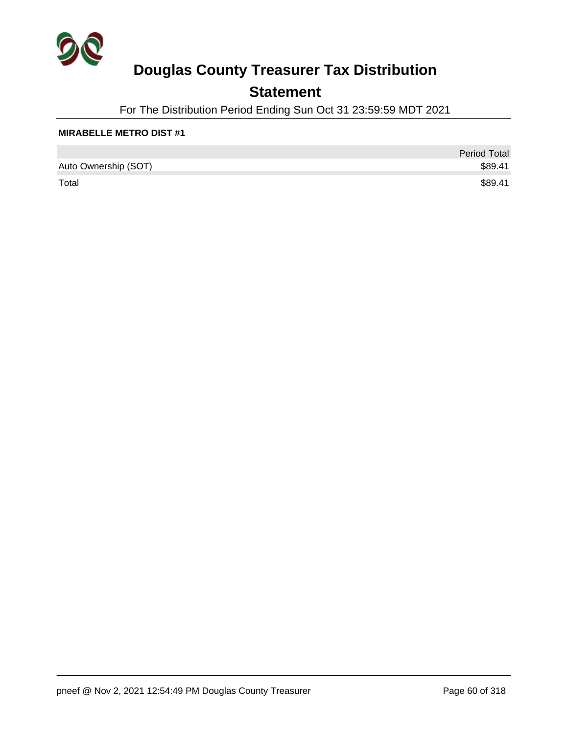

## **Statement**

For The Distribution Period Ending Sun Oct 31 23:59:59 MDT 2021

#### **MIRABELLE METRO DIST #1**

|                      | <b>Period Total</b> |
|----------------------|---------------------|
| Auto Ownership (SOT) | \$89.41             |
| Total                | \$89.41             |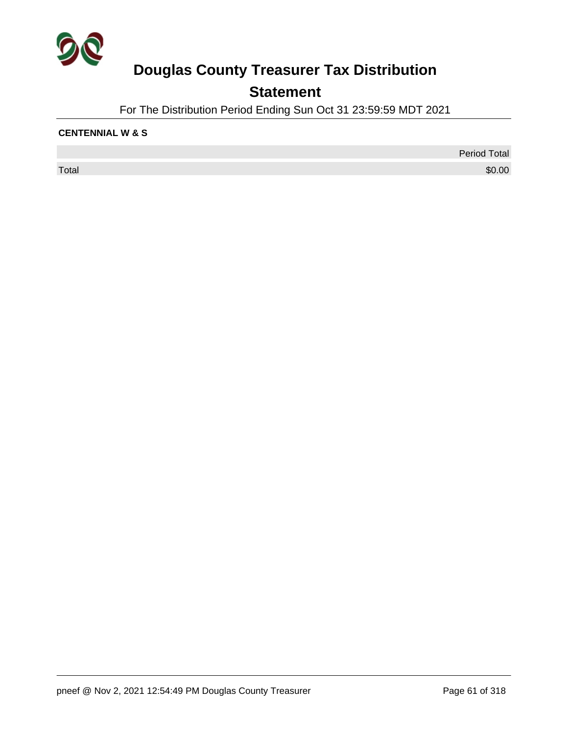

## **Statement**

For The Distribution Period Ending Sun Oct 31 23:59:59 MDT 2021

#### **CENTENNIAL W & S**

 $\sf Total$   $\$0.00$ 

Period Total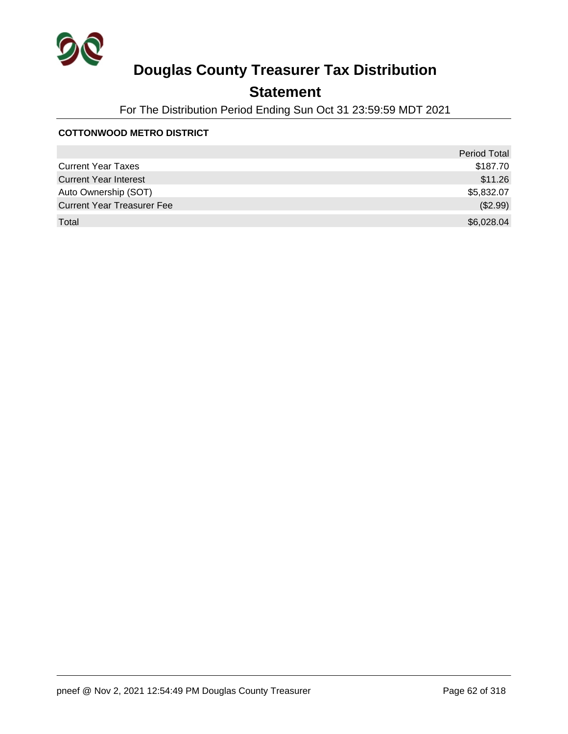

## **Statement**

For The Distribution Period Ending Sun Oct 31 23:59:59 MDT 2021

#### **COTTONWOOD METRO DISTRICT**

|                                   | <b>Period Total</b> |
|-----------------------------------|---------------------|
| <b>Current Year Taxes</b>         | \$187.70            |
| <b>Current Year Interest</b>      | \$11.26             |
| Auto Ownership (SOT)              | \$5,832.07          |
| <b>Current Year Treasurer Fee</b> | (\$2.99)            |
| Total                             | \$6,028.04          |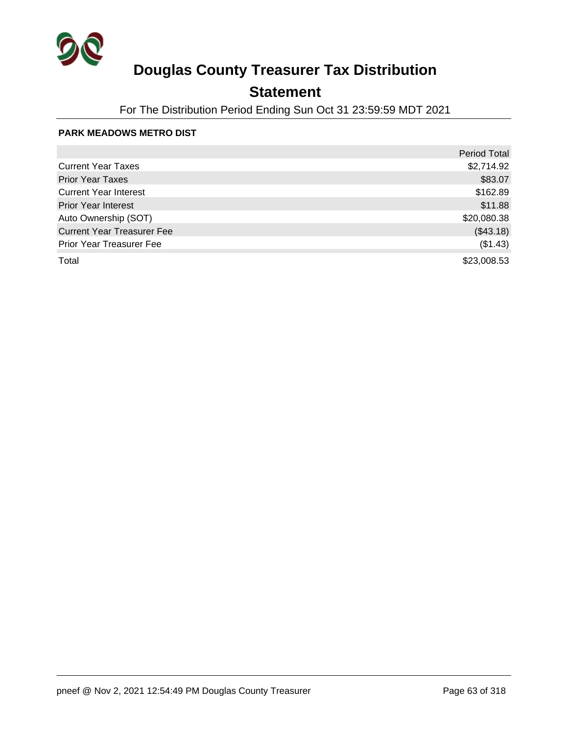

## **Statement**

For The Distribution Period Ending Sun Oct 31 23:59:59 MDT 2021

#### **PARK MEADOWS METRO DIST**

|                                   | <b>Period Total</b> |
|-----------------------------------|---------------------|
| <b>Current Year Taxes</b>         | \$2,714.92          |
| <b>Prior Year Taxes</b>           | \$83.07             |
| <b>Current Year Interest</b>      | \$162.89            |
| <b>Prior Year Interest</b>        | \$11.88             |
| Auto Ownership (SOT)              | \$20,080.38         |
| <b>Current Year Treasurer Fee</b> | (\$43.18)           |
| <b>Prior Year Treasurer Fee</b>   | (\$1.43)            |
| Total                             | \$23,008.53         |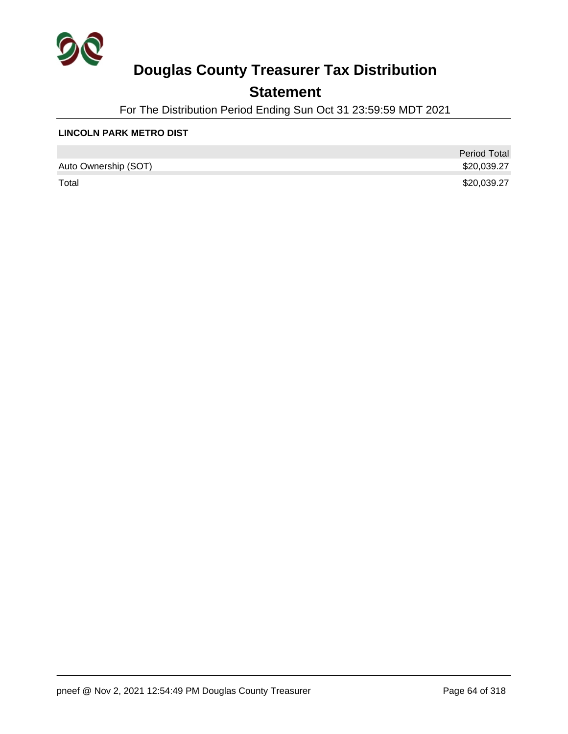

## **Statement**

For The Distribution Period Ending Sun Oct 31 23:59:59 MDT 2021

#### **LINCOLN PARK METRO DIST**

|                      | <b>Period Total</b> |
|----------------------|---------------------|
| Auto Ownership (SOT) | \$20,039.27         |
| Total                | \$20,039.27         |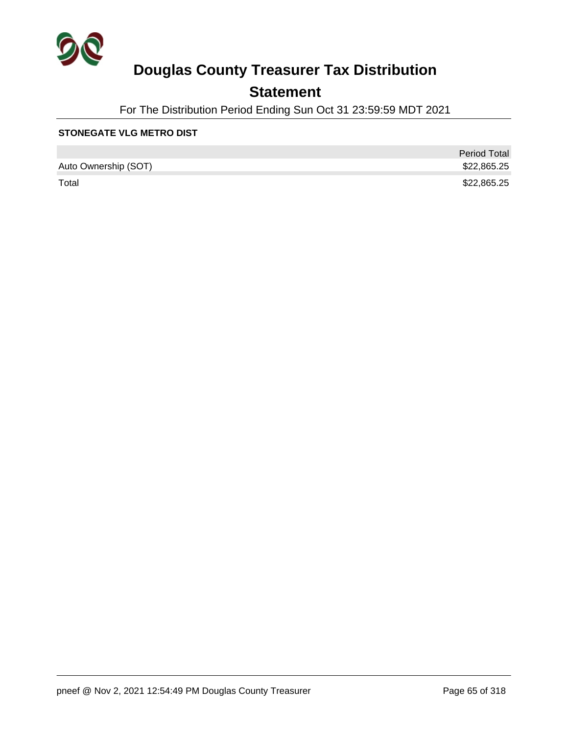

## **Statement**

For The Distribution Period Ending Sun Oct 31 23:59:59 MDT 2021

#### **STONEGATE VLG METRO DIST**

|                      | <b>Period Total</b> |
|----------------------|---------------------|
| Auto Ownership (SOT) | \$22,865.25         |
| Total                | \$22,865.25         |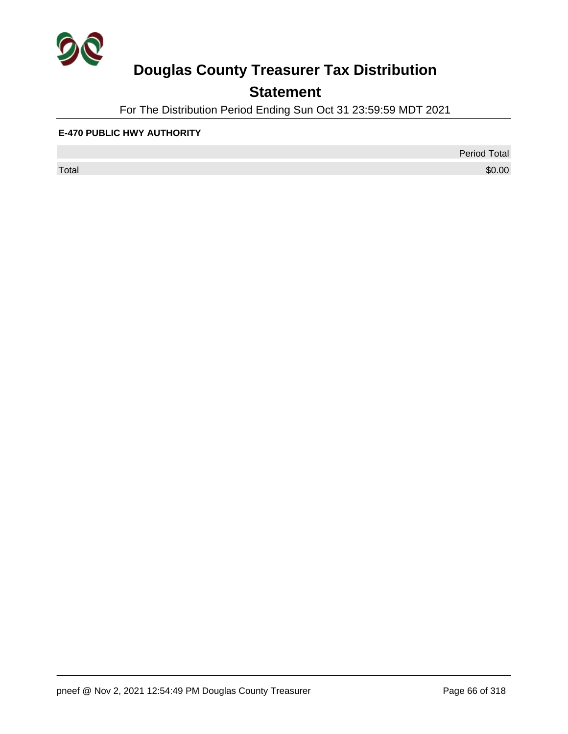

## **Statement**

For The Distribution Period Ending Sun Oct 31 23:59:59 MDT 2021

#### **E-470 PUBLIC HWY AUTHORITY**

 $\sf Total$   $\$0.00$ 

Period Total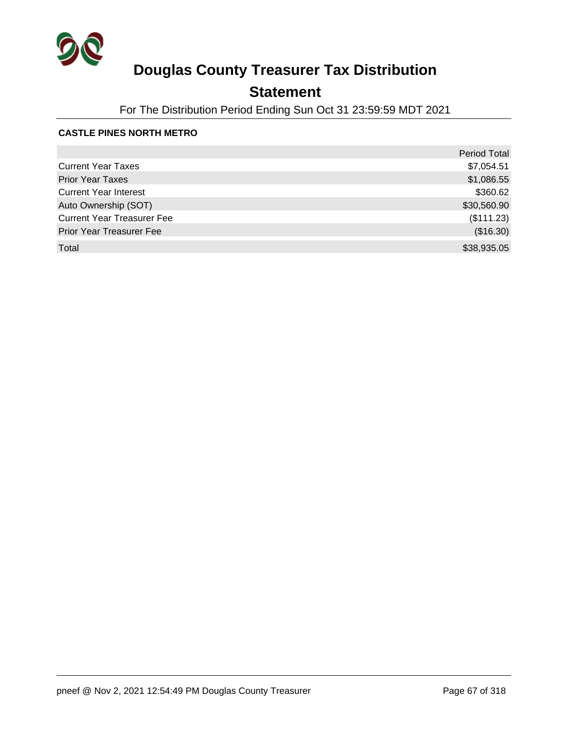

## **Statement**

For The Distribution Period Ending Sun Oct 31 23:59:59 MDT 2021

#### **CASTLE PINES NORTH METRO**

|                                   | <b>Period Total</b> |
|-----------------------------------|---------------------|
| <b>Current Year Taxes</b>         | \$7,054.51          |
| <b>Prior Year Taxes</b>           | \$1,086.55          |
| <b>Current Year Interest</b>      | \$360.62            |
| Auto Ownership (SOT)              | \$30,560.90         |
| <b>Current Year Treasurer Fee</b> | (\$111.23)          |
| <b>Prior Year Treasurer Fee</b>   | (\$16.30)           |
| Total                             | \$38,935.05         |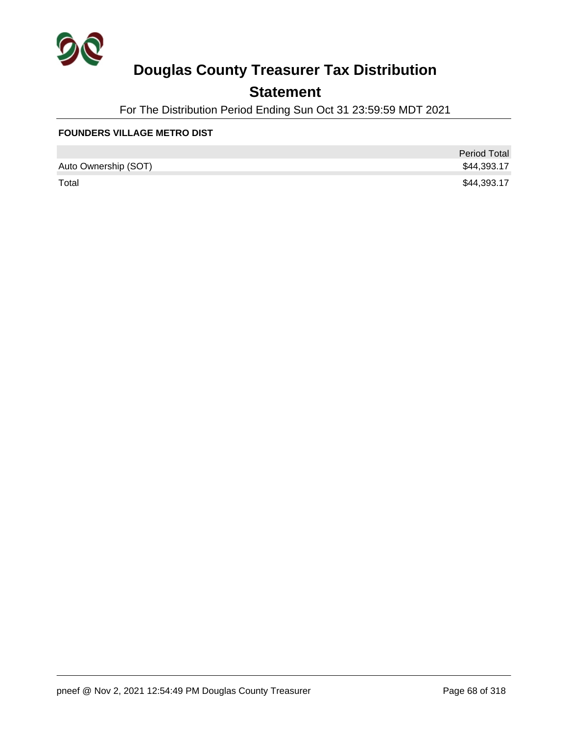

## **Statement**

For The Distribution Period Ending Sun Oct 31 23:59:59 MDT 2021

#### **FOUNDERS VILLAGE METRO DIST**

|                      | <b>Period Total</b> |
|----------------------|---------------------|
| Auto Ownership (SOT) | \$44,393.17         |
| Total                | \$44,393.17         |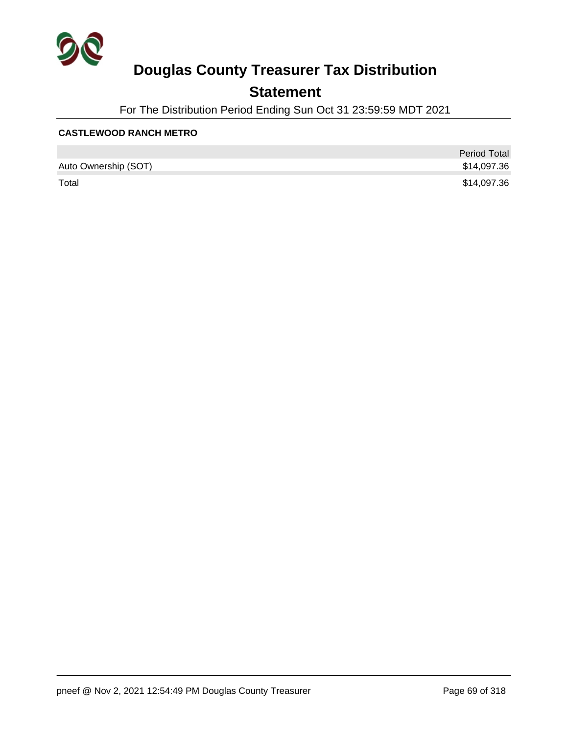

## **Statement**

For The Distribution Period Ending Sun Oct 31 23:59:59 MDT 2021

#### **CASTLEWOOD RANCH METRO**

|                      | <b>Period Total</b> |
|----------------------|---------------------|
| Auto Ownership (SOT) | \$14,097.36         |
| Total                | \$14,097.36         |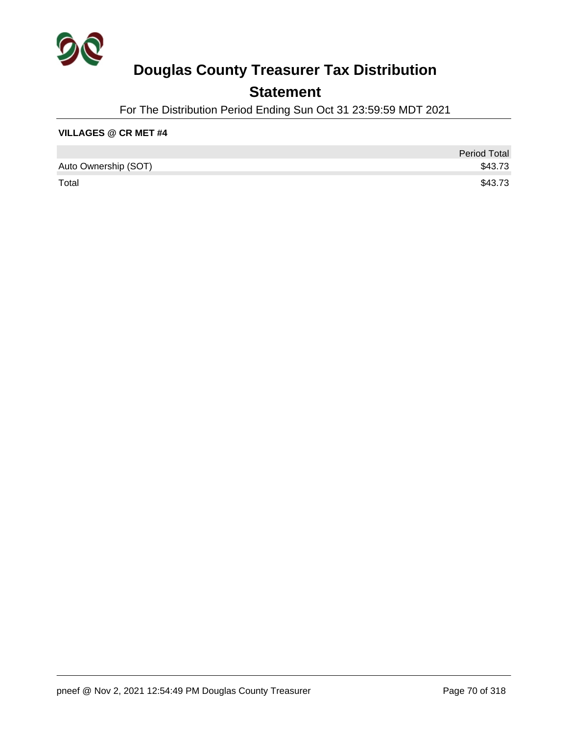

## **Statement**

For The Distribution Period Ending Sun Oct 31 23:59:59 MDT 2021

#### **VILLAGES @ CR MET #4**

|                      | <b>Period Total</b> |
|----------------------|---------------------|
| Auto Ownership (SOT) | \$43.73             |
| Total                | \$43.73             |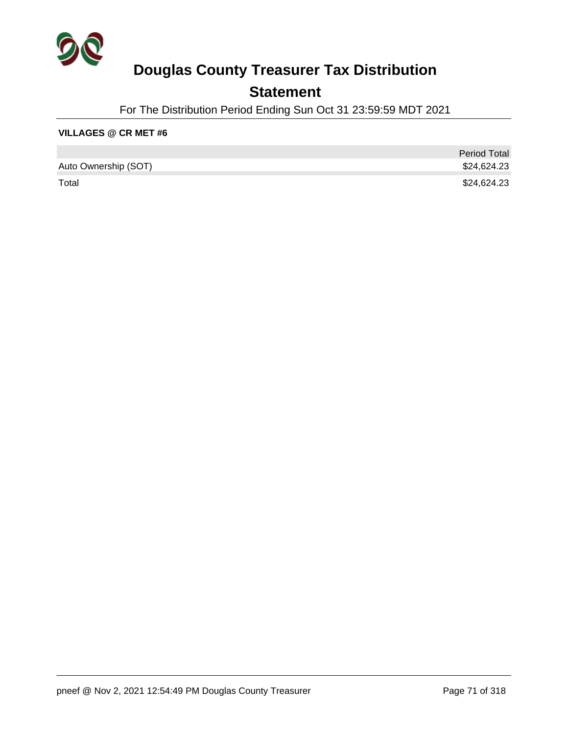

## **Statement**

For The Distribution Period Ending Sun Oct 31 23:59:59 MDT 2021

#### **VILLAGES @ CR MET #6**

|                      | <b>Period Total</b> |
|----------------------|---------------------|
| Auto Ownership (SOT) | \$24,624.23         |
| Total                | \$24,624.23         |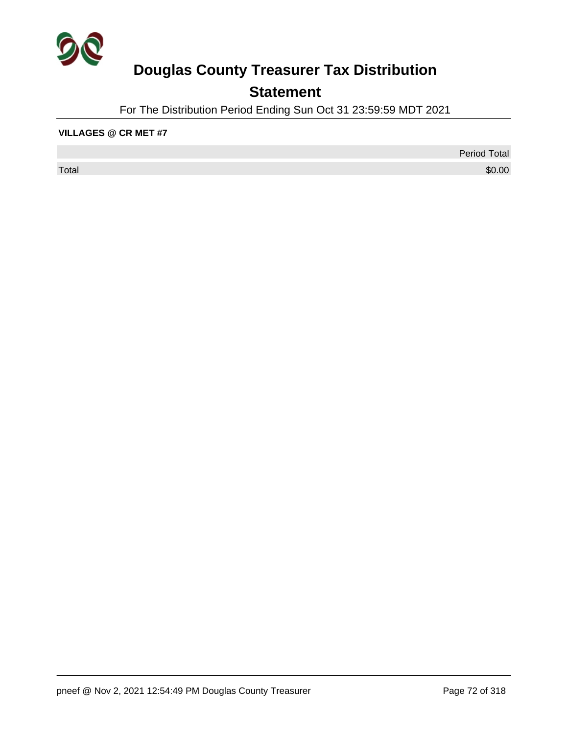

## **Statement**

For The Distribution Period Ending Sun Oct 31 23:59:59 MDT 2021

#### **VILLAGES @ CR MET #7**

 $\sf Total$   $\$0.00$ 

Period Total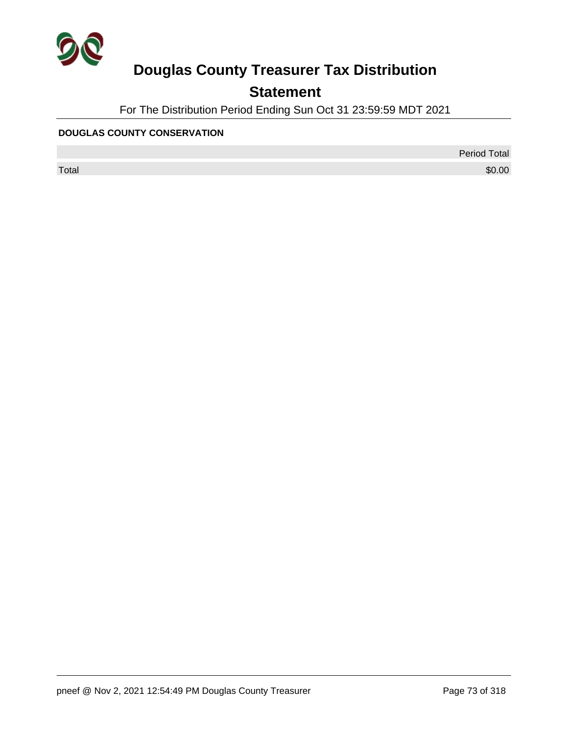

## **Statement**

For The Distribution Period Ending Sun Oct 31 23:59:59 MDT 2021

#### **DOUGLAS COUNTY CONSERVATION**

 $\sf Total$   $\$0.00$ 

Period Total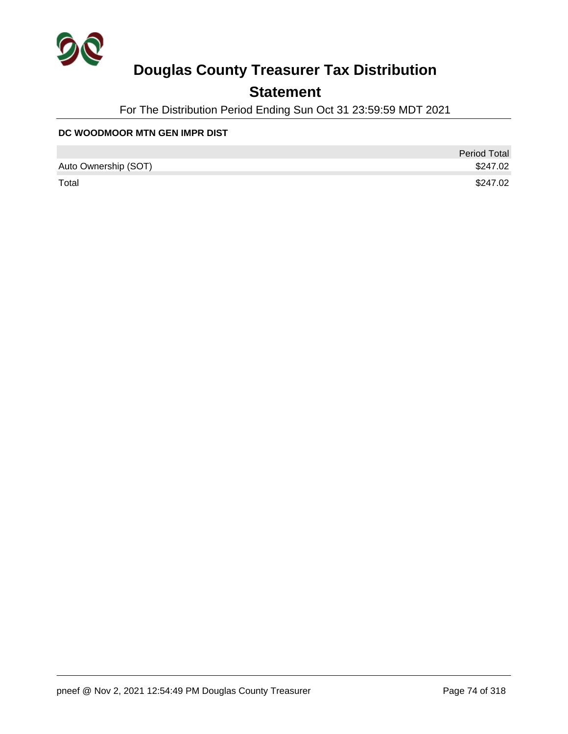

## **Statement**

For The Distribution Period Ending Sun Oct 31 23:59:59 MDT 2021

#### **DC WOODMOOR MTN GEN IMPR DIST**

|                      | <b>Period Total</b> |
|----------------------|---------------------|
| Auto Ownership (SOT) | \$247.02            |
| Total                | \$247.02            |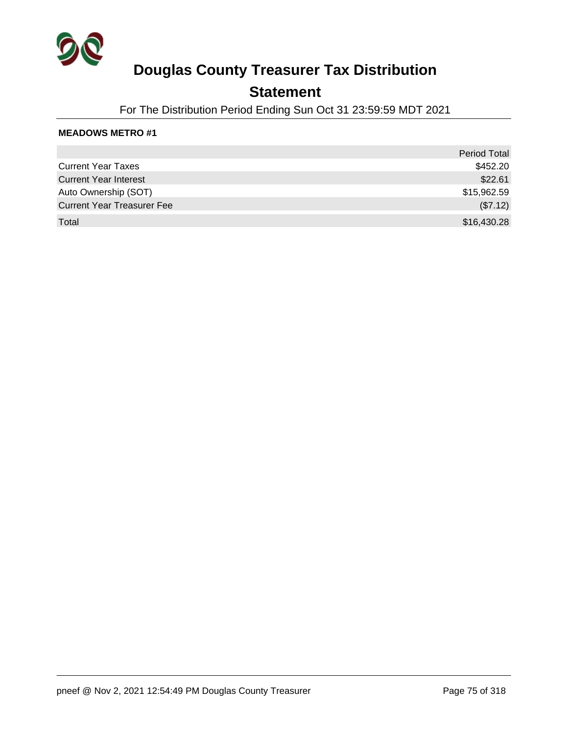

### **Statement**

For The Distribution Period Ending Sun Oct 31 23:59:59 MDT 2021

|                                   | <b>Period Total</b> |
|-----------------------------------|---------------------|
| <b>Current Year Taxes</b>         | \$452.20            |
| <b>Current Year Interest</b>      | \$22.61             |
| Auto Ownership (SOT)              | \$15,962.59         |
| <b>Current Year Treasurer Fee</b> | (\$7.12)            |
| Total                             | \$16,430.28         |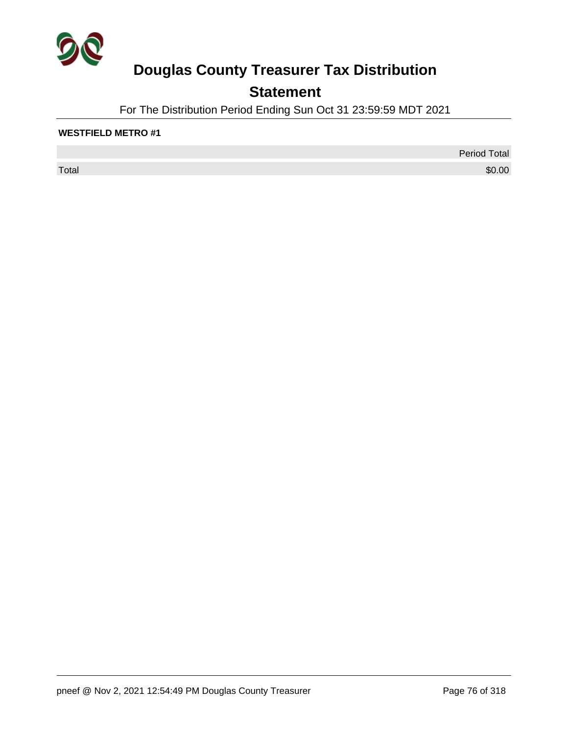

## **Statement**

For The Distribution Period Ending Sun Oct 31 23:59:59 MDT 2021

### **WESTFIELD METRO #1**

 $\sf Total$   $\$0.00$ 

Period Total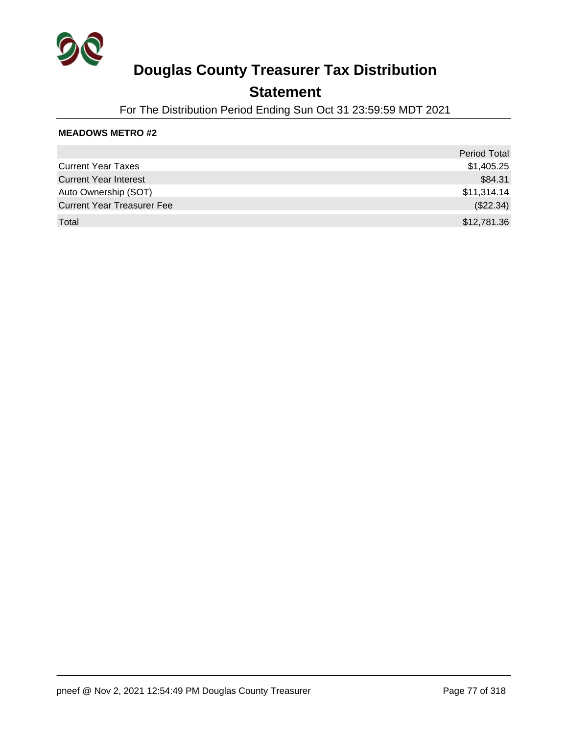

### **Statement**

For The Distribution Period Ending Sun Oct 31 23:59:59 MDT 2021

|                                   | <b>Period Total</b> |
|-----------------------------------|---------------------|
| <b>Current Year Taxes</b>         | \$1,405.25          |
| <b>Current Year Interest</b>      | \$84.31             |
| Auto Ownership (SOT)              | \$11,314.14         |
| <b>Current Year Treasurer Fee</b> | (\$22.34)           |
| Total                             | \$12,781.36         |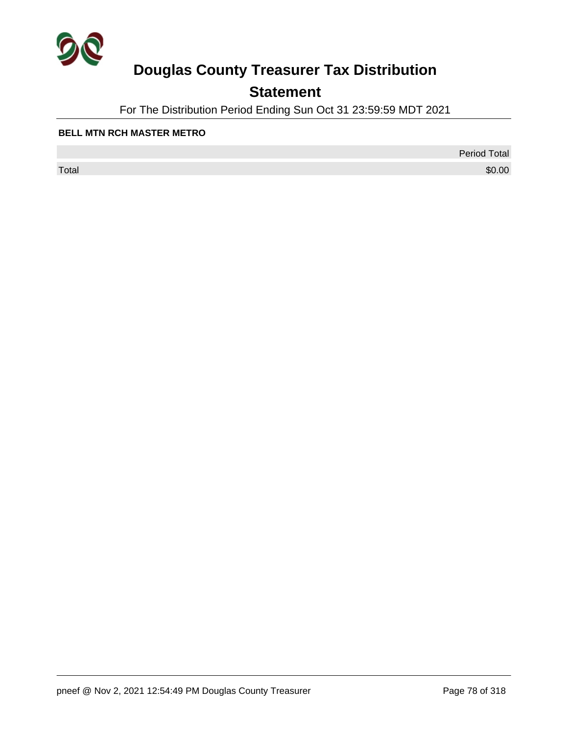

## **Statement**

For The Distribution Period Ending Sun Oct 31 23:59:59 MDT 2021

#### **BELL MTN RCH MASTER METRO**

 $\sf Total$   $\$0.00$ 

Period Total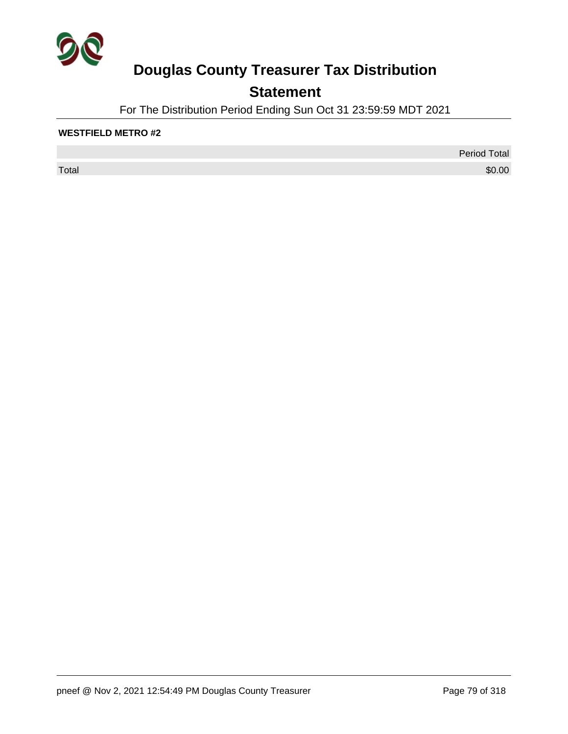

## **Statement**

For The Distribution Period Ending Sun Oct 31 23:59:59 MDT 2021

### **WESTFIELD METRO #2**

 $\sf Total$   $\$0.00$ 

Period Total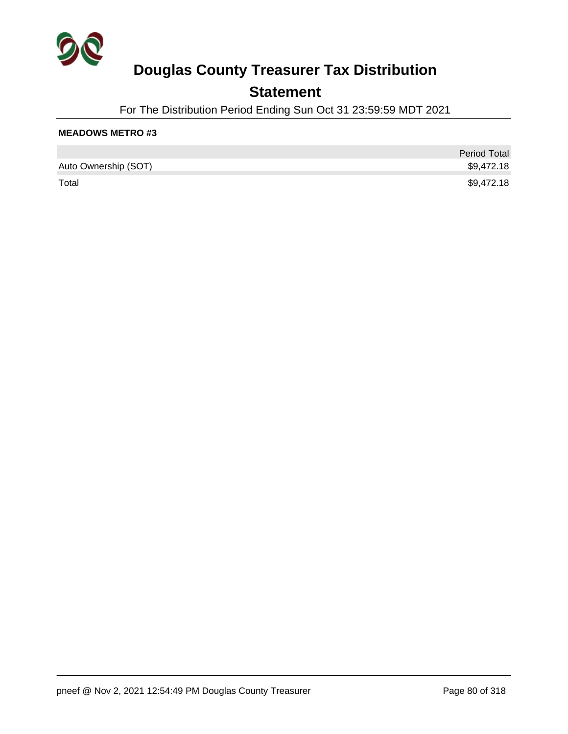

## **Statement**

For The Distribution Period Ending Sun Oct 31 23:59:59 MDT 2021

|                      | <b>Period Total</b> |
|----------------------|---------------------|
| Auto Ownership (SOT) | \$9,472.18          |
| Total                | \$9,472.18          |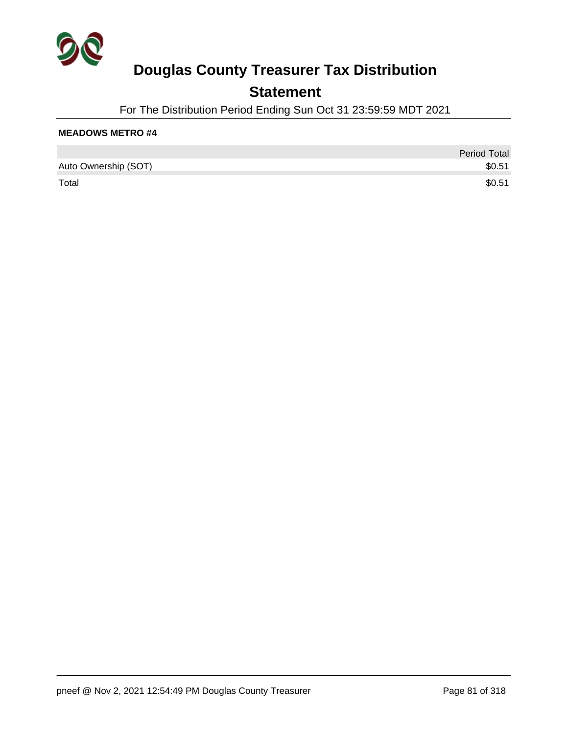

## **Statement**

For The Distribution Period Ending Sun Oct 31 23:59:59 MDT 2021

|                      | <b>Period Total</b> |
|----------------------|---------------------|
| Auto Ownership (SOT) | \$0.51              |
| Total                | \$0.51              |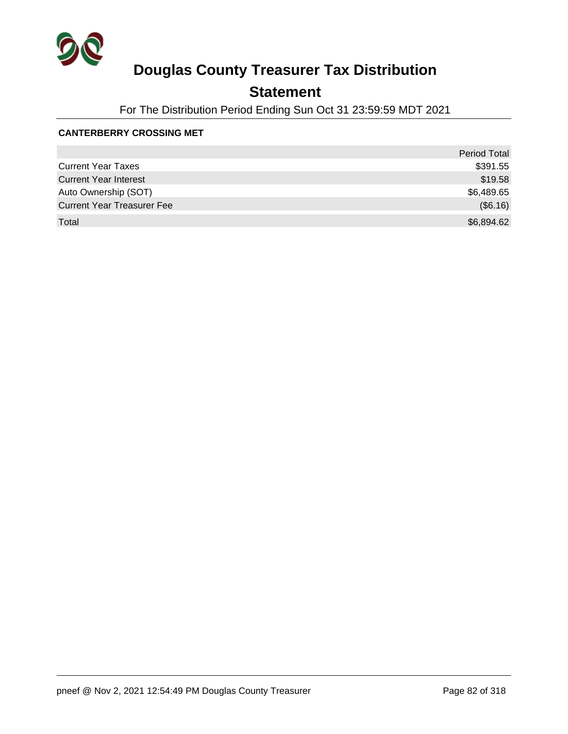

## **Statement**

For The Distribution Period Ending Sun Oct 31 23:59:59 MDT 2021

#### **CANTERBERRY CROSSING MET**

|                                   | <b>Period Total</b> |
|-----------------------------------|---------------------|
| <b>Current Year Taxes</b>         | \$391.55            |
| <b>Current Year Interest</b>      | \$19.58             |
| Auto Ownership (SOT)              | \$6,489.65          |
| <b>Current Year Treasurer Fee</b> | (\$6.16)            |
| Total                             | \$6,894.62          |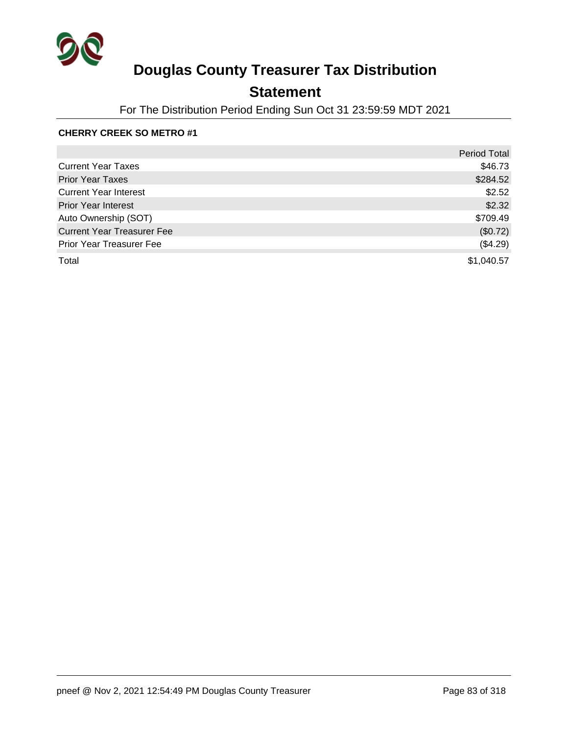

## **Statement**

For The Distribution Period Ending Sun Oct 31 23:59:59 MDT 2021

### **CHERRY CREEK SO METRO #1**

|                                   | <b>Period Total</b> |
|-----------------------------------|---------------------|
| <b>Current Year Taxes</b>         | \$46.73             |
| <b>Prior Year Taxes</b>           | \$284.52            |
| <b>Current Year Interest</b>      | \$2.52              |
| <b>Prior Year Interest</b>        | \$2.32              |
| Auto Ownership (SOT)              | \$709.49            |
| <b>Current Year Treasurer Fee</b> | (\$0.72)            |
| Prior Year Treasurer Fee          | (\$4.29)            |
| Total                             | \$1,040.57          |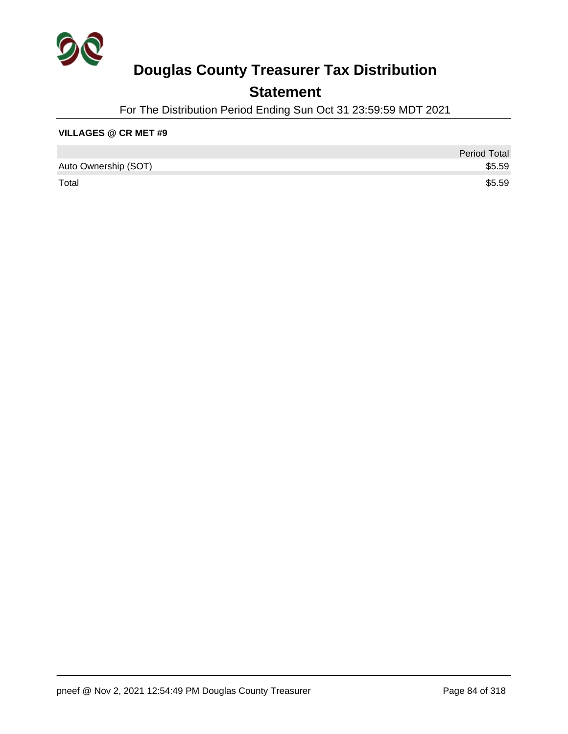

## **Statement**

For The Distribution Period Ending Sun Oct 31 23:59:59 MDT 2021

#### **VILLAGES @ CR MET #9**

|                      | <b>Period Total</b> |
|----------------------|---------------------|
| Auto Ownership (SOT) | \$5.59              |
| Total                | \$5.59              |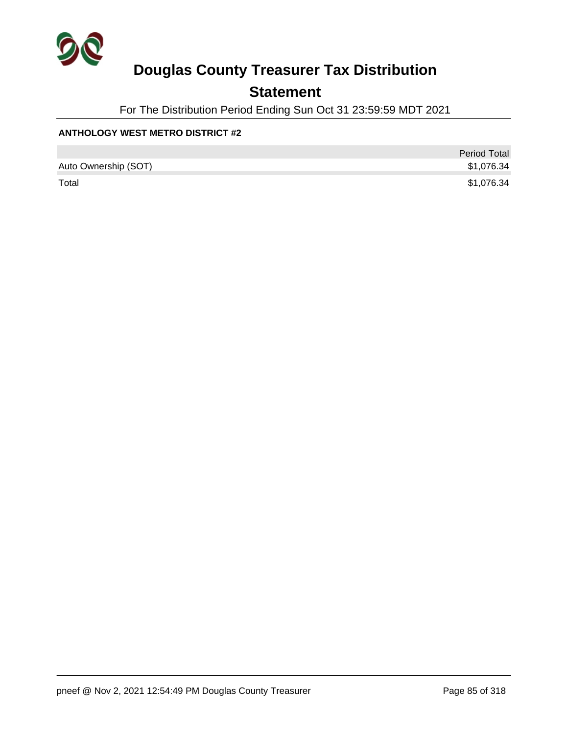

## **Statement**

For The Distribution Period Ending Sun Oct 31 23:59:59 MDT 2021

### **ANTHOLOGY WEST METRO DISTRICT #2**

|                      | <b>Period Total</b> |
|----------------------|---------------------|
| Auto Ownership (SOT) | \$1,076.34          |
| Total                | \$1,076.34          |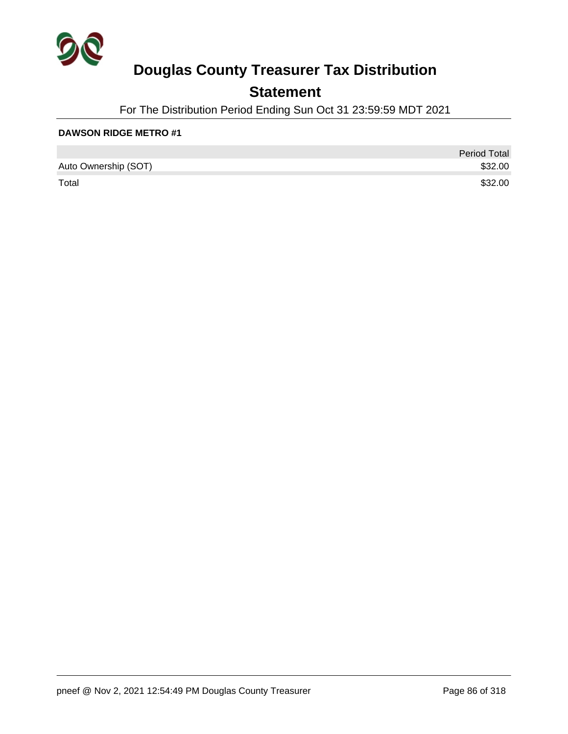

## **Statement**

For The Distribution Period Ending Sun Oct 31 23:59:59 MDT 2021

|                      | <b>Period Total</b> |
|----------------------|---------------------|
| Auto Ownership (SOT) | \$32.00             |
| Total                | \$32.00             |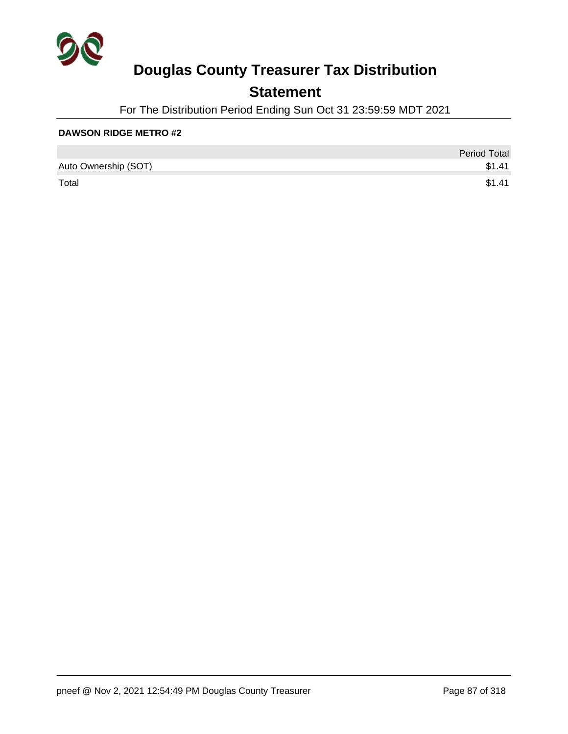

## **Statement**

For The Distribution Period Ending Sun Oct 31 23:59:59 MDT 2021

|                      | <b>Period Total</b> |
|----------------------|---------------------|
| Auto Ownership (SOT) | \$1.41              |
| Total                | \$1.41              |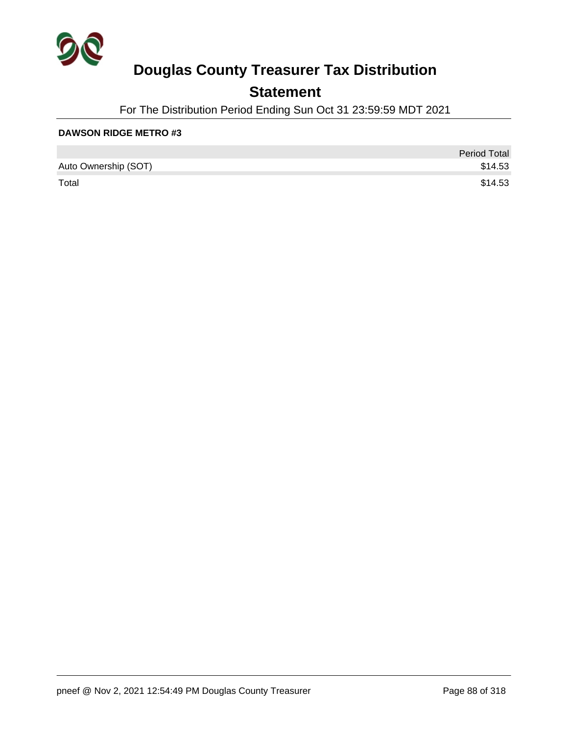

## **Statement**

For The Distribution Period Ending Sun Oct 31 23:59:59 MDT 2021

|                      | <b>Period Total</b> |
|----------------------|---------------------|
| Auto Ownership (SOT) | \$14.53             |
| Total                | \$14.53             |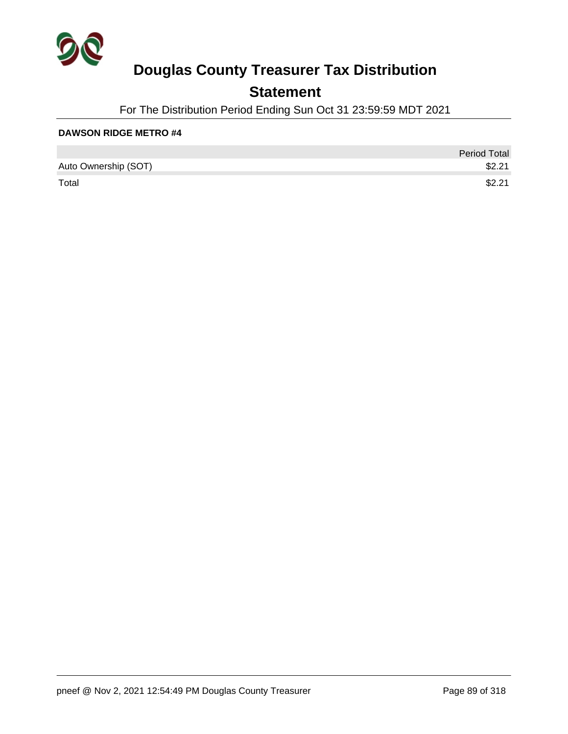

## **Statement**

For The Distribution Period Ending Sun Oct 31 23:59:59 MDT 2021

|                      | <b>Period Total</b> |
|----------------------|---------------------|
| Auto Ownership (SOT) | \$2.21              |
| Total                | \$2.21              |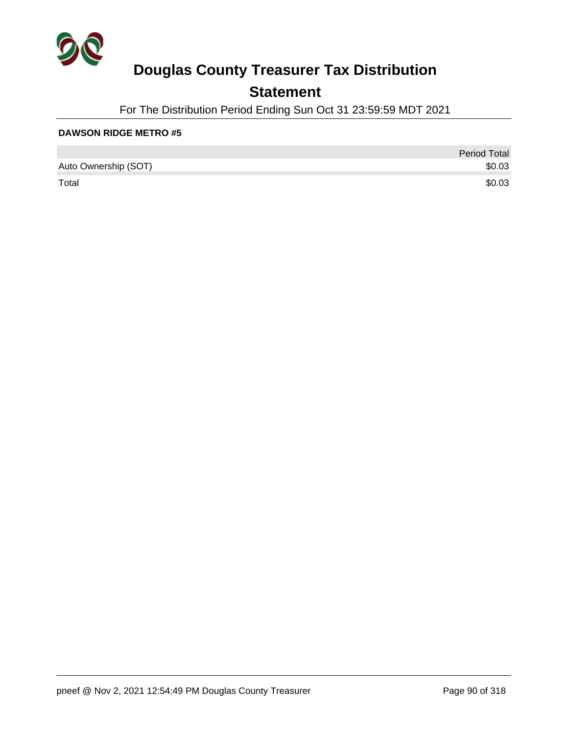

## **Statement**

For The Distribution Period Ending Sun Oct 31 23:59:59 MDT 2021

|                      | <b>Period Total</b> |
|----------------------|---------------------|
| Auto Ownership (SOT) | \$0.03              |
| Total                | \$0.03              |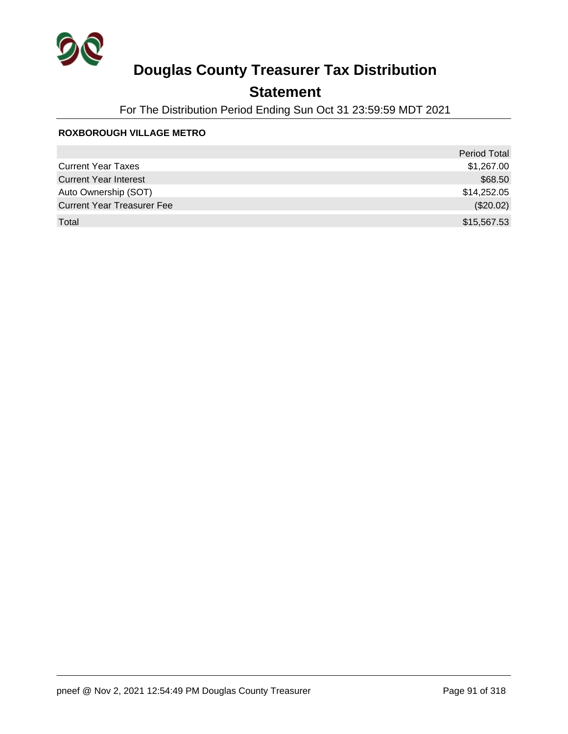

## **Statement**

For The Distribution Period Ending Sun Oct 31 23:59:59 MDT 2021

#### **ROXBOROUGH VILLAGE METRO**

|                                   | <b>Period Total</b> |
|-----------------------------------|---------------------|
| <b>Current Year Taxes</b>         | \$1,267.00          |
| <b>Current Year Interest</b>      | \$68.50             |
| Auto Ownership (SOT)              | \$14,252.05         |
| <b>Current Year Treasurer Fee</b> | (\$20.02)           |
| Total                             | \$15,567.53         |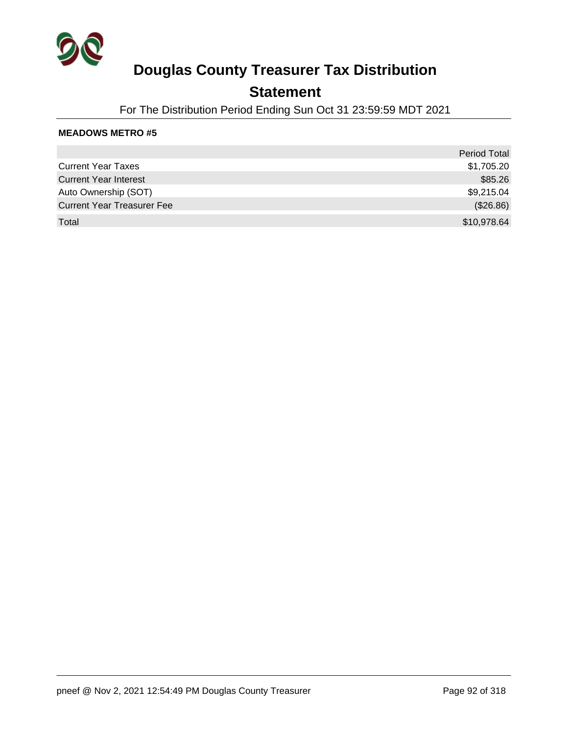

### **Statement**

For The Distribution Period Ending Sun Oct 31 23:59:59 MDT 2021

|                                   | <b>Period Total</b> |
|-----------------------------------|---------------------|
| <b>Current Year Taxes</b>         | \$1,705.20          |
| <b>Current Year Interest</b>      | \$85.26             |
| Auto Ownership (SOT)              | \$9,215.04          |
| <b>Current Year Treasurer Fee</b> | (\$26.86)           |
| Total                             | \$10,978.64         |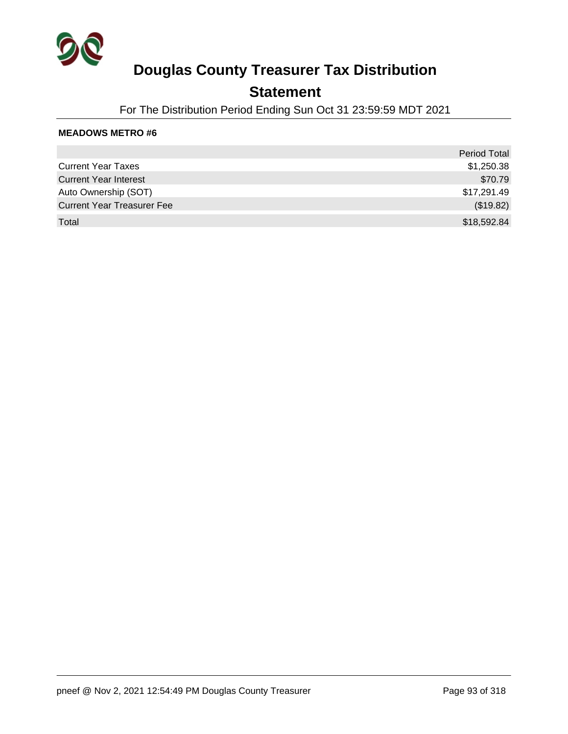

### **Statement**

For The Distribution Period Ending Sun Oct 31 23:59:59 MDT 2021

|                                   | <b>Period Total</b> |
|-----------------------------------|---------------------|
| <b>Current Year Taxes</b>         | \$1,250.38          |
| <b>Current Year Interest</b>      | \$70.79             |
| Auto Ownership (SOT)              | \$17,291.49         |
| <b>Current Year Treasurer Fee</b> | (\$19.82)           |
| Total                             | \$18,592.84         |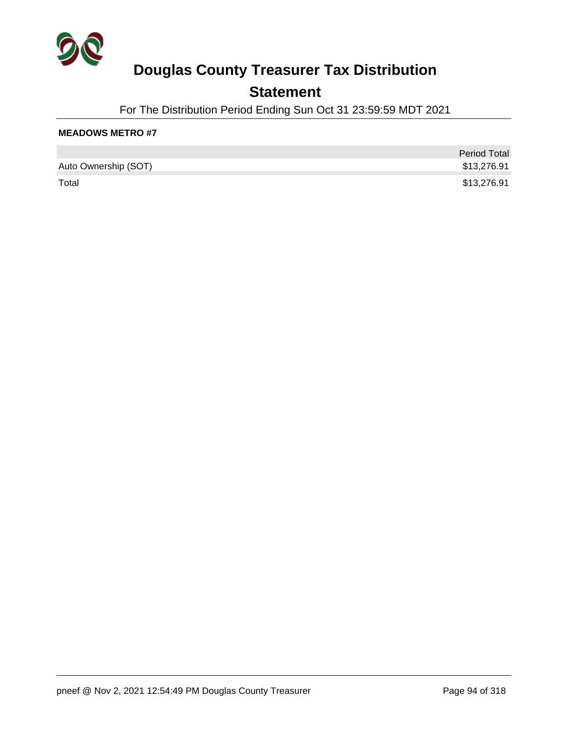

## **Statement**

For The Distribution Period Ending Sun Oct 31 23:59:59 MDT 2021

|                      | <b>Period Total</b> |
|----------------------|---------------------|
| Auto Ownership (SOT) | \$13,276.91         |
| Total                | \$13,276.91         |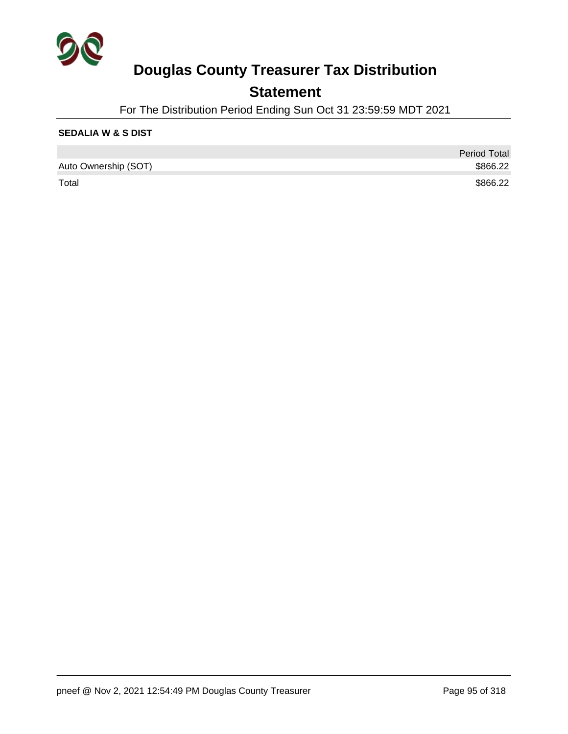

## **Statement**

For The Distribution Period Ending Sun Oct 31 23:59:59 MDT 2021

### **SEDALIA W & S DIST**

|                      | <b>Period Total</b> |
|----------------------|---------------------|
| Auto Ownership (SOT) | \$866.22            |
| Total                | \$866.22            |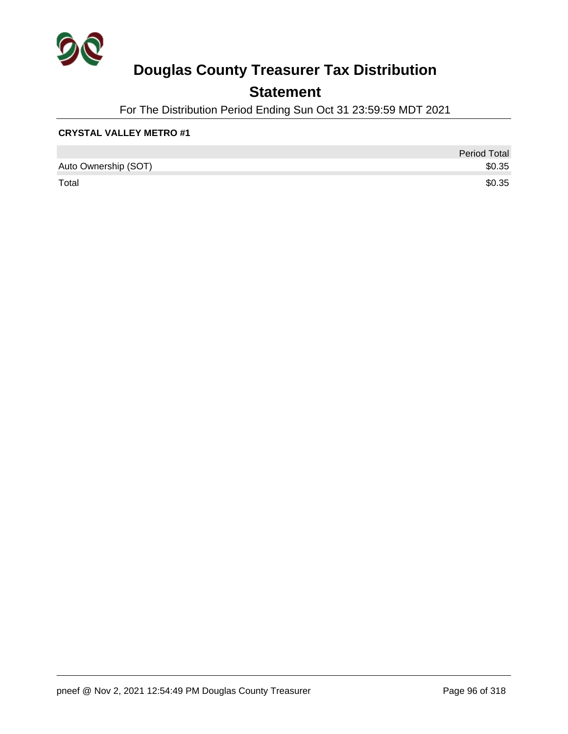

## **Statement**

For The Distribution Period Ending Sun Oct 31 23:59:59 MDT 2021

### **CRYSTAL VALLEY METRO #1**

|                      | <b>Period Total</b> |
|----------------------|---------------------|
| Auto Ownership (SOT) | \$0.35              |
| Total                | \$0.35              |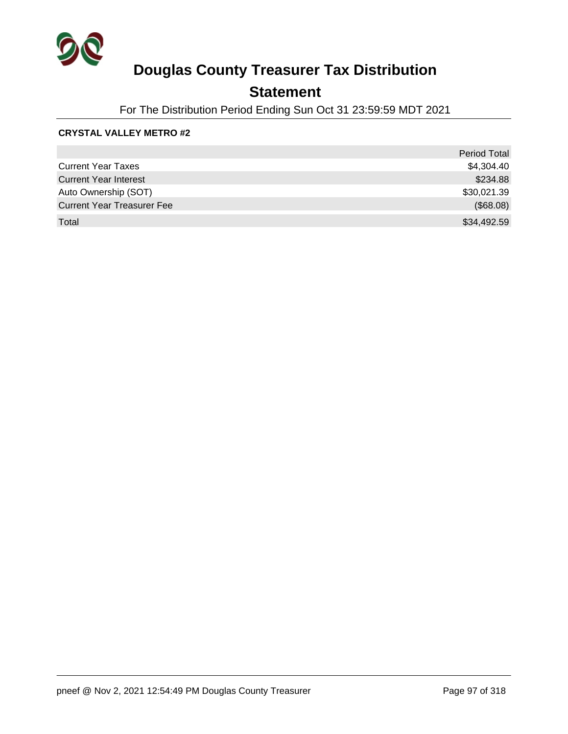

## **Statement**

For The Distribution Period Ending Sun Oct 31 23:59:59 MDT 2021

### **CRYSTAL VALLEY METRO #2**

|                                   | <b>Period Total</b> |
|-----------------------------------|---------------------|
| <b>Current Year Taxes</b>         | \$4,304.40          |
| <b>Current Year Interest</b>      | \$234.88            |
| Auto Ownership (SOT)              | \$30,021.39         |
| <b>Current Year Treasurer Fee</b> | (\$68.08)           |
| Total                             | \$34,492.59         |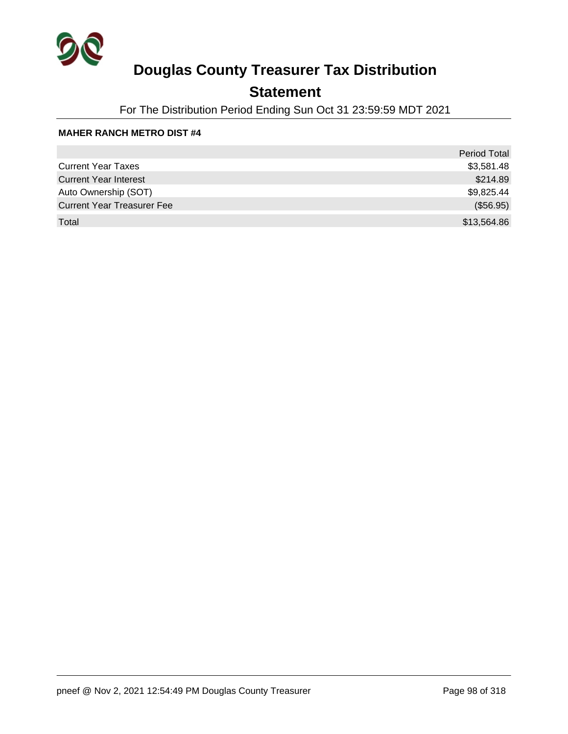

## **Statement**

For The Distribution Period Ending Sun Oct 31 23:59:59 MDT 2021

#### **MAHER RANCH METRO DIST #4**

|                                   | Period Total |
|-----------------------------------|--------------|
| <b>Current Year Taxes</b>         | \$3,581.48   |
| <b>Current Year Interest</b>      | \$214.89     |
| Auto Ownership (SOT)              | \$9,825.44   |
| <b>Current Year Treasurer Fee</b> | (\$56.95)    |
| Total                             | \$13,564.86  |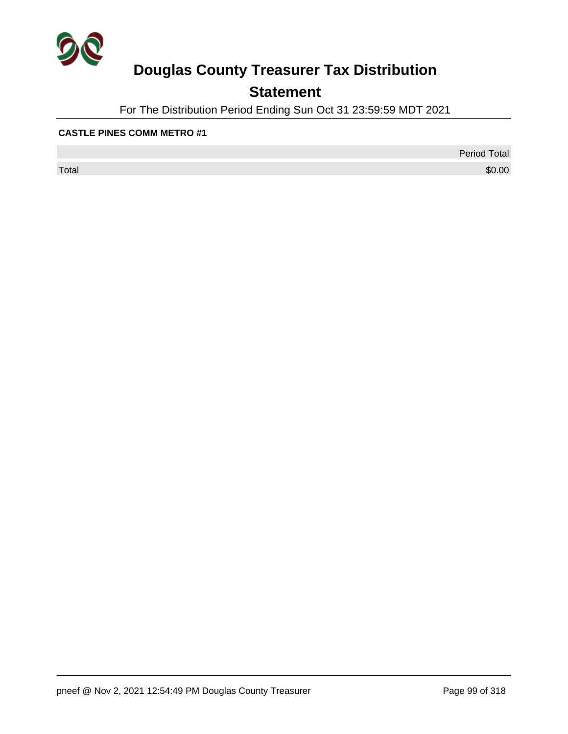

## **Statement**

For The Distribution Period Ending Sun Oct 31 23:59:59 MDT 2021

#### **CASTLE PINES COMM METRO #1**

 $\sf Total$   $\$0.00$ 

Period Total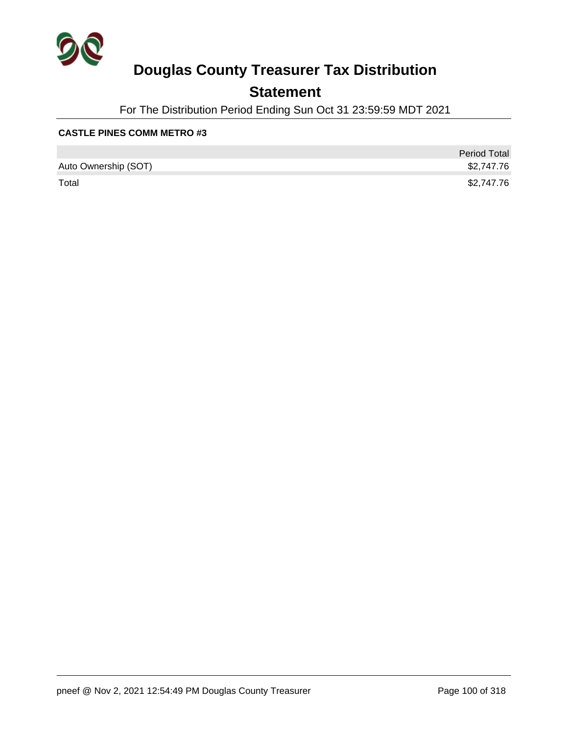

## **Statement**

For The Distribution Period Ending Sun Oct 31 23:59:59 MDT 2021

### **CASTLE PINES COMM METRO #3**

|                      | <b>Period Total</b> |
|----------------------|---------------------|
| Auto Ownership (SOT) | \$2,747.76          |
| Total                | \$2,747.76          |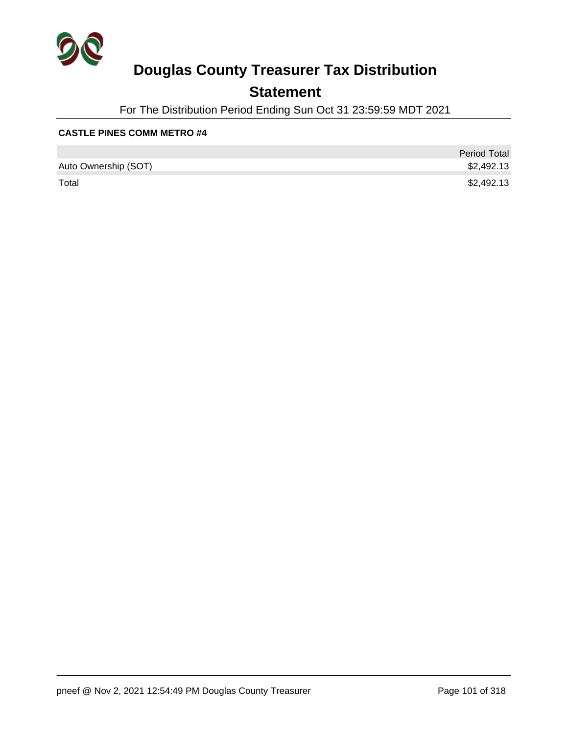

## **Statement**

For The Distribution Period Ending Sun Oct 31 23:59:59 MDT 2021

#### **CASTLE PINES COMM METRO #4**

|                      | <b>Period Total</b> |
|----------------------|---------------------|
| Auto Ownership (SOT) | \$2,492.13          |
| Total                | \$2,492.13          |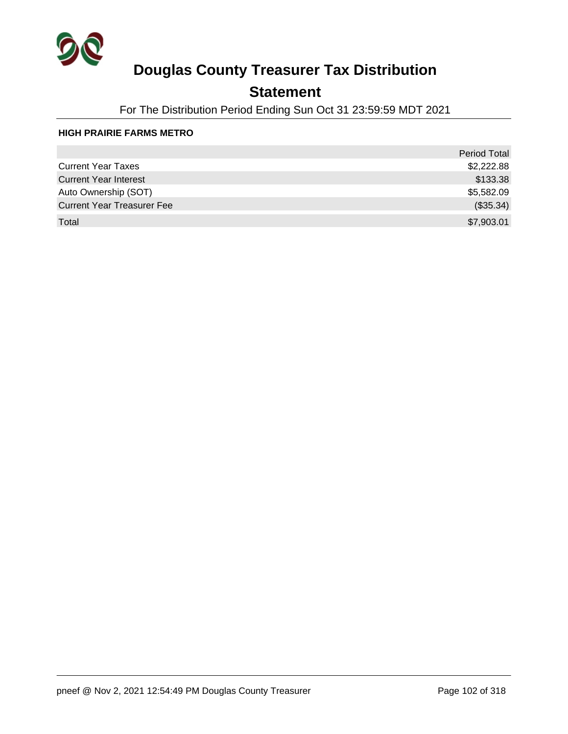

## **Statement**

For The Distribution Period Ending Sun Oct 31 23:59:59 MDT 2021

#### **HIGH PRAIRIE FARMS METRO**

|                                   | <b>Period Total</b> |
|-----------------------------------|---------------------|
| <b>Current Year Taxes</b>         | \$2,222.88          |
| <b>Current Year Interest</b>      | \$133.38            |
| Auto Ownership (SOT)              | \$5,582.09          |
| <b>Current Year Treasurer Fee</b> | (\$35.34)           |
| Total                             | \$7,903.01          |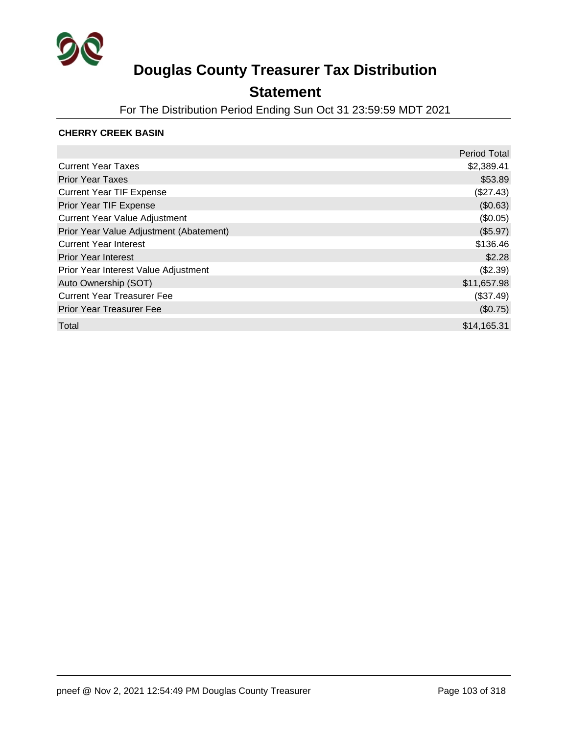

## **Statement**

For The Distribution Period Ending Sun Oct 31 23:59:59 MDT 2021

### **CHERRY CREEK BASIN**

|                                         | <b>Period Total</b> |
|-----------------------------------------|---------------------|
| <b>Current Year Taxes</b>               | \$2,389.41          |
| <b>Prior Year Taxes</b>                 | \$53.89             |
| <b>Current Year TIF Expense</b>         | (\$27.43)           |
| Prior Year TIF Expense                  | (\$0.63)            |
| <b>Current Year Value Adjustment</b>    | (\$0.05)            |
| Prior Year Value Adjustment (Abatement) | (\$5.97)            |
| <b>Current Year Interest</b>            | \$136.46            |
| <b>Prior Year Interest</b>              | \$2.28              |
| Prior Year Interest Value Adjustment    | (\$2.39)            |
| Auto Ownership (SOT)                    | \$11,657.98         |
| <b>Current Year Treasurer Fee</b>       | (\$37.49)           |
| <b>Prior Year Treasurer Fee</b>         | (\$0.75)            |
| Total                                   | \$14,165.31         |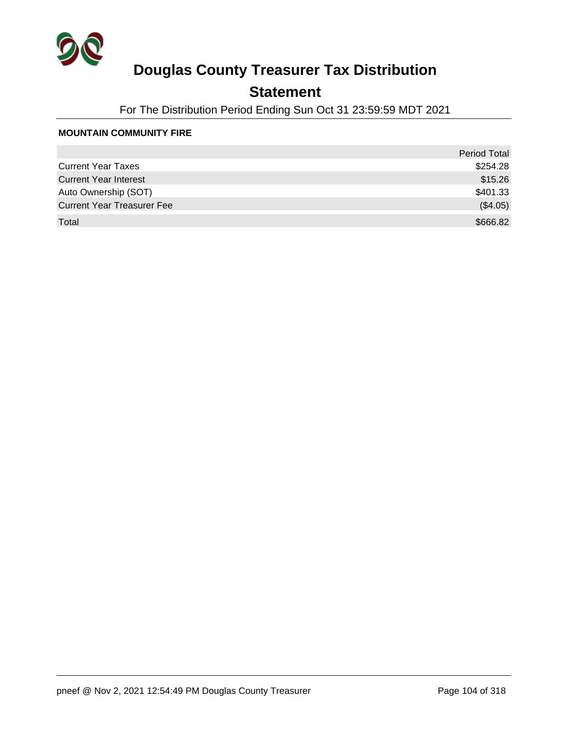

## **Statement**

For The Distribution Period Ending Sun Oct 31 23:59:59 MDT 2021

#### **MOUNTAIN COMMUNITY FIRE**

|                                   | <b>Period Total</b> |
|-----------------------------------|---------------------|
| <b>Current Year Taxes</b>         | \$254.28            |
| <b>Current Year Interest</b>      | \$15.26             |
| Auto Ownership (SOT)              | \$401.33            |
| <b>Current Year Treasurer Fee</b> | (\$4.05)            |
| Total                             | \$666.82            |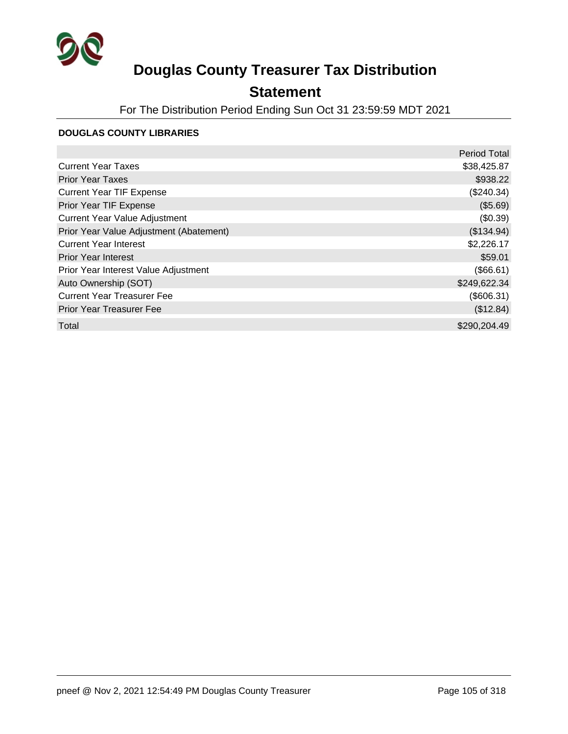

## **Statement**

For The Distribution Period Ending Sun Oct 31 23:59:59 MDT 2021

### **DOUGLAS COUNTY LIBRARIES**

|                                         | <b>Period Total</b> |
|-----------------------------------------|---------------------|
| <b>Current Year Taxes</b>               | \$38,425.87         |
| <b>Prior Year Taxes</b>                 | \$938.22            |
| <b>Current Year TIF Expense</b>         | (\$240.34)          |
| Prior Year TIF Expense                  | (\$5.69)            |
| <b>Current Year Value Adjustment</b>    | (\$0.39)            |
| Prior Year Value Adjustment (Abatement) | (\$134.94)          |
| <b>Current Year Interest</b>            | \$2,226.17          |
| <b>Prior Year Interest</b>              | \$59.01             |
| Prior Year Interest Value Adjustment    | (\$66.61)           |
| Auto Ownership (SOT)                    | \$249,622.34        |
| <b>Current Year Treasurer Fee</b>       | (\$606.31)          |
| <b>Prior Year Treasurer Fee</b>         | (\$12.84)           |
| Total                                   | \$290,204.49        |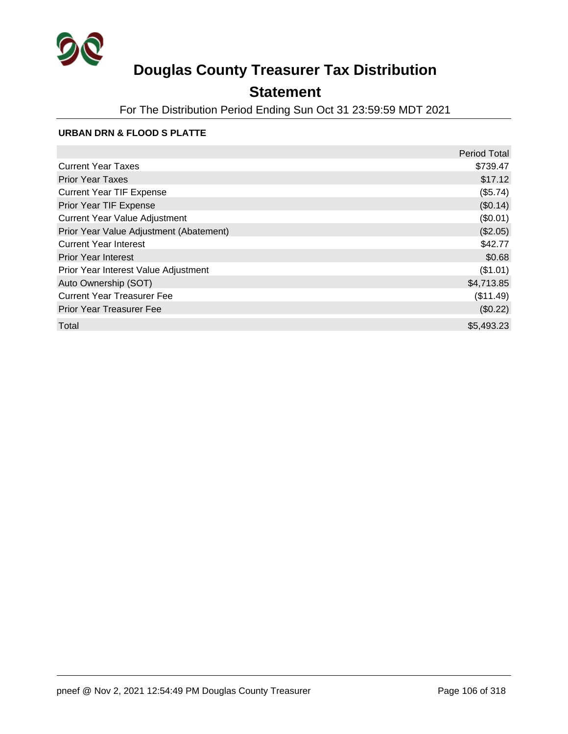

## **Statement**

For The Distribution Period Ending Sun Oct 31 23:59:59 MDT 2021

### **URBAN DRN & FLOOD S PLATTE**

|                                         | <b>Period Total</b> |
|-----------------------------------------|---------------------|
| <b>Current Year Taxes</b>               | \$739.47            |
| <b>Prior Year Taxes</b>                 | \$17.12             |
| <b>Current Year TIF Expense</b>         | (\$5.74)            |
| Prior Year TIF Expense                  | (\$0.14)            |
| <b>Current Year Value Adjustment</b>    | (\$0.01)            |
| Prior Year Value Adjustment (Abatement) | (\$2.05)            |
| <b>Current Year Interest</b>            | \$42.77             |
| <b>Prior Year Interest</b>              | \$0.68              |
| Prior Year Interest Value Adjustment    | (\$1.01)            |
| Auto Ownership (SOT)                    | \$4,713.85          |
| <b>Current Year Treasurer Fee</b>       | (\$11.49)           |
| <b>Prior Year Treasurer Fee</b>         | (\$0.22)            |
| Total                                   | \$5,493.23          |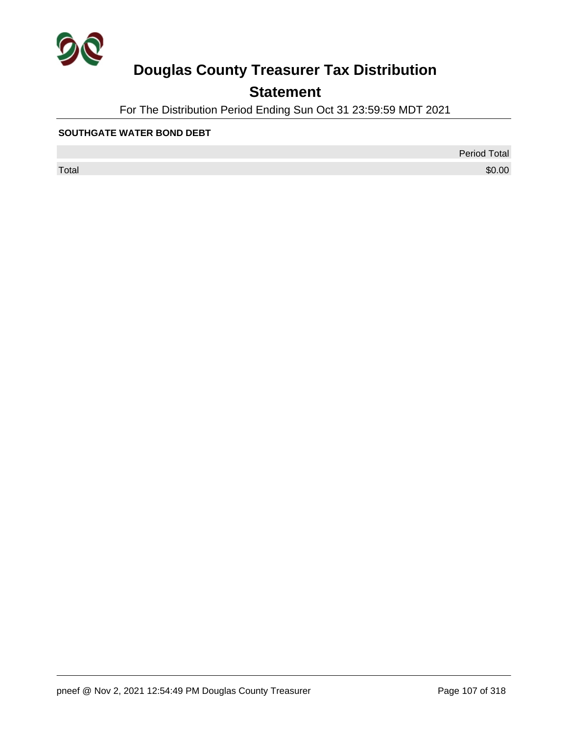

## **Statement**

For The Distribution Period Ending Sun Oct 31 23:59:59 MDT 2021

#### **SOUTHGATE WATER BOND DEBT**

 $\sf Total$   $\$0.00$ 

Period Total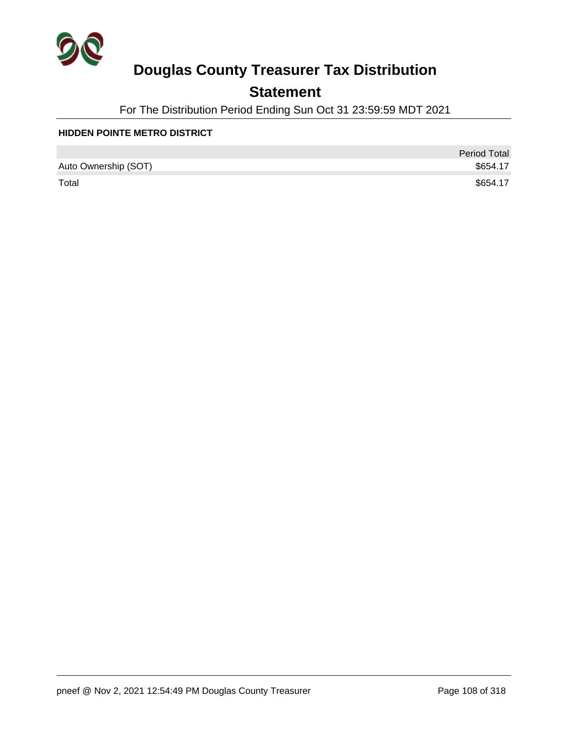

## **Statement**

For The Distribution Period Ending Sun Oct 31 23:59:59 MDT 2021

#### **HIDDEN POINTE METRO DISTRICT**

|                      | <b>Period Total</b> |
|----------------------|---------------------|
| Auto Ownership (SOT) | \$654.17            |
| Total                | \$654.17            |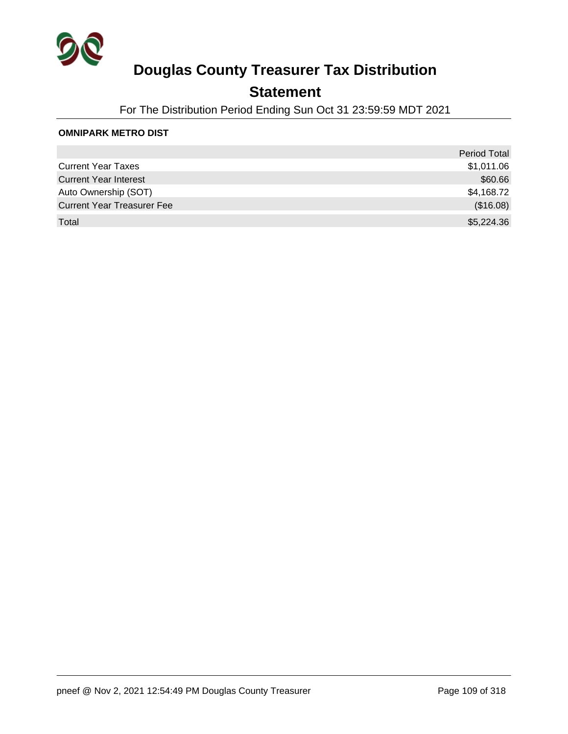

## **Statement**

For The Distribution Period Ending Sun Oct 31 23:59:59 MDT 2021

#### **OMNIPARK METRO DIST**

|                                   | <b>Period Total</b> |
|-----------------------------------|---------------------|
| <b>Current Year Taxes</b>         | \$1,011.06          |
| <b>Current Year Interest</b>      | \$60.66             |
| Auto Ownership (SOT)              | \$4,168.72          |
| <b>Current Year Treasurer Fee</b> | (\$16.08)           |
| Total                             | \$5,224.36          |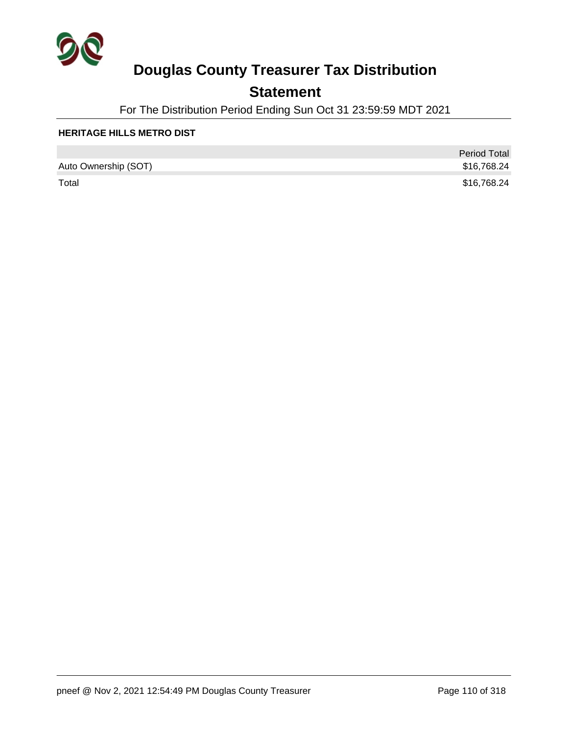

## **Statement**

For The Distribution Period Ending Sun Oct 31 23:59:59 MDT 2021

#### **HERITAGE HILLS METRO DIST**

|                      | <b>Period Total</b> |
|----------------------|---------------------|
| Auto Ownership (SOT) | \$16,768.24         |
| Total                | \$16,768.24         |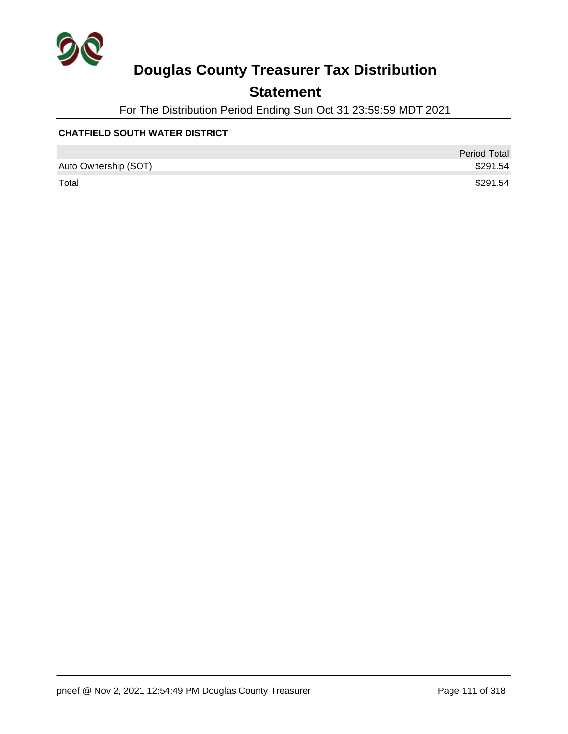

## **Statement**

For The Distribution Period Ending Sun Oct 31 23:59:59 MDT 2021

#### **CHATFIELD SOUTH WATER DISTRICT**

|                      | <b>Period Total</b> |
|----------------------|---------------------|
| Auto Ownership (SOT) | \$291.54            |
| Total                | \$291.54            |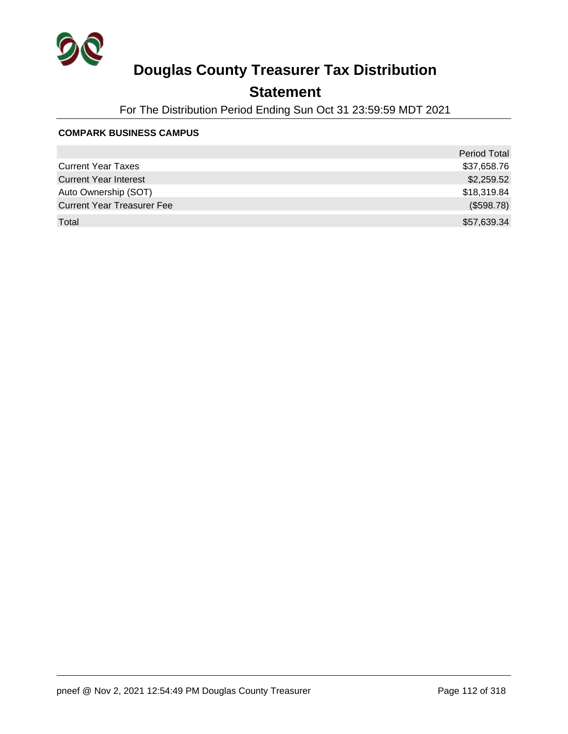

## **Statement**

For The Distribution Period Ending Sun Oct 31 23:59:59 MDT 2021

#### **COMPARK BUSINESS CAMPUS**

|                                   | Period Total |
|-----------------------------------|--------------|
| <b>Current Year Taxes</b>         | \$37,658.76  |
| <b>Current Year Interest</b>      | \$2,259.52   |
| Auto Ownership (SOT)              | \$18,319.84  |
| <b>Current Year Treasurer Fee</b> | (\$598.78)   |
| Total                             | \$57,639.34  |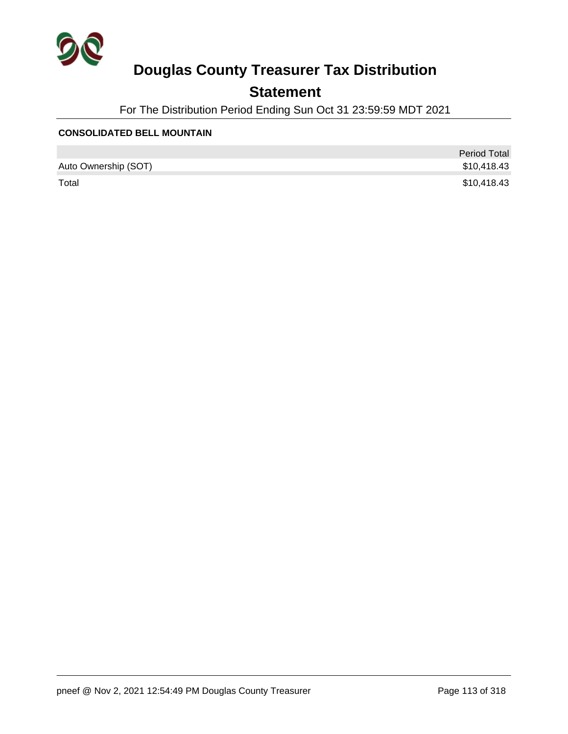

## **Statement**

For The Distribution Period Ending Sun Oct 31 23:59:59 MDT 2021

#### **CONSOLIDATED BELL MOUNTAIN**

|                      | <b>Period Total</b> |
|----------------------|---------------------|
| Auto Ownership (SOT) | \$10,418.43         |
| Total                | \$10,418.43         |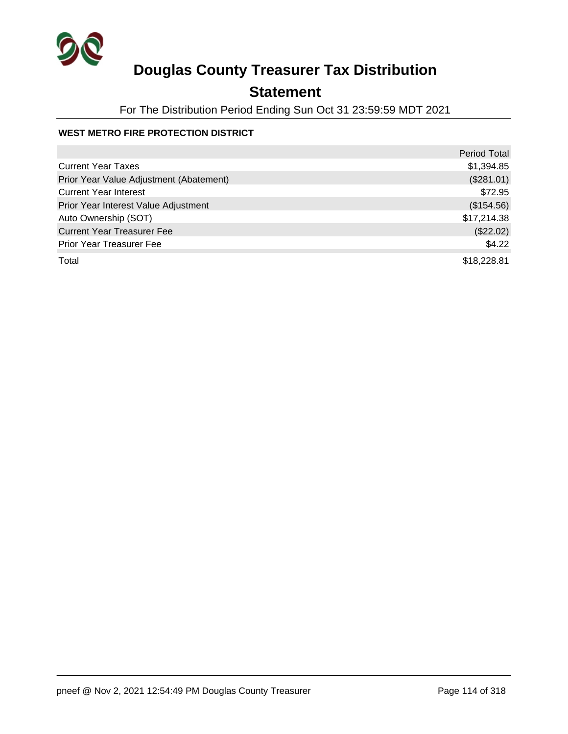

## **Statement**

For The Distribution Period Ending Sun Oct 31 23:59:59 MDT 2021

#### **WEST METRO FIRE PROTECTION DISTRICT**

|                                         | <b>Period Total</b> |
|-----------------------------------------|---------------------|
| <b>Current Year Taxes</b>               | \$1,394.85          |
| Prior Year Value Adjustment (Abatement) | (\$281.01)          |
| <b>Current Year Interest</b>            | \$72.95             |
| Prior Year Interest Value Adjustment    | (\$154.56)          |
| Auto Ownership (SOT)                    | \$17,214.38         |
| <b>Current Year Treasurer Fee</b>       | (\$22.02)           |
| <b>Prior Year Treasurer Fee</b>         | \$4.22              |
| Total                                   | \$18,228.81         |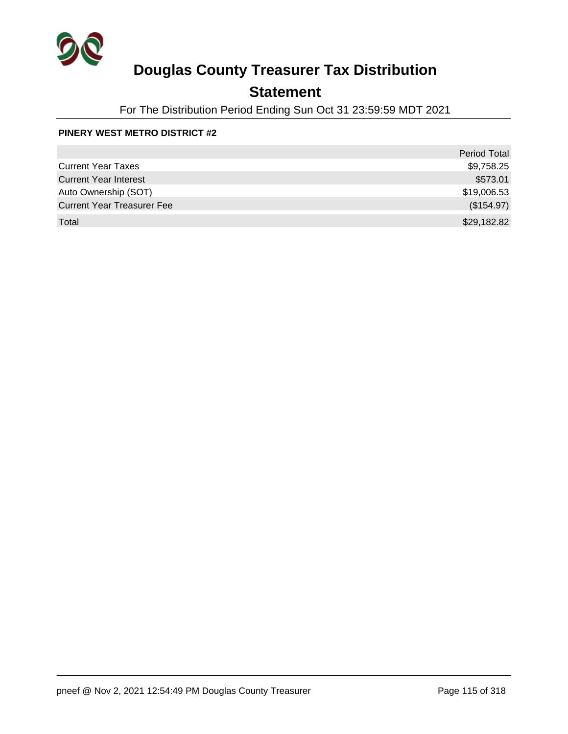

## **Statement**

For The Distribution Period Ending Sun Oct 31 23:59:59 MDT 2021

#### **PINERY WEST METRO DISTRICT #2**

|                                   | <b>Period Total</b> |
|-----------------------------------|---------------------|
| <b>Current Year Taxes</b>         | \$9,758.25          |
| <b>Current Year Interest</b>      | \$573.01            |
| Auto Ownership (SOT)              | \$19,006.53         |
| <b>Current Year Treasurer Fee</b> | (\$154.97)          |
| Total                             | \$29,182.82         |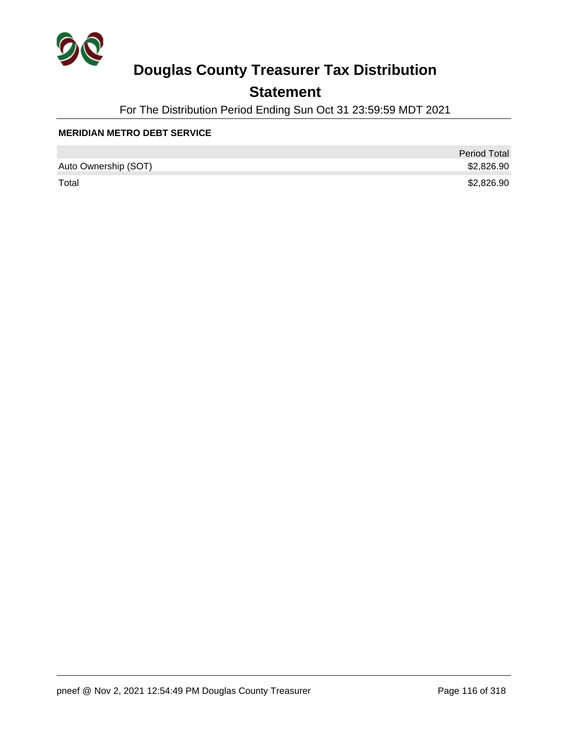

## **Statement**

For The Distribution Period Ending Sun Oct 31 23:59:59 MDT 2021

#### **MERIDIAN METRO DEBT SERVICE**

|                      | <b>Period Total</b> |
|----------------------|---------------------|
| Auto Ownership (SOT) | \$2,826.90          |
| Total                | \$2,826.90          |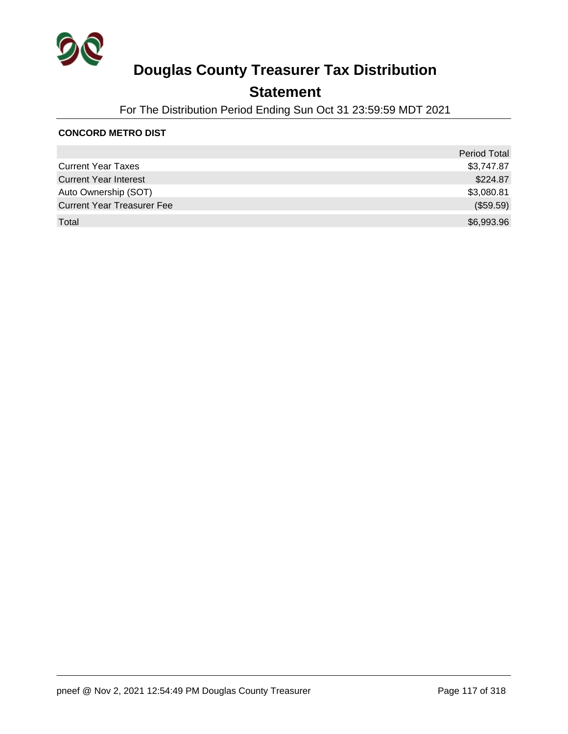

## **Statement**

For The Distribution Period Ending Sun Oct 31 23:59:59 MDT 2021

#### **CONCORD METRO DIST**

|                                   | <b>Period Total</b> |
|-----------------------------------|---------------------|
| <b>Current Year Taxes</b>         | \$3,747.87          |
| <b>Current Year Interest</b>      | \$224.87            |
| Auto Ownership (SOT)              | \$3,080.81          |
| <b>Current Year Treasurer Fee</b> | (\$59.59)           |
| Total                             | \$6,993.96          |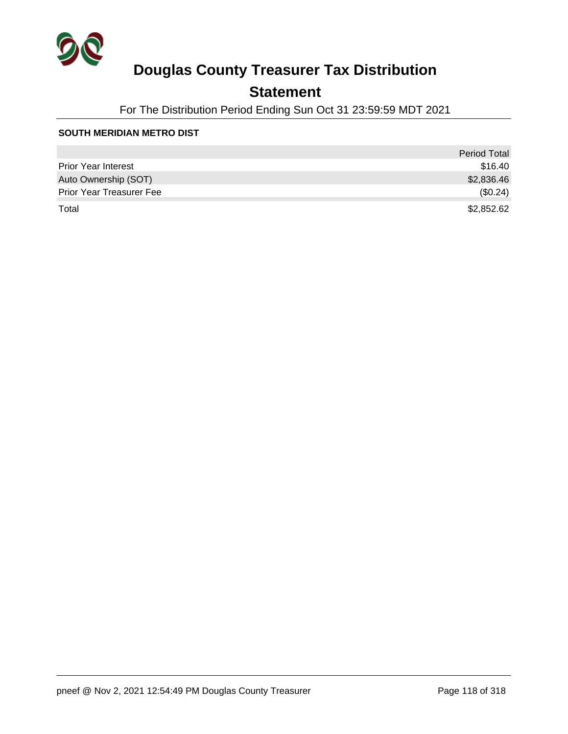

## **Statement**

For The Distribution Period Ending Sun Oct 31 23:59:59 MDT 2021

#### **SOUTH MERIDIAN METRO DIST**

|                                 | <b>Period Total</b> |
|---------------------------------|---------------------|
| <b>Prior Year Interest</b>      | \$16.40             |
| Auto Ownership (SOT)            | \$2,836.46          |
| <b>Prior Year Treasurer Fee</b> | (\$0.24)            |
| Total                           | \$2,852.62          |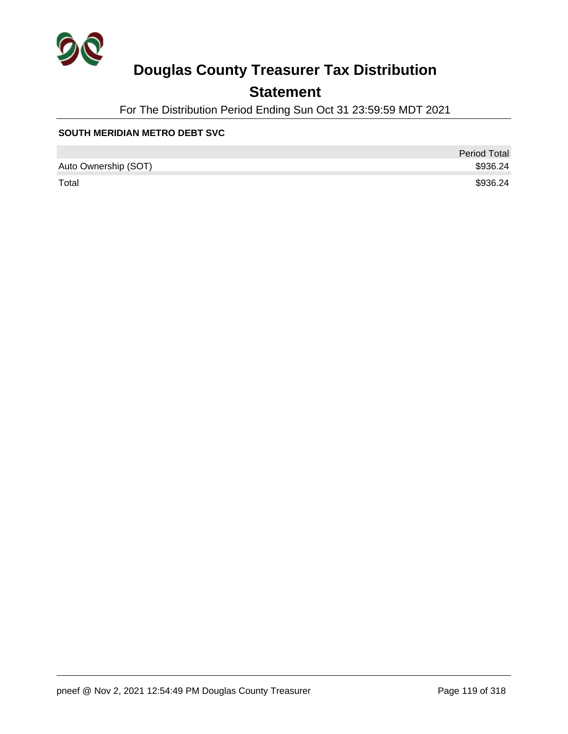

## **Statement**

For The Distribution Period Ending Sun Oct 31 23:59:59 MDT 2021

#### **SOUTH MERIDIAN METRO DEBT SVC**

|                      | <b>Period Total</b> |
|----------------------|---------------------|
| Auto Ownership (SOT) | \$936.24            |
| Total                | \$936.24            |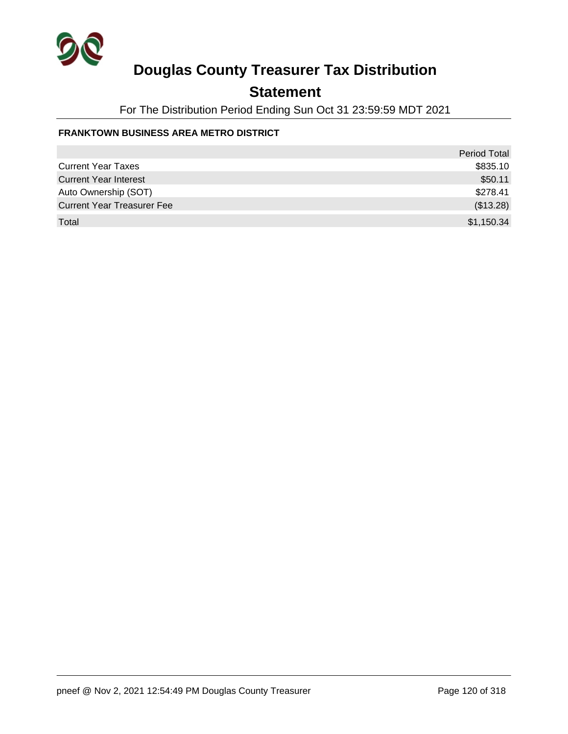

## **Statement**

For The Distribution Period Ending Sun Oct 31 23:59:59 MDT 2021

#### **FRANKTOWN BUSINESS AREA METRO DISTRICT**

|                                   | <b>Period Total</b> |
|-----------------------------------|---------------------|
| <b>Current Year Taxes</b>         | \$835.10            |
| <b>Current Year Interest</b>      | \$50.11             |
| Auto Ownership (SOT)              | \$278.41            |
| <b>Current Year Treasurer Fee</b> | (\$13.28)           |
| Total                             | \$1,150.34          |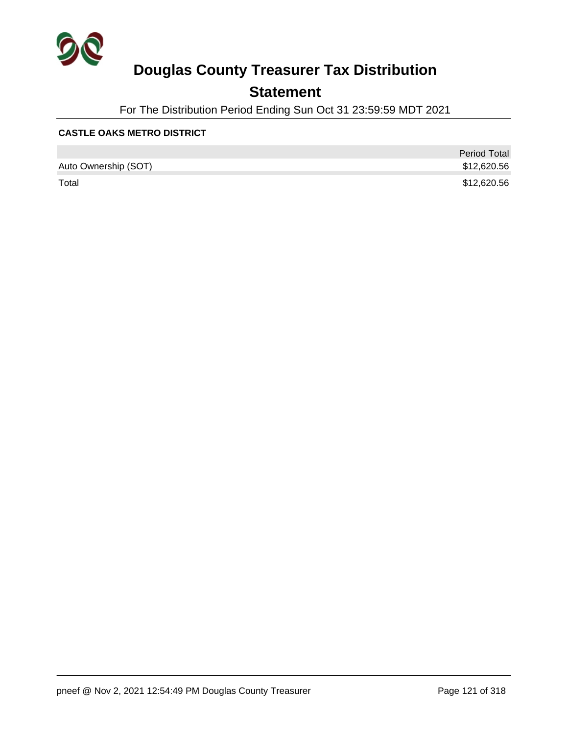

## **Statement**

For The Distribution Period Ending Sun Oct 31 23:59:59 MDT 2021

#### **CASTLE OAKS METRO DISTRICT**

|                      | <b>Period Total</b> |
|----------------------|---------------------|
| Auto Ownership (SOT) | \$12,620.56         |
| Total                | \$12,620.56         |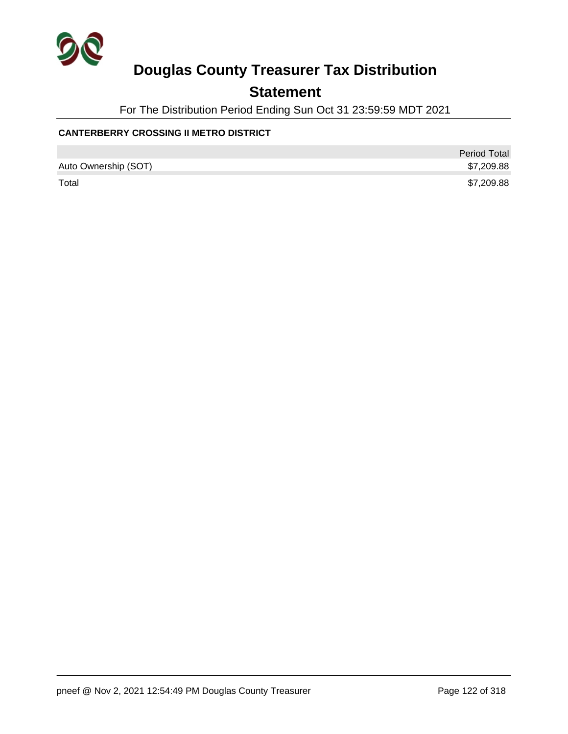

## **Statement**

For The Distribution Period Ending Sun Oct 31 23:59:59 MDT 2021

#### **CANTERBERRY CROSSING II METRO DISTRICT**

|                      | <b>Period Total</b> |
|----------------------|---------------------|
| Auto Ownership (SOT) | \$7,209.88          |
| Total                | \$7,209.88          |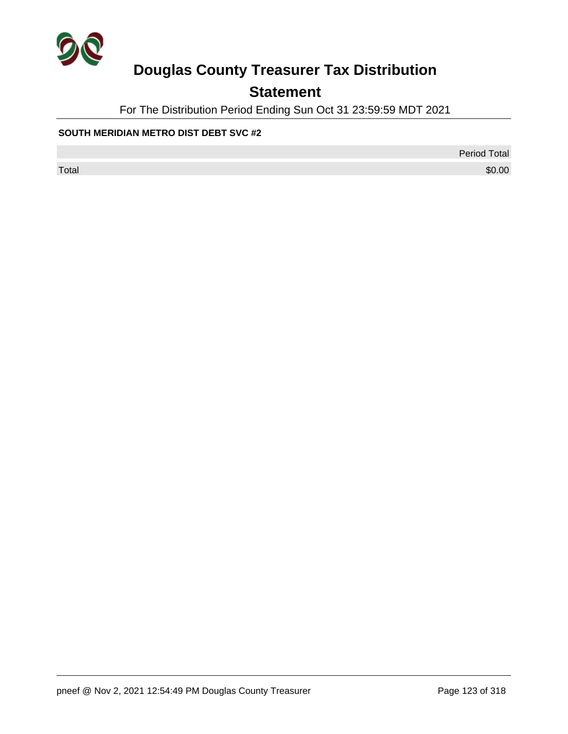

## **Statement**

For The Distribution Period Ending Sun Oct 31 23:59:59 MDT 2021

#### **SOUTH MERIDIAN METRO DIST DEBT SVC #2**

Period Total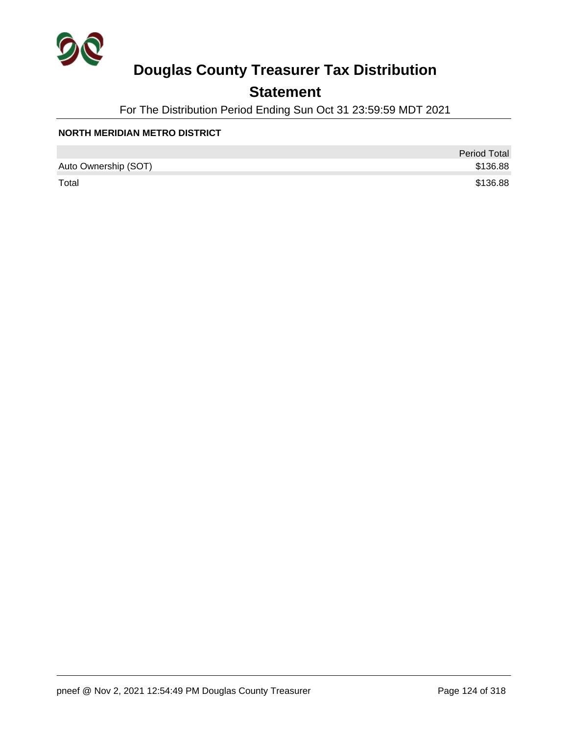

## **Statement**

For The Distribution Period Ending Sun Oct 31 23:59:59 MDT 2021

#### **NORTH MERIDIAN METRO DISTRICT**

|                      | <b>Period Total</b> |
|----------------------|---------------------|
| Auto Ownership (SOT) | \$136.88            |
| Total                | \$136.88            |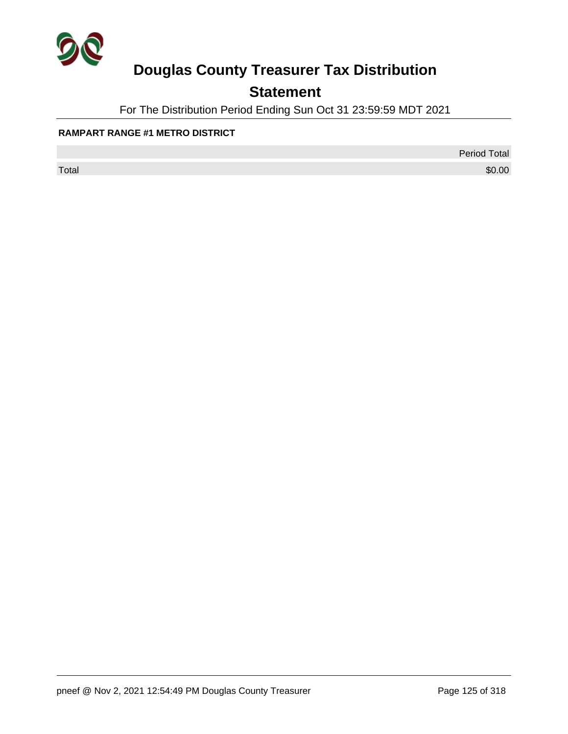

## **Statement**

For The Distribution Period Ending Sun Oct 31 23:59:59 MDT 2021

#### **RAMPART RANGE #1 METRO DISTRICT**

Period Total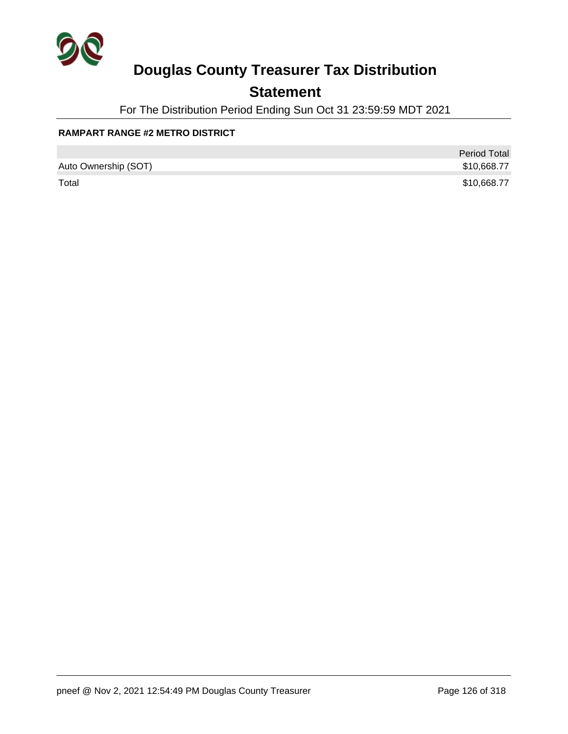

## **Statement**

For The Distribution Period Ending Sun Oct 31 23:59:59 MDT 2021

#### **RAMPART RANGE #2 METRO DISTRICT**

|                      | <b>Period Total</b> |
|----------------------|---------------------|
| Auto Ownership (SOT) | \$10,668.77         |
| Total                | \$10,668.77         |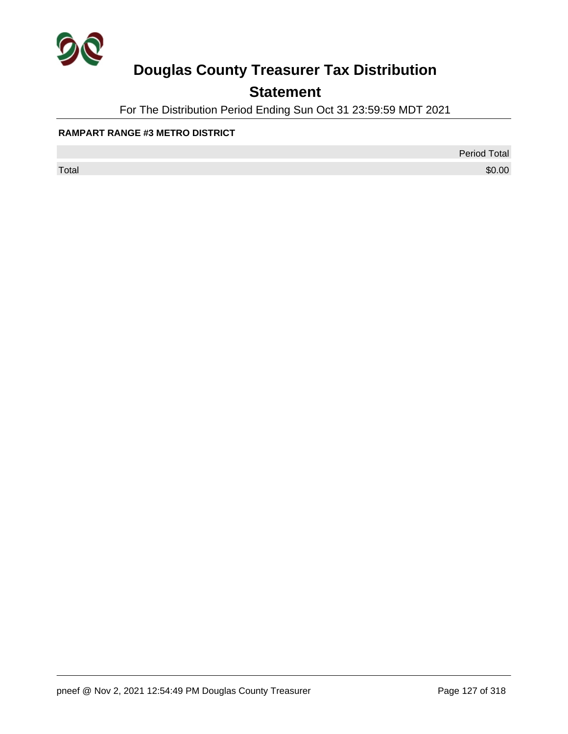

## **Statement**

For The Distribution Period Ending Sun Oct 31 23:59:59 MDT 2021

#### **RAMPART RANGE #3 METRO DISTRICT**

Period Total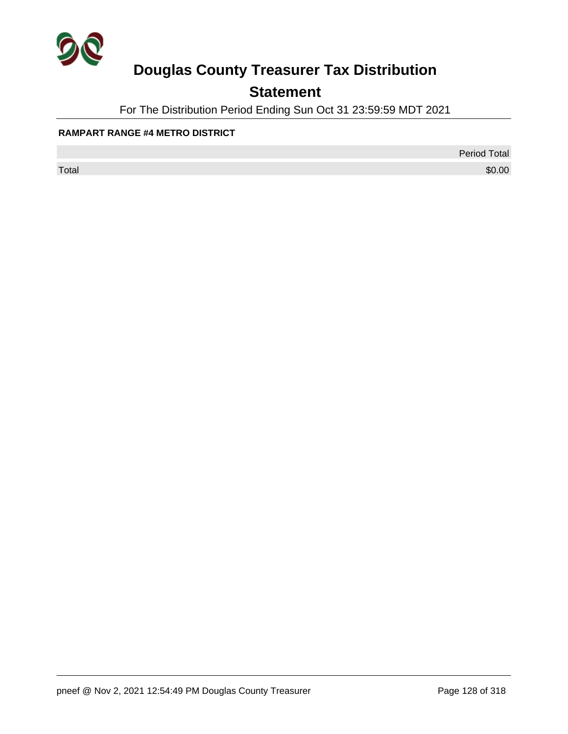

## **Statement**

For The Distribution Period Ending Sun Oct 31 23:59:59 MDT 2021

#### **RAMPART RANGE #4 METRO DISTRICT**

Period Total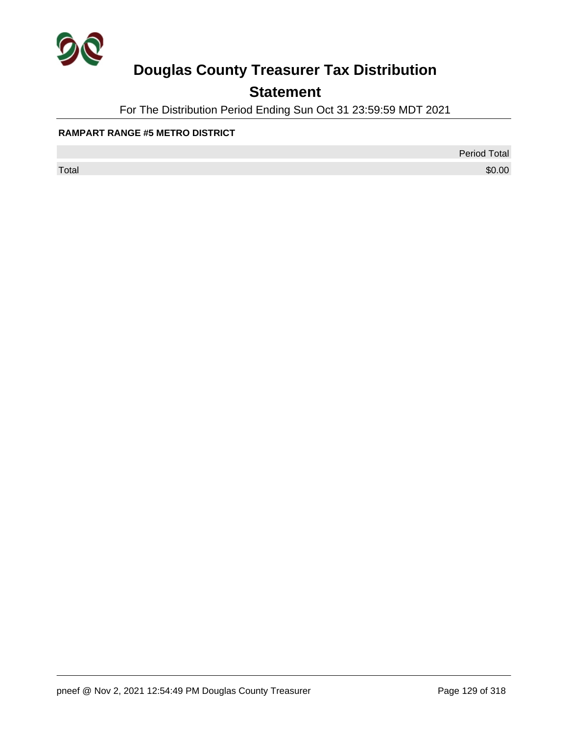

## **Statement**

For The Distribution Period Ending Sun Oct 31 23:59:59 MDT 2021

#### **RAMPART RANGE #5 METRO DISTRICT**

Period Total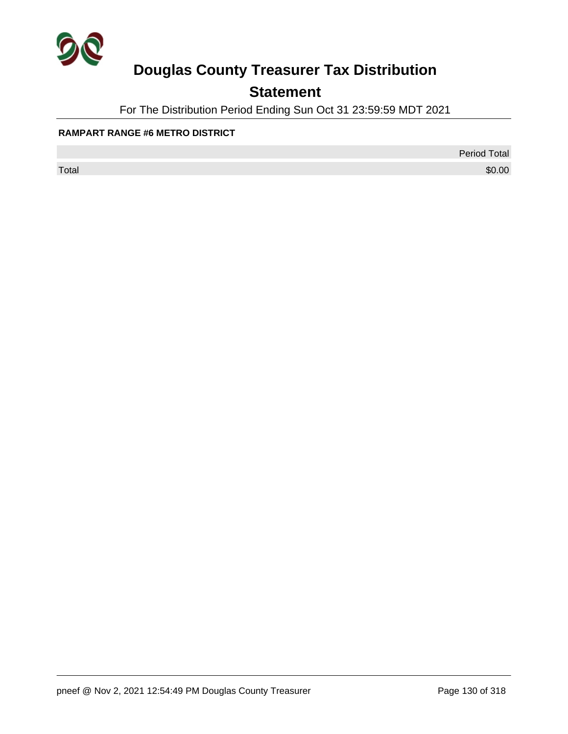

## **Statement**

For The Distribution Period Ending Sun Oct 31 23:59:59 MDT 2021

#### **RAMPART RANGE #6 METRO DISTRICT**

Period Total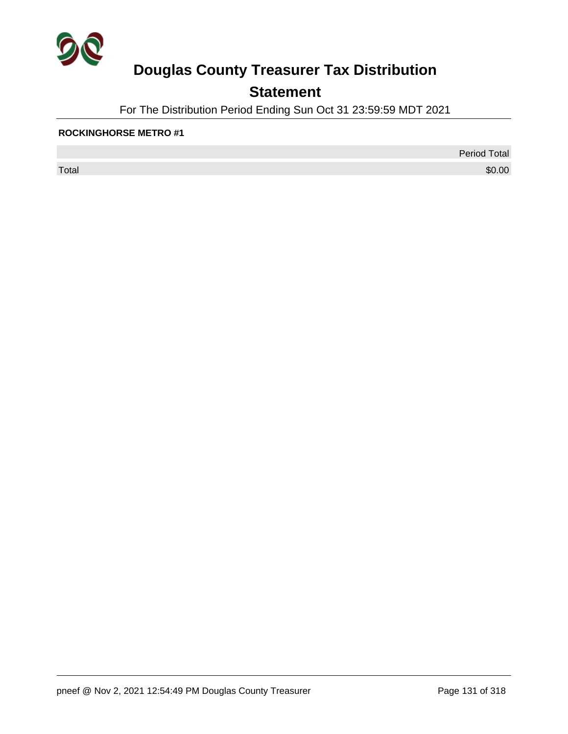

## **Statement**

For The Distribution Period Ending Sun Oct 31 23:59:59 MDT 2021

#### **ROCKINGHORSE METRO #1**

 $\sf Total$   $\$0.00$ 

Period Total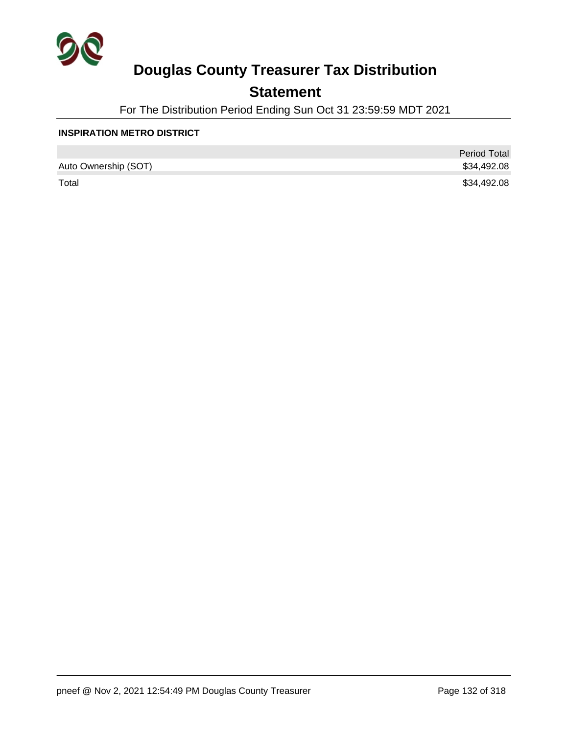

## **Statement**

For The Distribution Period Ending Sun Oct 31 23:59:59 MDT 2021

#### **INSPIRATION METRO DISTRICT**

|                      | <b>Period Total</b> |
|----------------------|---------------------|
| Auto Ownership (SOT) | \$34,492.08         |
| Total                | \$34,492.08         |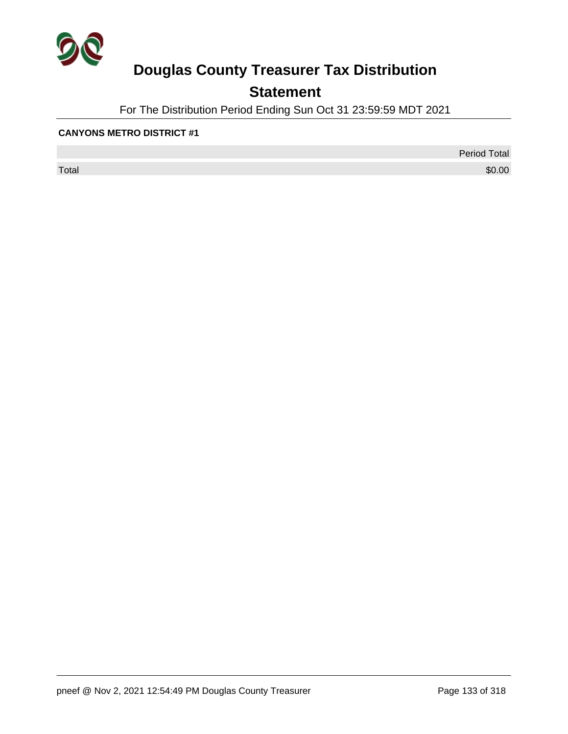

## **Statement**

For The Distribution Period Ending Sun Oct 31 23:59:59 MDT 2021

#### **CANYONS METRO DISTRICT #1**

 $\sf Total$   $\$0.00$ 

Period Total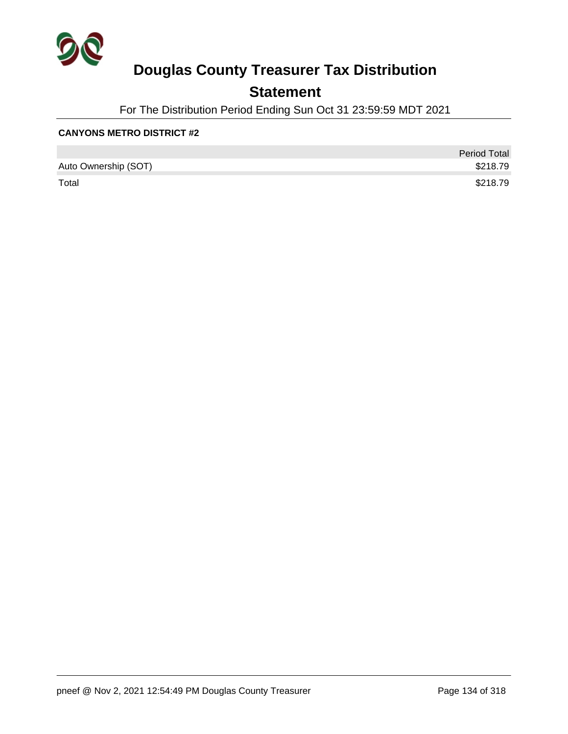

## **Statement**

For The Distribution Period Ending Sun Oct 31 23:59:59 MDT 2021

#### **CANYONS METRO DISTRICT #2**

|                      | <b>Period Total</b> |
|----------------------|---------------------|
| Auto Ownership (SOT) | \$218.79            |
| Total                | \$218.79            |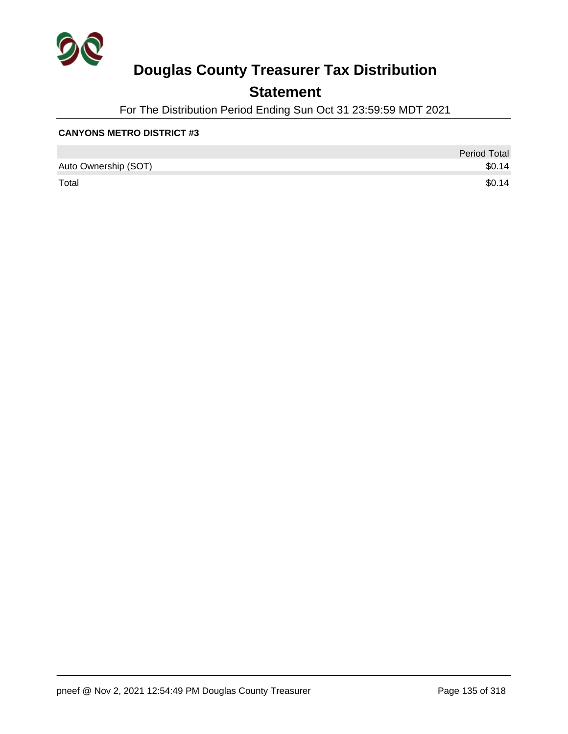

## **Statement**

For The Distribution Period Ending Sun Oct 31 23:59:59 MDT 2021

#### **CANYONS METRO DISTRICT #3**

|                      | <b>Period Total</b> |
|----------------------|---------------------|
| Auto Ownership (SOT) | \$0.14              |
| Total                | \$0.14              |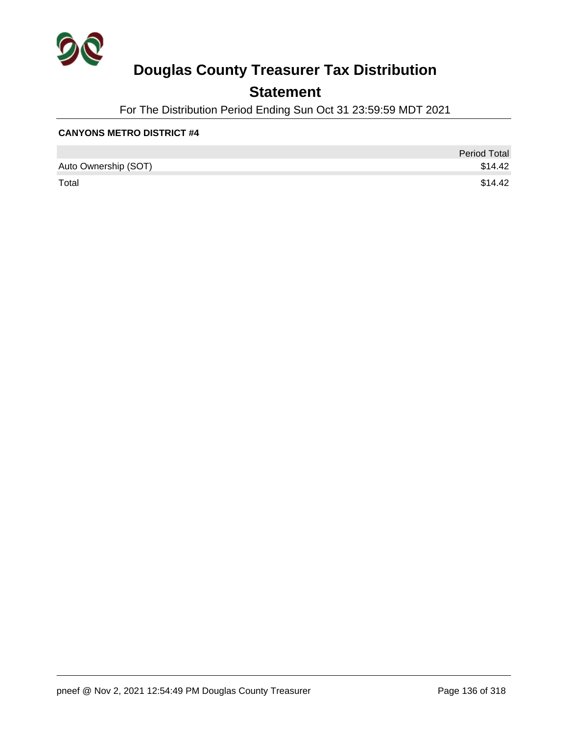

## **Statement**

For The Distribution Period Ending Sun Oct 31 23:59:59 MDT 2021

#### **CANYONS METRO DISTRICT #4**

|                      | <b>Period Total</b> |
|----------------------|---------------------|
| Auto Ownership (SOT) | \$14.42             |
| Total                | \$14.42             |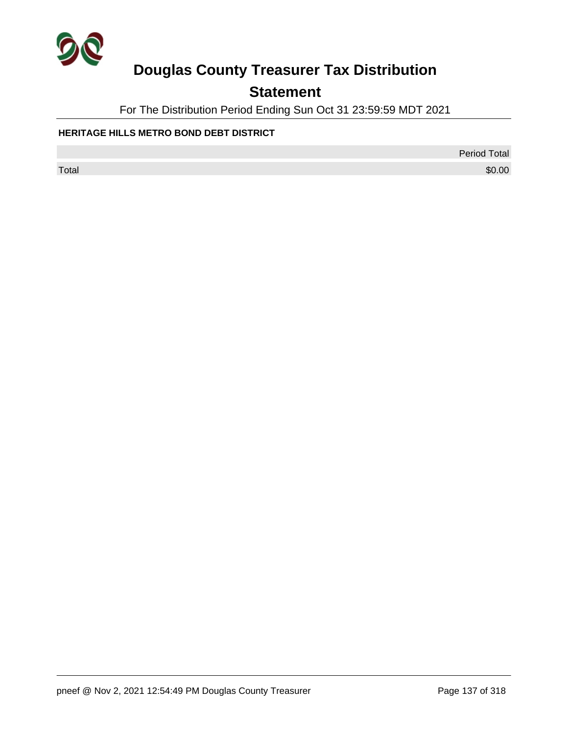

## **Statement**

For The Distribution Period Ending Sun Oct 31 23:59:59 MDT 2021

#### **HERITAGE HILLS METRO BOND DEBT DISTRICT**

Period Total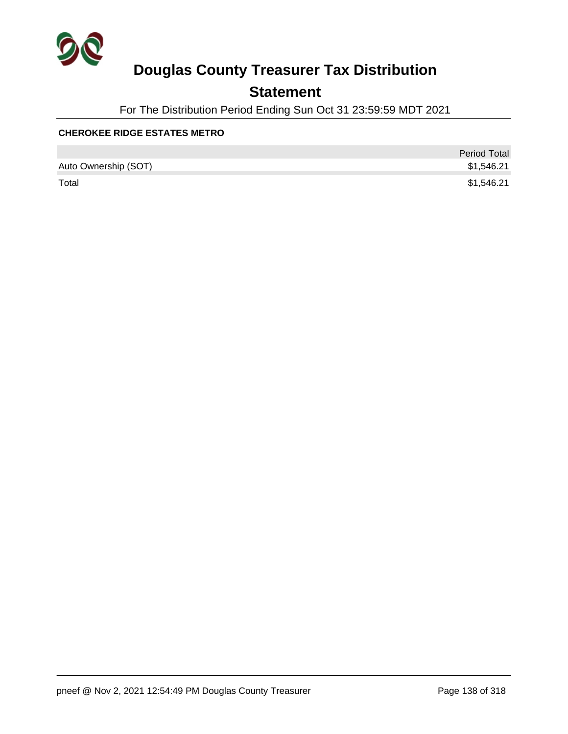

## **Statement**

For The Distribution Period Ending Sun Oct 31 23:59:59 MDT 2021

#### **CHEROKEE RIDGE ESTATES METRO**

|                      | <b>Period Total</b> |
|----------------------|---------------------|
| Auto Ownership (SOT) | \$1,546.21          |
| Total                | \$1,546.21          |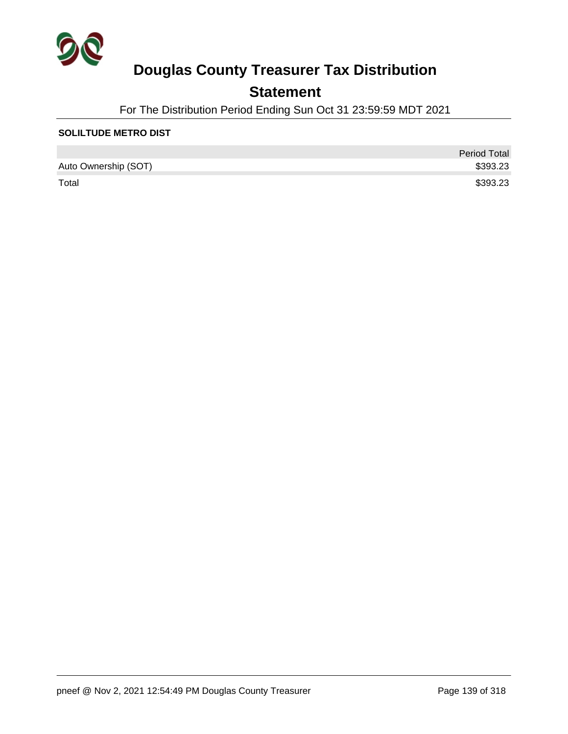

## **Statement**

For The Distribution Period Ending Sun Oct 31 23:59:59 MDT 2021

#### **SOLILTUDE METRO DIST**

|                      | <b>Period Total</b> |
|----------------------|---------------------|
| Auto Ownership (SOT) | \$393.23            |
| Total                | \$393.23            |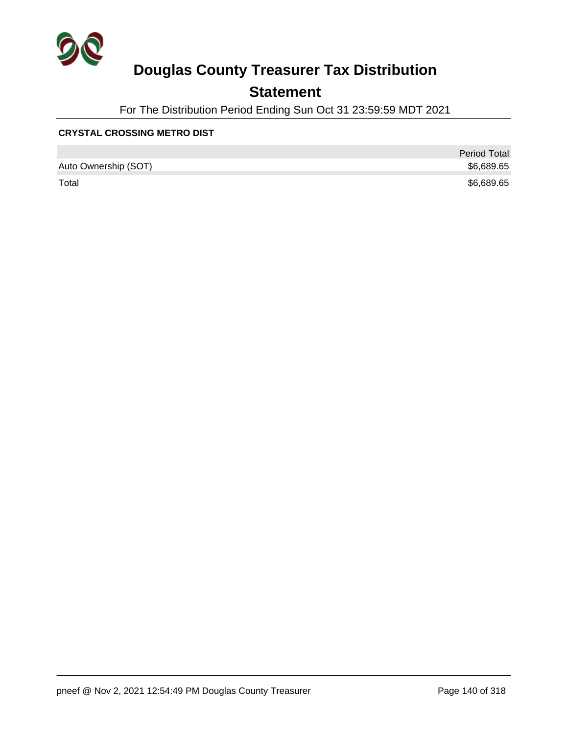

## **Statement**

For The Distribution Period Ending Sun Oct 31 23:59:59 MDT 2021

#### **CRYSTAL CROSSING METRO DIST**

|                      | <b>Period Total</b> |
|----------------------|---------------------|
| Auto Ownership (SOT) | \$6,689.65          |
| Total                | \$6,689.65          |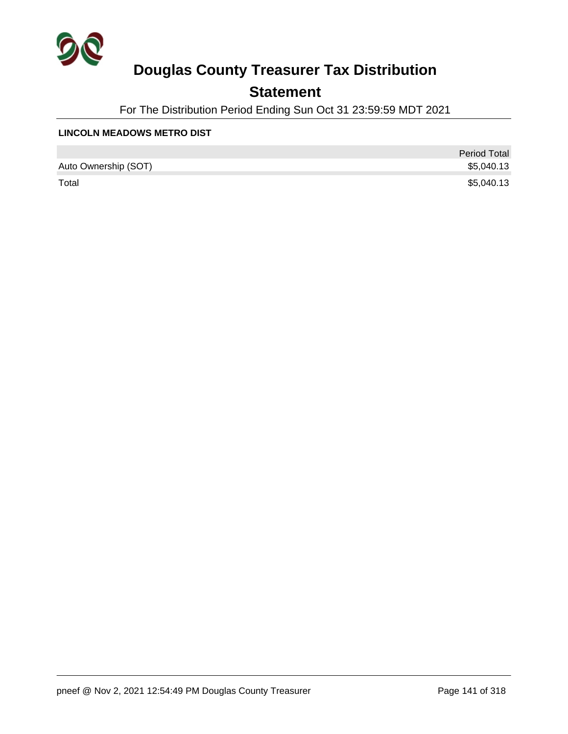

## **Statement**

For The Distribution Period Ending Sun Oct 31 23:59:59 MDT 2021

#### **LINCOLN MEADOWS METRO DIST**

|                      | <b>Period Total</b> |
|----------------------|---------------------|
| Auto Ownership (SOT) | \$5,040.13          |
| Total                | \$5,040.13          |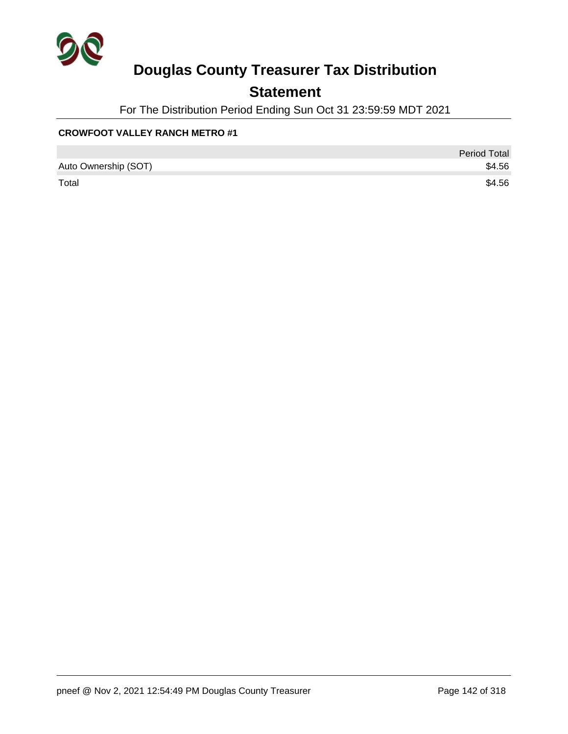

## **Statement**

For The Distribution Period Ending Sun Oct 31 23:59:59 MDT 2021

#### **CROWFOOT VALLEY RANCH METRO #1**

|                      | <b>Period Total</b> |
|----------------------|---------------------|
| Auto Ownership (SOT) | \$4.56              |
| Total                | \$4.56              |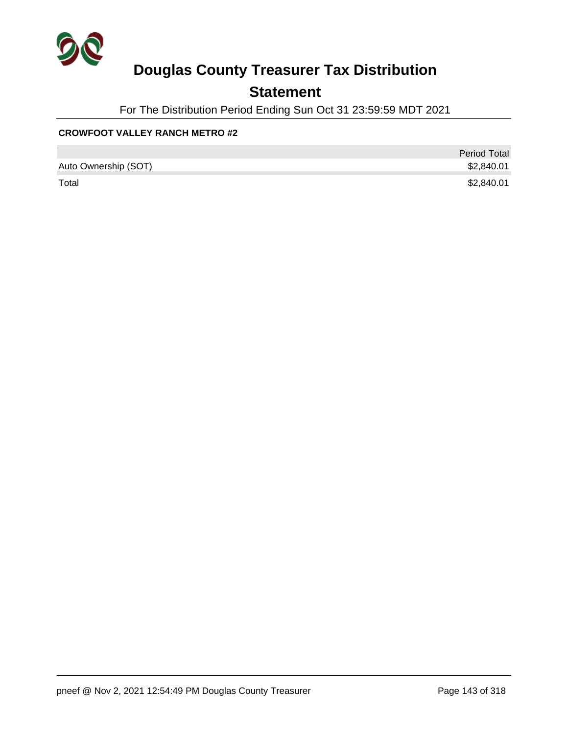

## **Statement**

For The Distribution Period Ending Sun Oct 31 23:59:59 MDT 2021

#### **CROWFOOT VALLEY RANCH METRO #2**

|                      | <b>Period Total</b> |
|----------------------|---------------------|
| Auto Ownership (SOT) | \$2,840.01          |
| Total                | \$2,840.01          |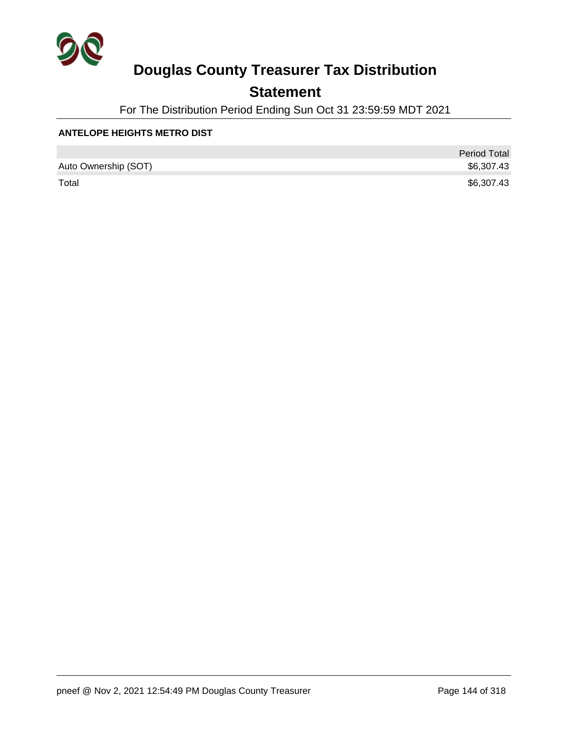

## **Statement**

For The Distribution Period Ending Sun Oct 31 23:59:59 MDT 2021

#### **ANTELOPE HEIGHTS METRO DIST**

|                      | <b>Period Total</b> |
|----------------------|---------------------|
| Auto Ownership (SOT) | \$6,307.43          |
| Total                | \$6,307.43          |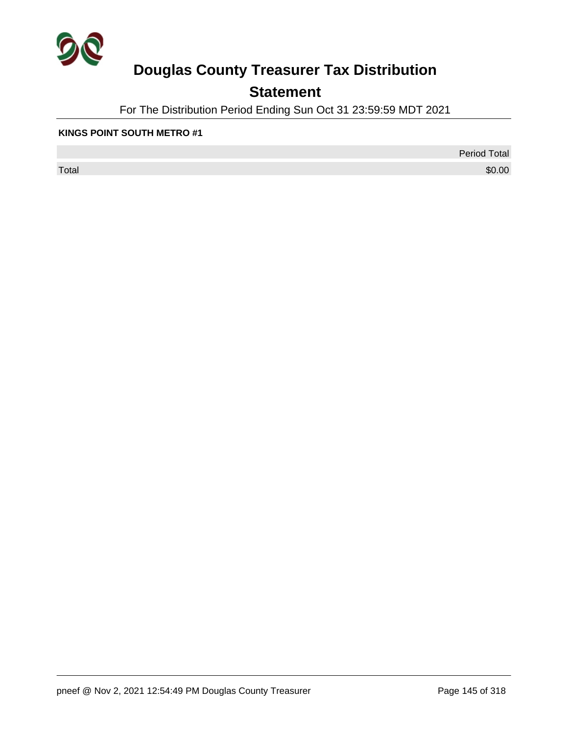

## **Statement**

For The Distribution Period Ending Sun Oct 31 23:59:59 MDT 2021

#### **KINGS POINT SOUTH METRO #1**

 $\sf Total$   $\$0.00$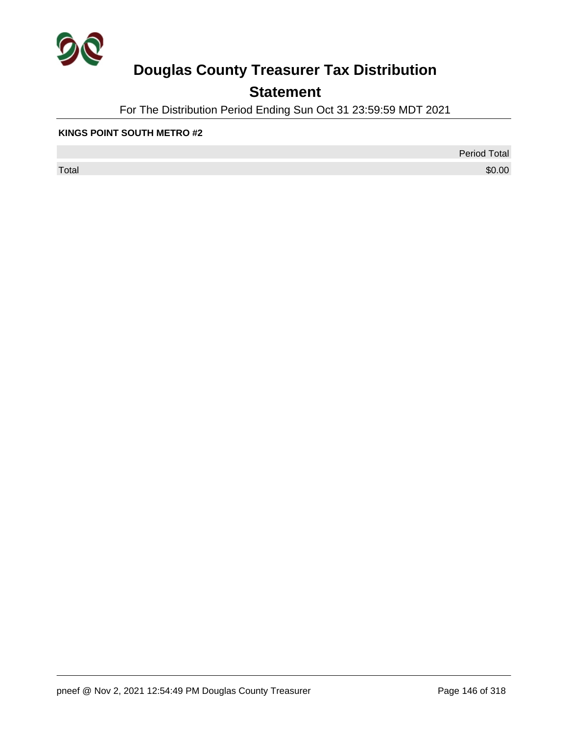

## **Statement**

For The Distribution Period Ending Sun Oct 31 23:59:59 MDT 2021

#### **KINGS POINT SOUTH METRO #2**

 $\sf Total$   $\$0.00$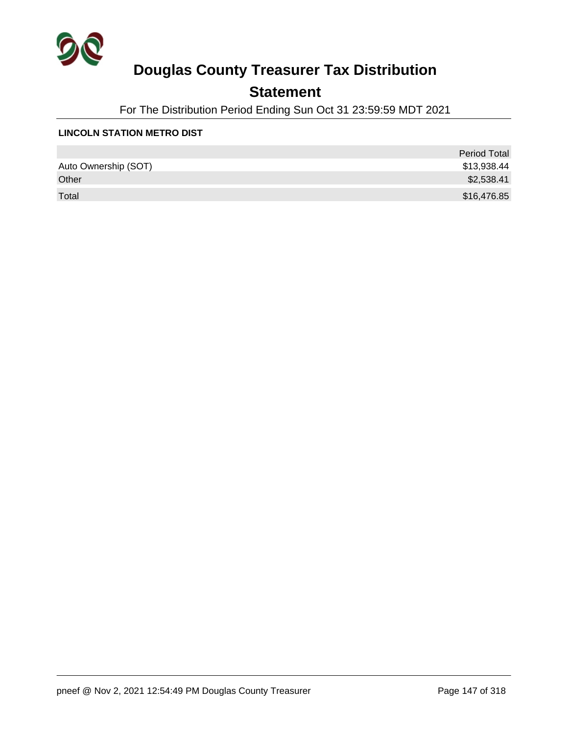

## **Statement**

For The Distribution Period Ending Sun Oct 31 23:59:59 MDT 2021

#### **LINCOLN STATION METRO DIST**

|                      | <b>Period Total</b> |
|----------------------|---------------------|
| Auto Ownership (SOT) | \$13,938.44         |
| Other                | \$2,538.41          |
| Total                | \$16,476.85         |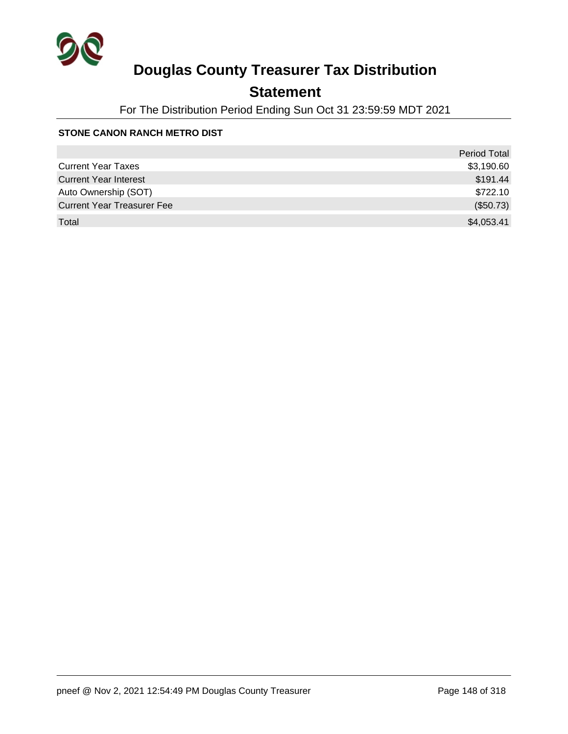

## **Statement**

For The Distribution Period Ending Sun Oct 31 23:59:59 MDT 2021

#### **STONE CANON RANCH METRO DIST**

|                                   | <b>Period Total</b> |
|-----------------------------------|---------------------|
| <b>Current Year Taxes</b>         | \$3,190.60          |
| <b>Current Year Interest</b>      | \$191.44            |
| Auto Ownership (SOT)              | \$722.10            |
| <b>Current Year Treasurer Fee</b> | (\$50.73)           |
| Total                             | \$4,053.41          |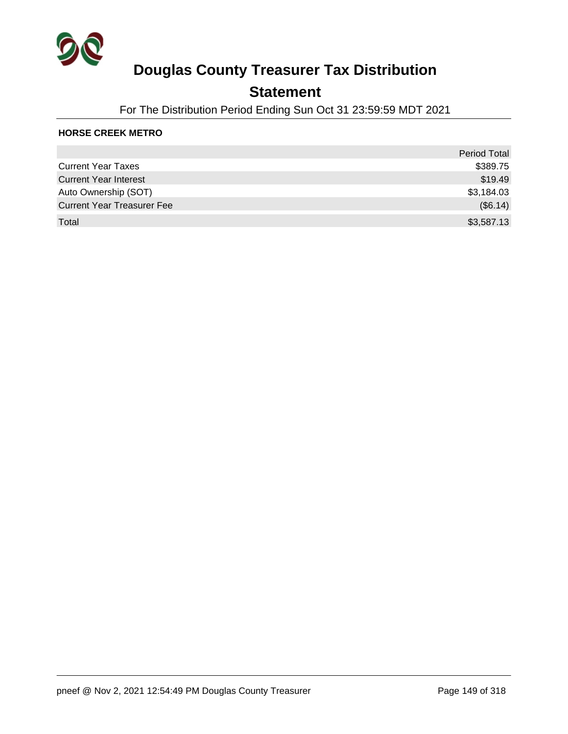

### **Statement**

For The Distribution Period Ending Sun Oct 31 23:59:59 MDT 2021

#### **HORSE CREEK METRO**

|                                   | <b>Period Total</b> |
|-----------------------------------|---------------------|
| <b>Current Year Taxes</b>         | \$389.75            |
| <b>Current Year Interest</b>      | \$19.49             |
| Auto Ownership (SOT)              | \$3,184.03          |
| <b>Current Year Treasurer Fee</b> | (\$6.14)            |
| Total                             | \$3,587.13          |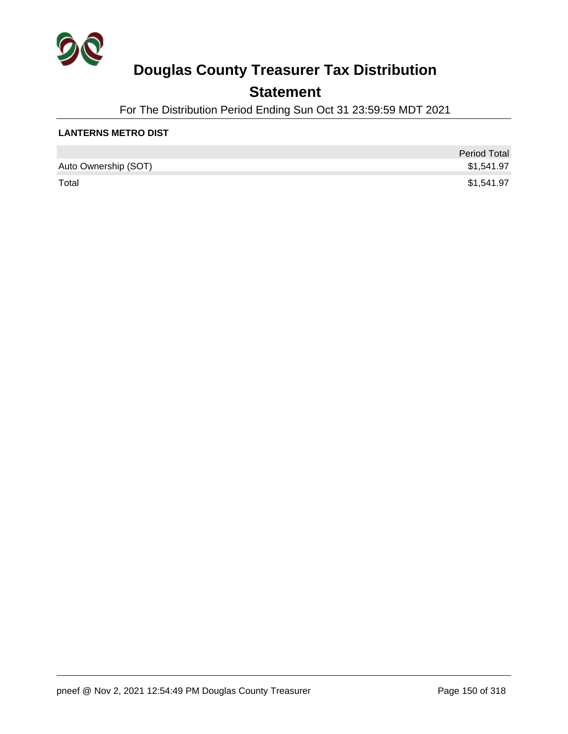

## **Statement**

For The Distribution Period Ending Sun Oct 31 23:59:59 MDT 2021

#### **LANTERNS METRO DIST**

|                      | <b>Period Total</b> |
|----------------------|---------------------|
| Auto Ownership (SOT) | \$1,541.97          |
| Total                | \$1,541.97          |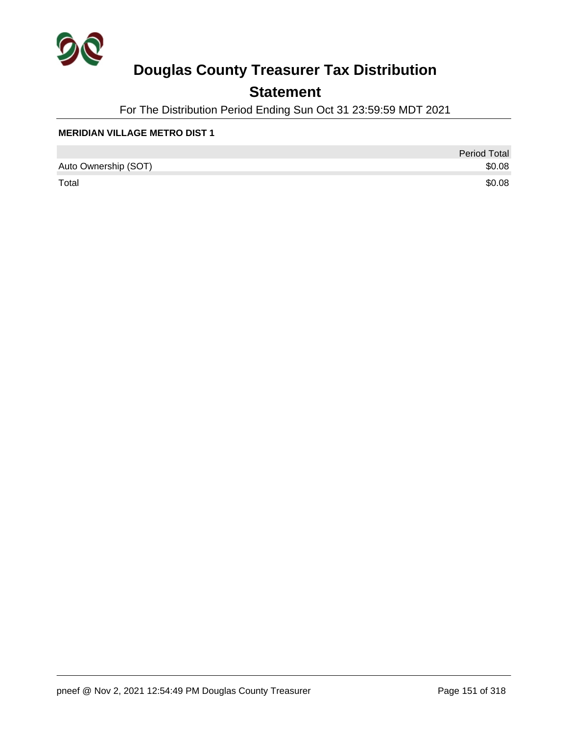

## **Statement**

For The Distribution Period Ending Sun Oct 31 23:59:59 MDT 2021

#### **MERIDIAN VILLAGE METRO DIST 1**

|                      | <b>Period Total</b> |
|----------------------|---------------------|
| Auto Ownership (SOT) | \$0.08              |
| Total                | \$0.08              |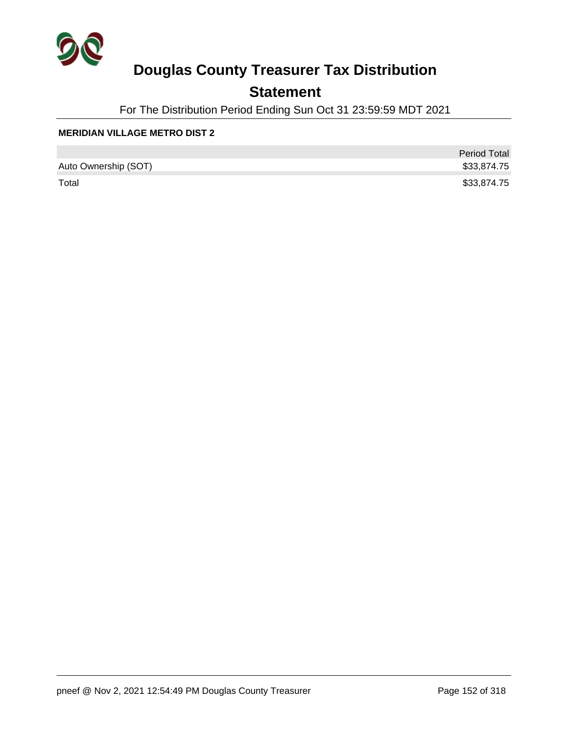

## **Statement**

For The Distribution Period Ending Sun Oct 31 23:59:59 MDT 2021

#### **MERIDIAN VILLAGE METRO DIST 2**

|                      | <b>Period Total</b> |
|----------------------|---------------------|
| Auto Ownership (SOT) | \$33,874.75         |
| Total                | \$33,874.75         |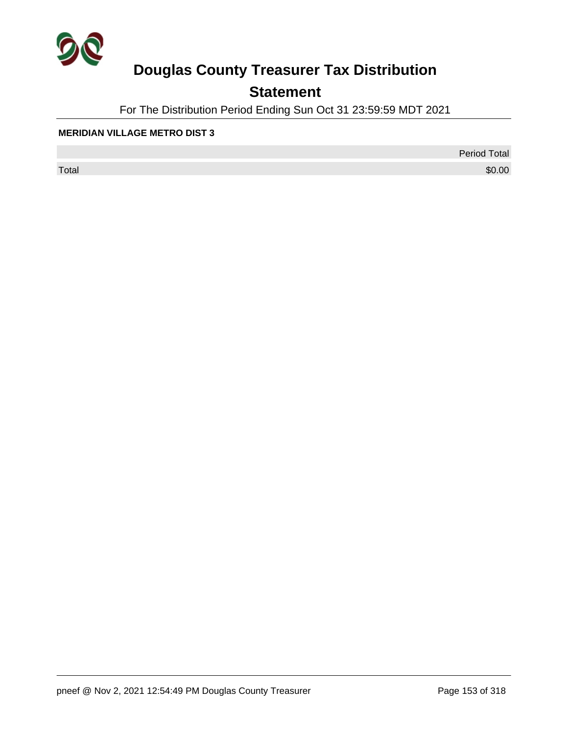

## **Statement**

For The Distribution Period Ending Sun Oct 31 23:59:59 MDT 2021

#### **MERIDIAN VILLAGE METRO DIST 3**

 $\sf Total$   $\$0.00$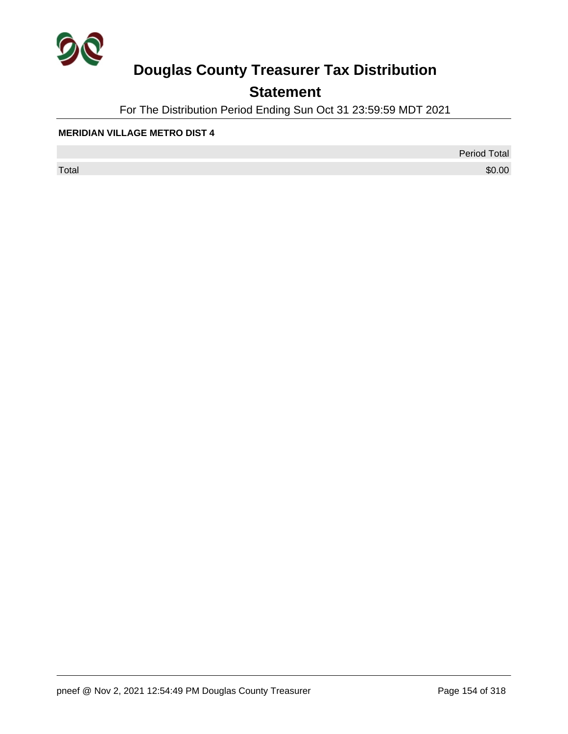

## **Statement**

For The Distribution Period Ending Sun Oct 31 23:59:59 MDT 2021

#### **MERIDIAN VILLAGE METRO DIST 4**

 $\sf Total$   $\$0.00$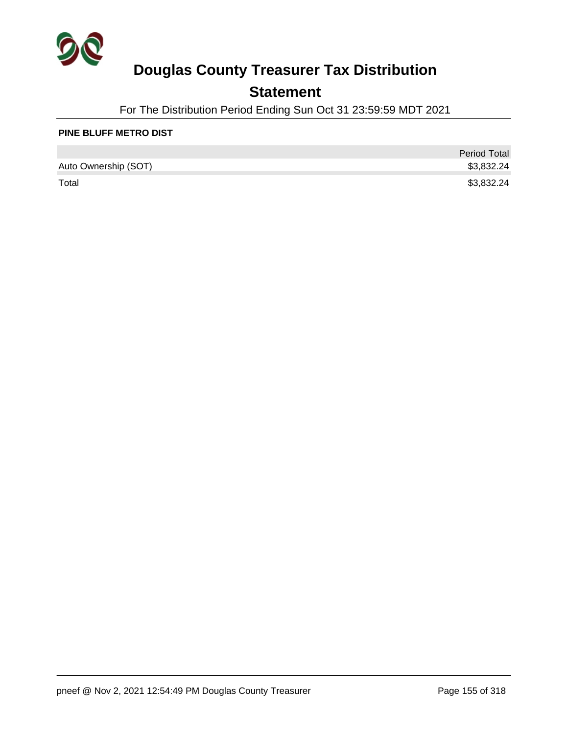

## **Statement**

For The Distribution Period Ending Sun Oct 31 23:59:59 MDT 2021

#### **PINE BLUFF METRO DIST**

|                      | <b>Period Total</b> |
|----------------------|---------------------|
| Auto Ownership (SOT) | \$3,832.24          |
| Total                | \$3,832.24          |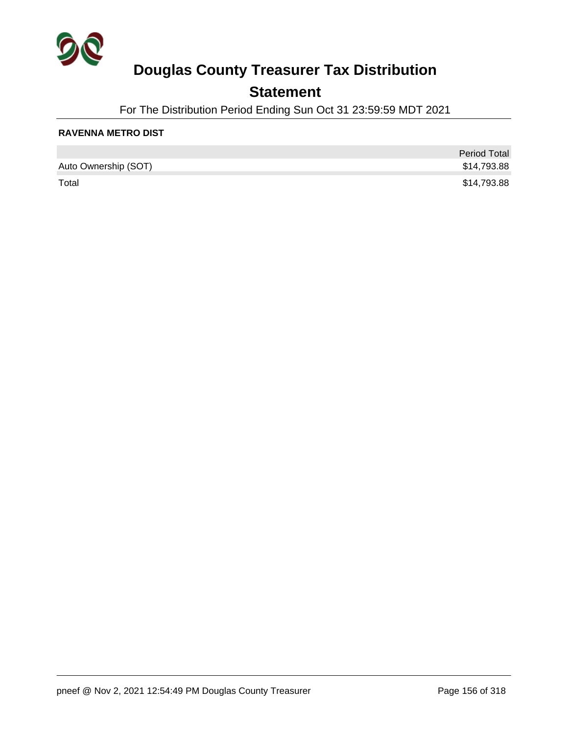

## **Statement**

For The Distribution Period Ending Sun Oct 31 23:59:59 MDT 2021

#### **RAVENNA METRO DIST**

|                      | <b>Period Total</b> |
|----------------------|---------------------|
| Auto Ownership (SOT) | \$14,793.88         |
| Total                | \$14,793.88         |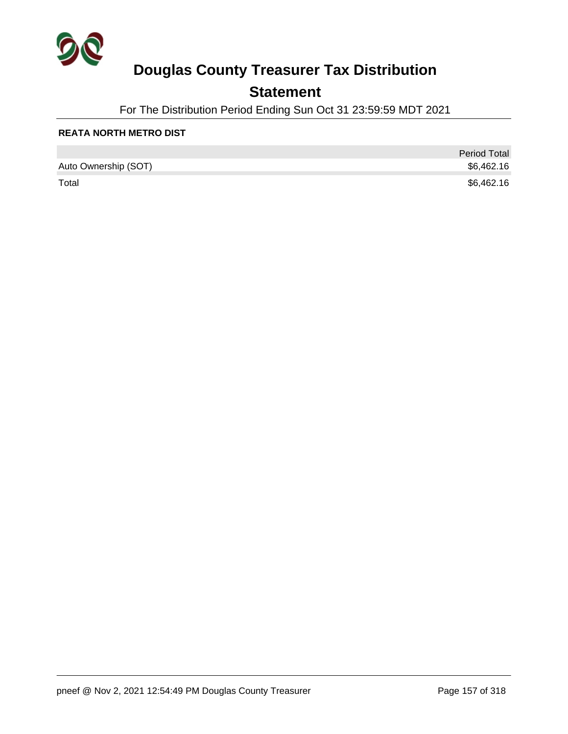

## **Statement**

For The Distribution Period Ending Sun Oct 31 23:59:59 MDT 2021

#### **REATA NORTH METRO DIST**

|                      | <b>Period Total</b> |
|----------------------|---------------------|
| Auto Ownership (SOT) | \$6,462.16          |
| Total                | \$6,462.16          |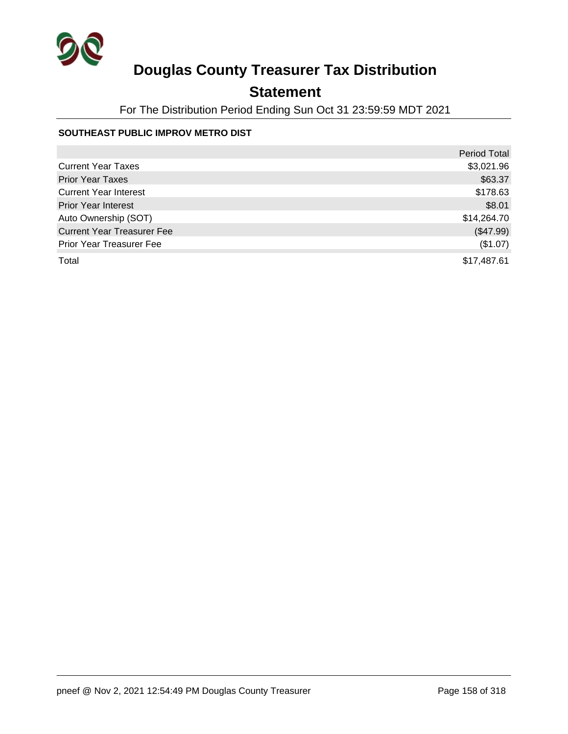

## **Statement**

For The Distribution Period Ending Sun Oct 31 23:59:59 MDT 2021

#### **SOUTHEAST PUBLIC IMPROV METRO DIST**

|                                   | <b>Period Total</b> |
|-----------------------------------|---------------------|
| <b>Current Year Taxes</b>         | \$3,021.96          |
| <b>Prior Year Taxes</b>           | \$63.37             |
| <b>Current Year Interest</b>      | \$178.63            |
| <b>Prior Year Interest</b>        | \$8.01              |
| Auto Ownership (SOT)              | \$14,264.70         |
| <b>Current Year Treasurer Fee</b> | (\$47.99)           |
| <b>Prior Year Treasurer Fee</b>   | (\$1.07)            |
| Total                             | \$17,487.61         |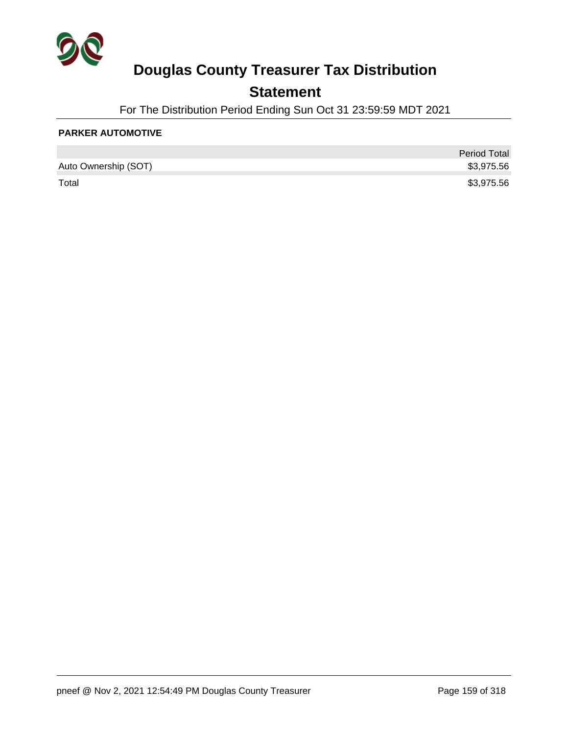

## **Statement**

For The Distribution Period Ending Sun Oct 31 23:59:59 MDT 2021

#### **PARKER AUTOMOTIVE**

|                      | <b>Period Total</b> |
|----------------------|---------------------|
| Auto Ownership (SOT) | \$3,975.56          |
| Total                | \$3,975.56          |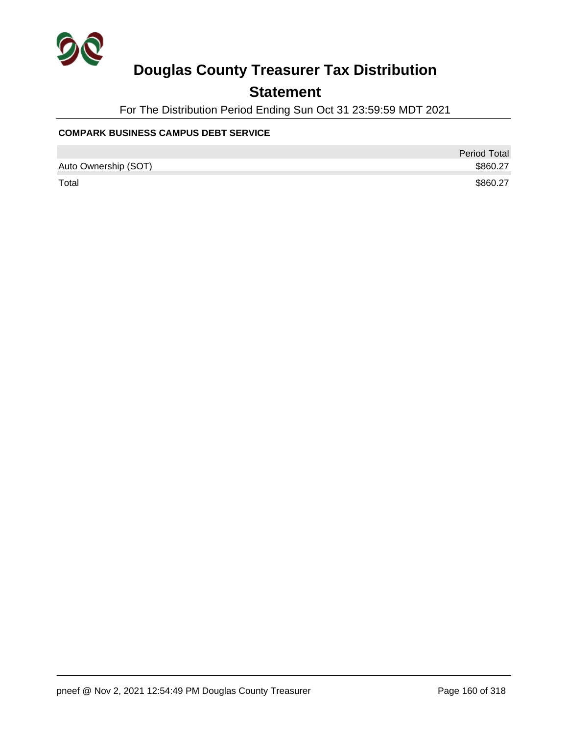

## **Statement**

For The Distribution Period Ending Sun Oct 31 23:59:59 MDT 2021

#### **COMPARK BUSINESS CAMPUS DEBT SERVICE**

|                      | <b>Period Total</b> |
|----------------------|---------------------|
| Auto Ownership (SOT) | \$860.27            |
| Total                | \$860.27            |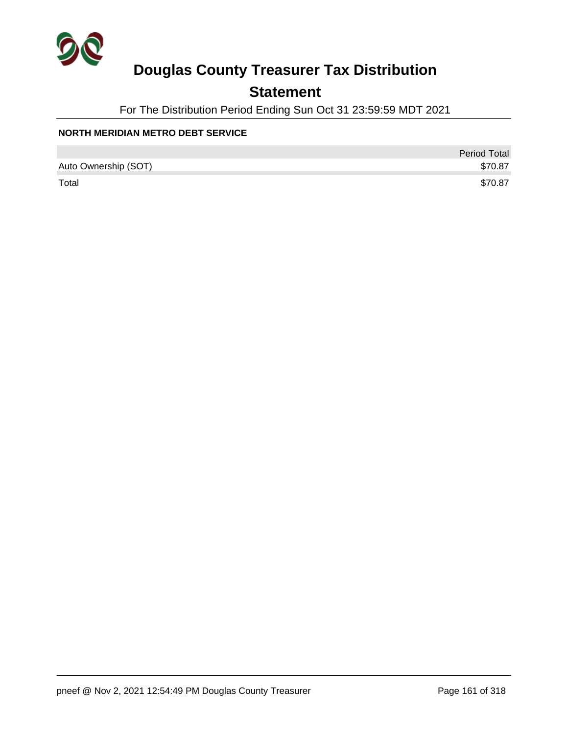

## **Statement**

For The Distribution Period Ending Sun Oct 31 23:59:59 MDT 2021

#### **NORTH MERIDIAN METRO DEBT SERVICE**

|                      | <b>Period Total</b> |
|----------------------|---------------------|
| Auto Ownership (SOT) | \$70.87             |
| Total                | \$70.87             |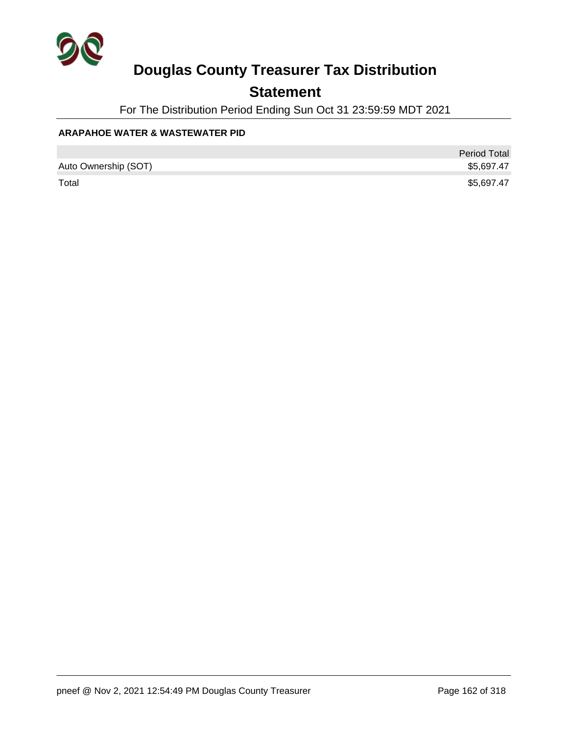

## **Statement**

For The Distribution Period Ending Sun Oct 31 23:59:59 MDT 2021

#### **ARAPAHOE WATER & WASTEWATER PID**

|                      | <b>Period Total</b> |
|----------------------|---------------------|
| Auto Ownership (SOT) | \$5,697.47          |
| Total                | \$5,697.47          |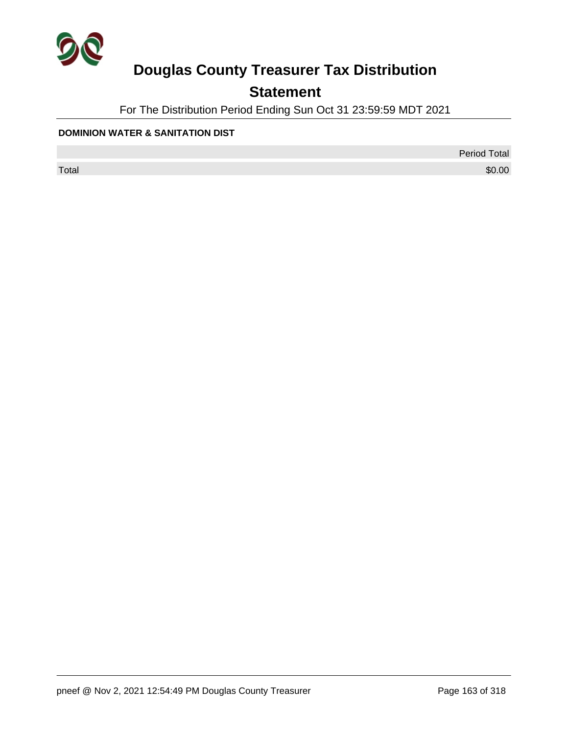

## **Statement**

For The Distribution Period Ending Sun Oct 31 23:59:59 MDT 2021

#### **DOMINION WATER & SANITATION DIST**

Period Total

 $\sf Total$   $\$0.00$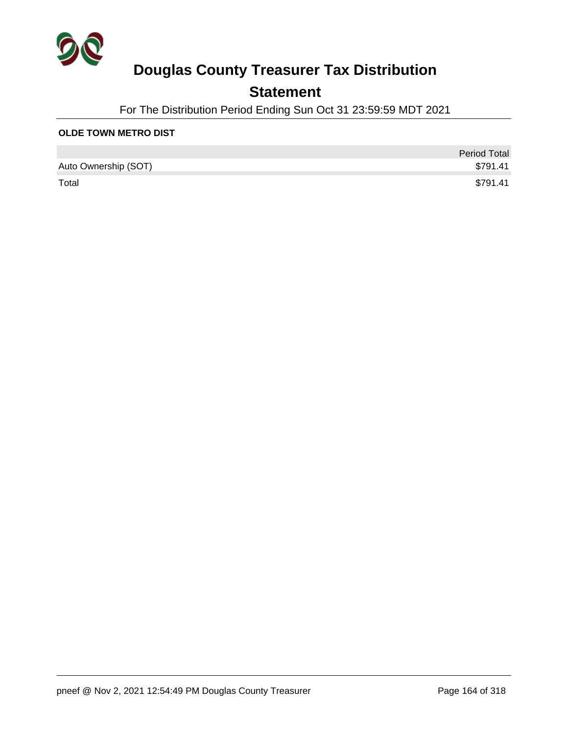

## **Statement**

For The Distribution Period Ending Sun Oct 31 23:59:59 MDT 2021

#### **OLDE TOWN METRO DIST**

|                      | <b>Period Total</b> |
|----------------------|---------------------|
| Auto Ownership (SOT) | \$791.41            |
| Total                | \$791.41            |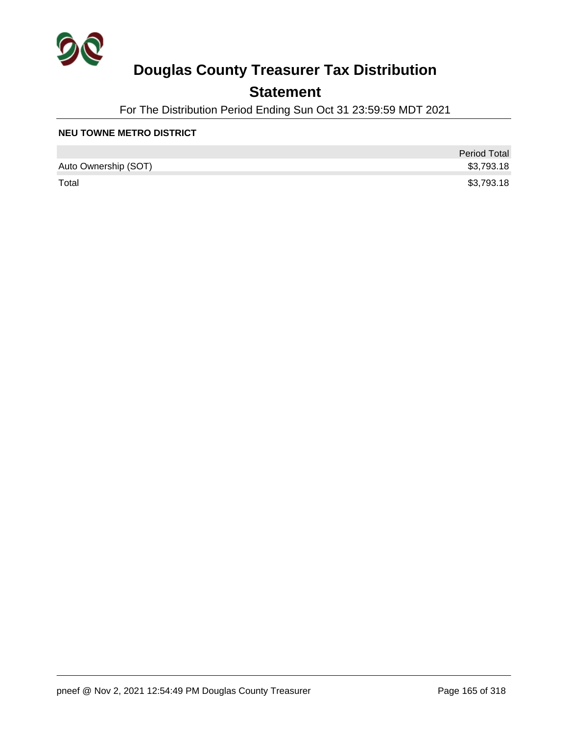

## **Statement**

For The Distribution Period Ending Sun Oct 31 23:59:59 MDT 2021

#### **NEU TOWNE METRO DISTRICT**

|                      | <b>Period Total</b> |
|----------------------|---------------------|
| Auto Ownership (SOT) | \$3,793.18          |
| Total                | \$3,793.18          |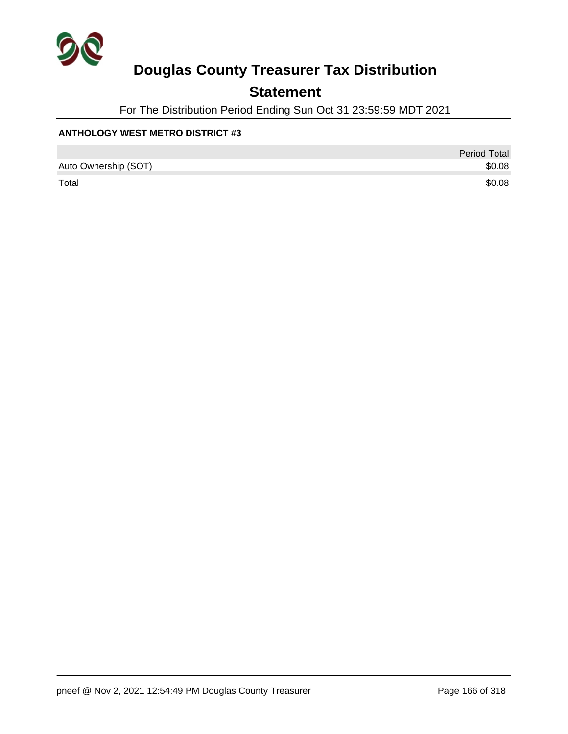

## **Statement**

For The Distribution Period Ending Sun Oct 31 23:59:59 MDT 2021

#### **ANTHOLOGY WEST METRO DISTRICT #3**

|                      | <b>Period Total</b> |
|----------------------|---------------------|
| Auto Ownership (SOT) | \$0.08              |
| Total                | \$0.08              |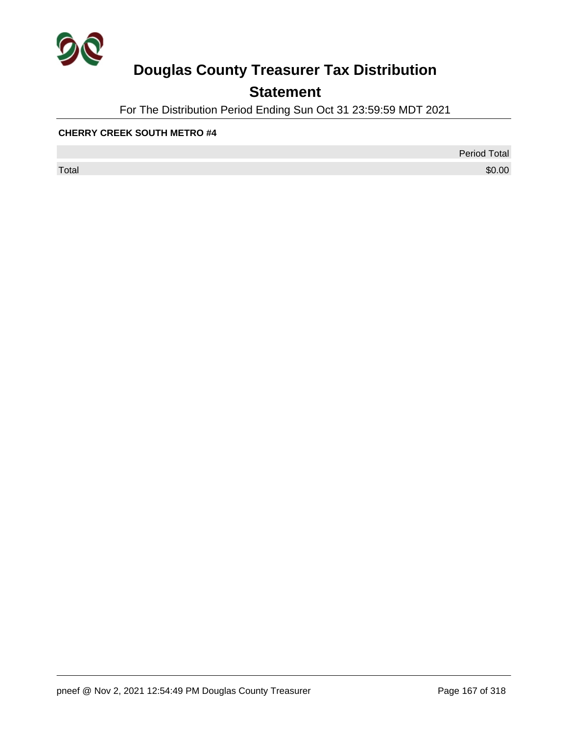

## **Statement**

For The Distribution Period Ending Sun Oct 31 23:59:59 MDT 2021

#### **CHERRY CREEK SOUTH METRO #4**

 $\sf Total$   $\$0.00$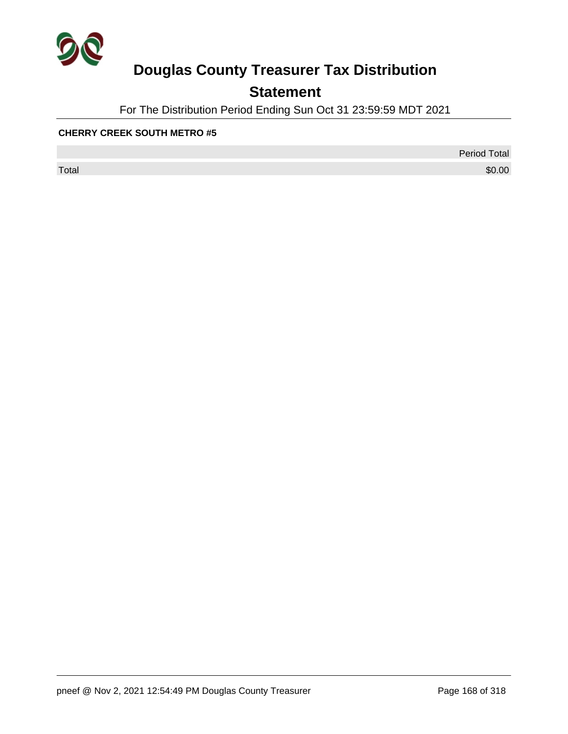

## **Statement**

For The Distribution Period Ending Sun Oct 31 23:59:59 MDT 2021

#### **CHERRY CREEK SOUTH METRO #5**

 $\sf Total$   $\$0.00$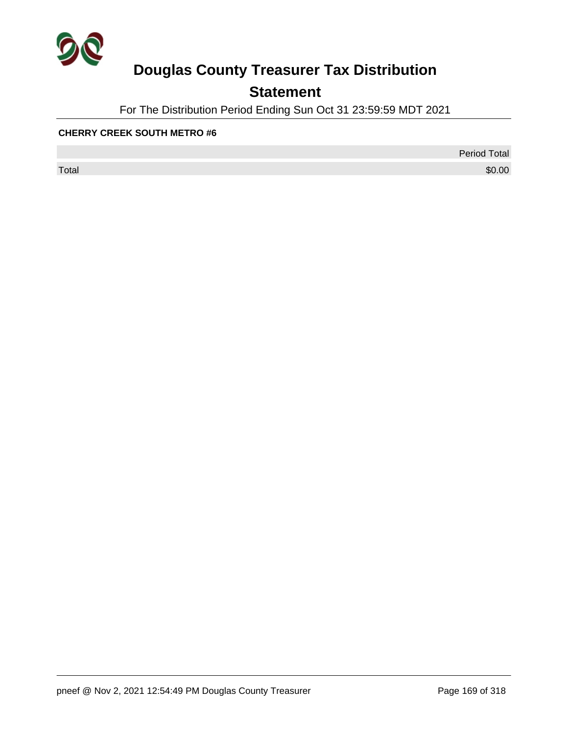

## **Statement**

For The Distribution Period Ending Sun Oct 31 23:59:59 MDT 2021

#### **CHERRY CREEK SOUTH METRO #6**

 $\sf Total$   $\$0.00$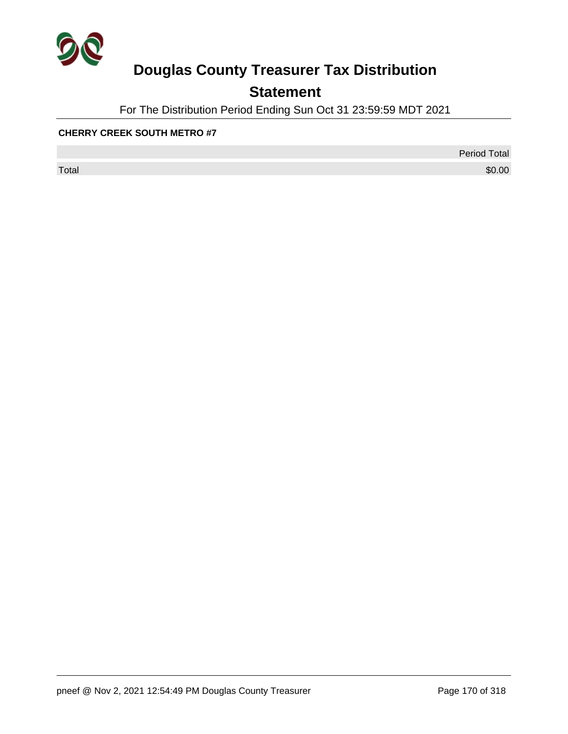

## **Statement**

For The Distribution Period Ending Sun Oct 31 23:59:59 MDT 2021

#### **CHERRY CREEK SOUTH METRO #7**

 $\sf Total$   $\$0.00$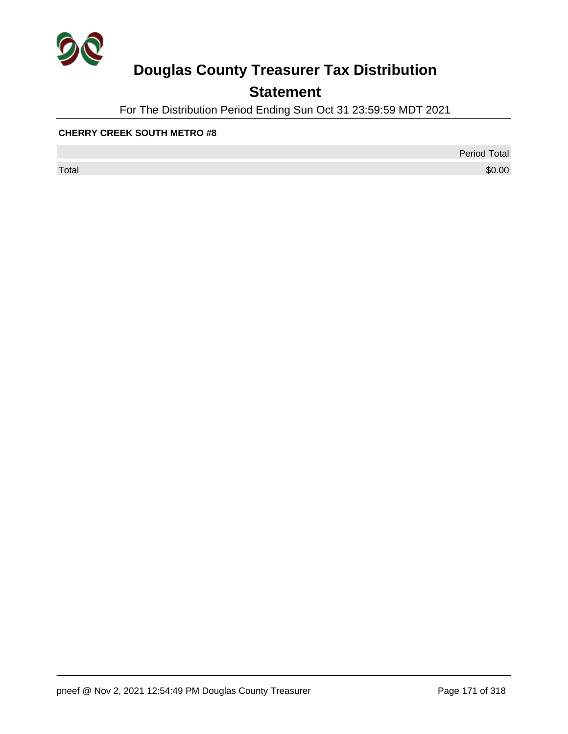

## **Statement**

For The Distribution Period Ending Sun Oct 31 23:59:59 MDT 2021

#### **CHERRY CREEK SOUTH METRO #8**

 $\sf Total$   $\$0.00$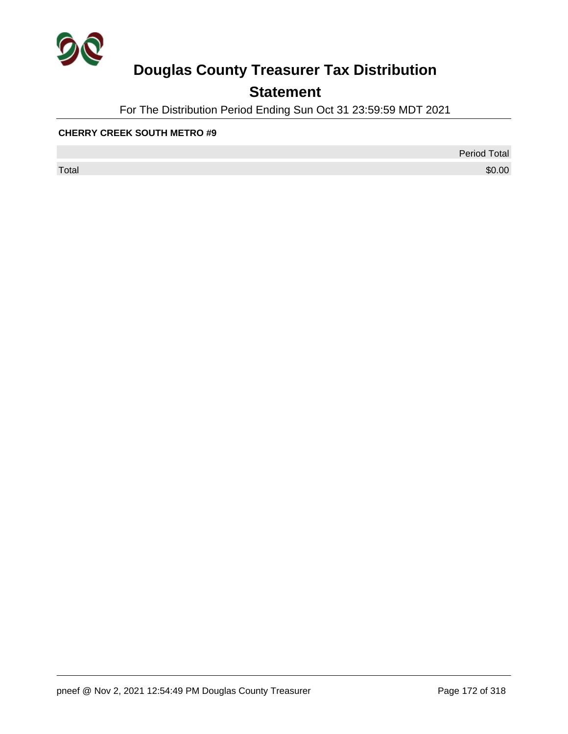

## **Statement**

For The Distribution Period Ending Sun Oct 31 23:59:59 MDT 2021

#### **CHERRY CREEK SOUTH METRO #9**

 $\sf Total$   $\$0.00$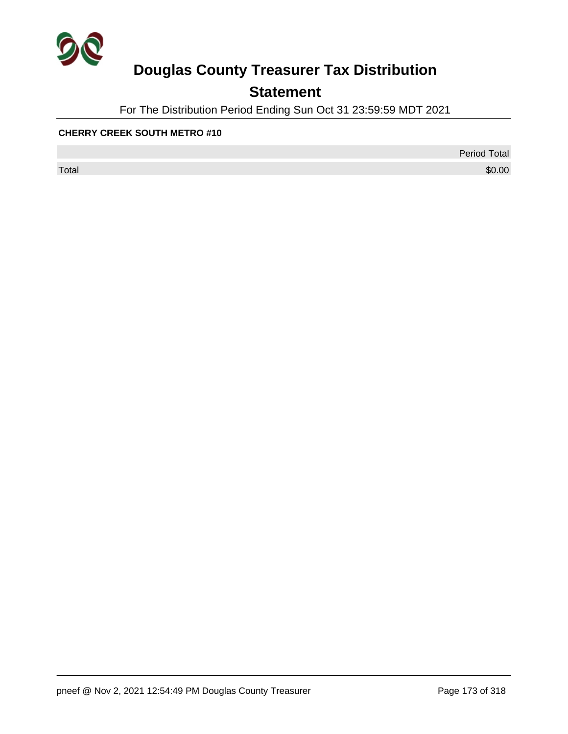

## **Statement**

For The Distribution Period Ending Sun Oct 31 23:59:59 MDT 2021

#### **CHERRY CREEK SOUTH METRO #10**

 $\sf Total$   $\$0.00$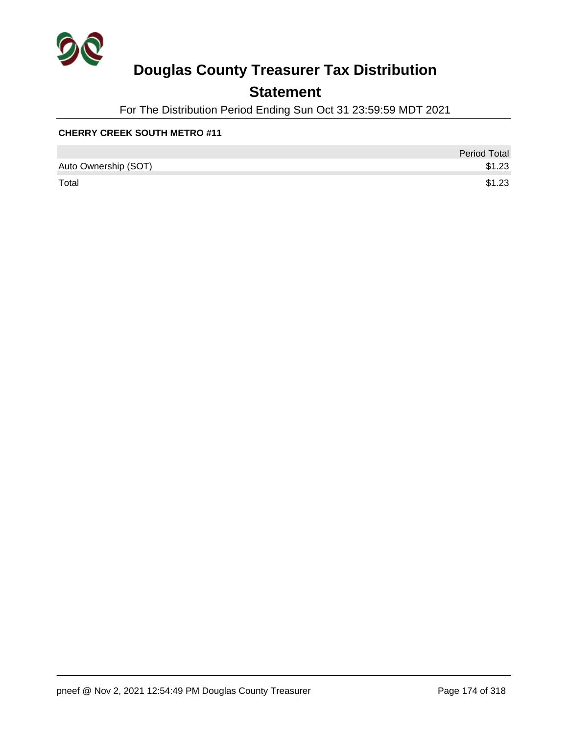

## **Statement**

For The Distribution Period Ending Sun Oct 31 23:59:59 MDT 2021

#### **CHERRY CREEK SOUTH METRO #11**

|                      | <b>Period Total</b> |
|----------------------|---------------------|
| Auto Ownership (SOT) | \$1.23              |
| Total                | \$1.23              |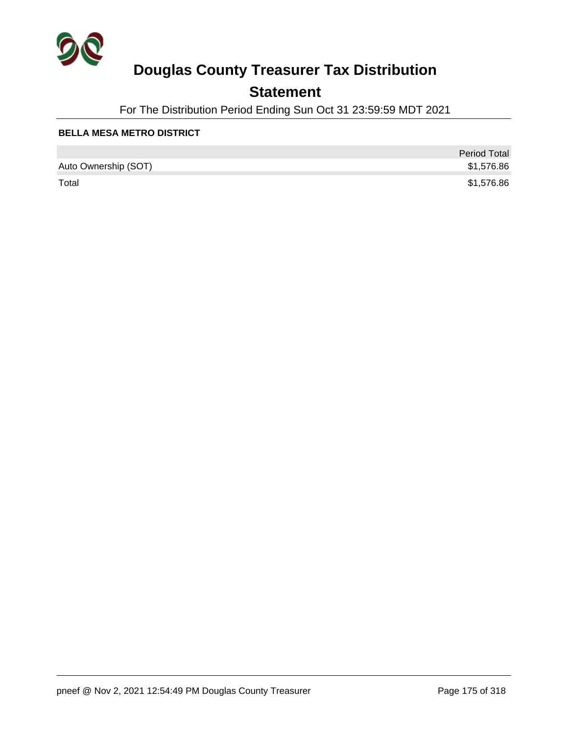

## **Statement**

For The Distribution Period Ending Sun Oct 31 23:59:59 MDT 2021

#### **BELLA MESA METRO DISTRICT**

|                      | <b>Period Total</b> |
|----------------------|---------------------|
| Auto Ownership (SOT) | \$1,576.86          |
| Total                | \$1,576.86          |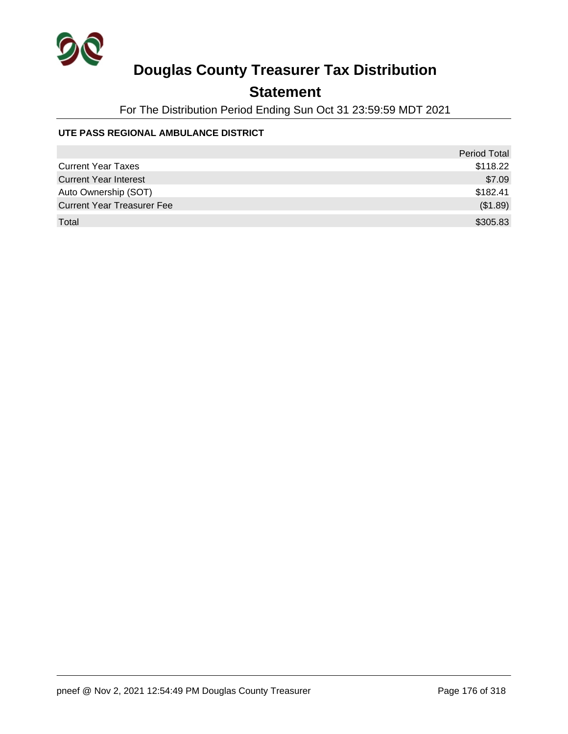

## **Statement**

For The Distribution Period Ending Sun Oct 31 23:59:59 MDT 2021

#### **UTE PASS REGIONAL AMBULANCE DISTRICT**

|                                   | <b>Period Total</b> |
|-----------------------------------|---------------------|
| <b>Current Year Taxes</b>         | \$118.22            |
| <b>Current Year Interest</b>      | \$7.09              |
| Auto Ownership (SOT)              | \$182.41            |
| <b>Current Year Treasurer Fee</b> | (\$1.89)            |
| Total                             | \$305.83            |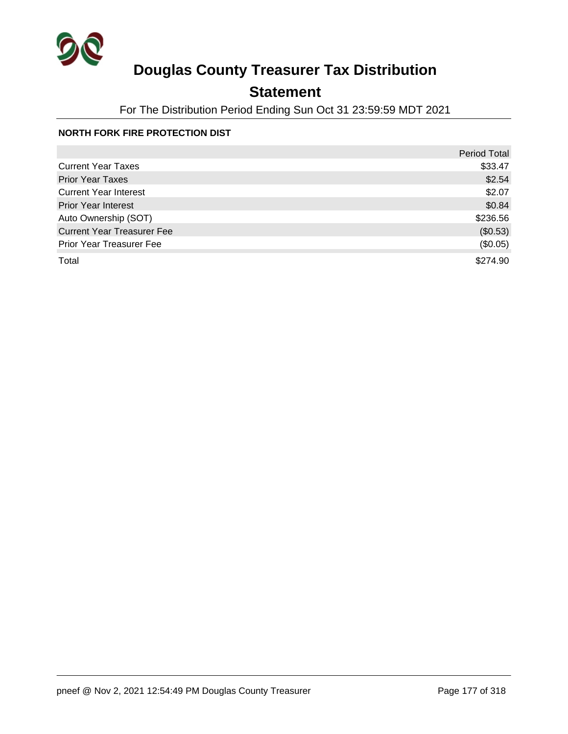

## **Statement**

For The Distribution Period Ending Sun Oct 31 23:59:59 MDT 2021

#### **NORTH FORK FIRE PROTECTION DIST**

|                                   | <b>Period Total</b> |
|-----------------------------------|---------------------|
| <b>Current Year Taxes</b>         | \$33.47             |
| <b>Prior Year Taxes</b>           | \$2.54              |
| <b>Current Year Interest</b>      | \$2.07              |
| <b>Prior Year Interest</b>        | \$0.84              |
| Auto Ownership (SOT)              | \$236.56            |
| <b>Current Year Treasurer Fee</b> | (\$0.53)            |
| Prior Year Treasurer Fee          | (\$0.05)            |
| Total                             | \$274.90            |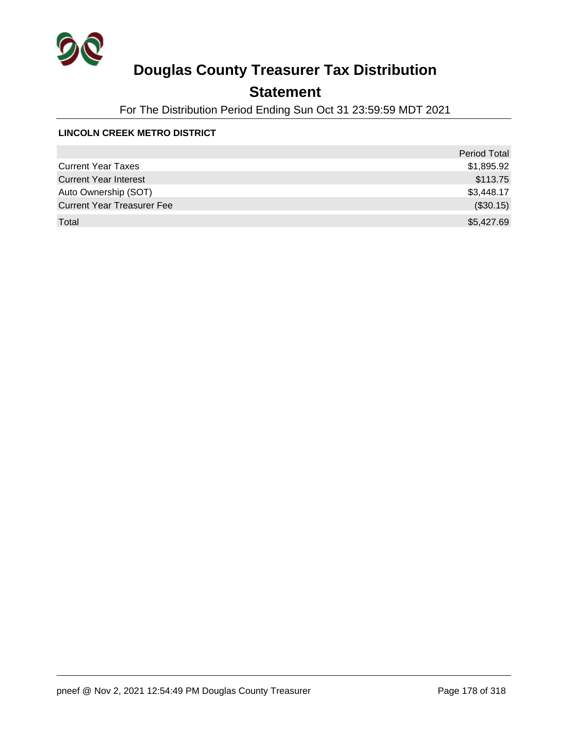

## **Statement**

For The Distribution Period Ending Sun Oct 31 23:59:59 MDT 2021

#### **LINCOLN CREEK METRO DISTRICT**

|                                   | <b>Period Total</b> |
|-----------------------------------|---------------------|
| <b>Current Year Taxes</b>         | \$1,895.92          |
| <b>Current Year Interest</b>      | \$113.75            |
| Auto Ownership (SOT)              | \$3,448.17          |
| <b>Current Year Treasurer Fee</b> | (\$30.15)           |
| Total                             | \$5,427.69          |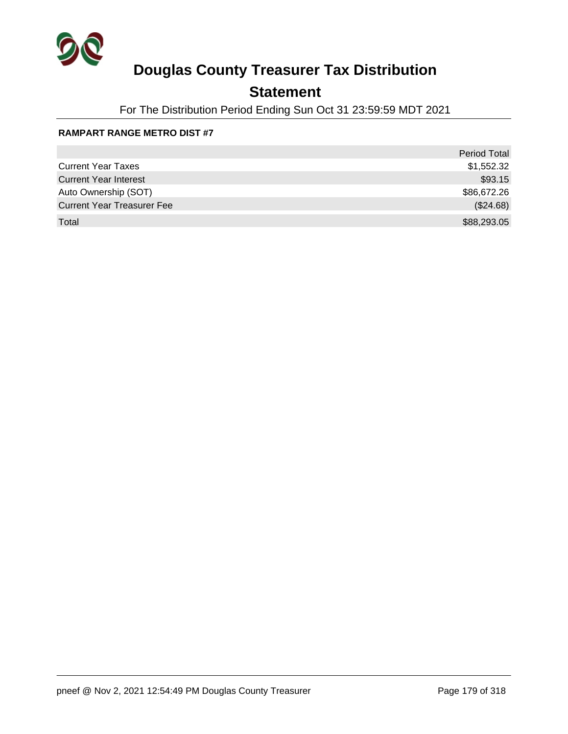

## **Statement**

For The Distribution Period Ending Sun Oct 31 23:59:59 MDT 2021

#### **RAMPART RANGE METRO DIST #7**

|                                   | <b>Period Total</b> |
|-----------------------------------|---------------------|
| <b>Current Year Taxes</b>         | \$1,552.32          |
| <b>Current Year Interest</b>      | \$93.15             |
| Auto Ownership (SOT)              | \$86,672.26         |
| <b>Current Year Treasurer Fee</b> | (\$24.68)           |
| Total                             | \$88,293.05         |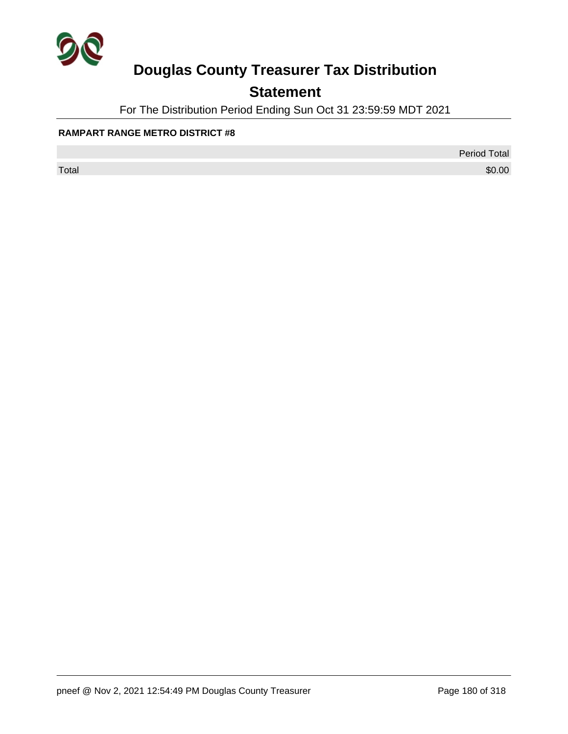

## **Statement**

For The Distribution Period Ending Sun Oct 31 23:59:59 MDT 2021

#### **RAMPART RANGE METRO DISTRICT #8**

Period Total

 $\sf Total$   $\$0.00$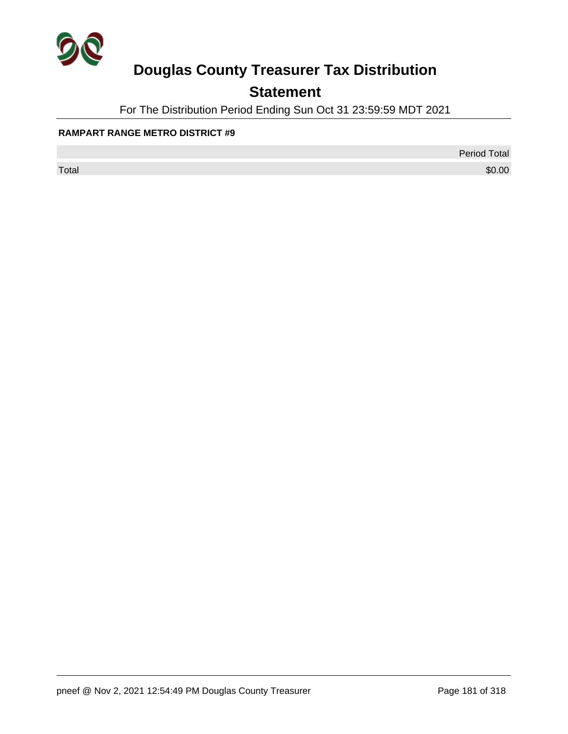

## **Statement**

For The Distribution Period Ending Sun Oct 31 23:59:59 MDT 2021

#### **RAMPART RANGE METRO DISTRICT #9**

Period Total

 $\sf Total$   $\$0.00$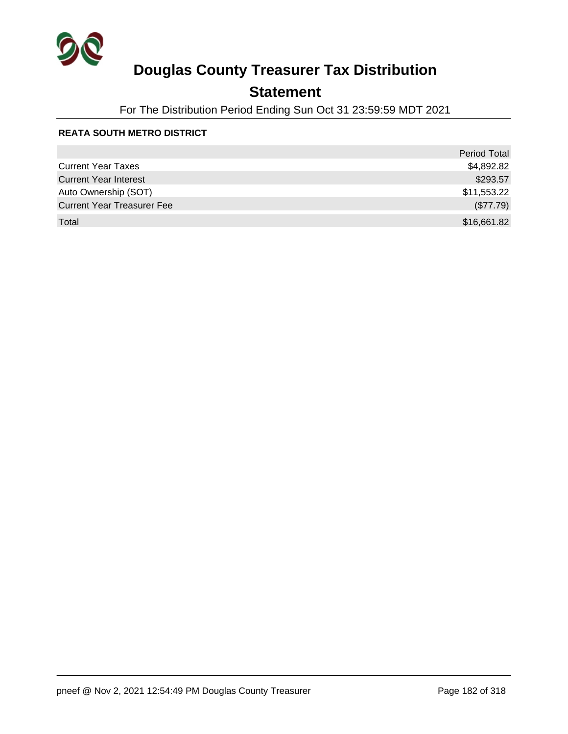

### **Statement**

For The Distribution Period Ending Sun Oct 31 23:59:59 MDT 2021

#### **REATA SOUTH METRO DISTRICT**

|                                   | <b>Period Total</b> |
|-----------------------------------|---------------------|
| <b>Current Year Taxes</b>         | \$4,892.82          |
| <b>Current Year Interest</b>      | \$293.57            |
| Auto Ownership (SOT)              | \$11,553.22         |
| <b>Current Year Treasurer Fee</b> | (\$77.79)           |
| Total                             | \$16,661.82         |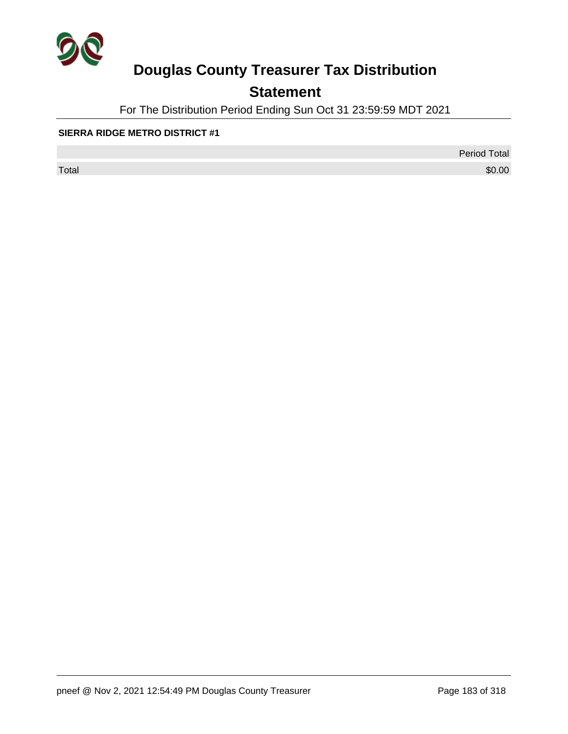

## **Statement**

For The Distribution Period Ending Sun Oct 31 23:59:59 MDT 2021

#### **SIERRA RIDGE METRO DISTRICT #1**

 $\sf Total$   $\$0.00$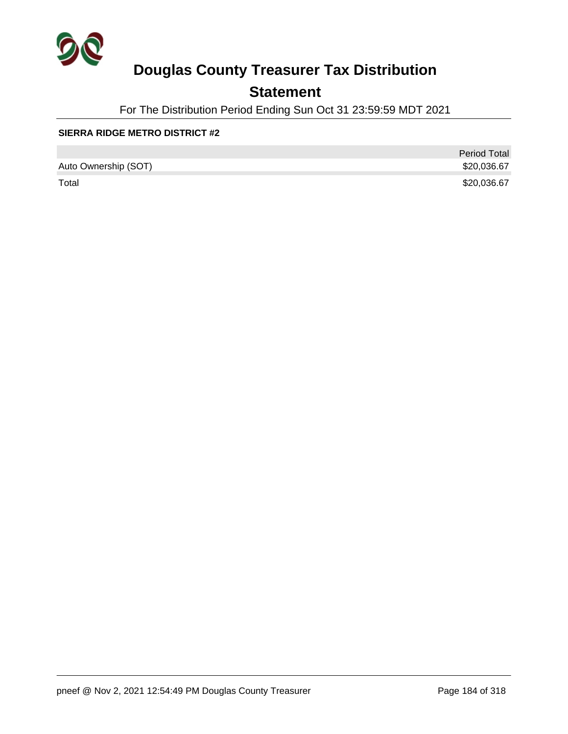

### **Statement**

For The Distribution Period Ending Sun Oct 31 23:59:59 MDT 2021

#### **SIERRA RIDGE METRO DISTRICT #2**

|                      | <b>Period Total</b> |
|----------------------|---------------------|
| Auto Ownership (SOT) | \$20,036.67         |
| Total                | \$20,036.67         |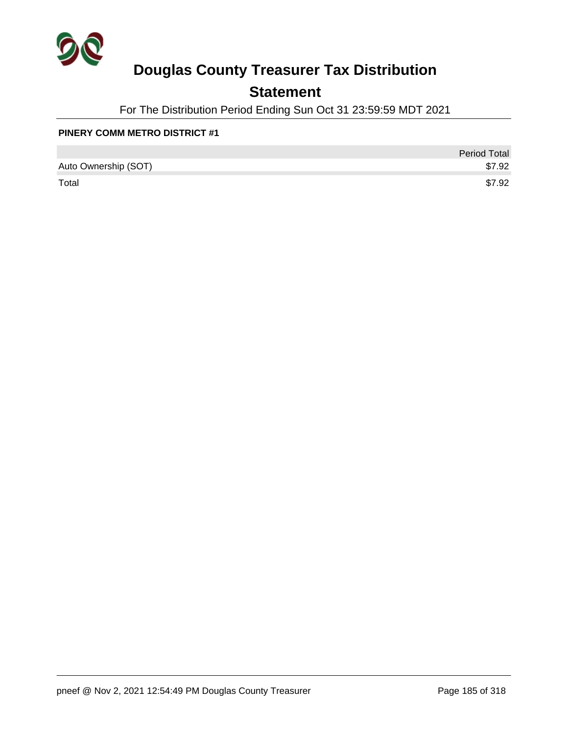

### **Statement**

For The Distribution Period Ending Sun Oct 31 23:59:59 MDT 2021

#### **PINERY COMM METRO DISTRICT #1**

|                      | <b>Period Total</b> |
|----------------------|---------------------|
| Auto Ownership (SOT) | \$7.92              |
| Total                | \$7.92              |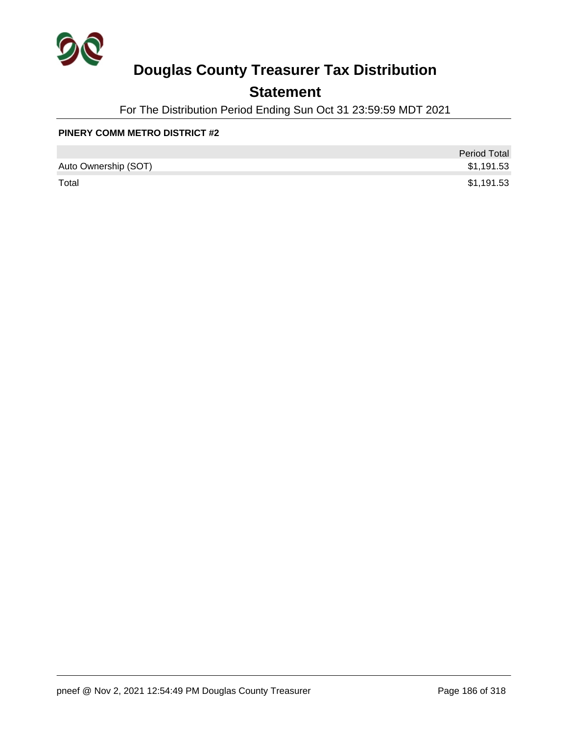

### **Statement**

For The Distribution Period Ending Sun Oct 31 23:59:59 MDT 2021

#### **PINERY COMM METRO DISTRICT #2**

|                      | <b>Period Total</b> |
|----------------------|---------------------|
| Auto Ownership (SOT) | \$1,191.53          |
| Total                | \$1,191.53          |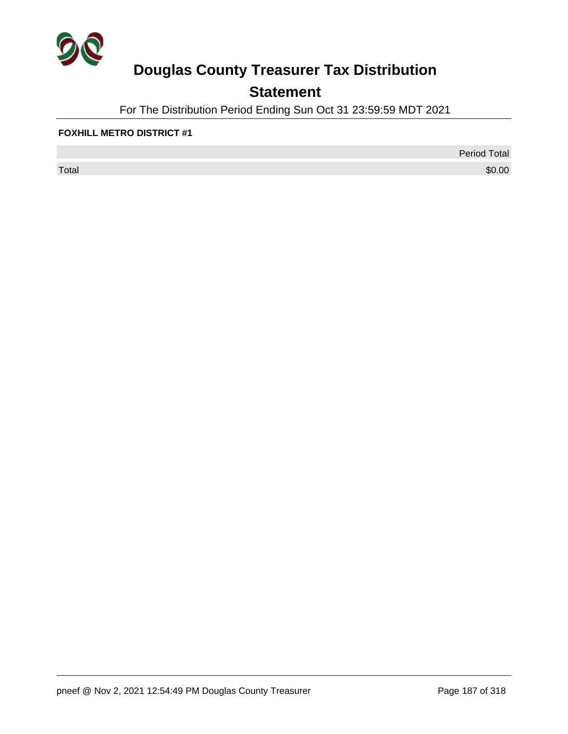

## **Statement**

For The Distribution Period Ending Sun Oct 31 23:59:59 MDT 2021

#### **FOXHILL METRO DISTRICT #1**

 $\sf Total$   $\$0.00$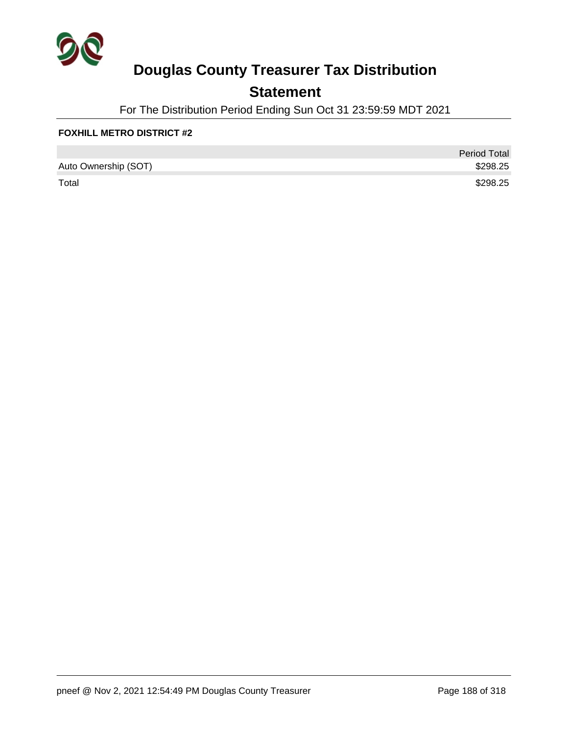

### **Statement**

For The Distribution Period Ending Sun Oct 31 23:59:59 MDT 2021

#### **FOXHILL METRO DISTRICT #2**

|                      | <b>Period Total</b> |
|----------------------|---------------------|
| Auto Ownership (SOT) | \$298.25            |
| Total                | \$298.25            |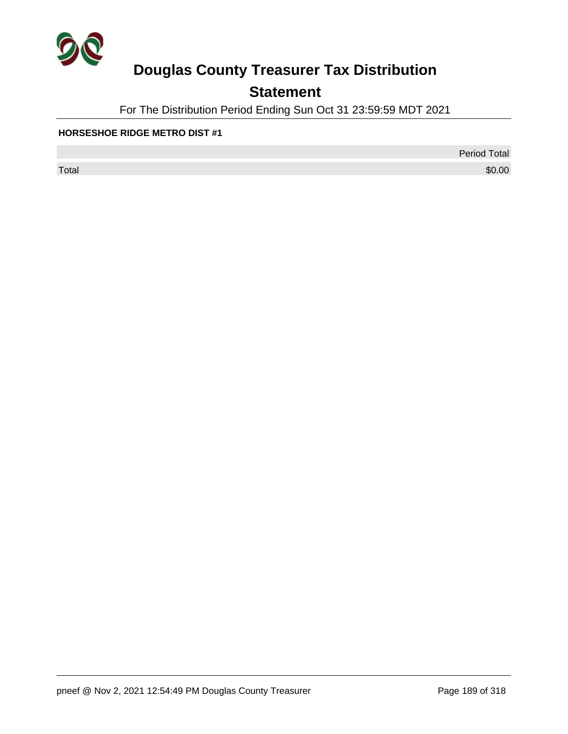

## **Statement**

For The Distribution Period Ending Sun Oct 31 23:59:59 MDT 2021

#### **HORSESHOE RIDGE METRO DIST #1**

 $\sf Total$   $\$0.00$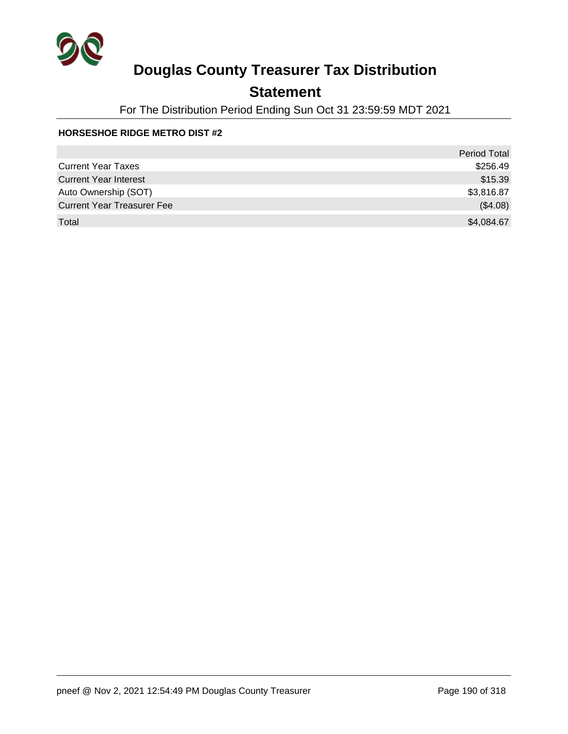

### **Statement**

For The Distribution Period Ending Sun Oct 31 23:59:59 MDT 2021

#### **HORSESHOE RIDGE METRO DIST #2**

|                                   | <b>Period Total</b> |
|-----------------------------------|---------------------|
| <b>Current Year Taxes</b>         | \$256.49            |
| <b>Current Year Interest</b>      | \$15.39             |
| Auto Ownership (SOT)              | \$3,816.87          |
| <b>Current Year Treasurer Fee</b> | (\$4.08)            |
| Total                             | \$4,084.67          |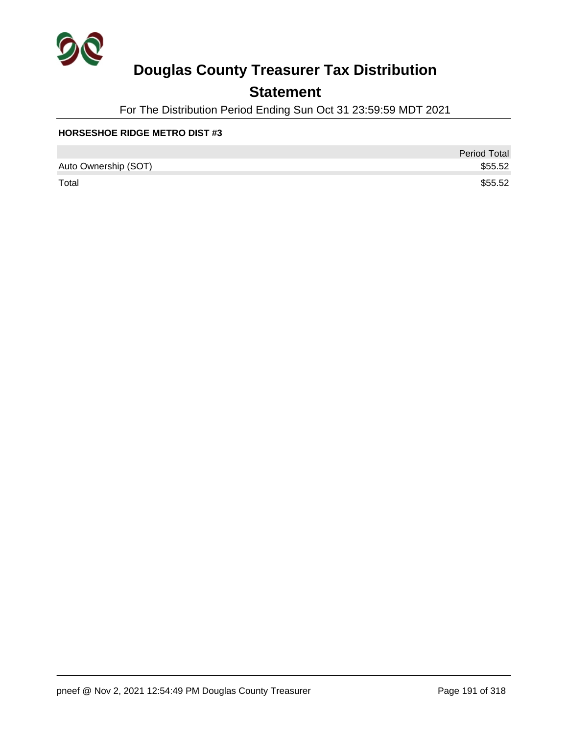

### **Statement**

For The Distribution Period Ending Sun Oct 31 23:59:59 MDT 2021

#### **HORSESHOE RIDGE METRO DIST #3**

|                      | <b>Period Total</b> |
|----------------------|---------------------|
| Auto Ownership (SOT) | \$55.52             |
| Total                | \$55.52             |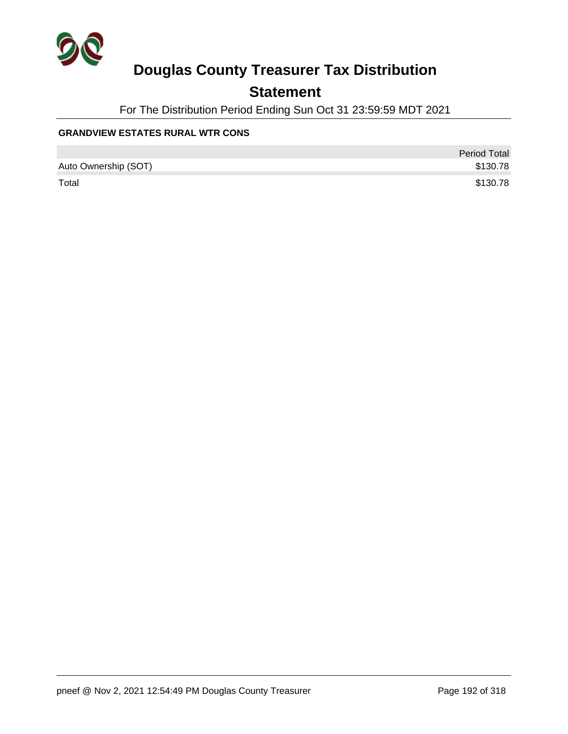

### **Statement**

For The Distribution Period Ending Sun Oct 31 23:59:59 MDT 2021

### **GRANDVIEW ESTATES RURAL WTR CONS**

|                      | <b>Period Total</b> |
|----------------------|---------------------|
| Auto Ownership (SOT) | \$130.78            |
| Total                | \$130.78            |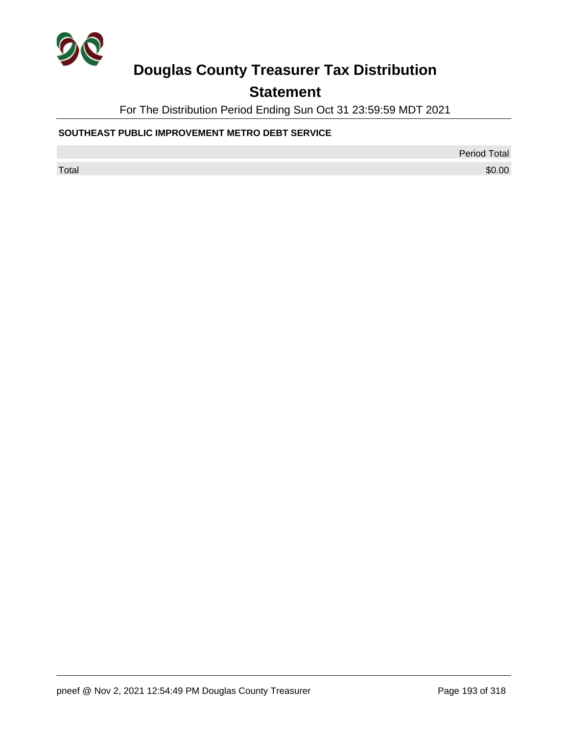

### **Statement**

For The Distribution Period Ending Sun Oct 31 23:59:59 MDT 2021

### **SOUTHEAST PUBLIC IMPROVEMENT METRO DEBT SERVICE**

Period Total

 $\sf Total$   $\$0.00$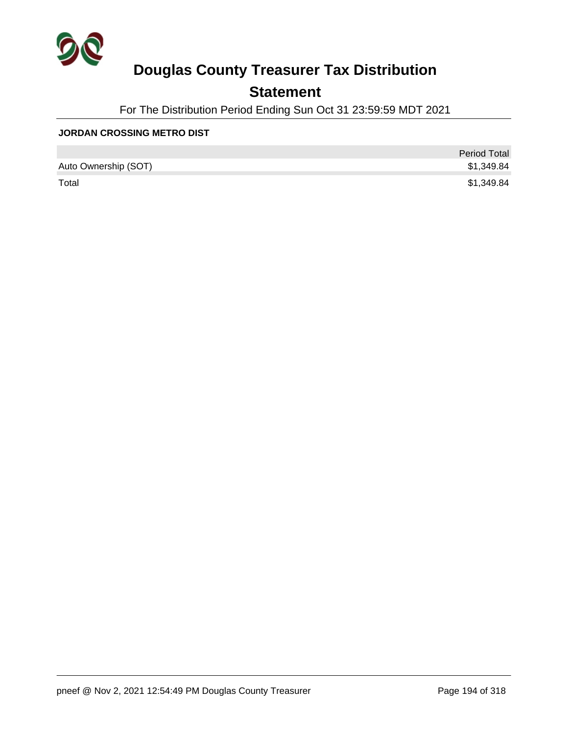

### **Statement**

For The Distribution Period Ending Sun Oct 31 23:59:59 MDT 2021

#### **JORDAN CROSSING METRO DIST**

|                      | <b>Period Total</b> |
|----------------------|---------------------|
| Auto Ownership (SOT) | \$1,349.84          |
| Total                | \$1,349.84          |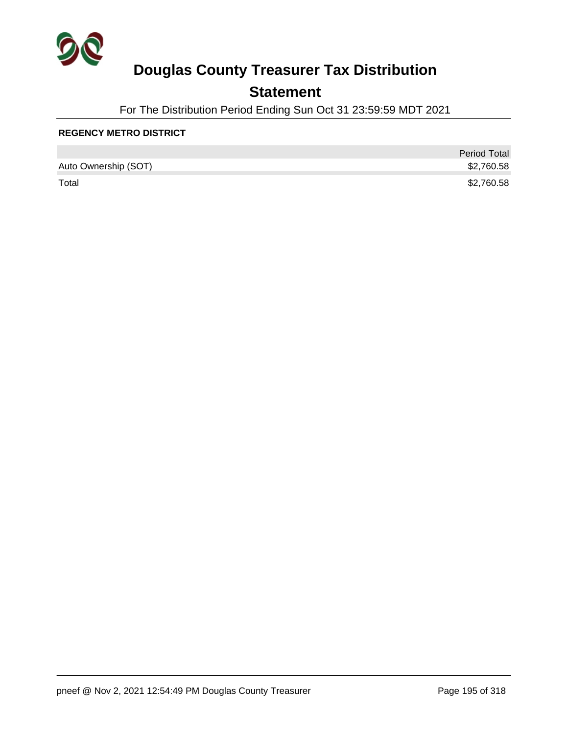

### **Statement**

For The Distribution Period Ending Sun Oct 31 23:59:59 MDT 2021

#### **REGENCY METRO DISTRICT**

|                      | <b>Period Total</b> |
|----------------------|---------------------|
| Auto Ownership (SOT) | \$2,760.58          |
| Total                | \$2,760.58          |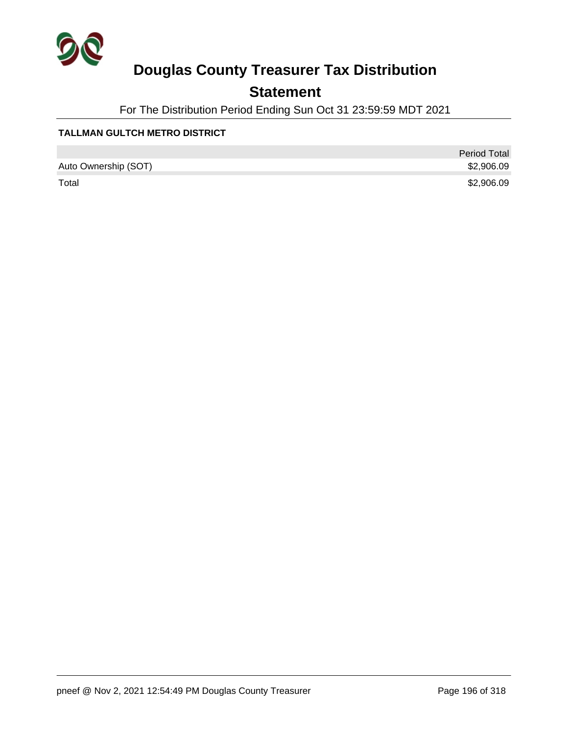

### **Statement**

For The Distribution Period Ending Sun Oct 31 23:59:59 MDT 2021

### **TALLMAN GULTCH METRO DISTRICT**

|                      | <b>Period Total</b> |
|----------------------|---------------------|
| Auto Ownership (SOT) | \$2,906.09          |
| Total                | \$2,906.09          |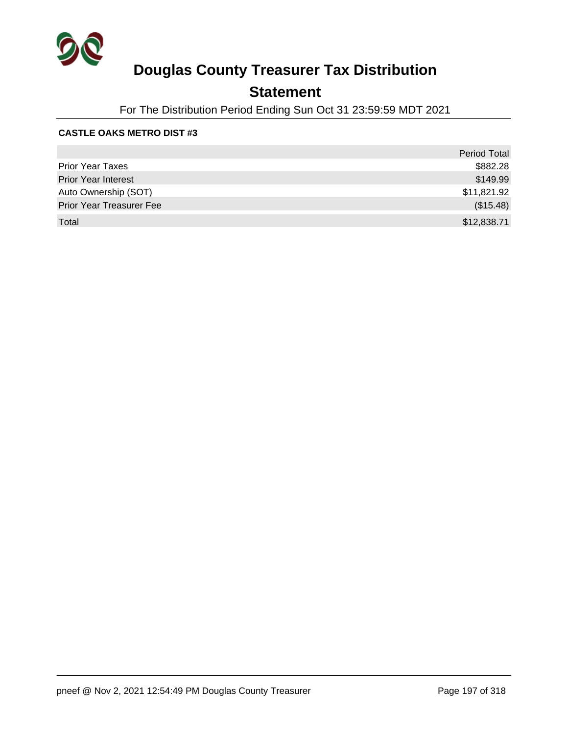

### **Statement**

For The Distribution Period Ending Sun Oct 31 23:59:59 MDT 2021

#### **CASTLE OAKS METRO DIST #3**

|                                 | <b>Period Total</b> |
|---------------------------------|---------------------|
| <b>Prior Year Taxes</b>         | \$882.28            |
| <b>Prior Year Interest</b>      | \$149.99            |
| Auto Ownership (SOT)            | \$11,821.92         |
| <b>Prior Year Treasurer Fee</b> | (\$15.48)           |
| Total                           | \$12,838.71         |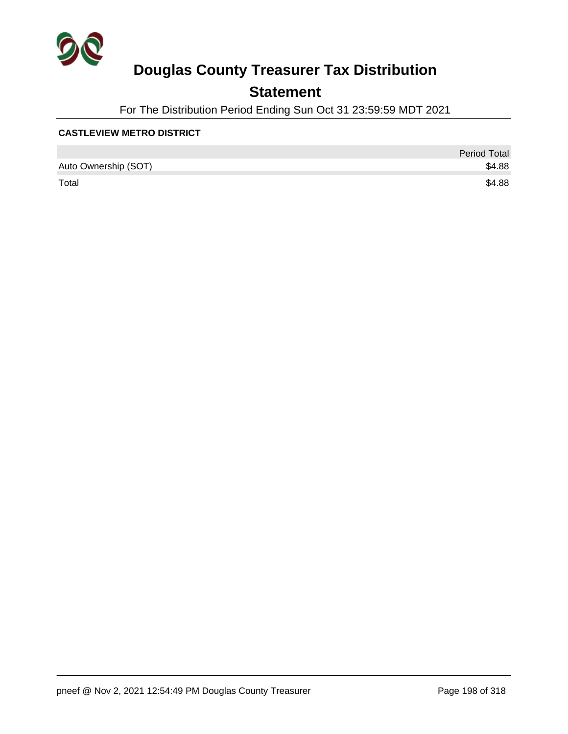

### **Statement**

For The Distribution Period Ending Sun Oct 31 23:59:59 MDT 2021

#### **CASTLEVIEW METRO DISTRICT**

|                      | <b>Period Total</b> |
|----------------------|---------------------|
| Auto Ownership (SOT) | \$4.88              |
| Total                | \$4.88              |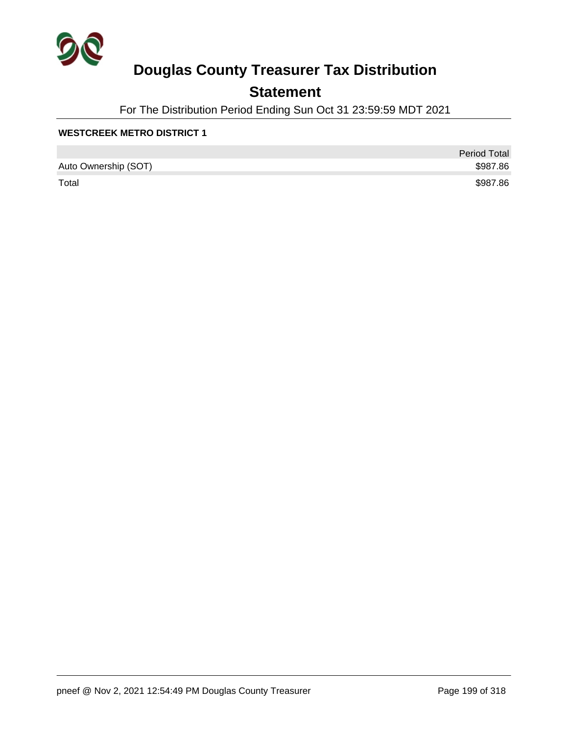

### **Statement**

For The Distribution Period Ending Sun Oct 31 23:59:59 MDT 2021

#### **WESTCREEK METRO DISTRICT 1**

|                      | <b>Period Total</b> |
|----------------------|---------------------|
| Auto Ownership (SOT) | \$987.86            |
| Total                | \$987.86            |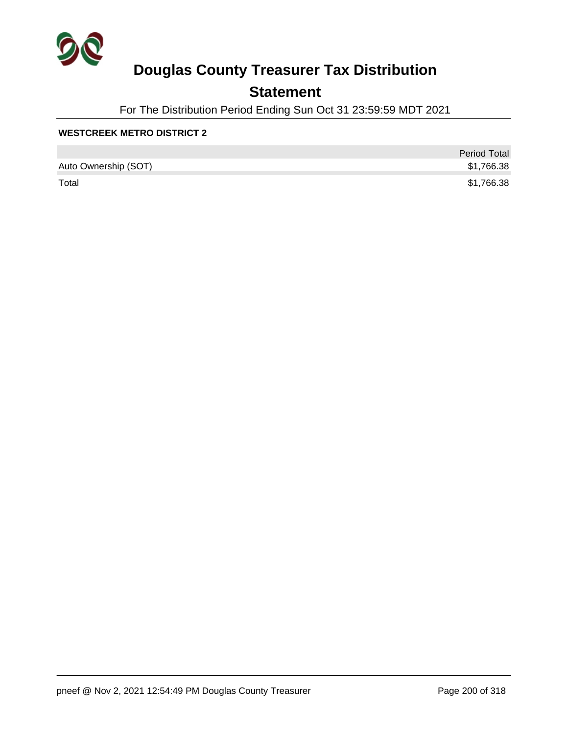

### **Statement**

For The Distribution Period Ending Sun Oct 31 23:59:59 MDT 2021

#### **WESTCREEK METRO DISTRICT 2**

|                      | <b>Period Total</b> |
|----------------------|---------------------|
| Auto Ownership (SOT) | \$1,766.38          |
| Total                | \$1,766.38          |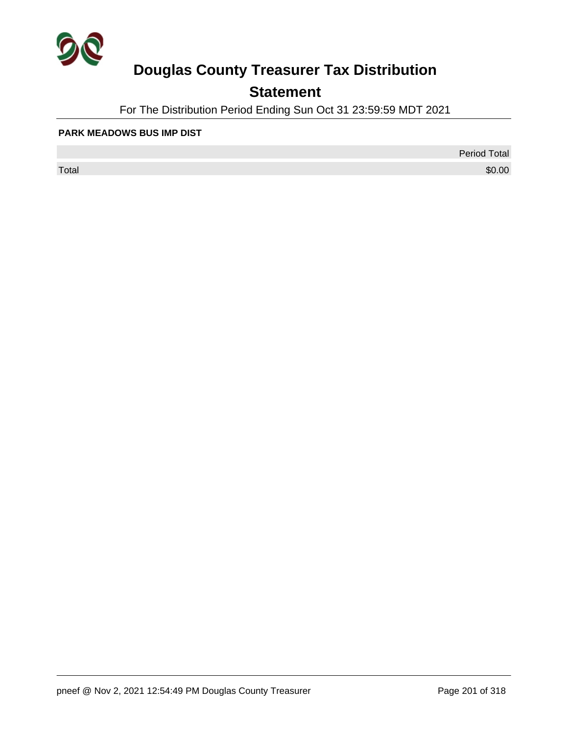

## **Statement**

For The Distribution Period Ending Sun Oct 31 23:59:59 MDT 2021

#### **PARK MEADOWS BUS IMP DIST**

 $\sf Total$   $\$0.00$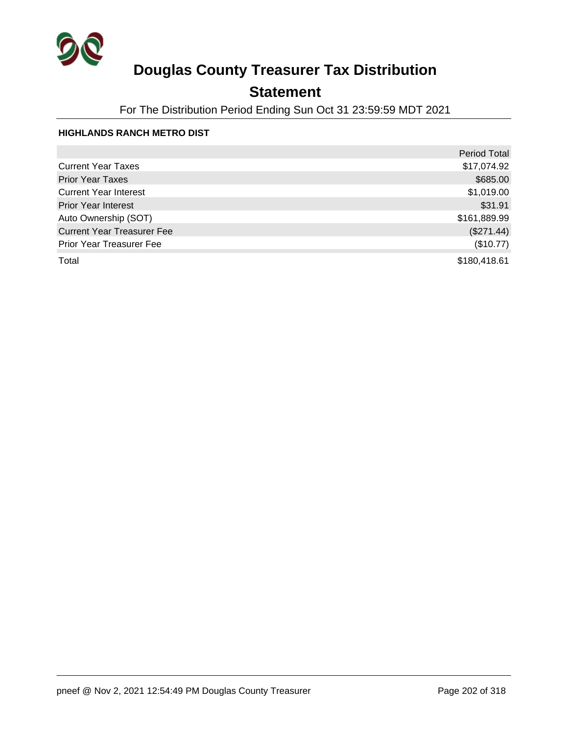

### **Statement**

For The Distribution Period Ending Sun Oct 31 23:59:59 MDT 2021

### **HIGHLANDS RANCH METRO DIST**

|                                   | <b>Period Total</b> |
|-----------------------------------|---------------------|
| <b>Current Year Taxes</b>         | \$17,074.92         |
| <b>Prior Year Taxes</b>           | \$685.00            |
| <b>Current Year Interest</b>      | \$1,019.00          |
| <b>Prior Year Interest</b>        | \$31.91             |
| Auto Ownership (SOT)              | \$161,889.99        |
| <b>Current Year Treasurer Fee</b> | (\$271.44)          |
| Prior Year Treasurer Fee          | (\$10.77)           |
| Total                             | \$180,418.61        |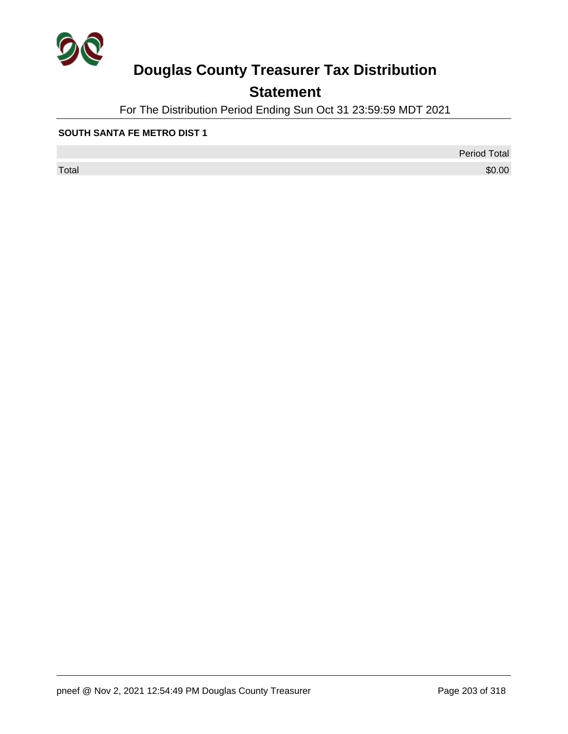

## **Statement**

For The Distribution Period Ending Sun Oct 31 23:59:59 MDT 2021

#### **SOUTH SANTA FE METRO DIST 1**

 $\sf Total$   $\$0.00$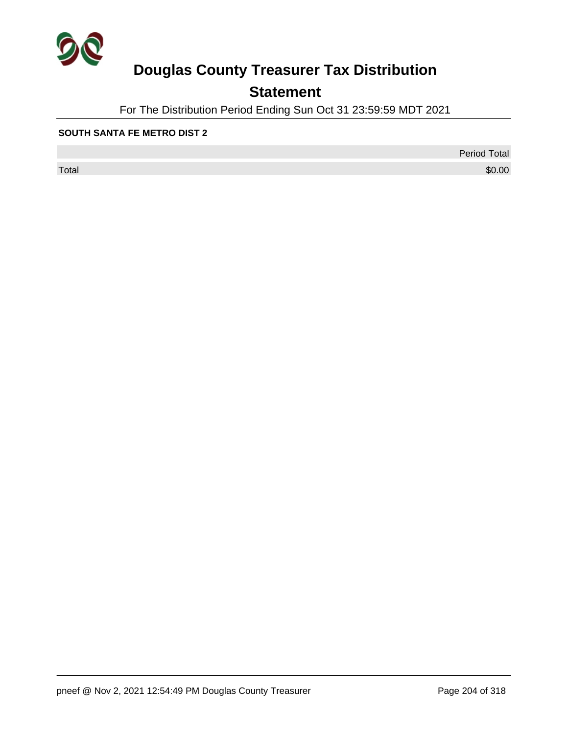

## **Statement**

For The Distribution Period Ending Sun Oct 31 23:59:59 MDT 2021

#### **SOUTH SANTA FE METRO DIST 2**

 $\sf Total$   $\$0.00$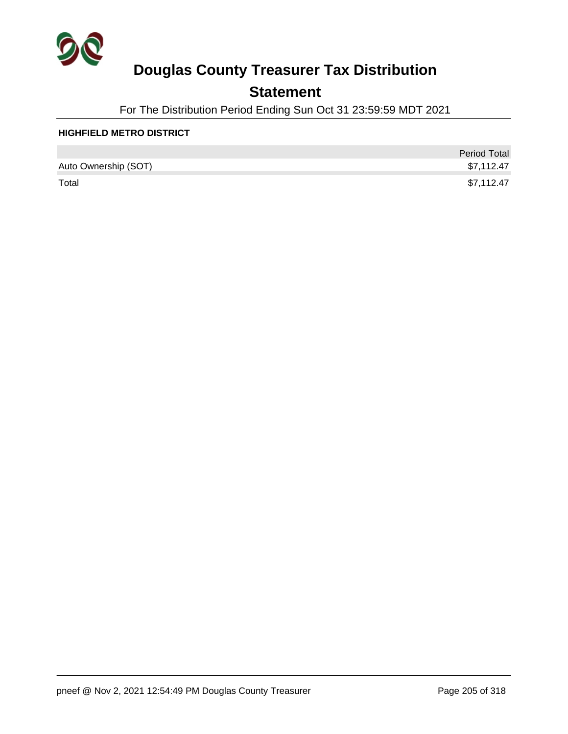

### **Statement**

For The Distribution Period Ending Sun Oct 31 23:59:59 MDT 2021

#### **HIGHFIELD METRO DISTRICT**

|                      | <b>Period Total</b> |
|----------------------|---------------------|
| Auto Ownership (SOT) | \$7,112.47          |
| Total                | \$7,112.47          |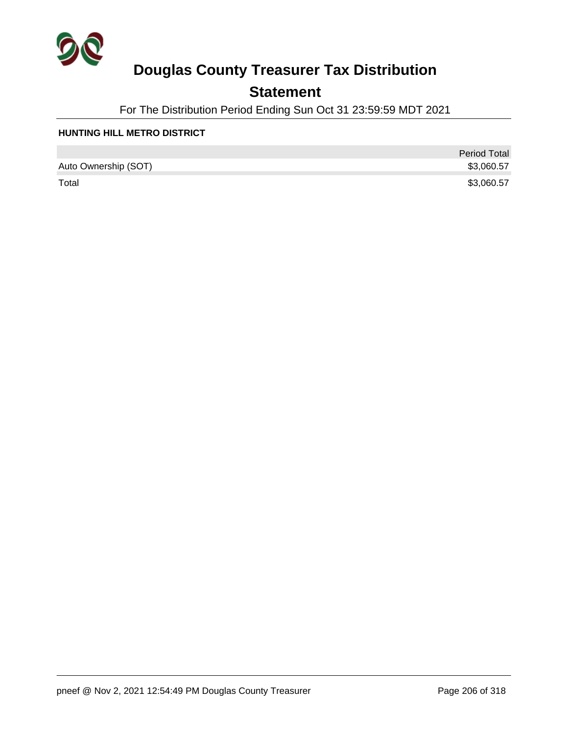

### **Statement**

For The Distribution Period Ending Sun Oct 31 23:59:59 MDT 2021

#### **HUNTING HILL METRO DISTRICT**

|                      | <b>Period Total</b> |
|----------------------|---------------------|
| Auto Ownership (SOT) | \$3,060.57          |
| Total                | \$3,060.57          |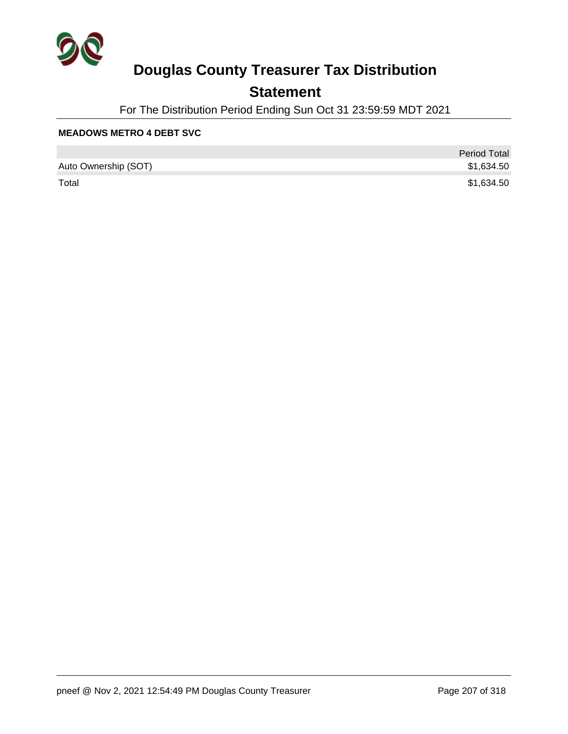

### **Statement**

For The Distribution Period Ending Sun Oct 31 23:59:59 MDT 2021

#### **MEADOWS METRO 4 DEBT SVC**

|                      | <b>Period Total</b> |
|----------------------|---------------------|
| Auto Ownership (SOT) | \$1,634.50          |
| Total                | \$1,634.50          |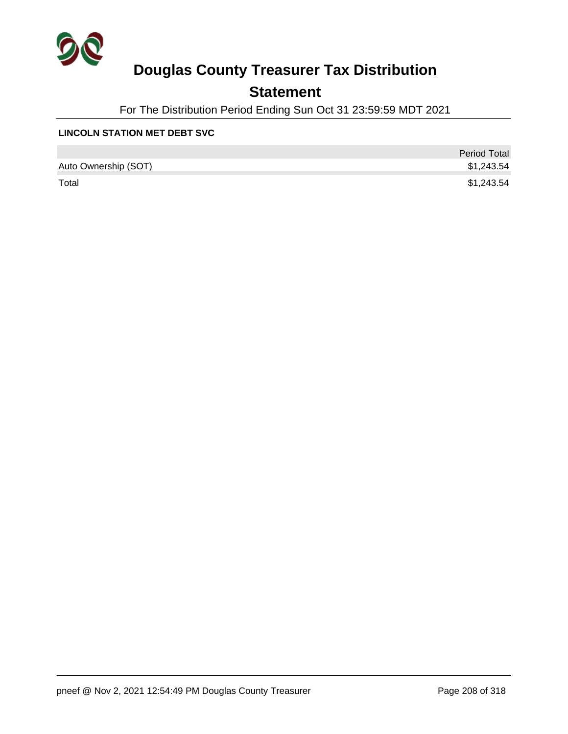

### **Statement**

For The Distribution Period Ending Sun Oct 31 23:59:59 MDT 2021

#### **LINCOLN STATION MET DEBT SVC**

|                      | <b>Period Total</b> |
|----------------------|---------------------|
| Auto Ownership (SOT) | \$1,243.54          |
| Total                | \$1,243.54          |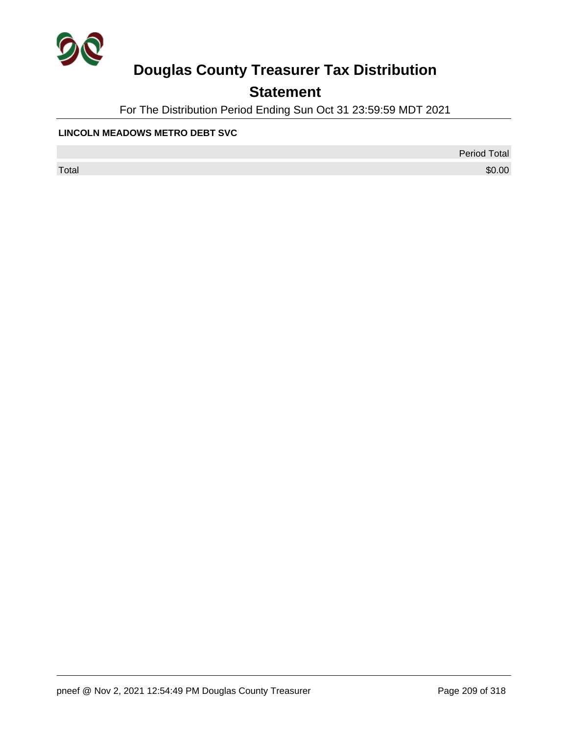

## **Statement**

For The Distribution Period Ending Sun Oct 31 23:59:59 MDT 2021

#### **LINCOLN MEADOWS METRO DEBT SVC**

Period Total

 $\sf Total$   $\$0.00$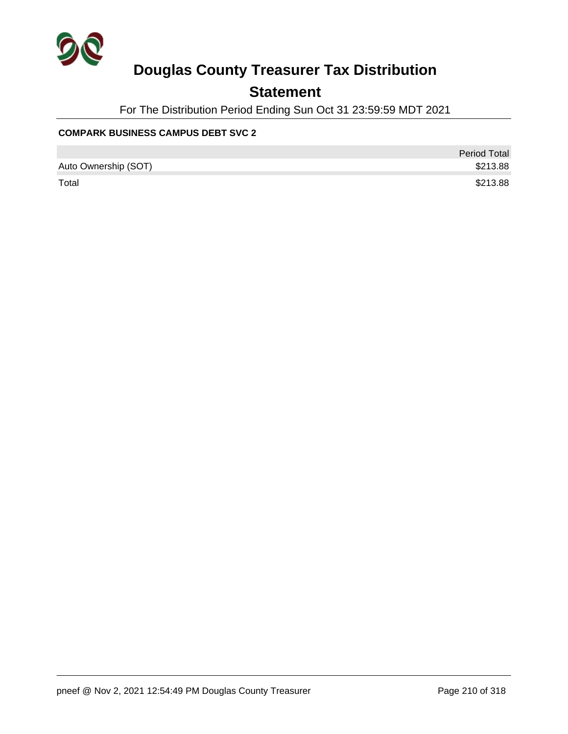

### **Statement**

For The Distribution Period Ending Sun Oct 31 23:59:59 MDT 2021

### **COMPARK BUSINESS CAMPUS DEBT SVC 2**

|                      | <b>Period Total</b> |
|----------------------|---------------------|
| Auto Ownership (SOT) | \$213.88            |
| Total                | \$213.88            |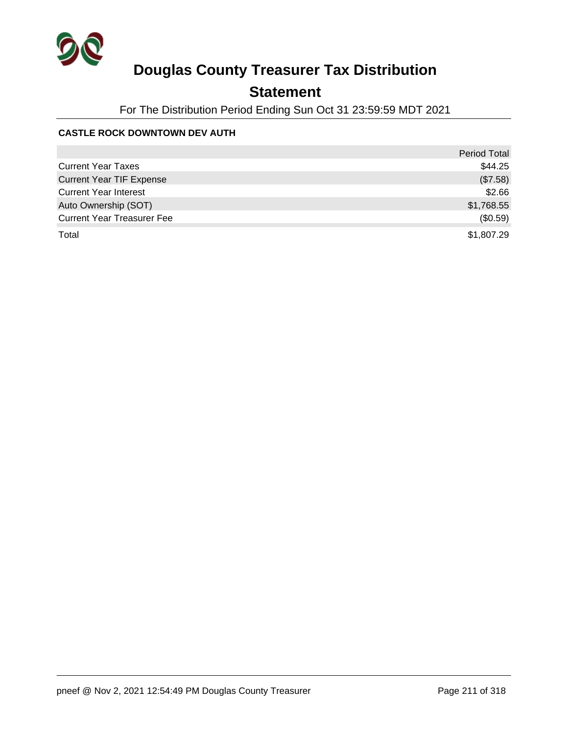

### **Statement**

For The Distribution Period Ending Sun Oct 31 23:59:59 MDT 2021

### **CASTLE ROCK DOWNTOWN DEV AUTH**

|                                   | <b>Period Total</b> |
|-----------------------------------|---------------------|
| <b>Current Year Taxes</b>         | \$44.25             |
| <b>Current Year TIF Expense</b>   | (\$7.58)            |
| <b>Current Year Interest</b>      | \$2.66              |
| Auto Ownership (SOT)              | \$1,768.55          |
| <b>Current Year Treasurer Fee</b> | (\$0.59)            |
| Total                             | \$1,807.29          |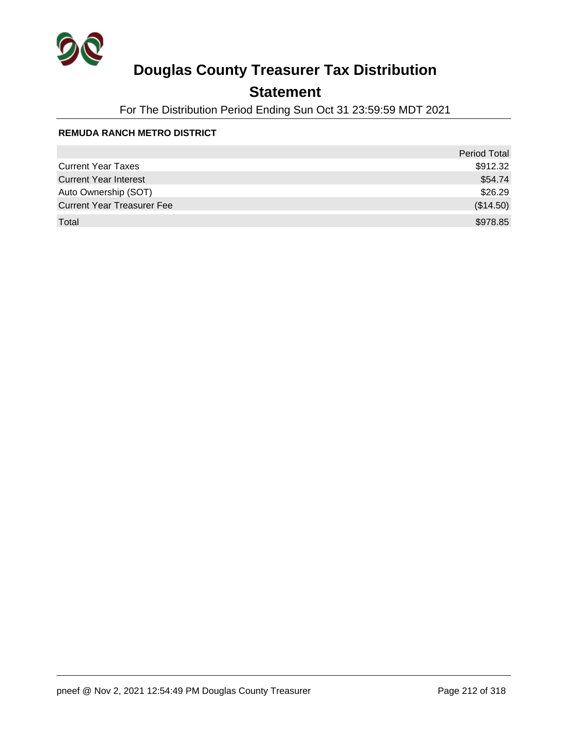

### **Statement**

For The Distribution Period Ending Sun Oct 31 23:59:59 MDT 2021

#### **REMUDA RANCH METRO DISTRICT**

|                                   | <b>Period Total</b> |
|-----------------------------------|---------------------|
| <b>Current Year Taxes</b>         | \$912.32            |
| <b>Current Year Interest</b>      | \$54.74             |
| Auto Ownership (SOT)              | \$26.29             |
| <b>Current Year Treasurer Fee</b> | (\$14.50)           |
| Total                             | \$978.85            |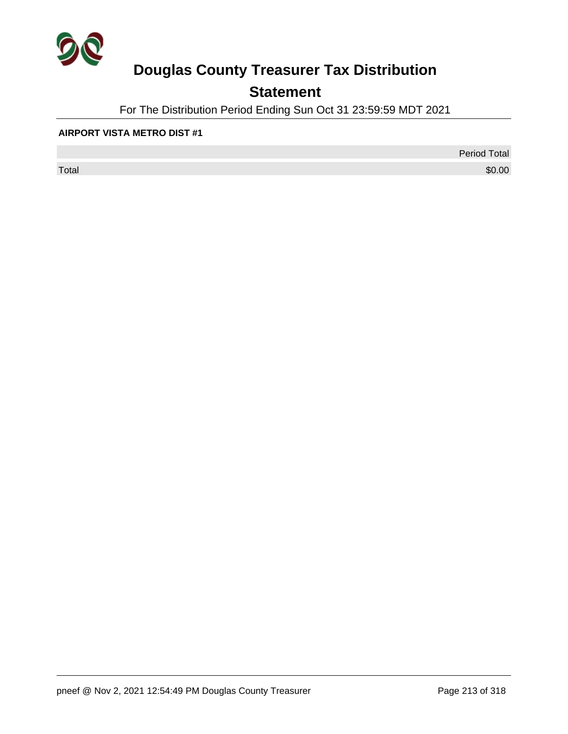

## **Statement**

For The Distribution Period Ending Sun Oct 31 23:59:59 MDT 2021

#### **AIRPORT VISTA METRO DIST #1**

 $\sf Total$   $\$0.00$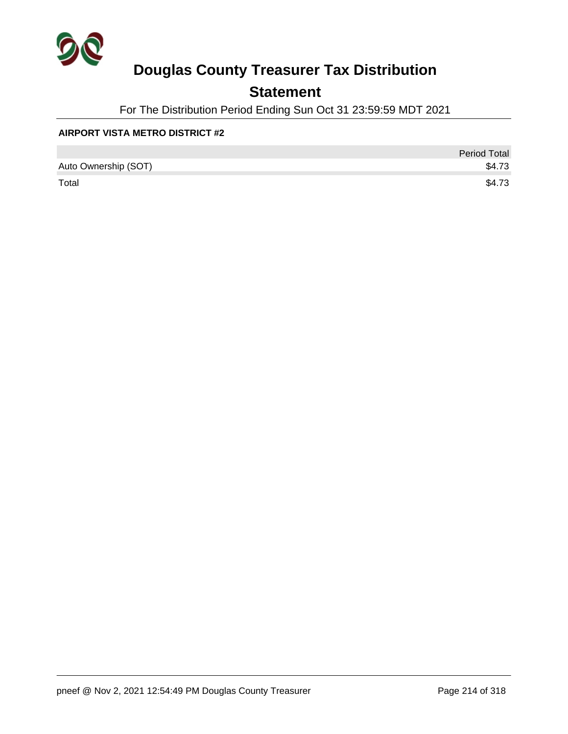

### **Statement**

For The Distribution Period Ending Sun Oct 31 23:59:59 MDT 2021

#### **AIRPORT VISTA METRO DISTRICT #2**

|                      | <b>Period Total</b> |
|----------------------|---------------------|
| Auto Ownership (SOT) | \$4.73              |
| Total                | \$4.73              |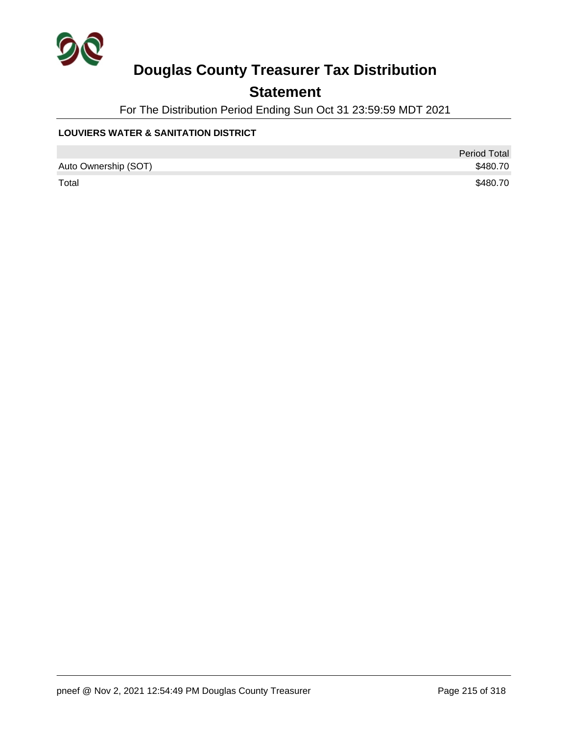

### **Statement**

For The Distribution Period Ending Sun Oct 31 23:59:59 MDT 2021

### **LOUVIERS WATER & SANITATION DISTRICT**

|                      | <b>Period Total</b> |
|----------------------|---------------------|
| Auto Ownership (SOT) | \$480.70            |
| Total                | \$480.70            |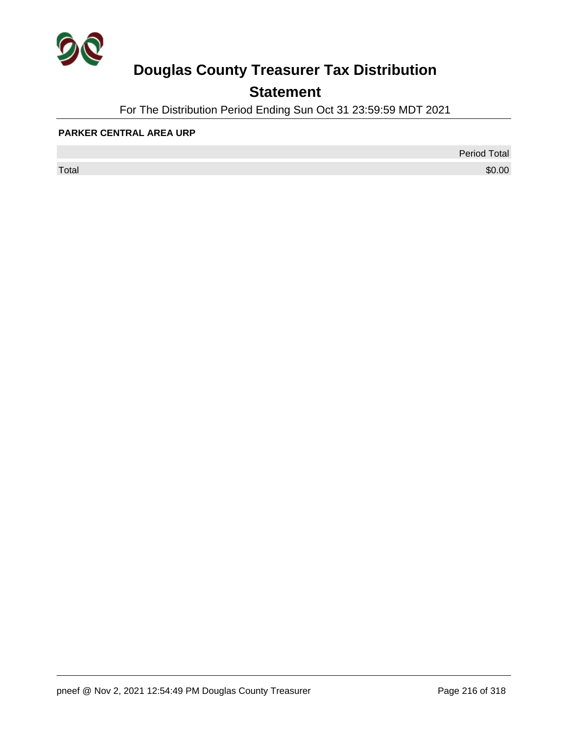

## **Statement**

For The Distribution Period Ending Sun Oct 31 23:59:59 MDT 2021

#### **PARKER CENTRAL AREA URP**

 $\sf Total$   $\$0.00$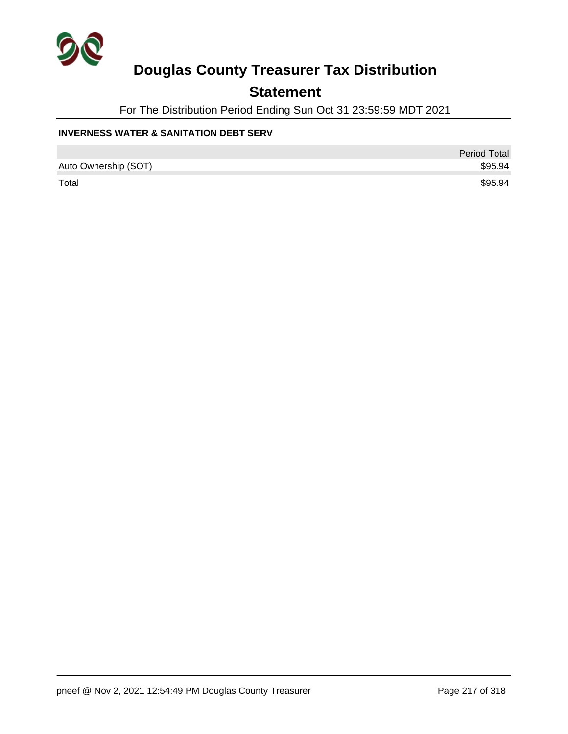

### **Statement**

For The Distribution Period Ending Sun Oct 31 23:59:59 MDT 2021

#### **INVERNESS WATER & SANITATION DEBT SERV**

|                      | Period Total |
|----------------------|--------------|
| Auto Ownership (SOT) | \$95.94      |
| Total                | \$95.94      |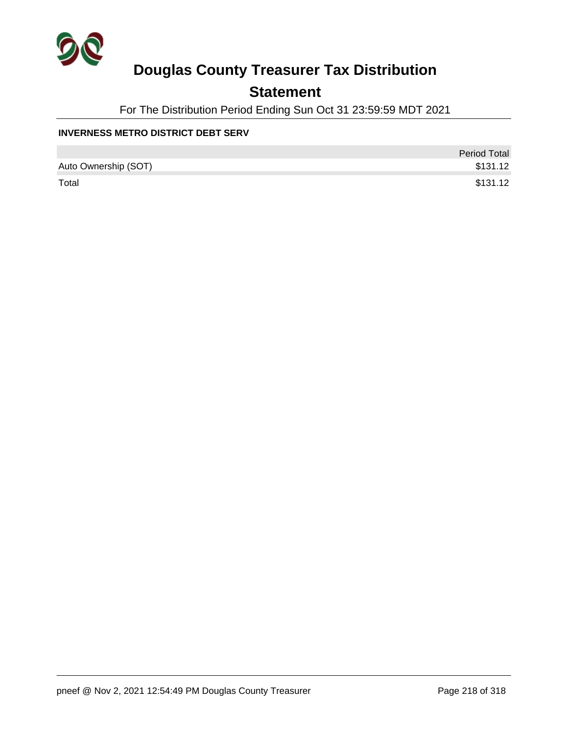

### **Statement**

For The Distribution Period Ending Sun Oct 31 23:59:59 MDT 2021

#### **INVERNESS METRO DISTRICT DEBT SERV**

|                      | <b>Period Total</b> |
|----------------------|---------------------|
| Auto Ownership (SOT) | \$131.12            |
| Total                | \$131.12            |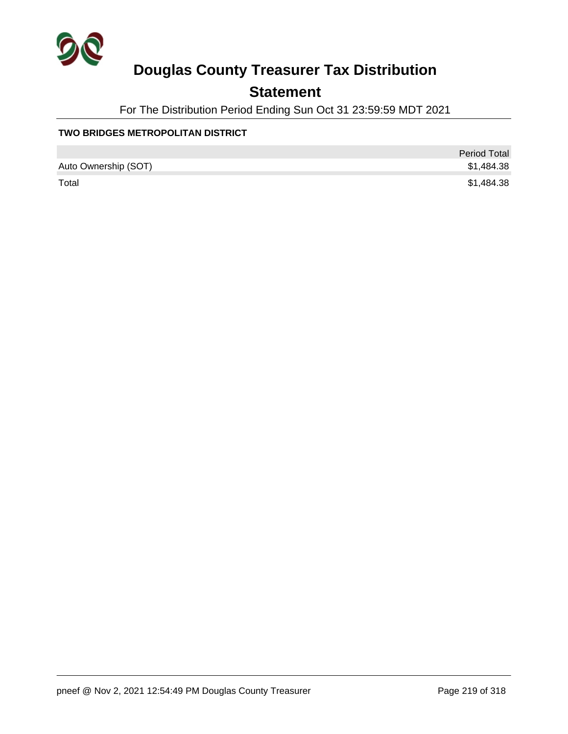

## **Statement**

For The Distribution Period Ending Sun Oct 31 23:59:59 MDT 2021

### **TWO BRIDGES METROPOLITAN DISTRICT**

|                      | <b>Period Total</b> |
|----------------------|---------------------|
| Auto Ownership (SOT) | \$1,484.38          |
| Total                | \$1,484.38          |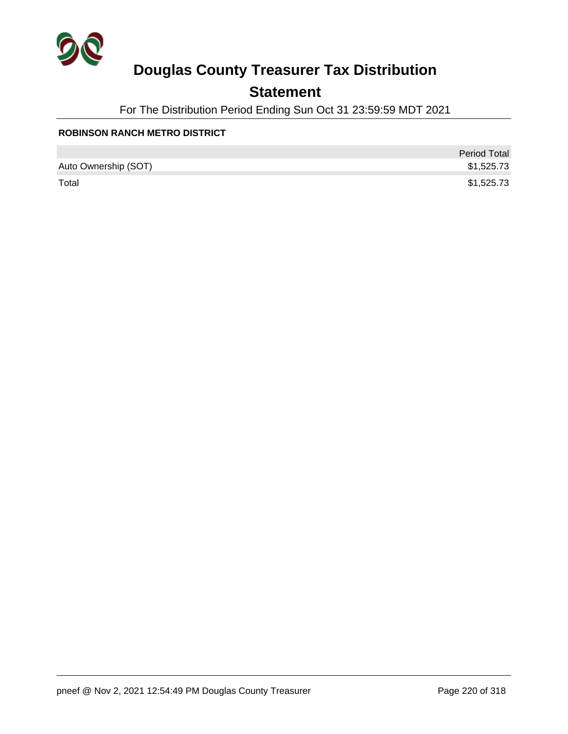

## **Statement**

For The Distribution Period Ending Sun Oct 31 23:59:59 MDT 2021

### **ROBINSON RANCH METRO DISTRICT**

|                      | <b>Period Total</b> |
|----------------------|---------------------|
| Auto Ownership (SOT) | \$1,525.73          |
| Total                | \$1,525.73          |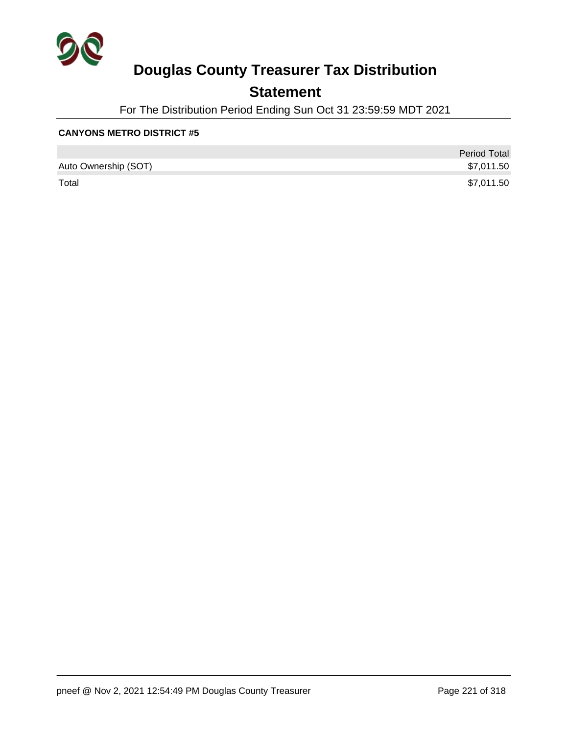

### **Statement**

For The Distribution Period Ending Sun Oct 31 23:59:59 MDT 2021

#### **CANYONS METRO DISTRICT #5**

|                      | <b>Period Total</b> |
|----------------------|---------------------|
| Auto Ownership (SOT) | \$7,011.50          |
| Total                | \$7,011.50          |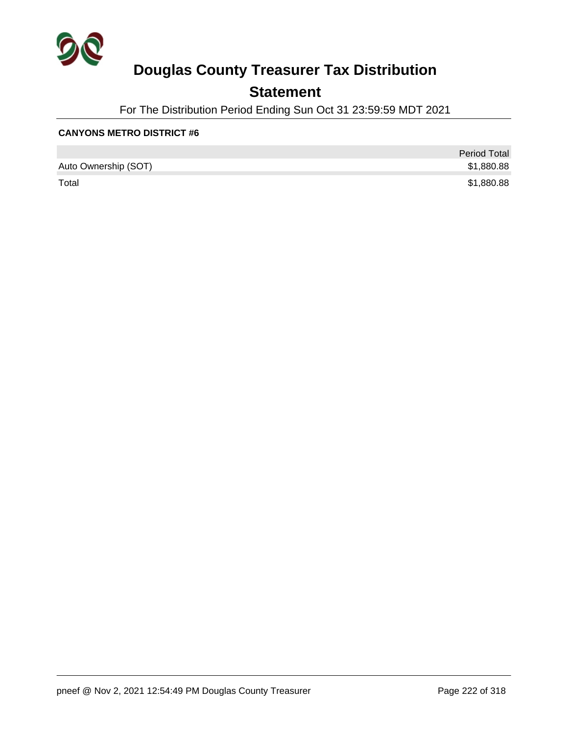

### **Statement**

For The Distribution Period Ending Sun Oct 31 23:59:59 MDT 2021

#### **CANYONS METRO DISTRICT #6**

|                      | <b>Period Total</b> |
|----------------------|---------------------|
| Auto Ownership (SOT) | \$1,880.88          |
| Total                | \$1,880.88          |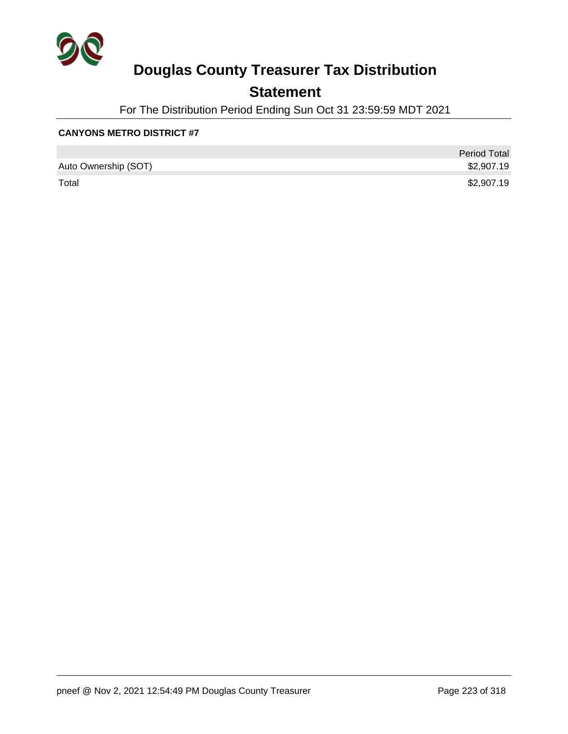

### **Statement**

For The Distribution Period Ending Sun Oct 31 23:59:59 MDT 2021

#### **CANYONS METRO DISTRICT #7**

|                      | <b>Period Total</b> |
|----------------------|---------------------|
| Auto Ownership (SOT) | \$2,907.19          |
| Total                | \$2,907.19          |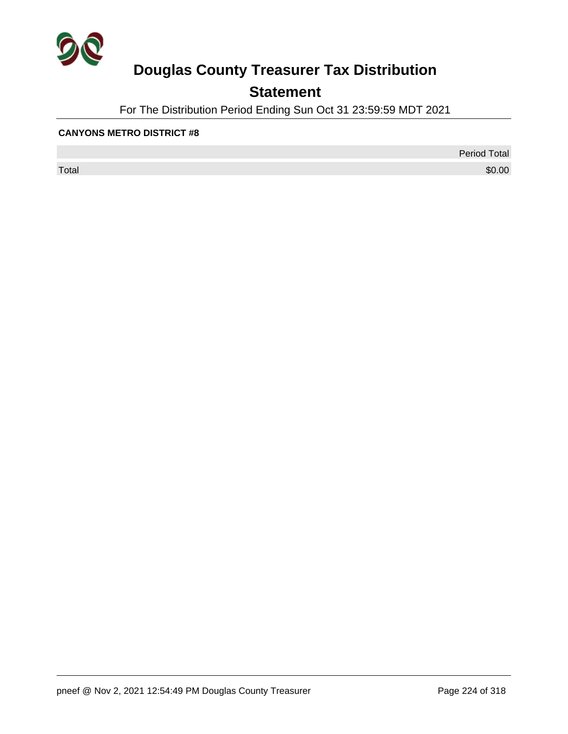

## **Statement**

For The Distribution Period Ending Sun Oct 31 23:59:59 MDT 2021

#### **CANYONS METRO DISTRICT #8**

 $\sf Total$   $\$0.00$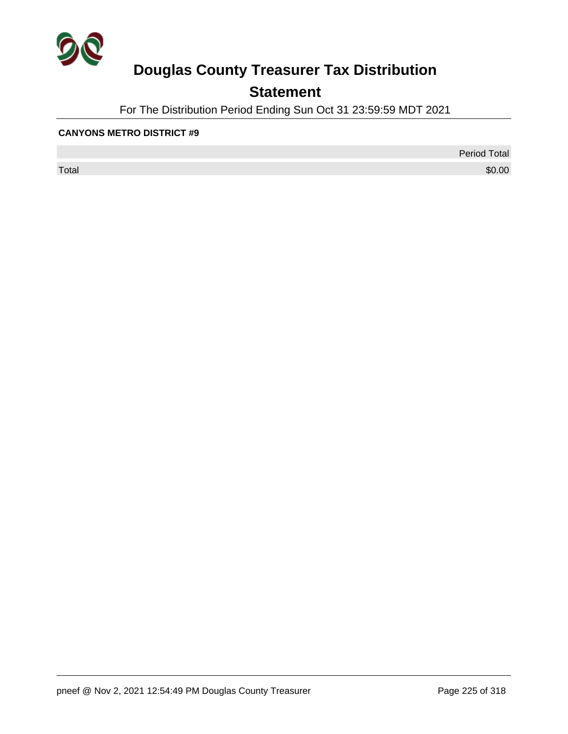

## **Statement**

For The Distribution Period Ending Sun Oct 31 23:59:59 MDT 2021

#### **CANYONS METRO DISTRICT #9**

 $\sf Total$   $\$0.00$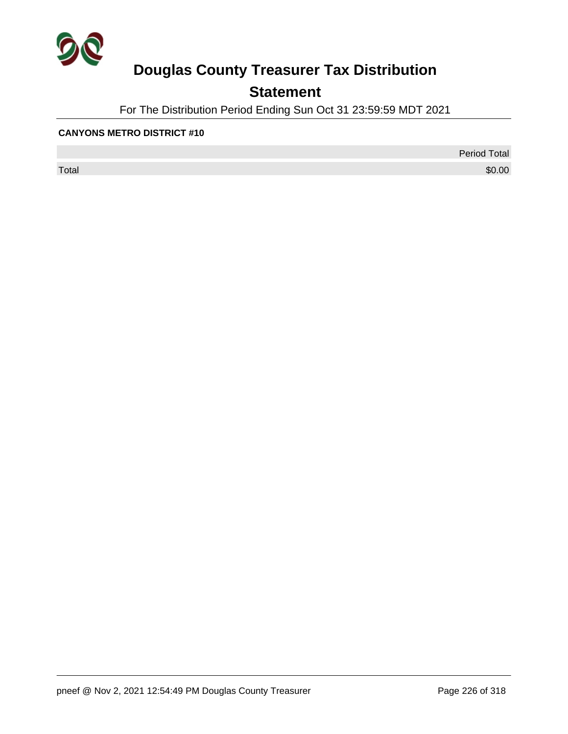

## **Statement**

For The Distribution Period Ending Sun Oct 31 23:59:59 MDT 2021

#### **CANYONS METRO DISTRICT #10**

 $\sf Total$   $\$0.00$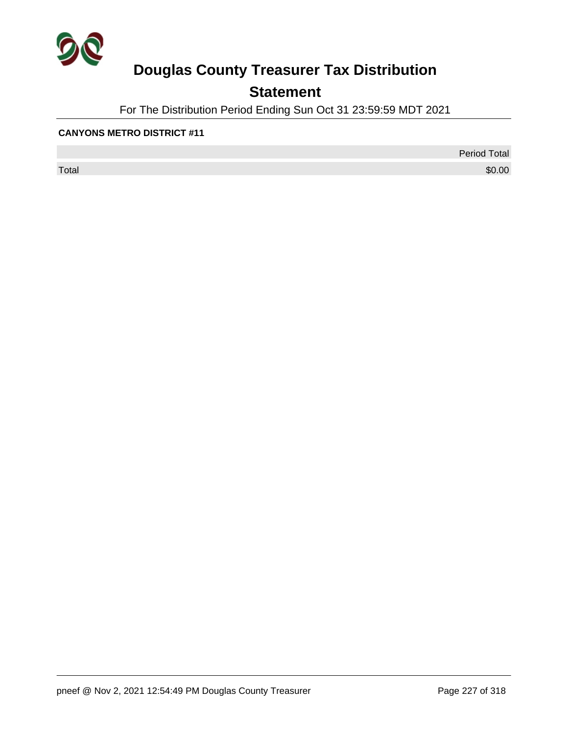

## **Statement**

For The Distribution Period Ending Sun Oct 31 23:59:59 MDT 2021

#### **CANYONS METRO DISTRICT #11**

 $\sf Total$   $\$0.00$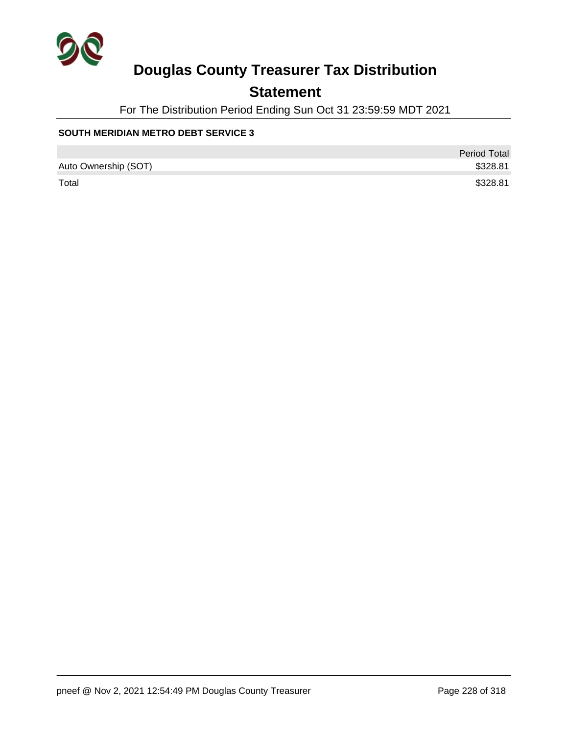

## **Statement**

For The Distribution Period Ending Sun Oct 31 23:59:59 MDT 2021

### **SOUTH MERIDIAN METRO DEBT SERVICE 3**

|                      | <b>Period Total</b> |
|----------------------|---------------------|
| Auto Ownership (SOT) | \$328.81            |
| Total                | \$328.81            |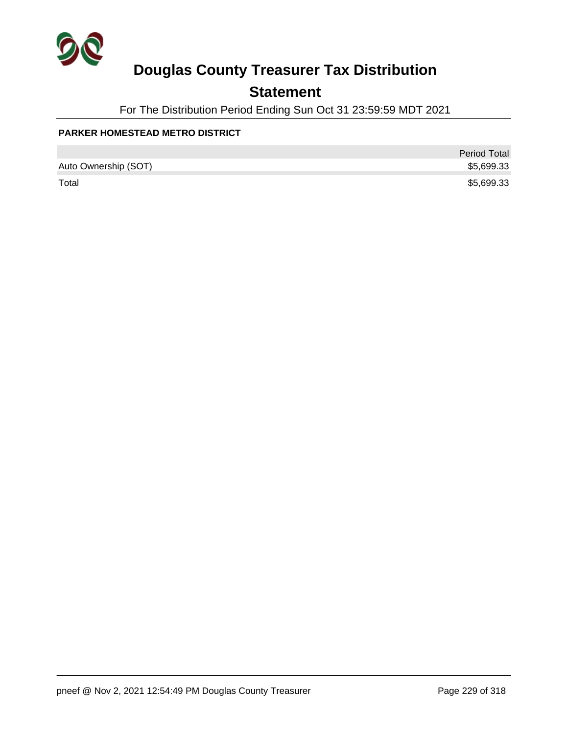

## **Statement**

For The Distribution Period Ending Sun Oct 31 23:59:59 MDT 2021

#### **PARKER HOMESTEAD METRO DISTRICT**

|                      | <b>Period Total</b> |
|----------------------|---------------------|
| Auto Ownership (SOT) | \$5,699.33          |
| Total                | \$5,699.33          |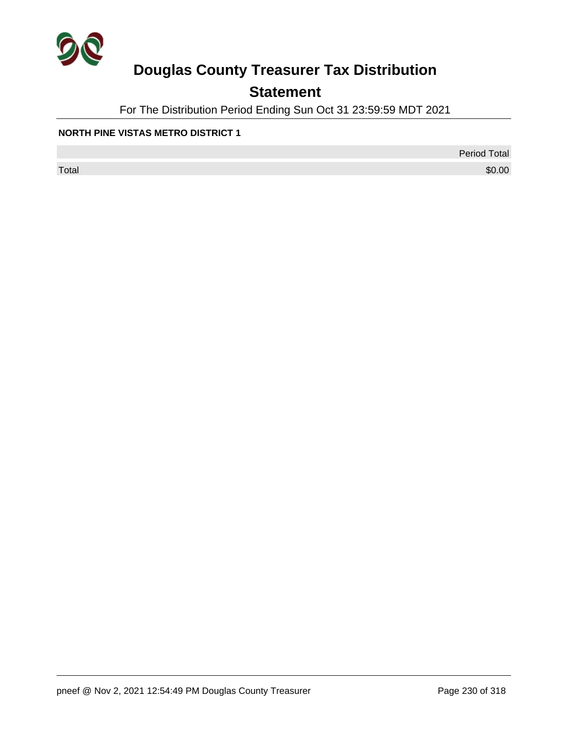

## **Statement**

For The Distribution Period Ending Sun Oct 31 23:59:59 MDT 2021

#### **NORTH PINE VISTAS METRO DISTRICT 1**

Period Total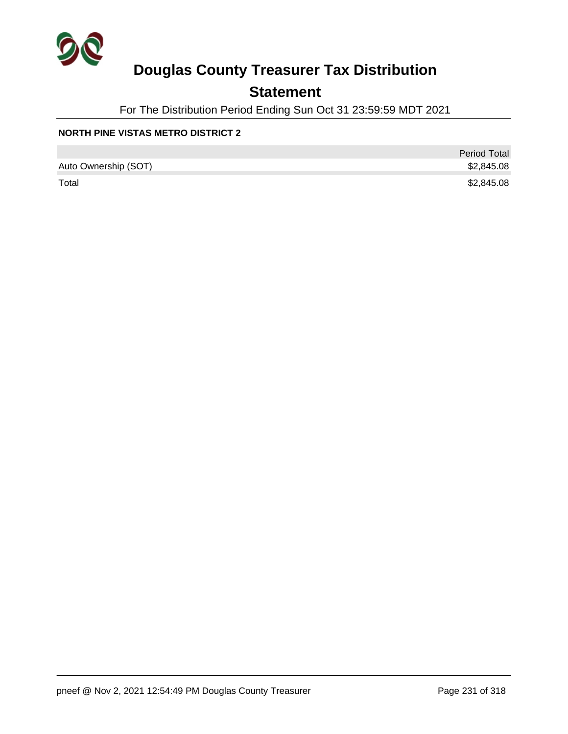

## **Statement**

For The Distribution Period Ending Sun Oct 31 23:59:59 MDT 2021

### **NORTH PINE VISTAS METRO DISTRICT 2**

|                      | <b>Period Total</b> |
|----------------------|---------------------|
| Auto Ownership (SOT) | \$2,845.08          |
| Total                | \$2,845.08          |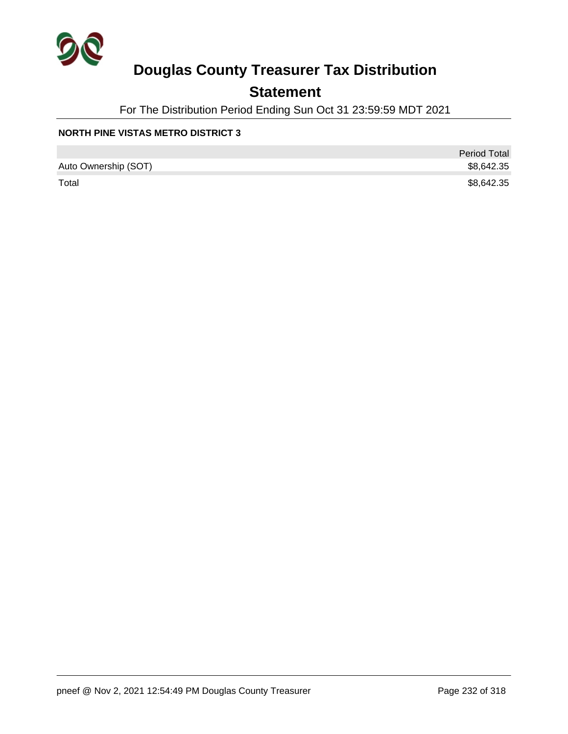

## **Statement**

For The Distribution Period Ending Sun Oct 31 23:59:59 MDT 2021

### **NORTH PINE VISTAS METRO DISTRICT 3**

|                      | <b>Period Total</b> |
|----------------------|---------------------|
| Auto Ownership (SOT) | \$8,642.35          |
| Total                | \$8,642.35          |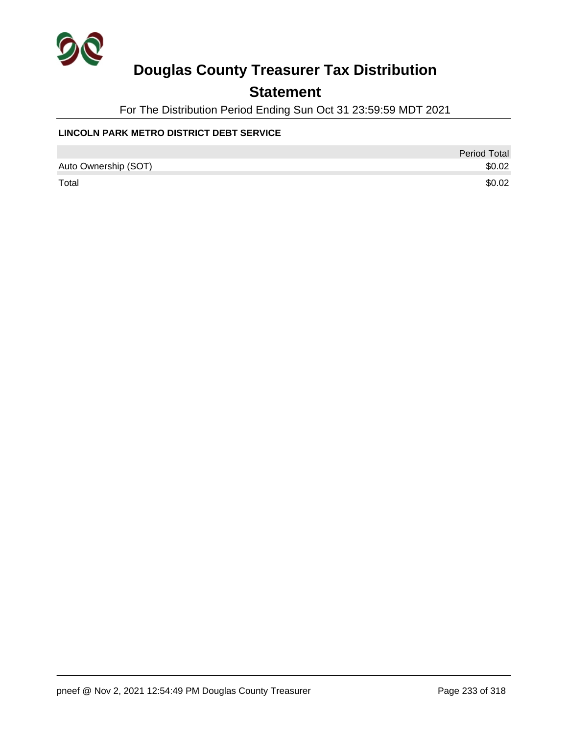

### **Statement**

For The Distribution Period Ending Sun Oct 31 23:59:59 MDT 2021

### **LINCOLN PARK METRO DISTRICT DEBT SERVICE**

|                      | Period Total |
|----------------------|--------------|
| Auto Ownership (SOT) | \$0.02       |
| Total                | \$0.02       |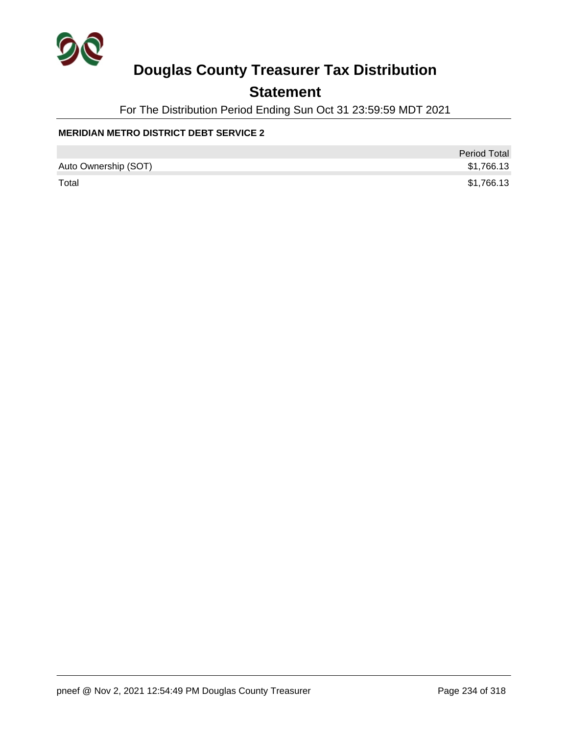

### **Statement**

For The Distribution Period Ending Sun Oct 31 23:59:59 MDT 2021

### **MERIDIAN METRO DISTRICT DEBT SERVICE 2**

|                      | <b>Period Total</b> |
|----------------------|---------------------|
| Auto Ownership (SOT) | \$1,766.13          |
| Total                | \$1,766.13          |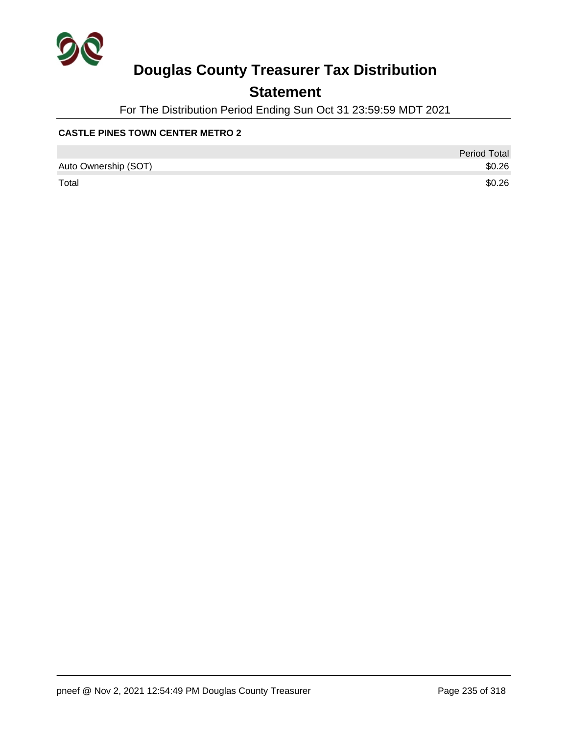

### **Statement**

For The Distribution Period Ending Sun Oct 31 23:59:59 MDT 2021

### **CASTLE PINES TOWN CENTER METRO 2**

|                      | <b>Period Total</b> |
|----------------------|---------------------|
| Auto Ownership (SOT) | \$0.26              |
| Total                | \$0.26              |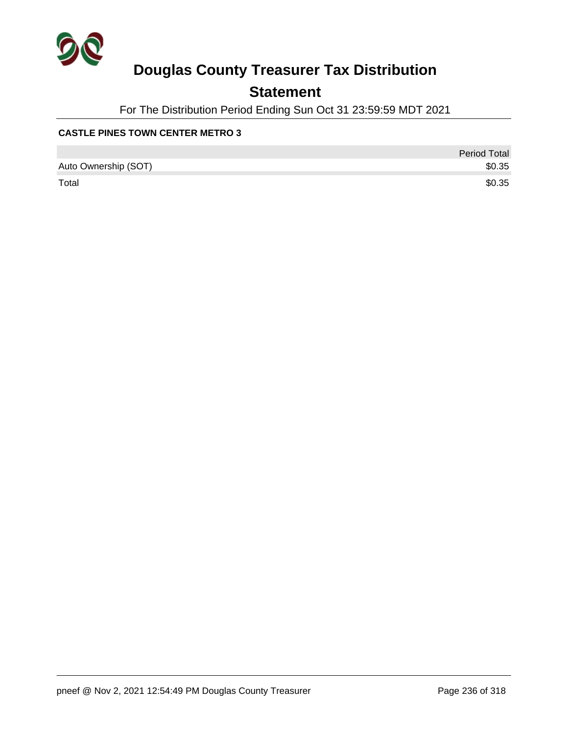

### **Statement**

For The Distribution Period Ending Sun Oct 31 23:59:59 MDT 2021

### **CASTLE PINES TOWN CENTER METRO 3**

|                      | <b>Period Total</b> |
|----------------------|---------------------|
| Auto Ownership (SOT) | \$0.35              |
| Total                | \$0.35              |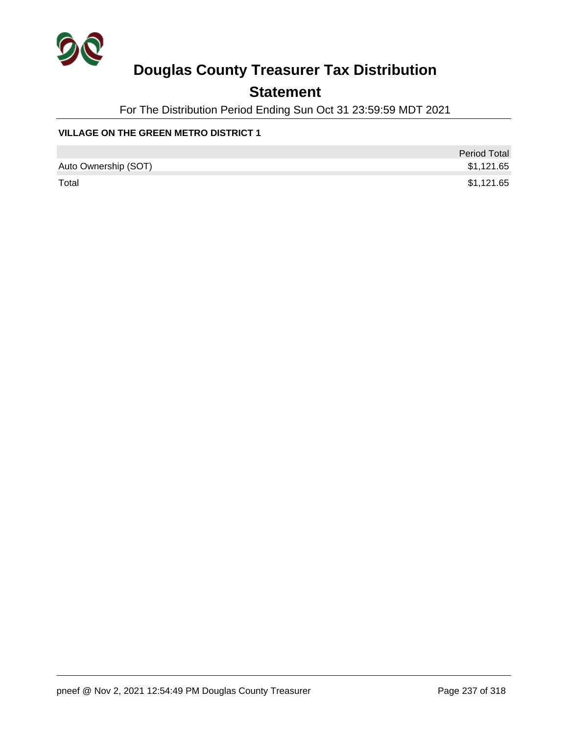

## **Statement**

For The Distribution Period Ending Sun Oct 31 23:59:59 MDT 2021

### **VILLAGE ON THE GREEN METRO DISTRICT 1**

|                      | <b>Period Total</b> |
|----------------------|---------------------|
| Auto Ownership (SOT) | \$1,121.65          |
| Total                | \$1,121.65          |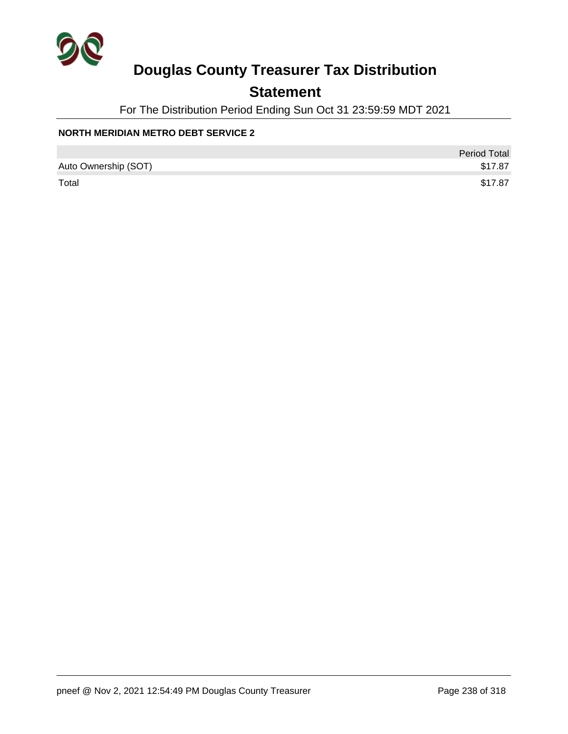

### **Statement**

For The Distribution Period Ending Sun Oct 31 23:59:59 MDT 2021

### **NORTH MERIDIAN METRO DEBT SERVICE 2**

|                      | <b>Period Total</b> |
|----------------------|---------------------|
| Auto Ownership (SOT) | \$17.87             |
| Total                | \$17.87             |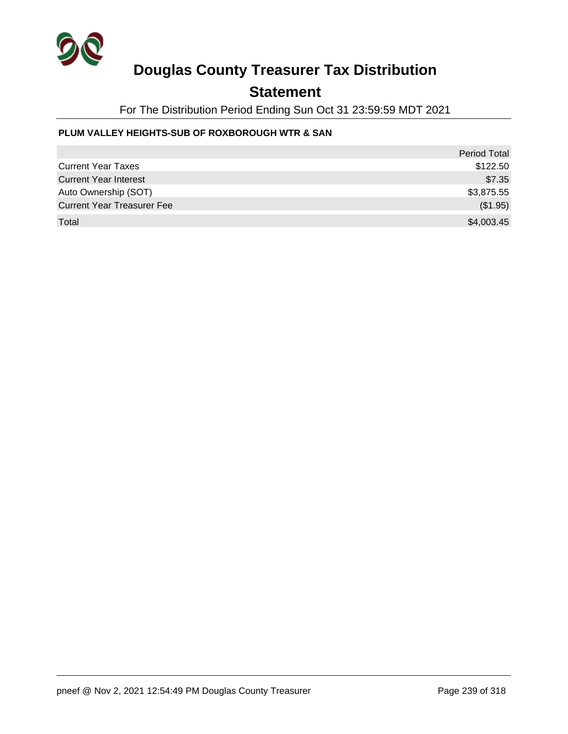

### **Statement**

For The Distribution Period Ending Sun Oct 31 23:59:59 MDT 2021

### **PLUM VALLEY HEIGHTS-SUB OF ROXBOROUGH WTR & SAN**

|                                   | <b>Period Total</b> |
|-----------------------------------|---------------------|
| <b>Current Year Taxes</b>         | \$122.50            |
| <b>Current Year Interest</b>      | \$7.35              |
| Auto Ownership (SOT)              | \$3,875.55          |
| <b>Current Year Treasurer Fee</b> | (\$1.95)            |
| Total                             | \$4,003.45          |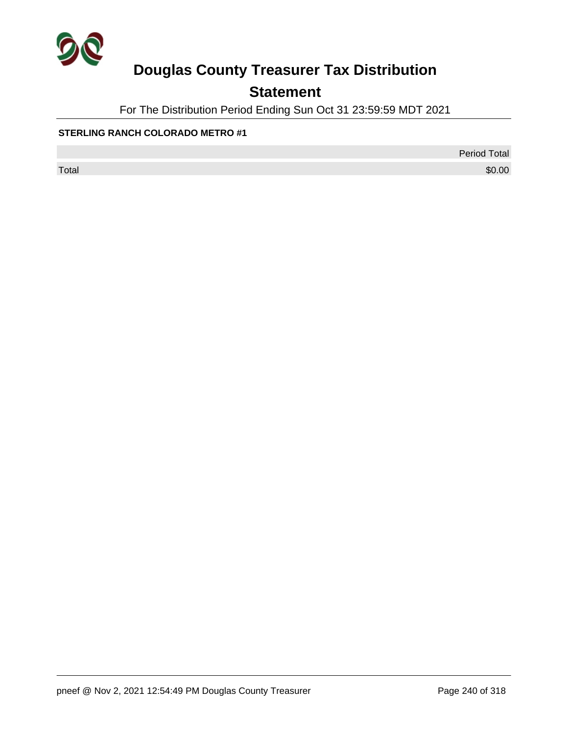

## **Statement**

For The Distribution Period Ending Sun Oct 31 23:59:59 MDT 2021

#### **STERLING RANCH COLORADO METRO #1**

Period Total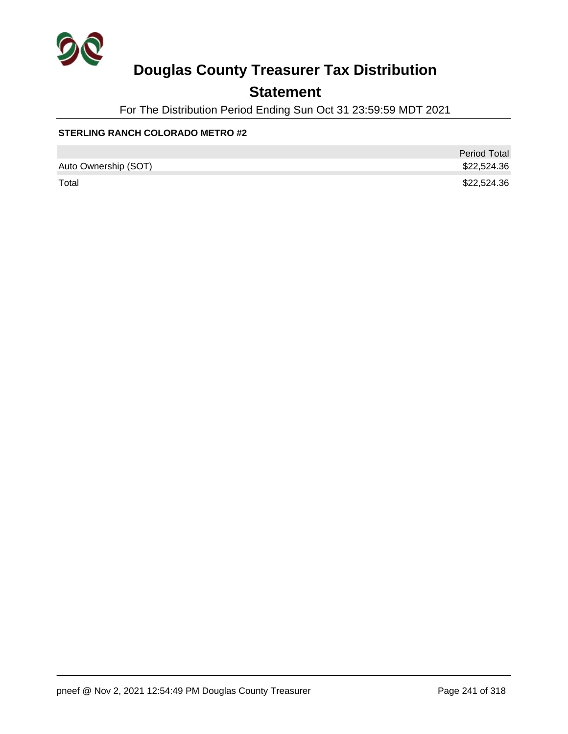

## **Statement**

For The Distribution Period Ending Sun Oct 31 23:59:59 MDT 2021

### **STERLING RANCH COLORADO METRO #2**

|                      | <b>Period Total</b> |
|----------------------|---------------------|
| Auto Ownership (SOT) | \$22,524.36         |
| Total                | \$22,524.36         |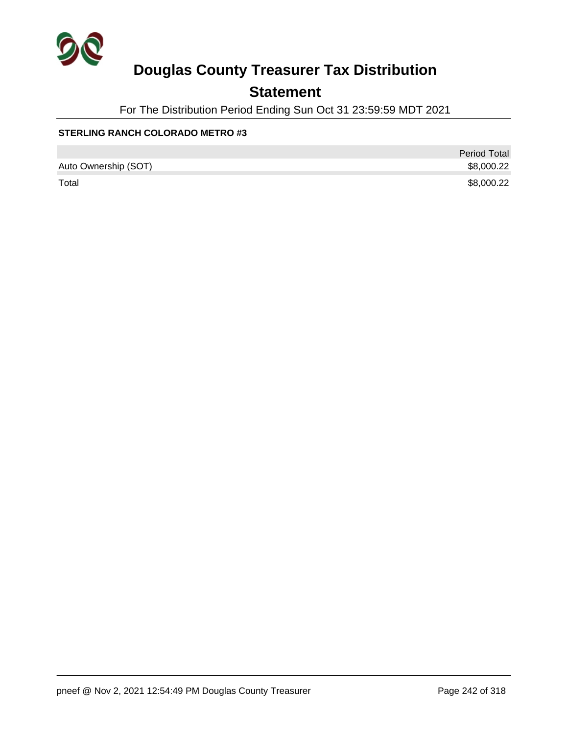

## **Statement**

For The Distribution Period Ending Sun Oct 31 23:59:59 MDT 2021

### **STERLING RANCH COLORADO METRO #3**

|                      | <b>Period Total</b> |
|----------------------|---------------------|
| Auto Ownership (SOT) | \$8,000.22          |
| Total                | \$8,000.22          |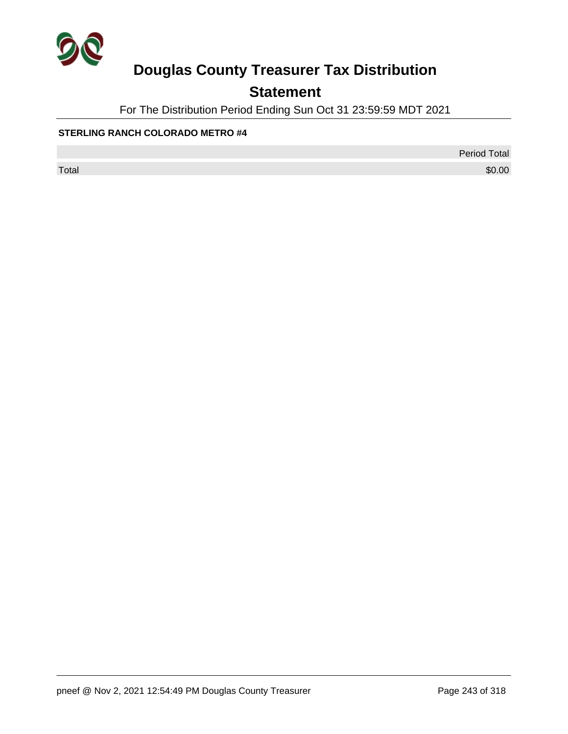

## **Statement**

For The Distribution Period Ending Sun Oct 31 23:59:59 MDT 2021

### **STERLING RANCH COLORADO METRO #4**

Period Total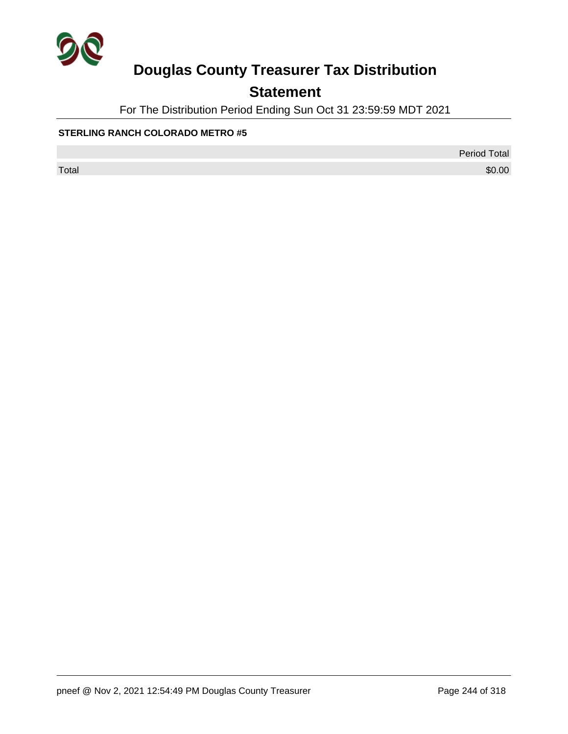

## **Statement**

For The Distribution Period Ending Sun Oct 31 23:59:59 MDT 2021

#### **STERLING RANCH COLORADO METRO #5**

Period Total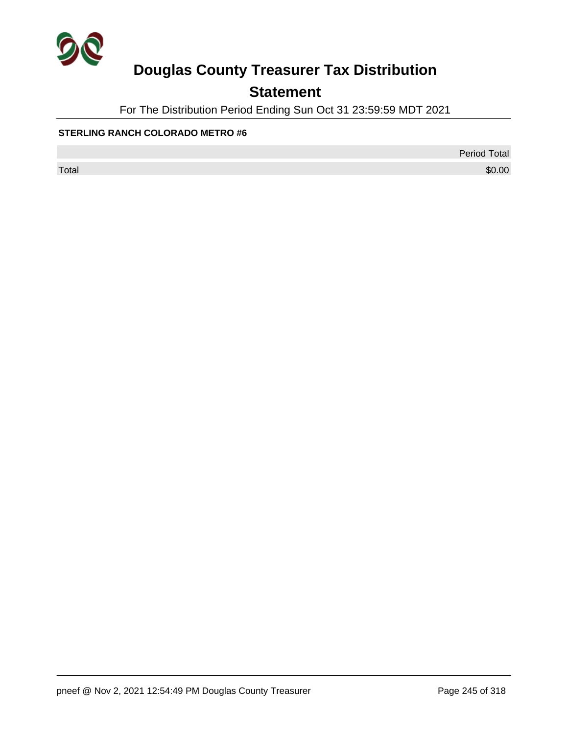

## **Statement**

For The Distribution Period Ending Sun Oct 31 23:59:59 MDT 2021

#### **STERLING RANCH COLORADO METRO #6**

Period Total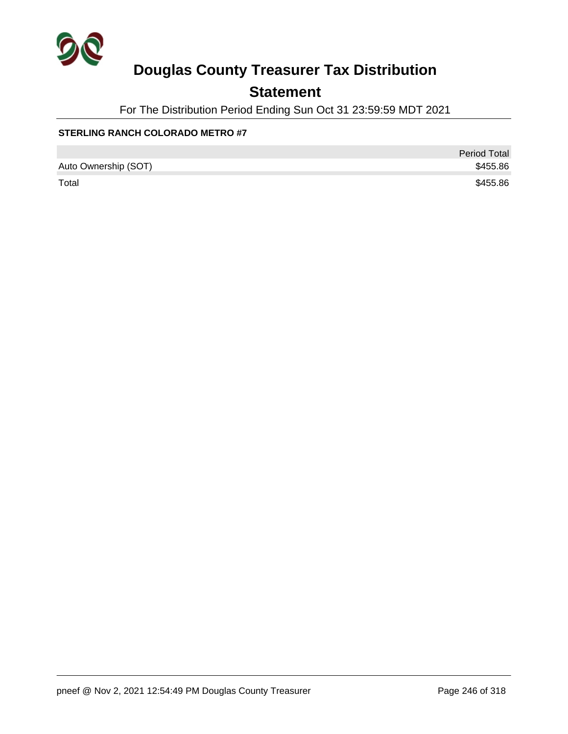

## **Statement**

For The Distribution Period Ending Sun Oct 31 23:59:59 MDT 2021

### **STERLING RANCH COLORADO METRO #7**

|                      | Period Total |
|----------------------|--------------|
| Auto Ownership (SOT) | \$455.86     |
| Total                | \$455.86     |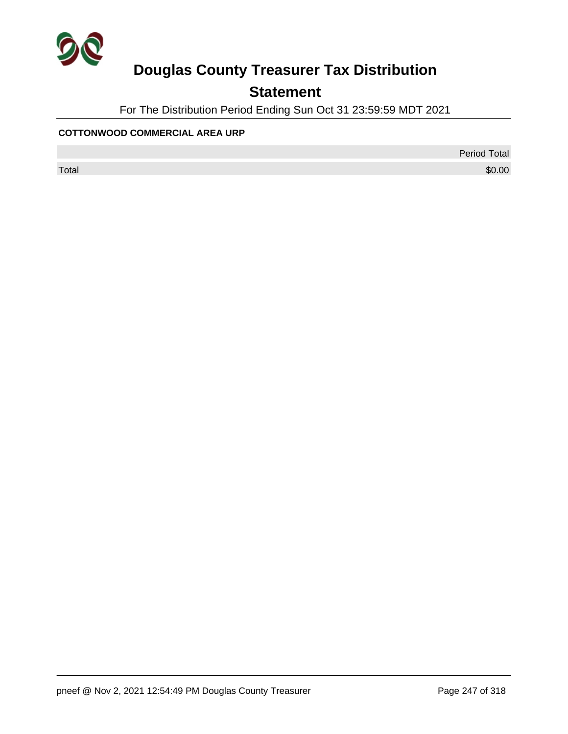

## **Statement**

For The Distribution Period Ending Sun Oct 31 23:59:59 MDT 2021

#### **COTTONWOOD COMMERCIAL AREA URP**

Period Total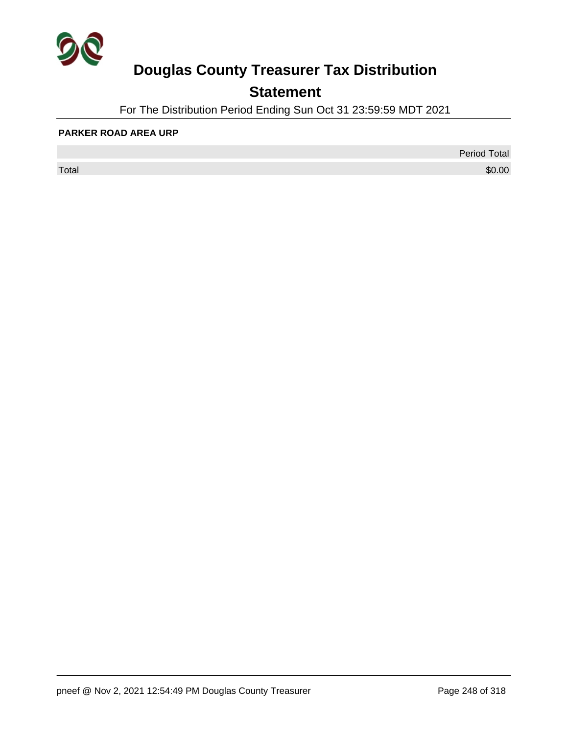

## **Statement**

For The Distribution Period Ending Sun Oct 31 23:59:59 MDT 2021

#### **PARKER ROAD AREA URP**

 $\sf Total$   $\$0.00$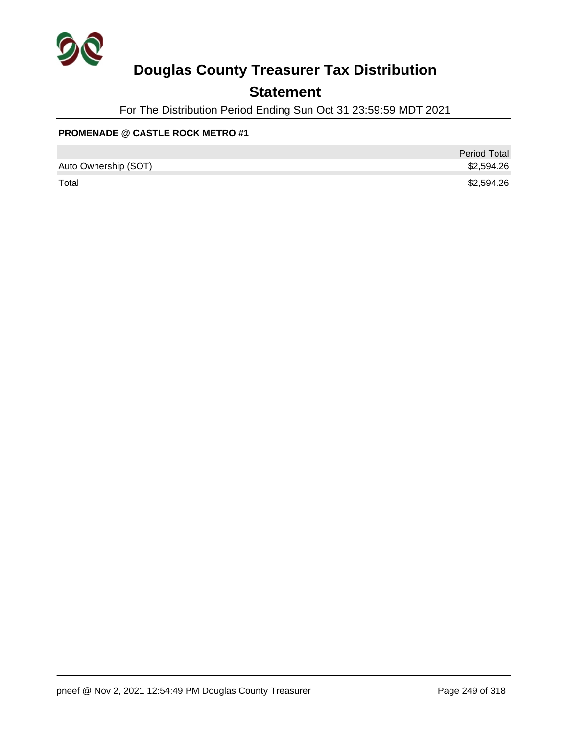

### **Statement**

For The Distribution Period Ending Sun Oct 31 23:59:59 MDT 2021

### **PROMENADE @ CASTLE ROCK METRO #1**

|                      | <b>Period Total</b> |
|----------------------|---------------------|
| Auto Ownership (SOT) | \$2,594.26          |
| Total                | \$2,594.26          |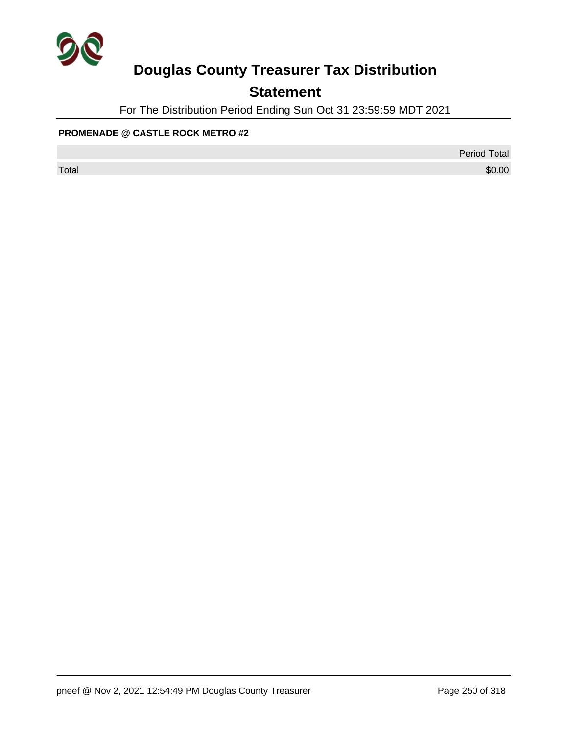

## **Statement**

For The Distribution Period Ending Sun Oct 31 23:59:59 MDT 2021

### **PROMENADE @ CASTLE ROCK METRO #2**

Period Total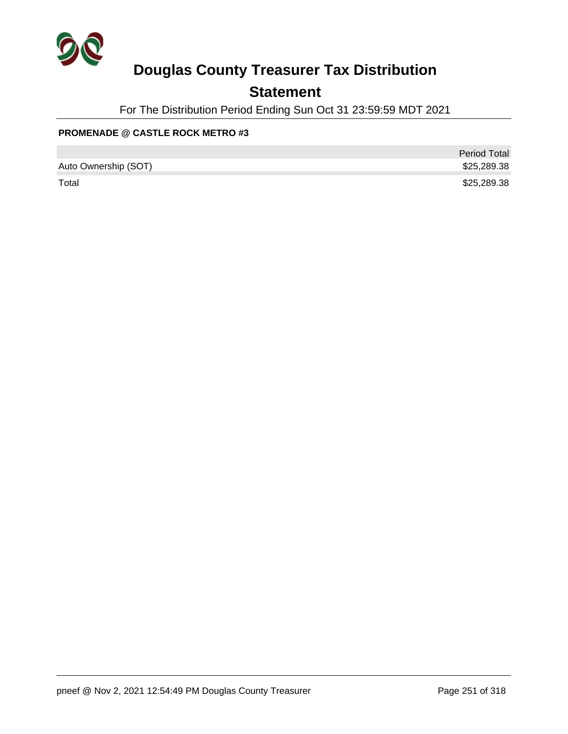

### **Statement**

For The Distribution Period Ending Sun Oct 31 23:59:59 MDT 2021

### **PROMENADE @ CASTLE ROCK METRO #3**

|                      | <b>Period Total</b> |
|----------------------|---------------------|
| Auto Ownership (SOT) | \$25,289.38         |
| Total                | \$25,289.38         |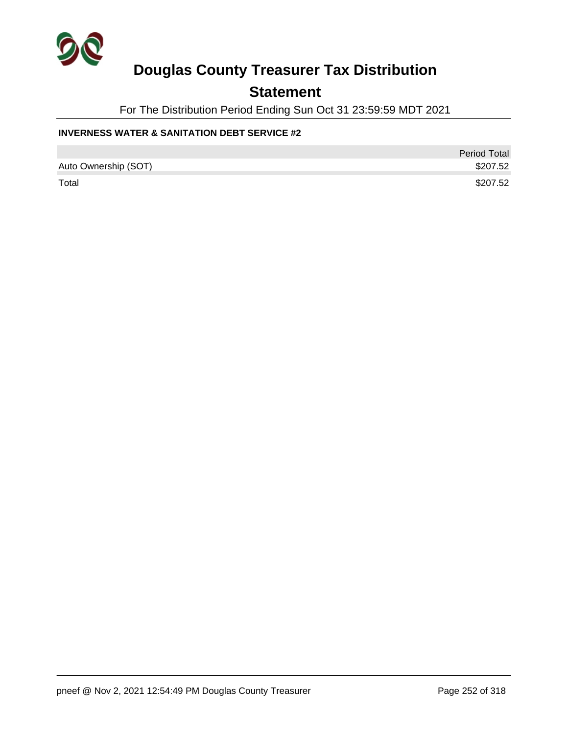

### **Statement**

For The Distribution Period Ending Sun Oct 31 23:59:59 MDT 2021

#### **INVERNESS WATER & SANITATION DEBT SERVICE #2**

|                      | <b>Period Total</b> |
|----------------------|---------------------|
| Auto Ownership (SOT) | \$207.52            |
| Total                | \$207.52            |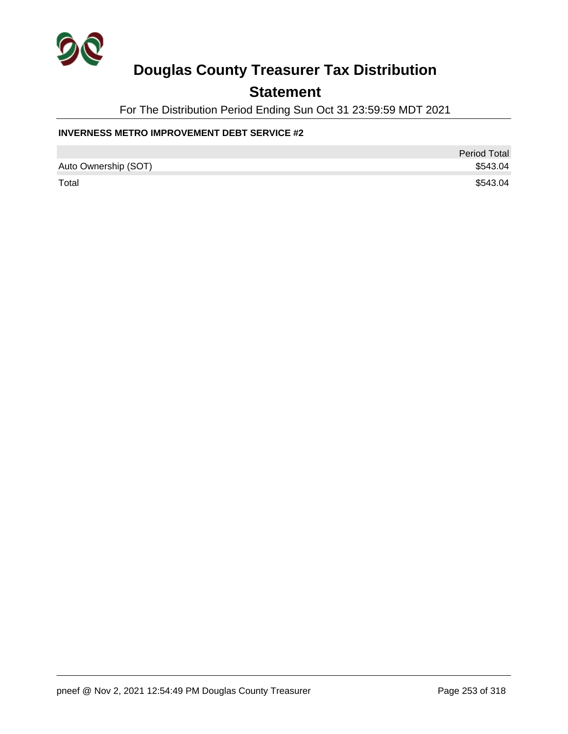

### **Statement**

For The Distribution Period Ending Sun Oct 31 23:59:59 MDT 2021

#### **INVERNESS METRO IMPROVEMENT DEBT SERVICE #2**

|                      | <b>Period Total</b> |
|----------------------|---------------------|
| Auto Ownership (SOT) | \$543.04            |
| Total                | \$543.04            |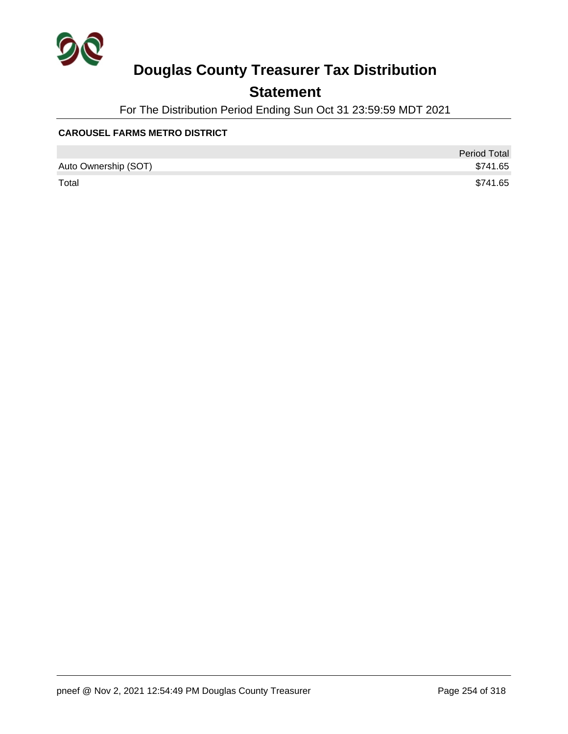

## **Statement**

For The Distribution Period Ending Sun Oct 31 23:59:59 MDT 2021

#### **CAROUSEL FARMS METRO DISTRICT**

|                      | <b>Period Total</b> |
|----------------------|---------------------|
| Auto Ownership (SOT) | \$741.65            |
| Total                | \$741.65            |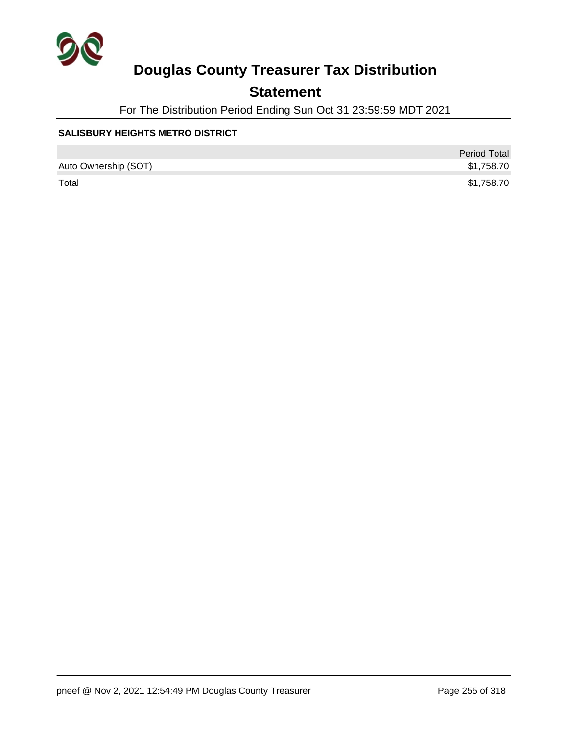

## **Statement**

For The Distribution Period Ending Sun Oct 31 23:59:59 MDT 2021

#### **SALISBURY HEIGHTS METRO DISTRICT**

|                      | <b>Period Total</b> |
|----------------------|---------------------|
| Auto Ownership (SOT) | \$1,758.70          |
| Total                | \$1,758.70          |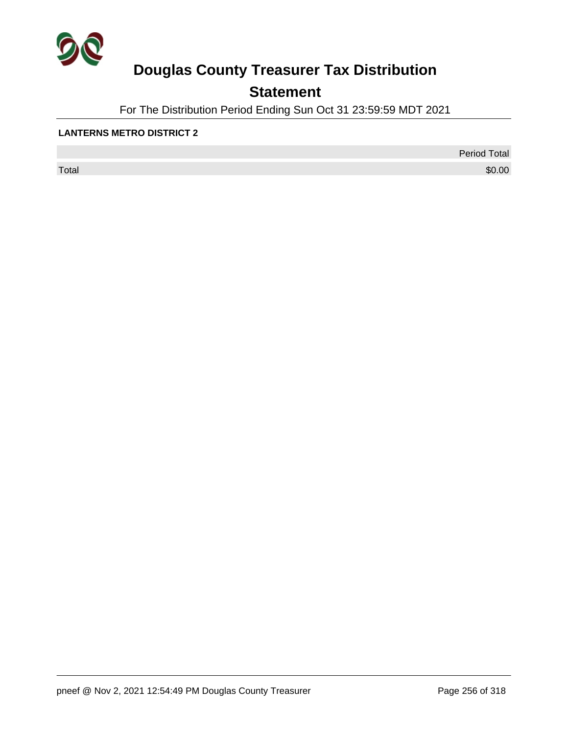

## **Statement**

For The Distribution Period Ending Sun Oct 31 23:59:59 MDT 2021

#### **LANTERNS METRO DISTRICT 2**

 $\sf Total$   $\$0.00$ 

Period Total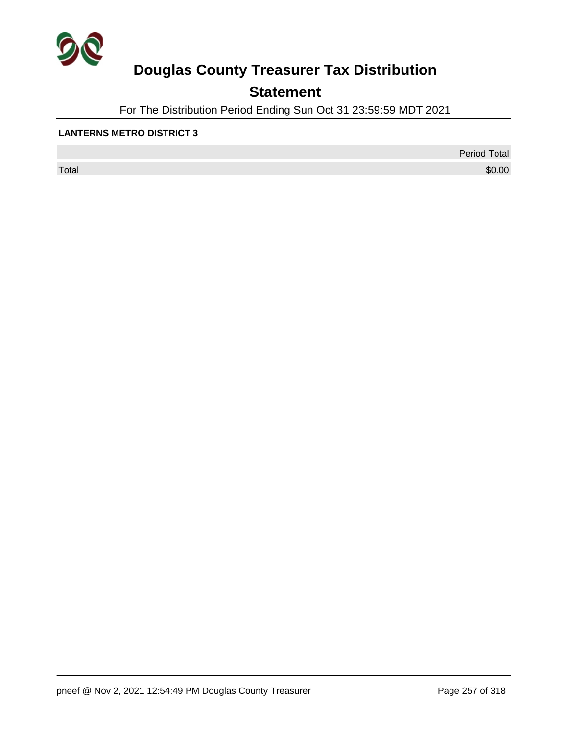

## **Statement**

For The Distribution Period Ending Sun Oct 31 23:59:59 MDT 2021

#### **LANTERNS METRO DISTRICT 3**

 $\sf Total$   $\$0.00$ 

Period Total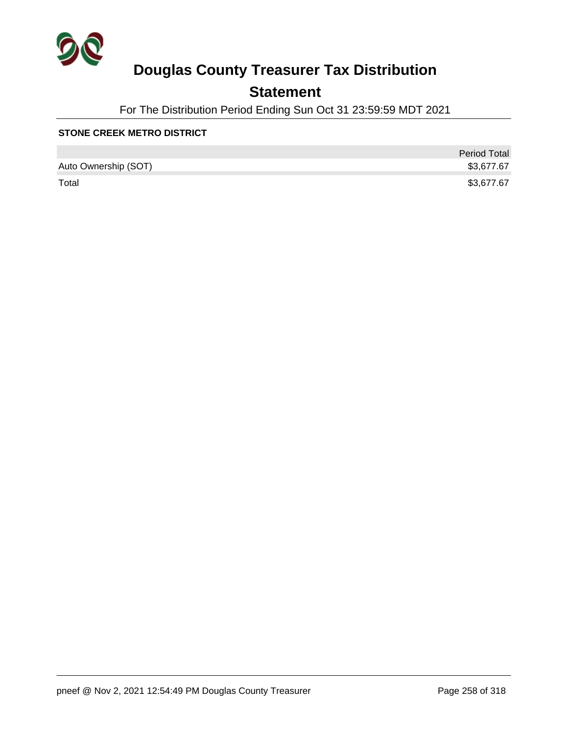

## **Statement**

For The Distribution Period Ending Sun Oct 31 23:59:59 MDT 2021

#### **STONE CREEK METRO DISTRICT**

|                      | <b>Period Total</b> |
|----------------------|---------------------|
| Auto Ownership (SOT) | \$3,677.67          |
| Total                | \$3,677.67          |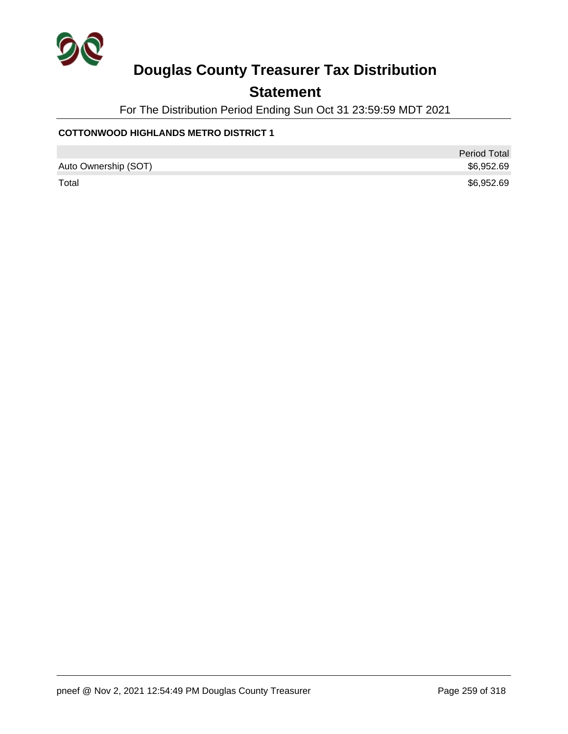

## **Statement**

For The Distribution Period Ending Sun Oct 31 23:59:59 MDT 2021

#### **COTTONWOOD HIGHLANDS METRO DISTRICT 1**

|                      | <b>Period Total</b> |
|----------------------|---------------------|
| Auto Ownership (SOT) | \$6,952.69          |
| Total                | \$6,952.69          |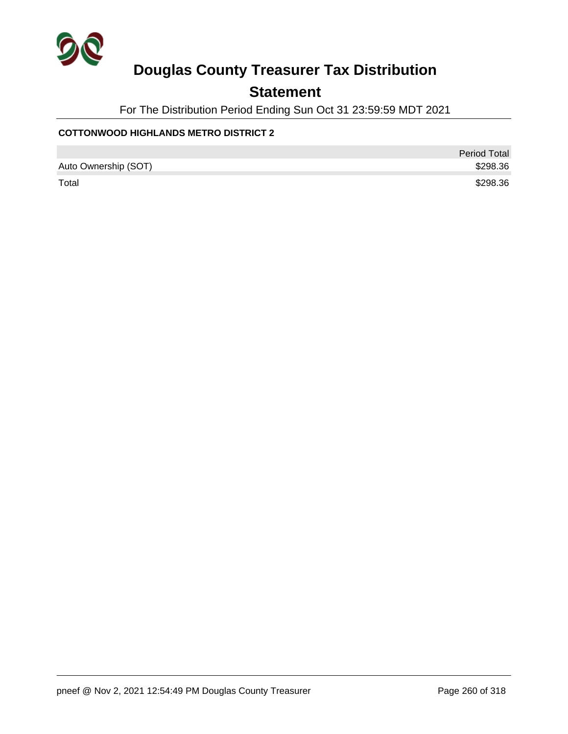

## **Statement**

For The Distribution Period Ending Sun Oct 31 23:59:59 MDT 2021

#### **COTTONWOOD HIGHLANDS METRO DISTRICT 2**

|                      | Period Total |
|----------------------|--------------|
| Auto Ownership (SOT) | \$298.36     |
| Total                | \$298.36     |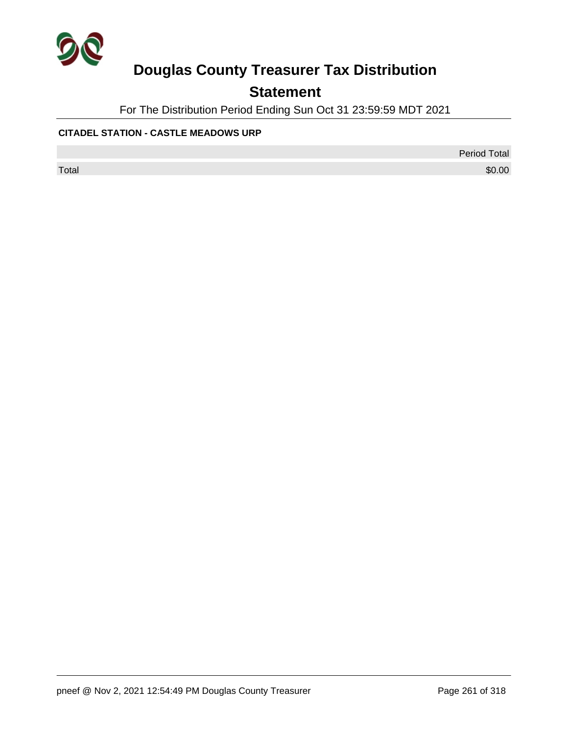

## **Statement**

For The Distribution Period Ending Sun Oct 31 23:59:59 MDT 2021

#### **CITADEL STATION - CASTLE MEADOWS URP**

Period Total

 $\sf Total$   $\$0.00$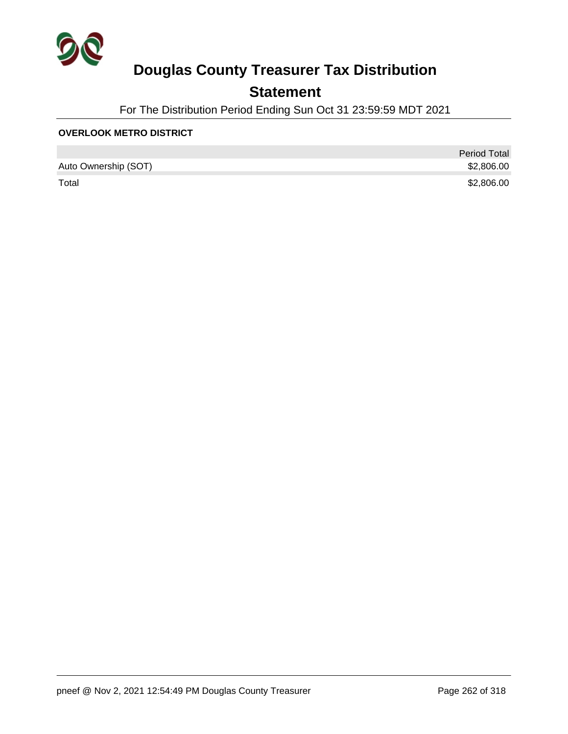

## **Statement**

For The Distribution Period Ending Sun Oct 31 23:59:59 MDT 2021

#### **OVERLOOK METRO DISTRICT**

|                      | <b>Period Total</b> |
|----------------------|---------------------|
| Auto Ownership (SOT) | \$2,806.00          |
| Total                | \$2,806.00          |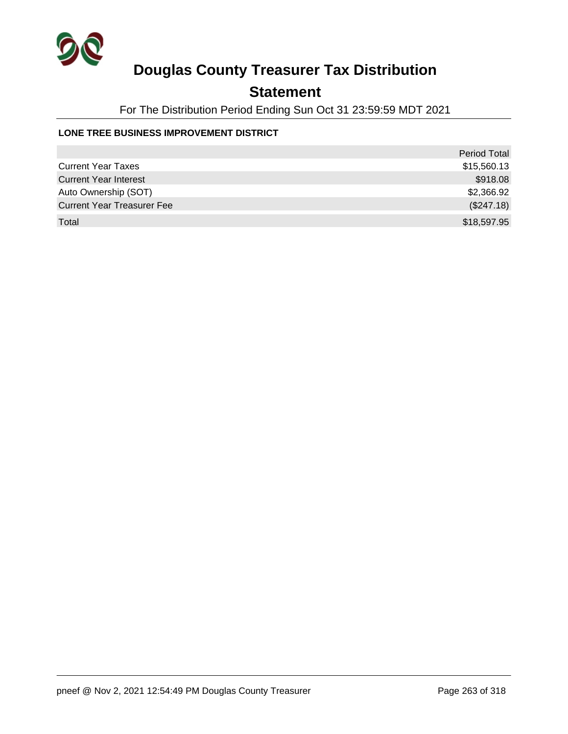

## **Statement**

For The Distribution Period Ending Sun Oct 31 23:59:59 MDT 2021

#### **LONE TREE BUSINESS IMPROVEMENT DISTRICT**

|                                   | Period Total |
|-----------------------------------|--------------|
| <b>Current Year Taxes</b>         | \$15,560.13  |
| <b>Current Year Interest</b>      | \$918.08     |
| Auto Ownership (SOT)              | \$2,366.92   |
| <b>Current Year Treasurer Fee</b> | (\$247.18)   |
| Total                             | \$18,597.95  |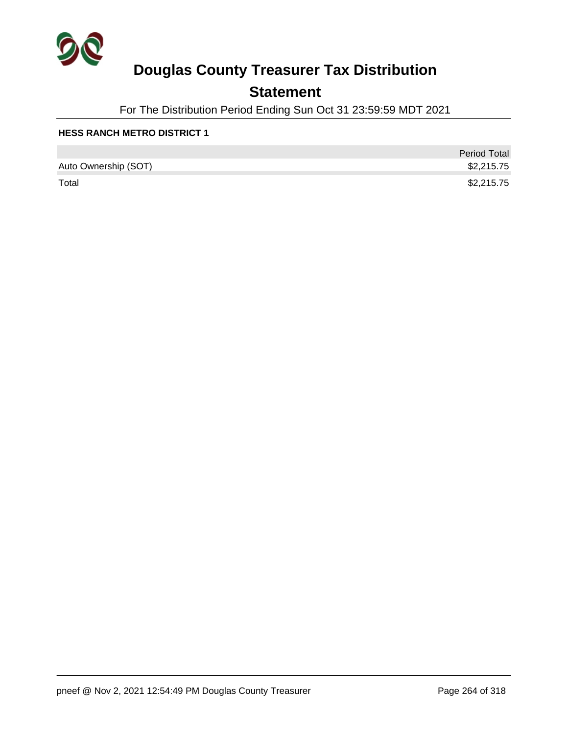

## **Statement**

For The Distribution Period Ending Sun Oct 31 23:59:59 MDT 2021

|                      | <b>Period Total</b> |
|----------------------|---------------------|
| Auto Ownership (SOT) | \$2,215.75          |
| Total                | \$2,215.75          |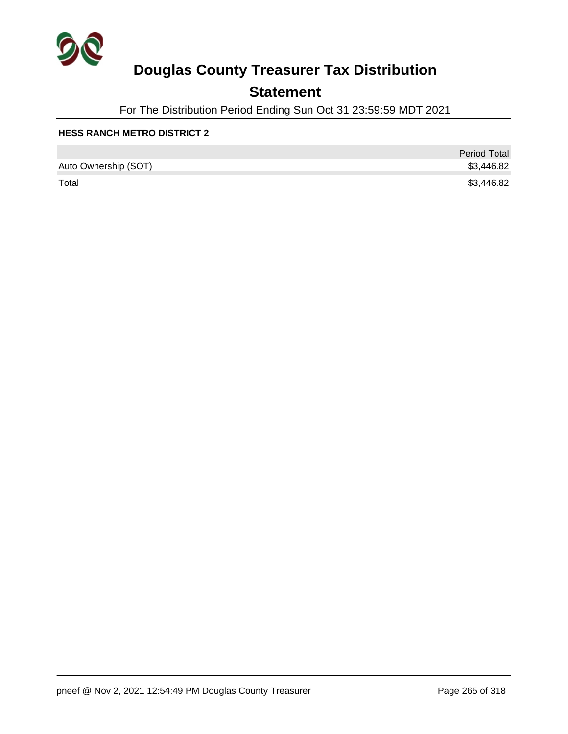

## **Statement**

For The Distribution Period Ending Sun Oct 31 23:59:59 MDT 2021

|                      | <b>Period Total</b> |
|----------------------|---------------------|
| Auto Ownership (SOT) | \$3,446.82          |
| Total                | \$3,446.82          |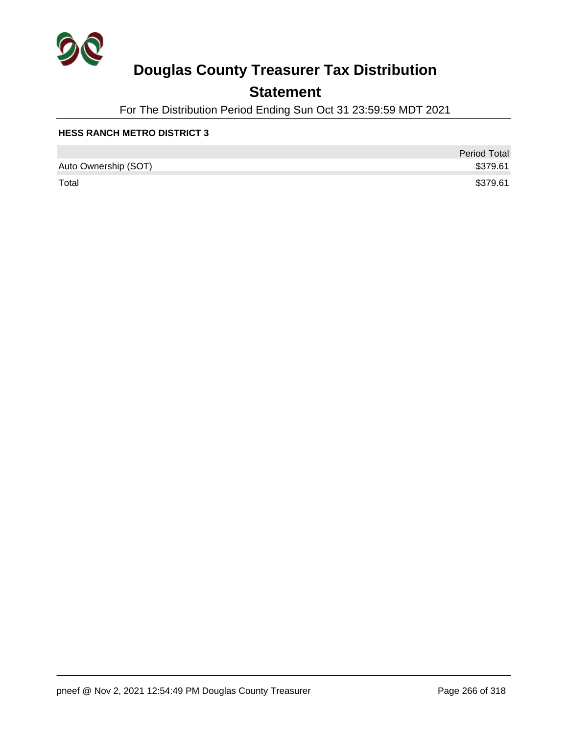

## **Statement**

For The Distribution Period Ending Sun Oct 31 23:59:59 MDT 2021

|                      | <b>Period Total</b> |
|----------------------|---------------------|
| Auto Ownership (SOT) | \$379.61            |
| Total                | \$379.61            |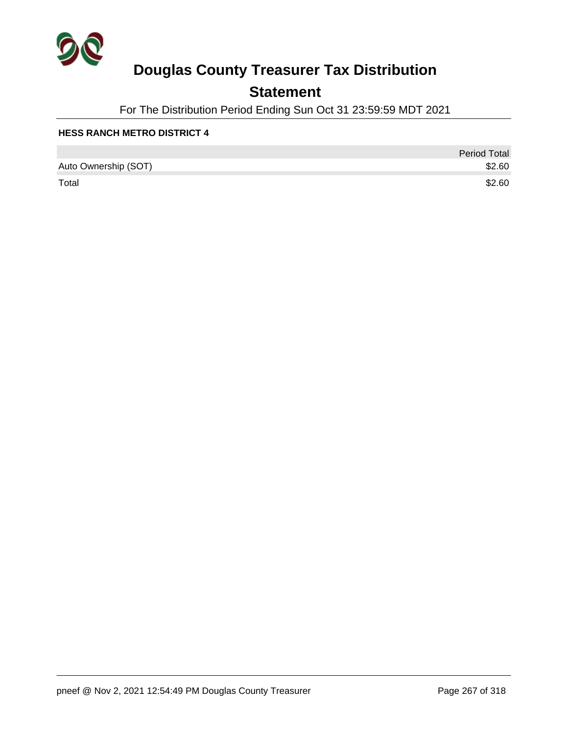

## **Statement**

For The Distribution Period Ending Sun Oct 31 23:59:59 MDT 2021

|                      | <b>Period Total</b> |
|----------------------|---------------------|
| Auto Ownership (SOT) | \$2.60              |
| Total                | \$2.60              |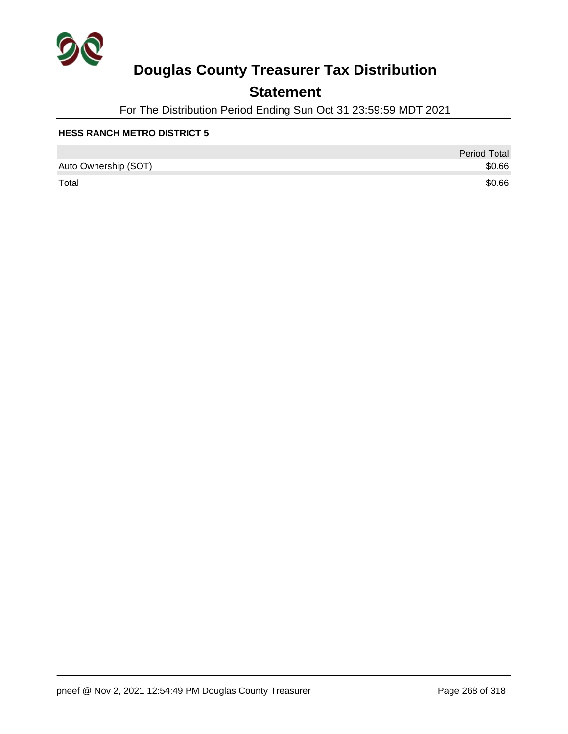

## **Statement**

For The Distribution Period Ending Sun Oct 31 23:59:59 MDT 2021

|                      | <b>Period Total</b> |
|----------------------|---------------------|
| Auto Ownership (SOT) | \$0.66              |
| Total                | \$0.66              |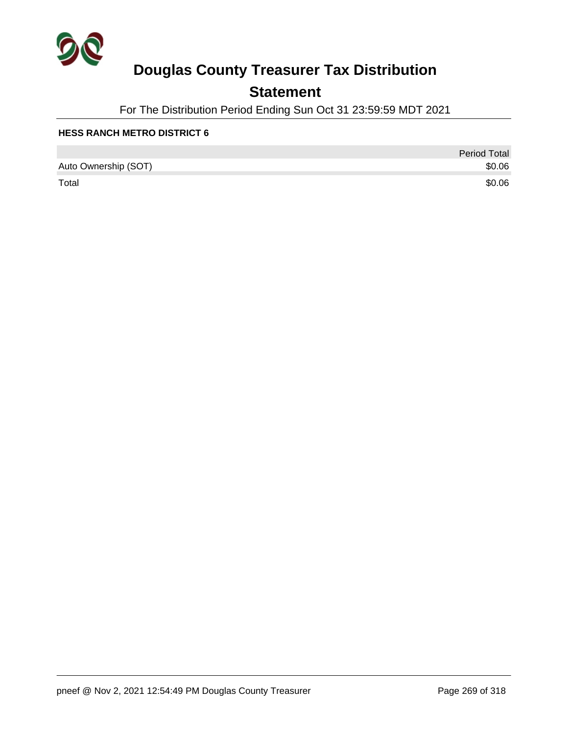

## **Statement**

For The Distribution Period Ending Sun Oct 31 23:59:59 MDT 2021

|                      | <b>Period Total</b> |
|----------------------|---------------------|
| Auto Ownership (SOT) | \$0.06              |
| Total                | \$0.06              |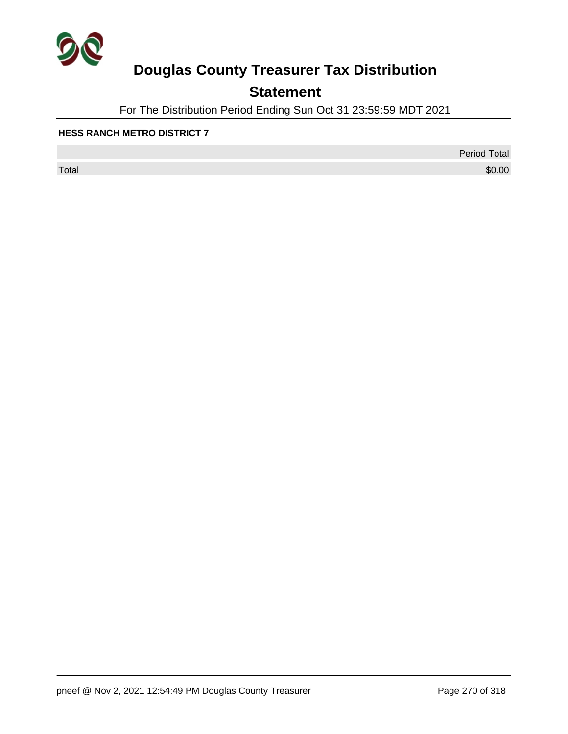

## **Statement**

For The Distribution Period Ending Sun Oct 31 23:59:59 MDT 2021

#### **HESS RANCH METRO DISTRICT 7**

 $\sf Total$   $\$0.00$ 

Period Total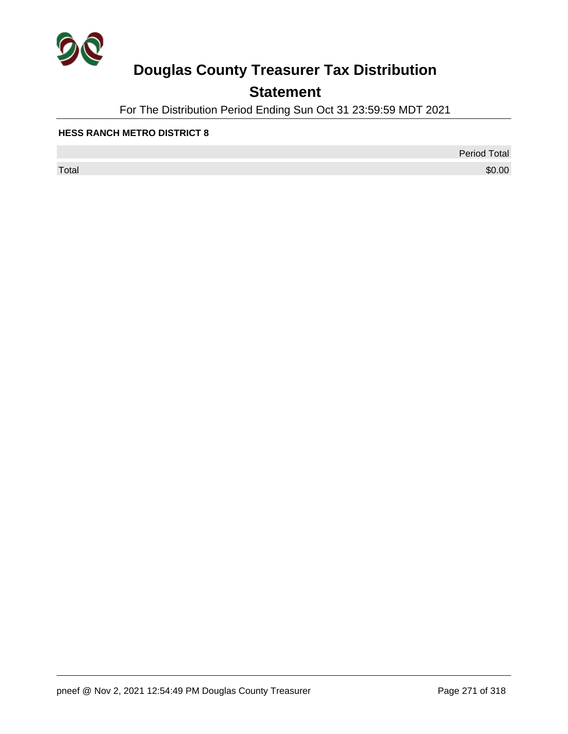

## **Statement**

For The Distribution Period Ending Sun Oct 31 23:59:59 MDT 2021

#### **HESS RANCH METRO DISTRICT 8**

 $\sf Total$   $\$0.00$ 

Period Total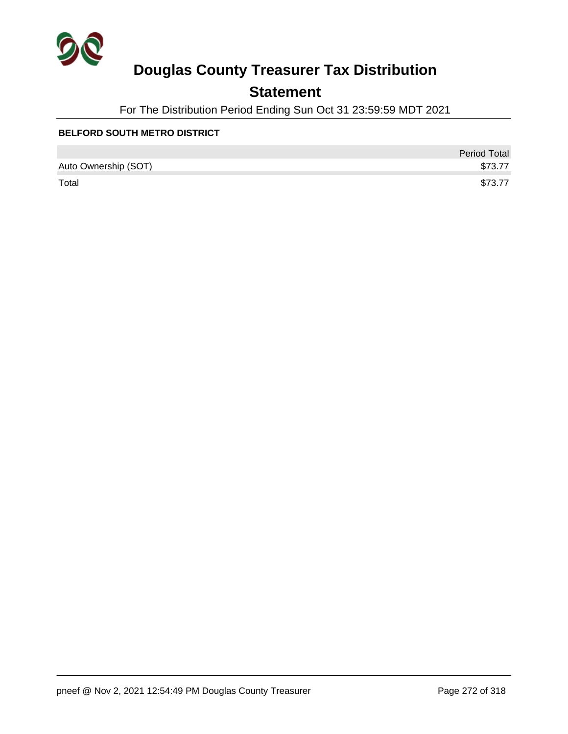

## **Statement**

For The Distribution Period Ending Sun Oct 31 23:59:59 MDT 2021

#### **BELFORD SOUTH METRO DISTRICT**

|                      | <b>Period Total</b> |
|----------------------|---------------------|
| Auto Ownership (SOT) | \$73.77             |
| Total                | \$73.77             |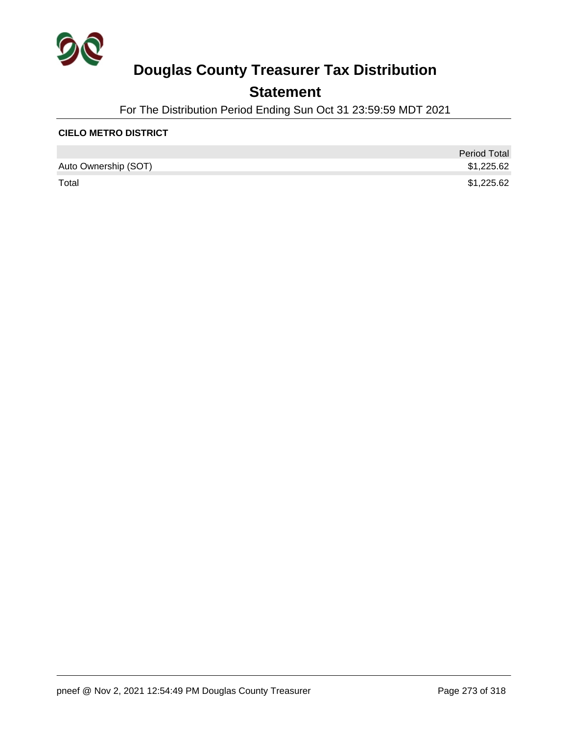

## **Statement**

For The Distribution Period Ending Sun Oct 31 23:59:59 MDT 2021

#### **CIELO METRO DISTRICT**

|                      | <b>Period Total</b> |
|----------------------|---------------------|
| Auto Ownership (SOT) | \$1,225.62          |
| Total                | \$1,225.62          |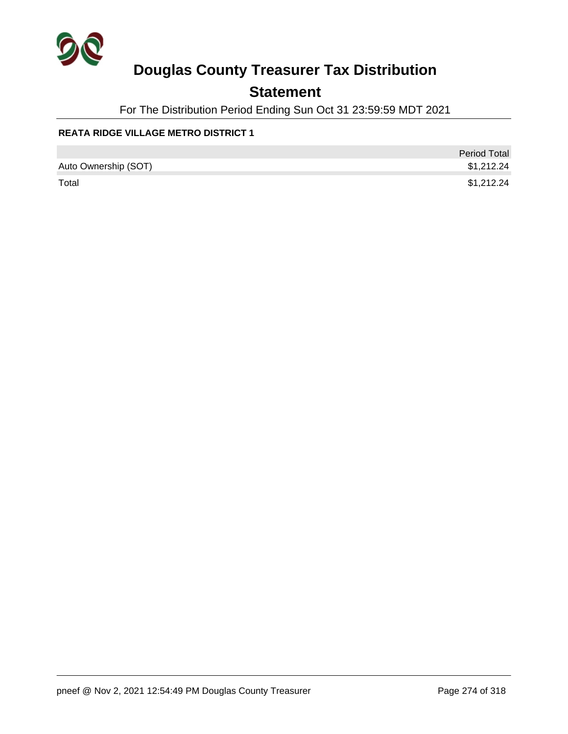

## **Statement**

For The Distribution Period Ending Sun Oct 31 23:59:59 MDT 2021

#### **REATA RIDGE VILLAGE METRO DISTRICT 1**

|                      | <b>Period Total</b> |
|----------------------|---------------------|
| Auto Ownership (SOT) | \$1,212.24          |
| Total                | \$1,212.24          |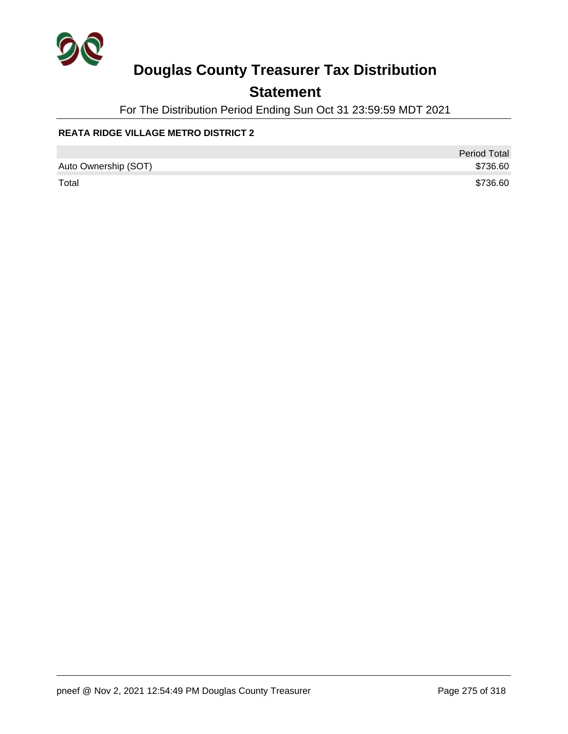

## **Statement**

For The Distribution Period Ending Sun Oct 31 23:59:59 MDT 2021

#### **REATA RIDGE VILLAGE METRO DISTRICT 2**

|                      | <b>Period Total</b> |
|----------------------|---------------------|
| Auto Ownership (SOT) | \$736.60            |
| Total                | \$736.60            |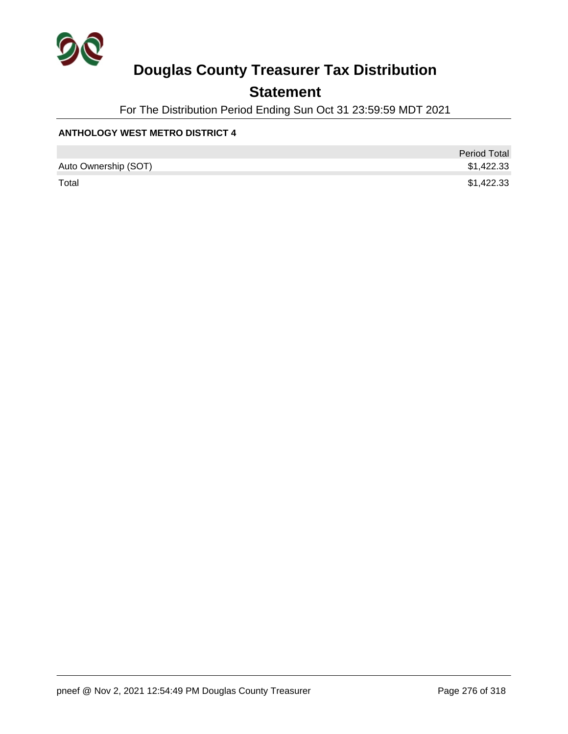

## **Statement**

For The Distribution Period Ending Sun Oct 31 23:59:59 MDT 2021

#### **ANTHOLOGY WEST METRO DISTRICT 4**

|                      | <b>Period Total</b> |
|----------------------|---------------------|
| Auto Ownership (SOT) | \$1,422.33          |
| Total                | \$1,422.33          |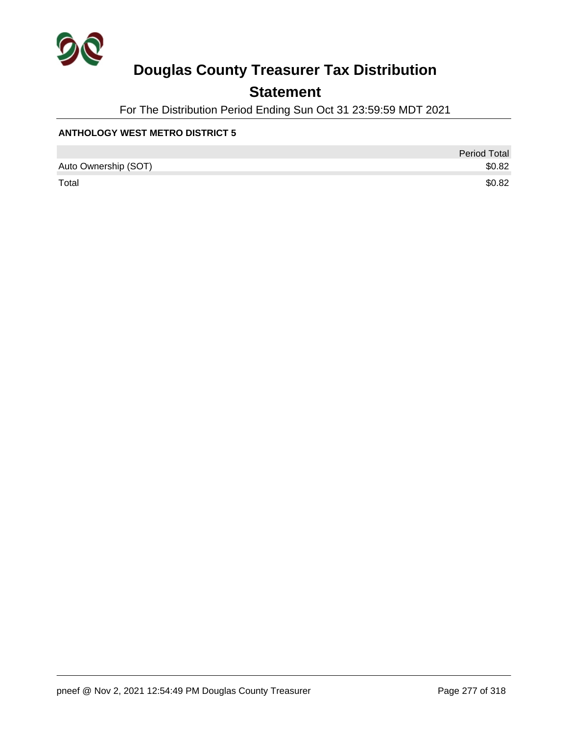

## **Statement**

For The Distribution Period Ending Sun Oct 31 23:59:59 MDT 2021

#### **ANTHOLOGY WEST METRO DISTRICT 5**

|                      | <b>Period Total</b> |
|----------------------|---------------------|
| Auto Ownership (SOT) | \$0.82              |
| Total                | \$0.82              |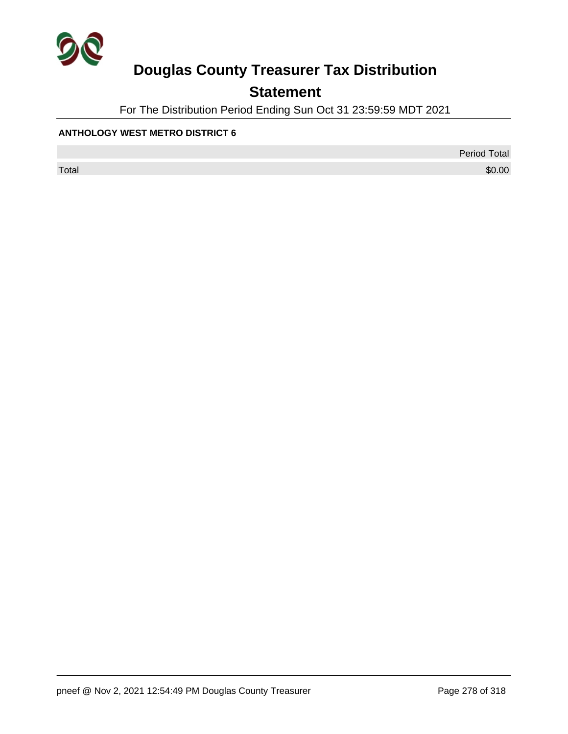

## **Statement**

For The Distribution Period Ending Sun Oct 31 23:59:59 MDT 2021

#### **ANTHOLOGY WEST METRO DISTRICT 6**

Period Total

 $\sf Total$   $\$0.00$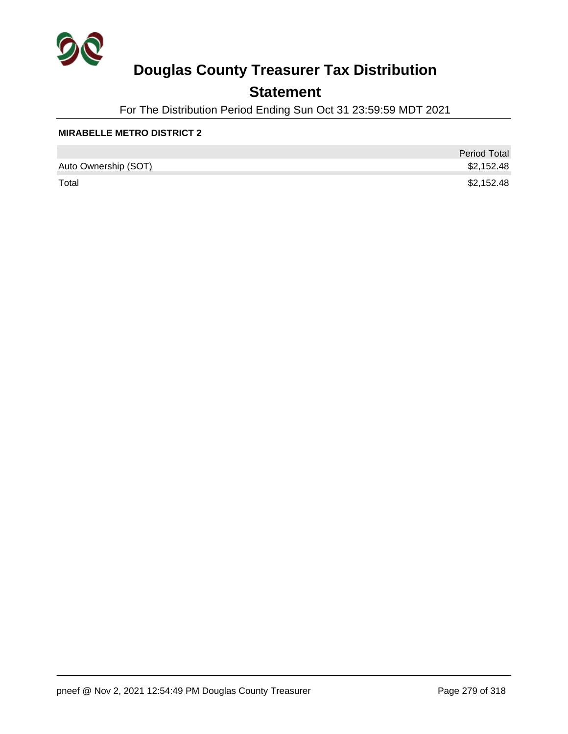

## **Statement**

For The Distribution Period Ending Sun Oct 31 23:59:59 MDT 2021

#### **MIRABELLE METRO DISTRICT 2**

|                      | <b>Period Total</b> |
|----------------------|---------------------|
| Auto Ownership (SOT) | \$2,152.48          |
| Total                | \$2,152.48          |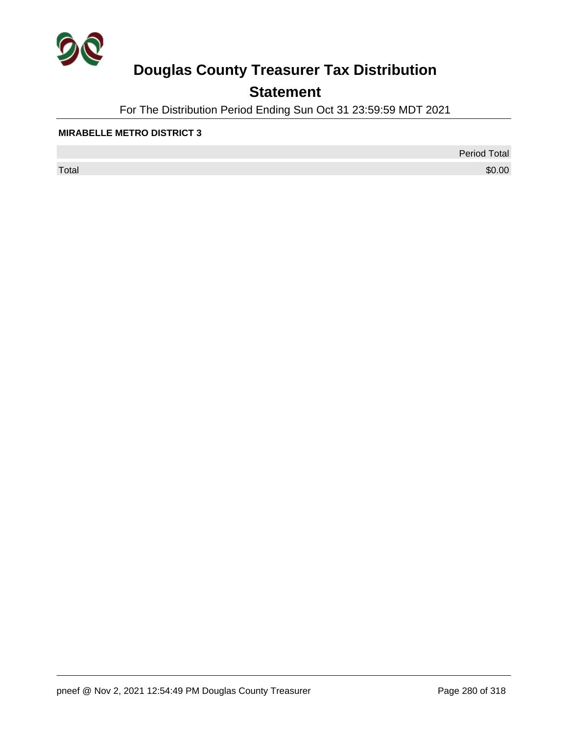

## **Statement**

For The Distribution Period Ending Sun Oct 31 23:59:59 MDT 2021

#### **MIRABELLE METRO DISTRICT 3**

 $\sf Total$   $\$0.00$ 

Period Total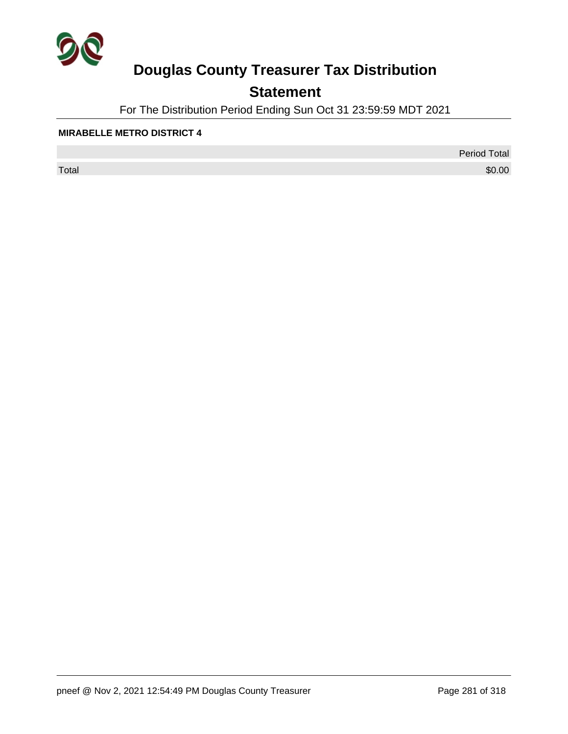

## **Statement**

For The Distribution Period Ending Sun Oct 31 23:59:59 MDT 2021

#### **MIRABELLE METRO DISTRICT 4**

 $\sf Total$   $\$0.00$ 

Period Total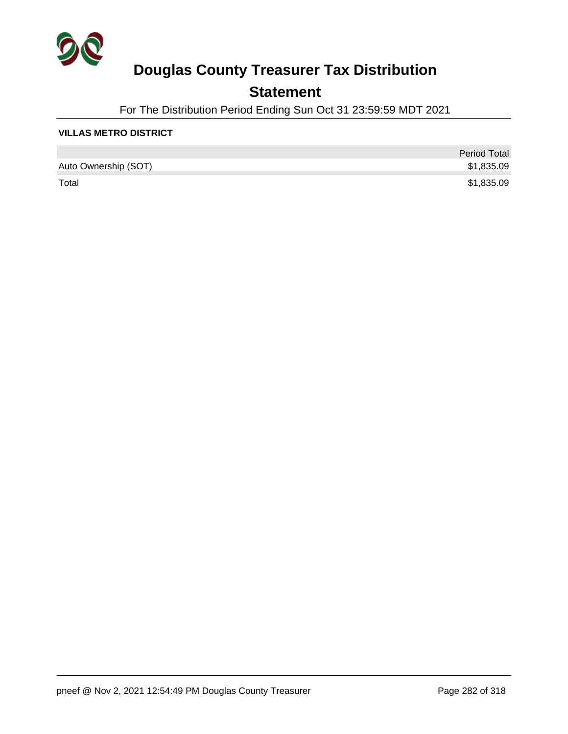

## **Statement**

For The Distribution Period Ending Sun Oct 31 23:59:59 MDT 2021

#### **VILLAS METRO DISTRICT**

|                      | <b>Period Total</b> |
|----------------------|---------------------|
| Auto Ownership (SOT) | \$1,835.09          |
| Total                | \$1,835.09          |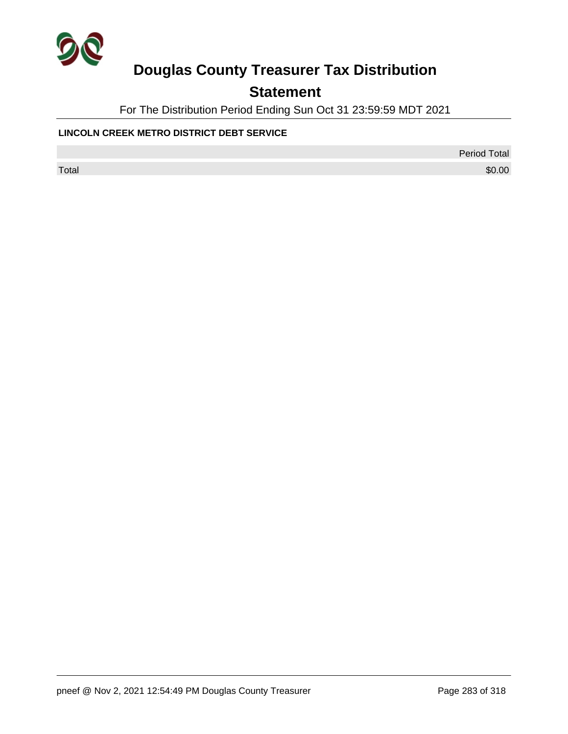

## **Statement**

For The Distribution Period Ending Sun Oct 31 23:59:59 MDT 2021

#### **LINCOLN CREEK METRO DISTRICT DEBT SERVICE**

Period Total

 $\sf Total$   $\$0.00$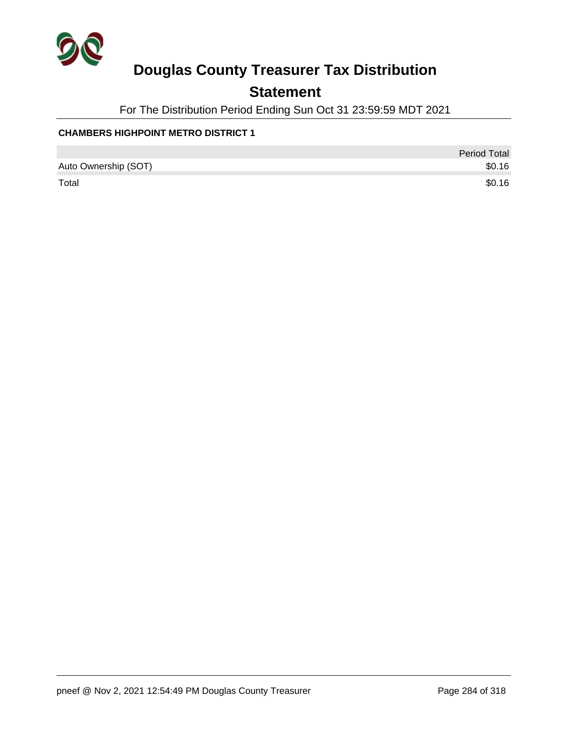

## **Statement**

For The Distribution Period Ending Sun Oct 31 23:59:59 MDT 2021

#### **CHAMBERS HIGHPOINT METRO DISTRICT 1**

|                      | <b>Period Total</b> |
|----------------------|---------------------|
| Auto Ownership (SOT) | \$0.16              |
| Total                | \$0.16              |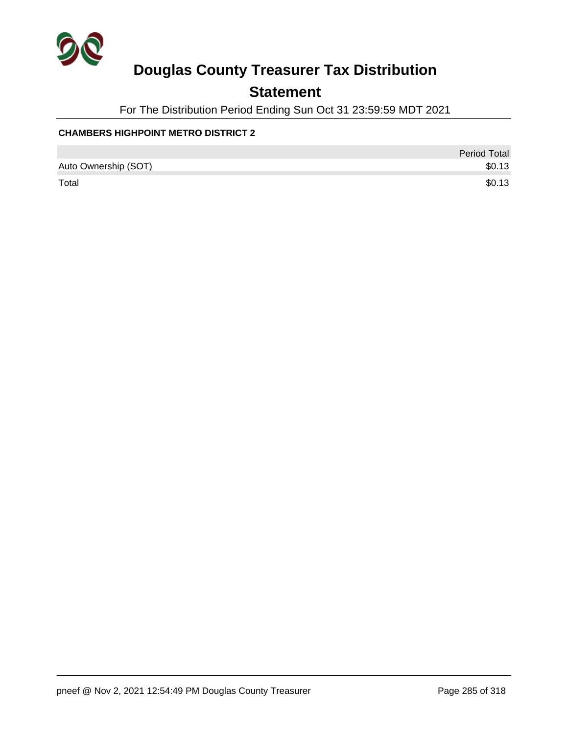

## **Statement**

For The Distribution Period Ending Sun Oct 31 23:59:59 MDT 2021

#### **CHAMBERS HIGHPOINT METRO DISTRICT 2**

|                      | Period Total |
|----------------------|--------------|
| Auto Ownership (SOT) | \$0.13       |
| Total                | \$0.13       |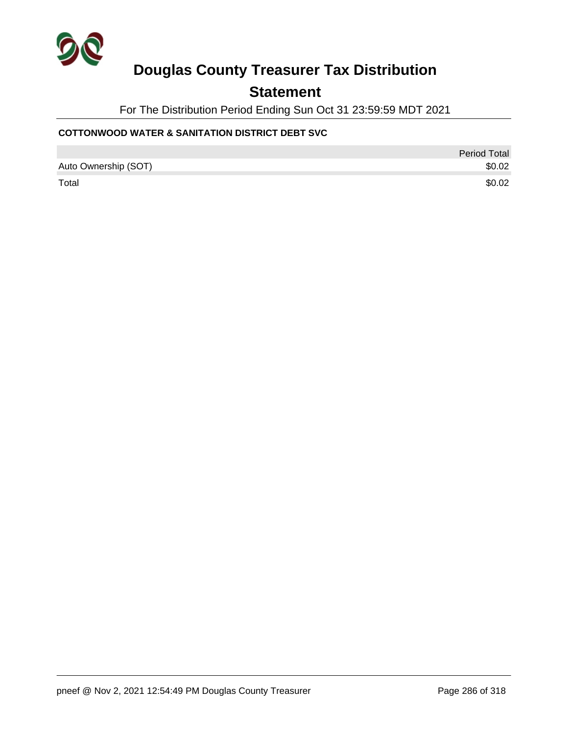

### **Statement**

For The Distribution Period Ending Sun Oct 31 23:59:59 MDT 2021

#### **COTTONWOOD WATER & SANITATION DISTRICT DEBT SVC**

|                      | Period Total |
|----------------------|--------------|
| Auto Ownership (SOT) | \$0.02       |
| Total                | \$0.02       |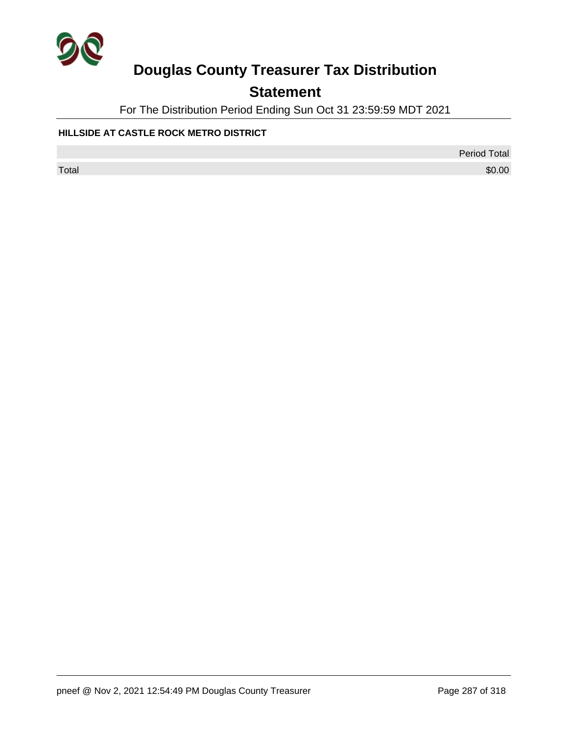

## **Statement**

For The Distribution Period Ending Sun Oct 31 23:59:59 MDT 2021

#### **HILLSIDE AT CASTLE ROCK METRO DISTRICT**

Period Total

 $\sf Total$   $\$0.00$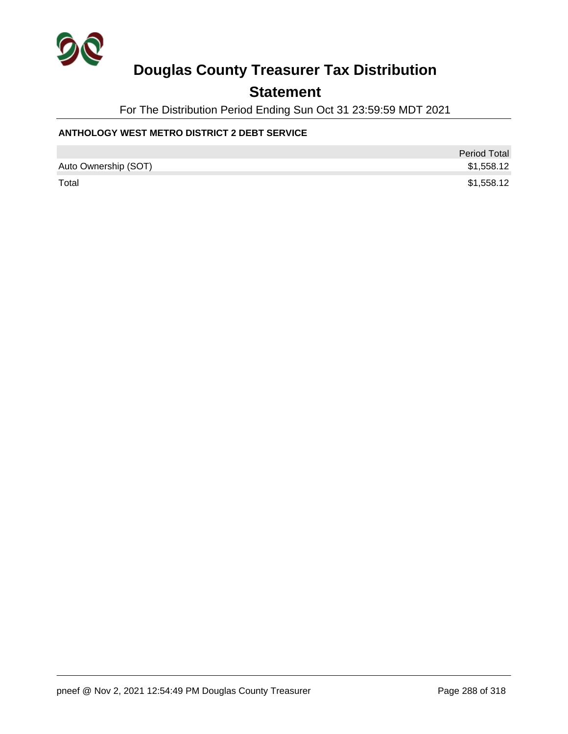

### **Statement**

For The Distribution Period Ending Sun Oct 31 23:59:59 MDT 2021

#### **ANTHOLOGY WEST METRO DISTRICT 2 DEBT SERVICE**

|                      | <b>Period Total</b> |
|----------------------|---------------------|
| Auto Ownership (SOT) | \$1,558.12          |
| Total                | \$1,558.12          |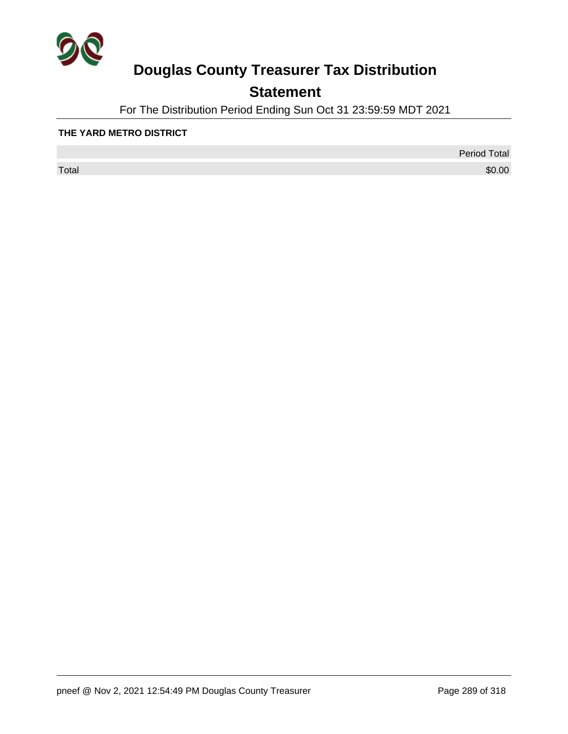

## **Statement**

For The Distribution Period Ending Sun Oct 31 23:59:59 MDT 2021

#### **THE YARD METRO DISTRICT**

 $\sf Total$   $\$0.00$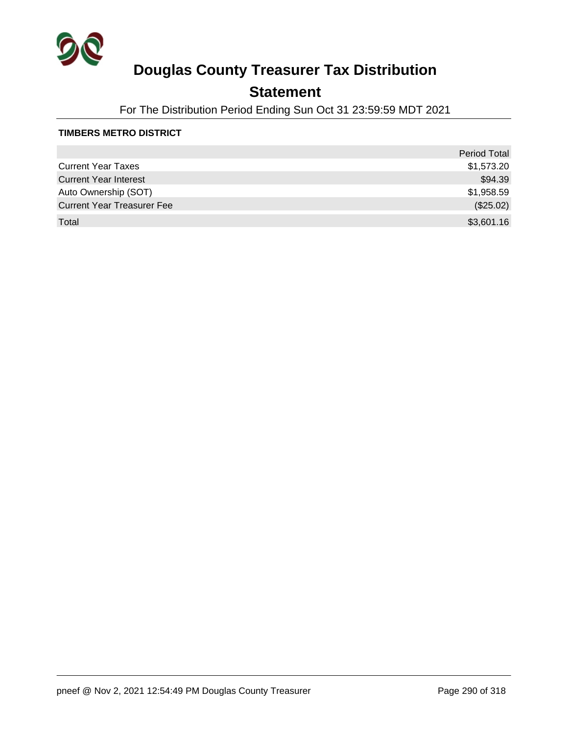

### **Statement**

For The Distribution Period Ending Sun Oct 31 23:59:59 MDT 2021

#### **TIMBERS METRO DISTRICT**

|                                   | <b>Period Total</b> |
|-----------------------------------|---------------------|
| <b>Current Year Taxes</b>         | \$1,573.20          |
| <b>Current Year Interest</b>      | \$94.39             |
| Auto Ownership (SOT)              | \$1,958.59          |
| <b>Current Year Treasurer Fee</b> | (\$25.02)           |
| Total                             | \$3,601.16          |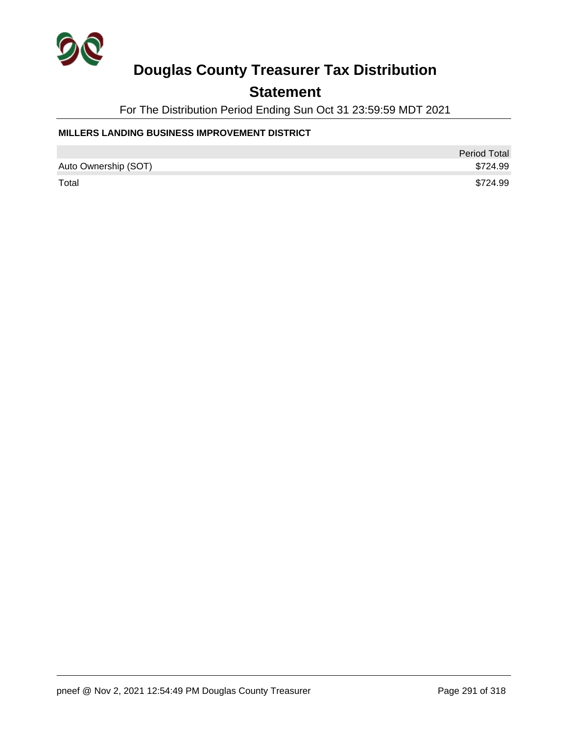

### **Statement**

For The Distribution Period Ending Sun Oct 31 23:59:59 MDT 2021

### **MILLERS LANDING BUSINESS IMPROVEMENT DISTRICT**

|                      | <b>Period Total</b> |
|----------------------|---------------------|
| Auto Ownership (SOT) | \$724.99            |
| Total                | \$724.99            |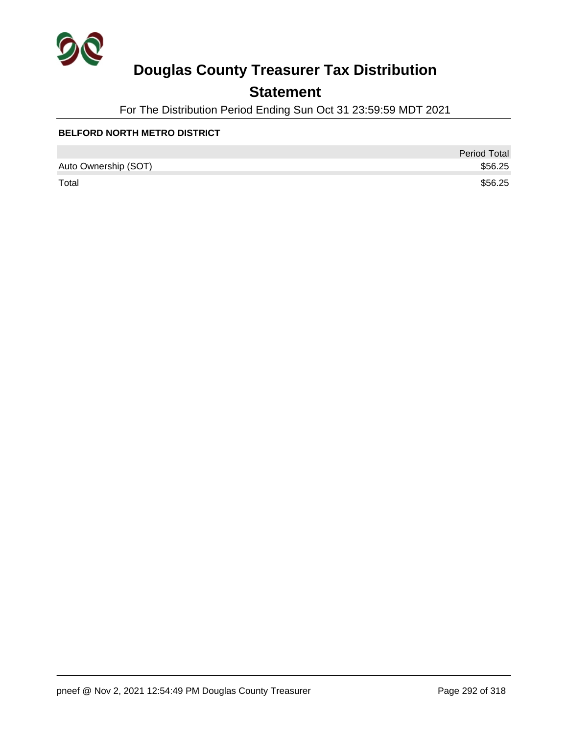

## **Statement**

For The Distribution Period Ending Sun Oct 31 23:59:59 MDT 2021

### **BELFORD NORTH METRO DISTRICT**

|                      | <b>Period Total</b> |
|----------------------|---------------------|
| Auto Ownership (SOT) | \$56.25             |
| Total                | \$56.25             |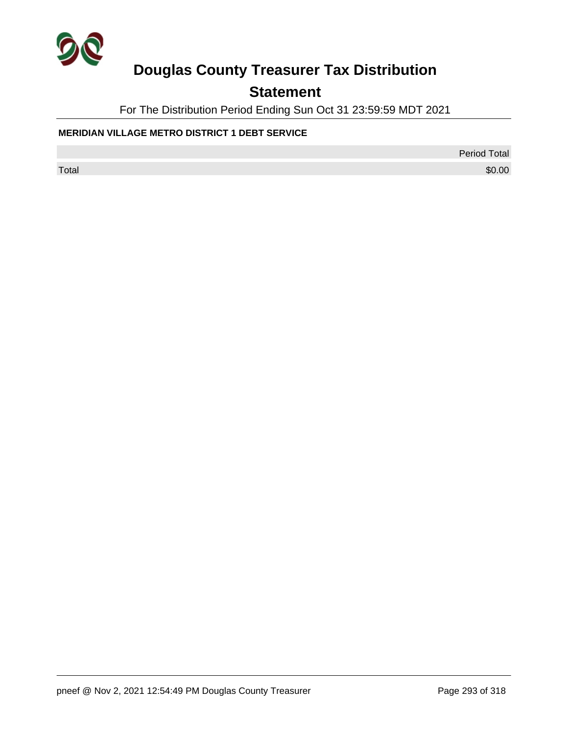

## **Statement**

For The Distribution Period Ending Sun Oct 31 23:59:59 MDT 2021

### **MERIDIAN VILLAGE METRO DISTRICT 1 DEBT SERVICE**

Period Total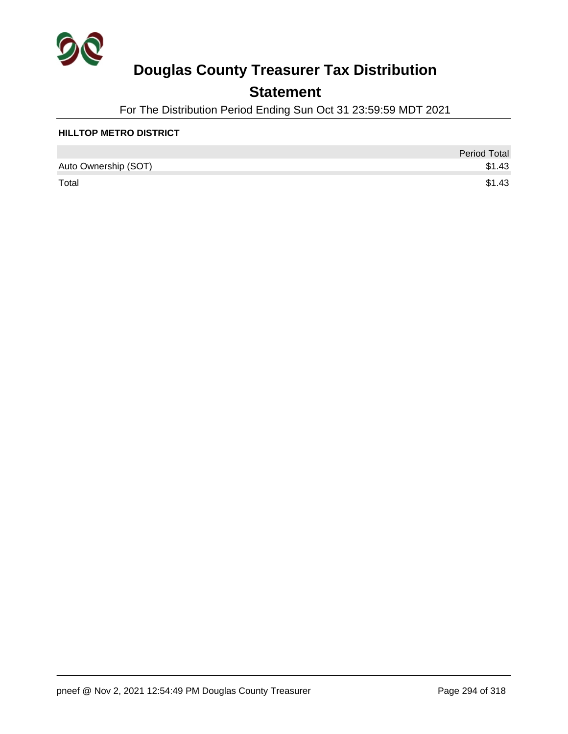

### **Statement**

For The Distribution Period Ending Sun Oct 31 23:59:59 MDT 2021

#### **HILLTOP METRO DISTRICT**

|                      | <b>Period Total</b> |
|----------------------|---------------------|
| Auto Ownership (SOT) | \$1.43              |
| Total                | \$1.43              |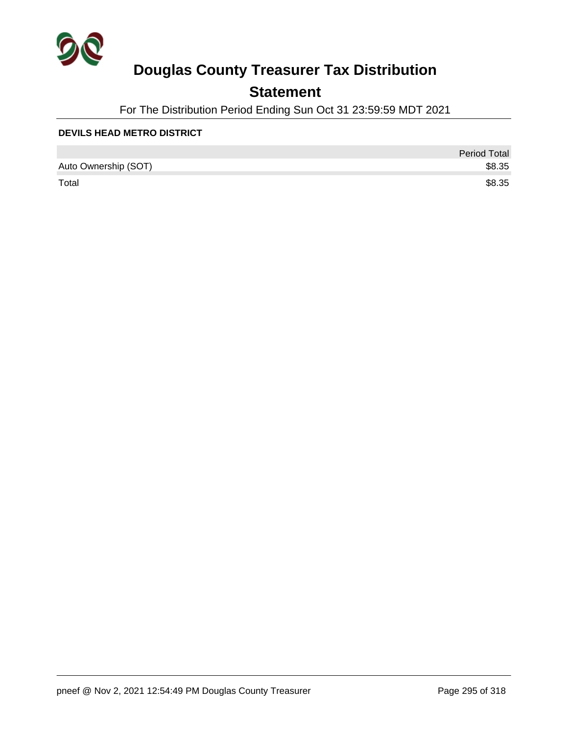

### **Statement**

For The Distribution Period Ending Sun Oct 31 23:59:59 MDT 2021

#### **DEVILS HEAD METRO DISTRICT**

|                      | <b>Period Total</b> |
|----------------------|---------------------|
| Auto Ownership (SOT) | \$8.35              |
| Total                | \$8.35              |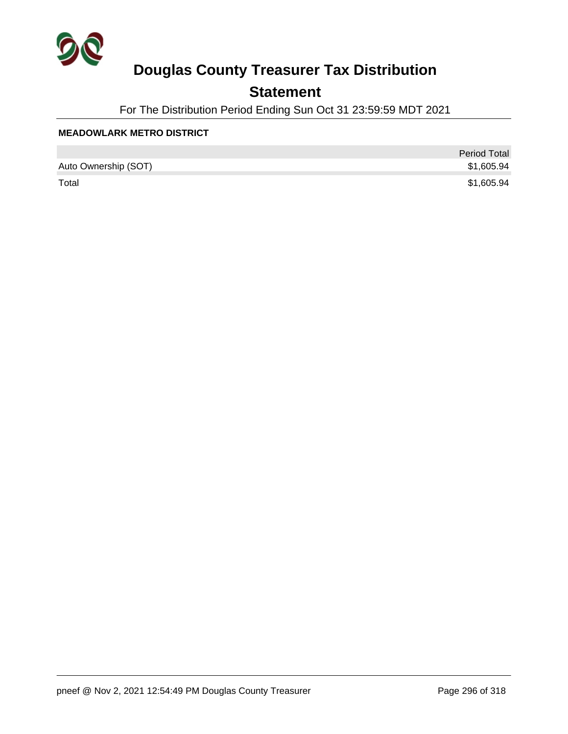

### **Statement**

For The Distribution Period Ending Sun Oct 31 23:59:59 MDT 2021

#### **MEADOWLARK METRO DISTRICT**

|                      | <b>Period Total</b> |
|----------------------|---------------------|
| Auto Ownership (SOT) | \$1,605.94          |
| Total                | \$1,605.94          |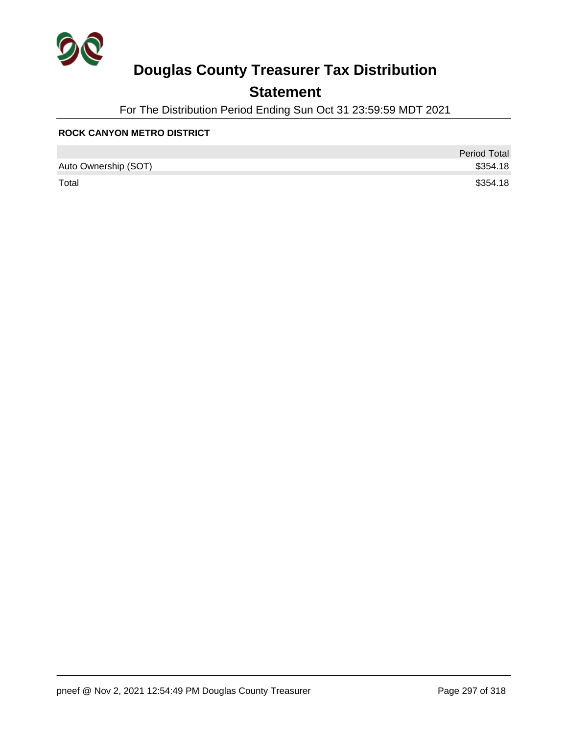

### **Statement**

For The Distribution Period Ending Sun Oct 31 23:59:59 MDT 2021

#### **ROCK CANYON METRO DISTRICT**

|                      | <b>Period Total</b> |
|----------------------|---------------------|
| Auto Ownership (SOT) | \$354.18            |
| Total                | \$354.18            |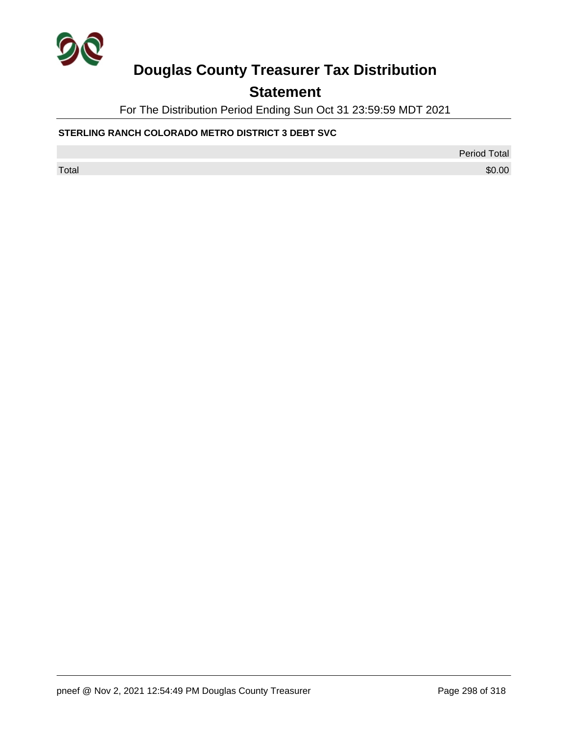

## **Statement**

For The Distribution Period Ending Sun Oct 31 23:59:59 MDT 2021

### **STERLING RANCH COLORADO METRO DISTRICT 3 DEBT SVC**

Period Total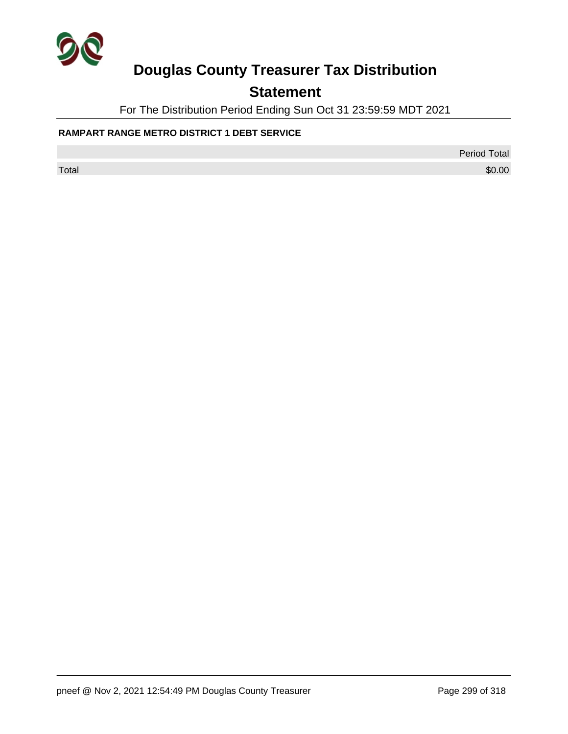

## **Statement**

For The Distribution Period Ending Sun Oct 31 23:59:59 MDT 2021

### **RAMPART RANGE METRO DISTRICT 1 DEBT SERVICE**

Period Total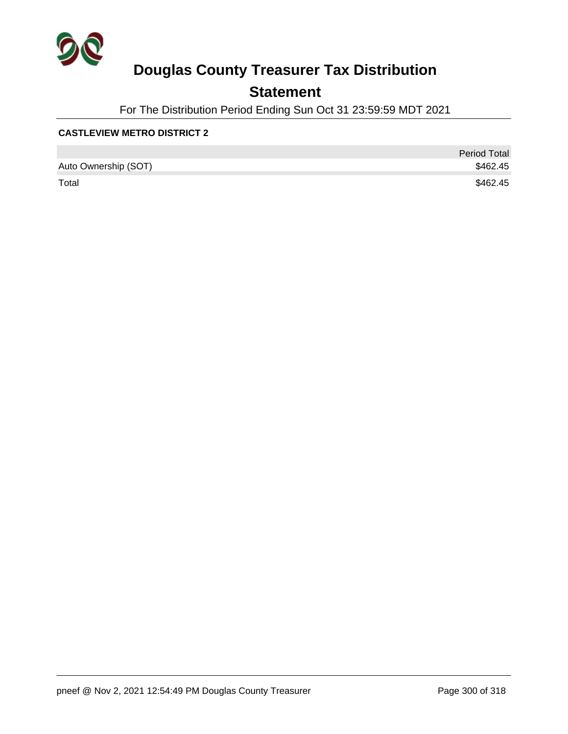

### **Statement**

For The Distribution Period Ending Sun Oct 31 23:59:59 MDT 2021

#### **CASTLEVIEW METRO DISTRICT 2**

|                      | <b>Period Total</b> |
|----------------------|---------------------|
| Auto Ownership (SOT) | \$462.45            |
| Total                | \$462.45            |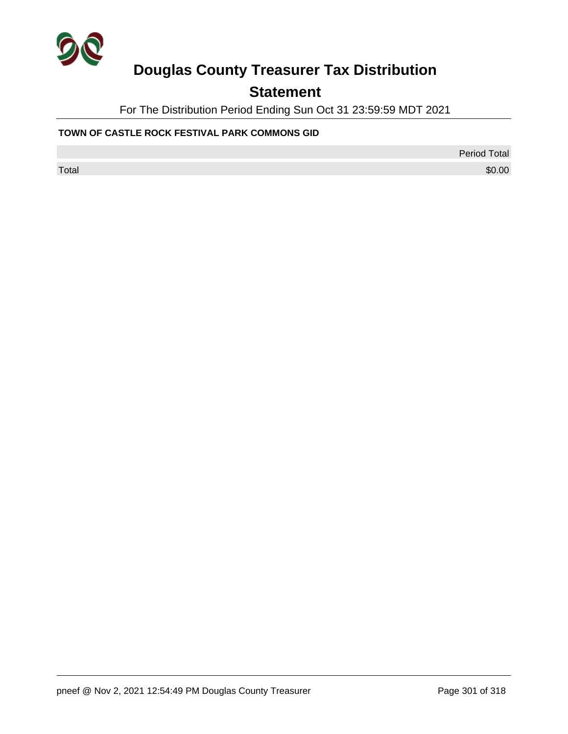

## **Statement**

For The Distribution Period Ending Sun Oct 31 23:59:59 MDT 2021

#### **TOWN OF CASTLE ROCK FESTIVAL PARK COMMONS GID**

Period Total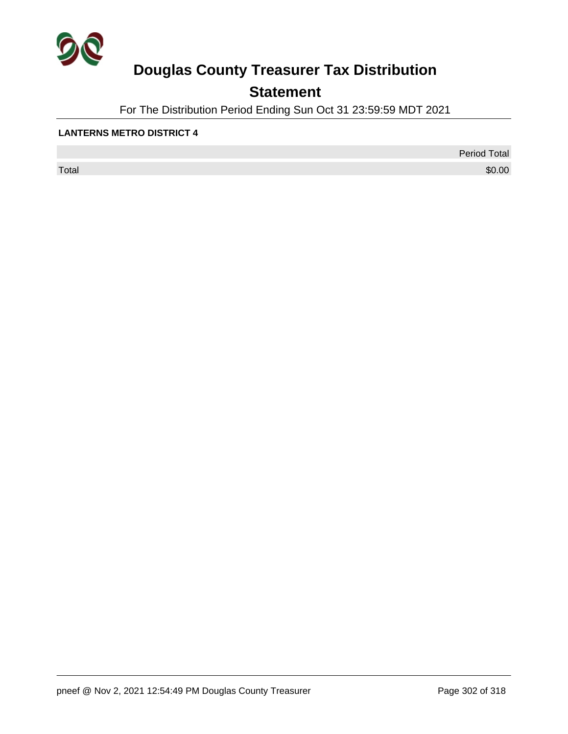

## **Statement**

For The Distribution Period Ending Sun Oct 31 23:59:59 MDT 2021

#### **LANTERNS METRO DISTRICT 4**

 $\sf Total$   $\$0.00$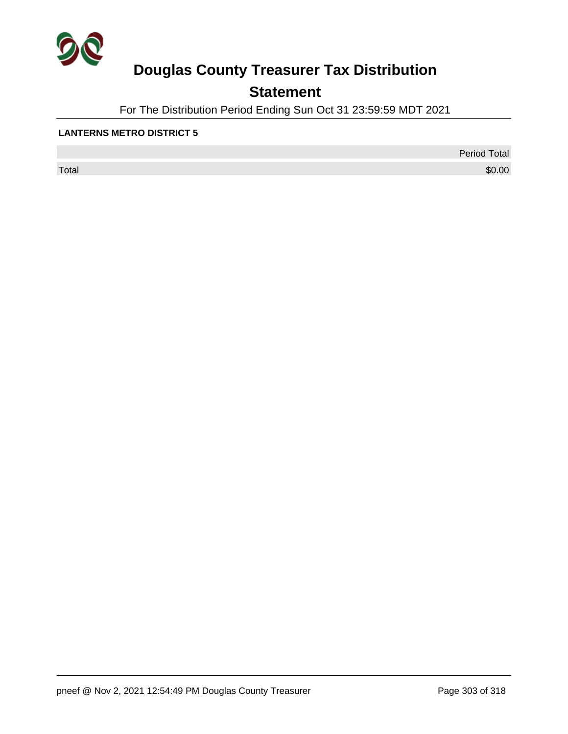

## **Statement**

For The Distribution Period Ending Sun Oct 31 23:59:59 MDT 2021

#### **LANTERNS METRO DISTRICT 5**

 $\sf Total$   $\$0.00$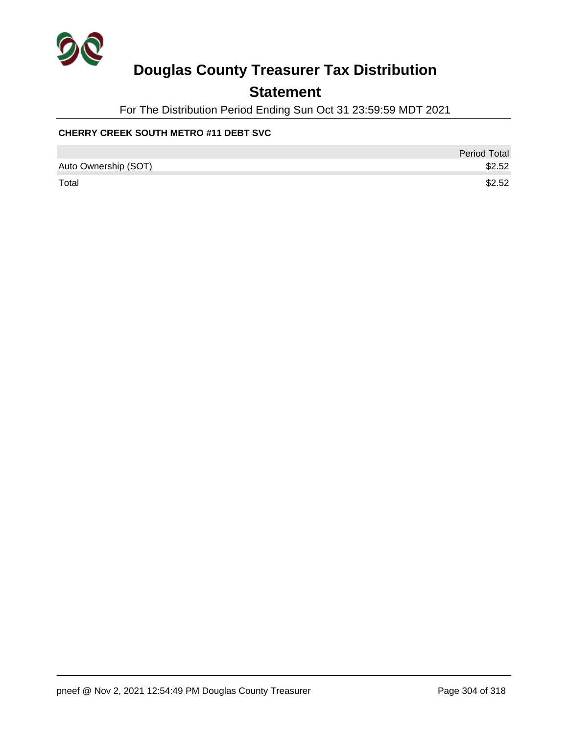

### **Statement**

For The Distribution Period Ending Sun Oct 31 23:59:59 MDT 2021

### **CHERRY CREEK SOUTH METRO #11 DEBT SVC**

|                      | Period Total |
|----------------------|--------------|
| Auto Ownership (SOT) | \$2.52       |
| Total                | \$2.52       |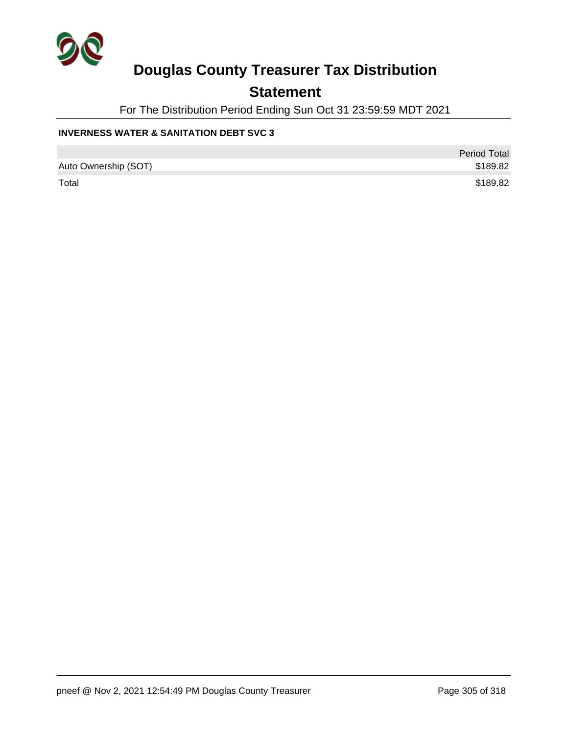

### **Statement**

For The Distribution Period Ending Sun Oct 31 23:59:59 MDT 2021

#### **INVERNESS WATER & SANITATION DEBT SVC 3**

|                      | <b>Period Total</b> |
|----------------------|---------------------|
| Auto Ownership (SOT) | \$189.82            |
| Total                | \$189.82            |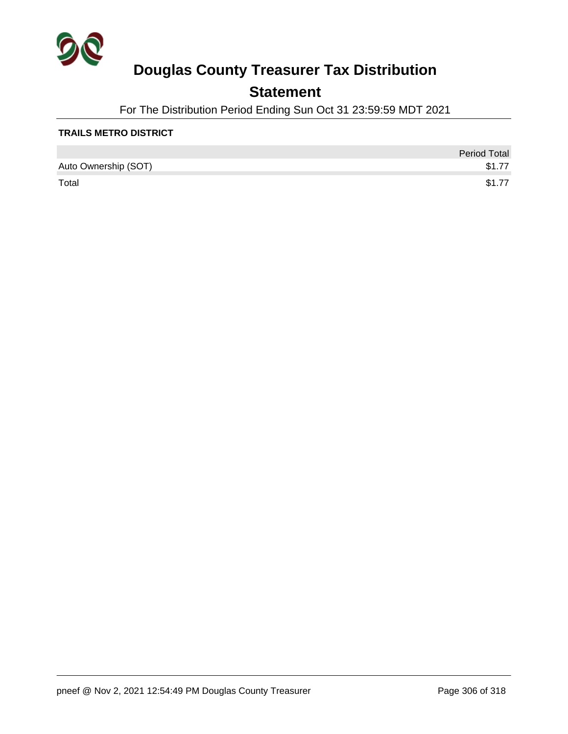

### **Statement**

For The Distribution Period Ending Sun Oct 31 23:59:59 MDT 2021

### **TRAILS METRO DISTRICT**

|                      | <b>Period Total</b> |
|----------------------|---------------------|
| Auto Ownership (SOT) | \$1.77              |
| Total                | \$1.77              |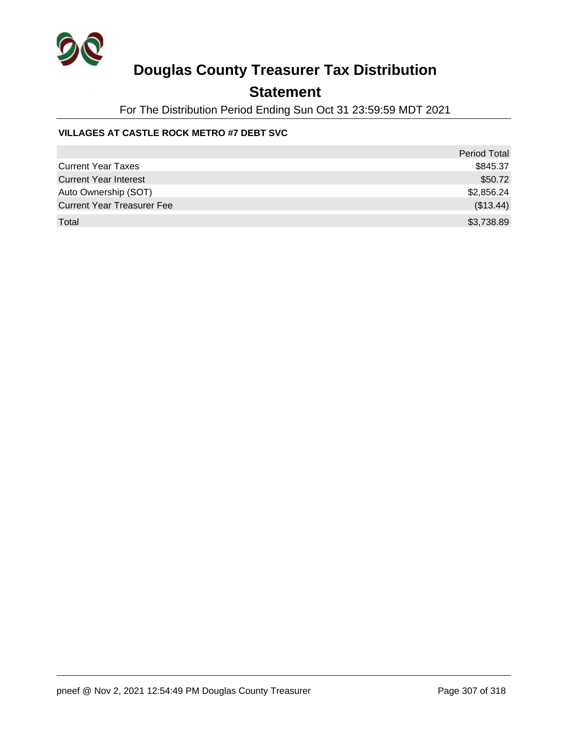

### **Statement**

For The Distribution Period Ending Sun Oct 31 23:59:59 MDT 2021

### **VILLAGES AT CASTLE ROCK METRO #7 DEBT SVC**

|                                   | <b>Period Total</b> |
|-----------------------------------|---------------------|
| <b>Current Year Taxes</b>         | \$845.37            |
| <b>Current Year Interest</b>      | \$50.72             |
| Auto Ownership (SOT)              | \$2,856.24          |
| <b>Current Year Treasurer Fee</b> | (\$13.44)           |
| Total                             | \$3,738.89          |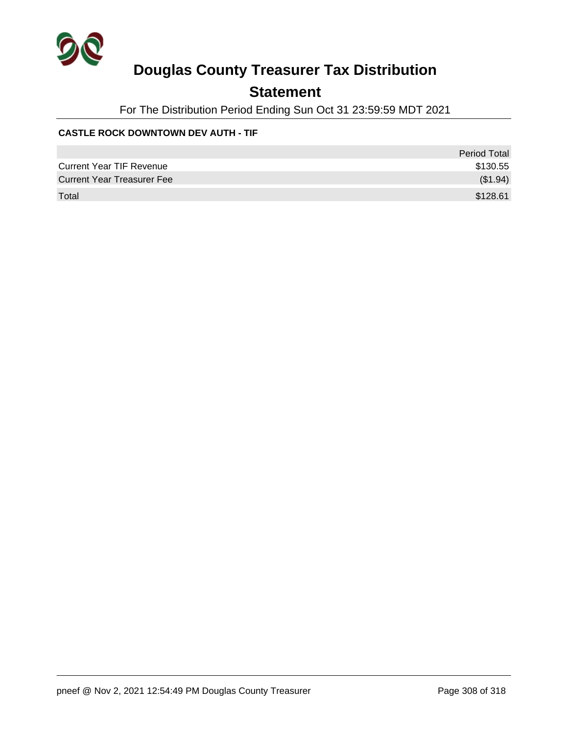

### **Statement**

For The Distribution Period Ending Sun Oct 31 23:59:59 MDT 2021

### **CASTLE ROCK DOWNTOWN DEV AUTH - TIF**

|                                   | <b>Period Total</b> |
|-----------------------------------|---------------------|
| <b>Current Year TIF Revenue</b>   | \$130.55            |
| <b>Current Year Treasurer Fee</b> | (\$1.94)            |
| Total                             | \$128.61            |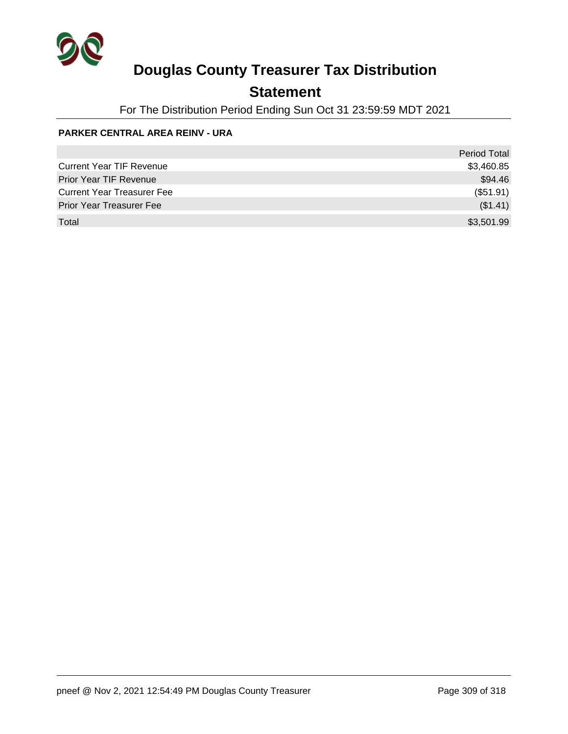

### **Statement**

For The Distribution Period Ending Sun Oct 31 23:59:59 MDT 2021

#### **PARKER CENTRAL AREA REINV - URA**

|                                   | <b>Period Total</b> |
|-----------------------------------|---------------------|
| <b>Current Year TIF Revenue</b>   | \$3,460.85          |
| <b>Prior Year TIF Revenue</b>     | \$94.46             |
| <b>Current Year Treasurer Fee</b> | (\$51.91)           |
| <b>Prior Year Treasurer Fee</b>   | (\$1.41)            |
| Total                             | \$3,501.99          |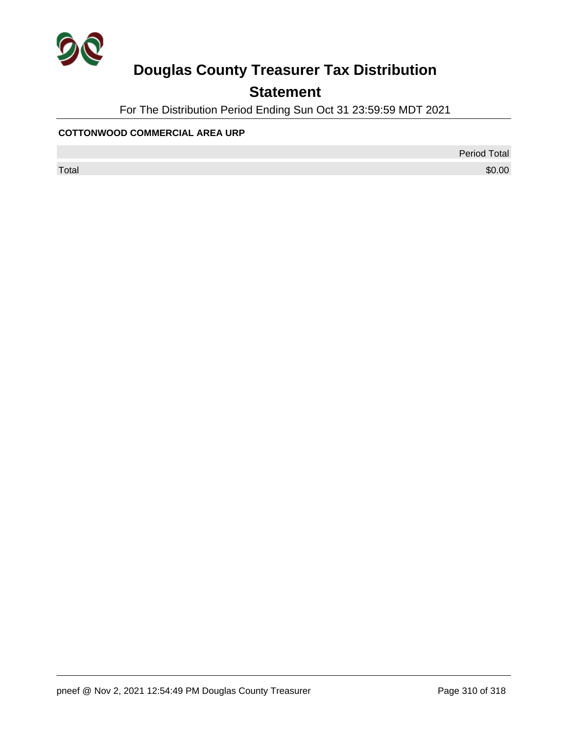

## **Statement**

For The Distribution Period Ending Sun Oct 31 23:59:59 MDT 2021

#### **COTTONWOOD COMMERCIAL AREA URP**

Period Total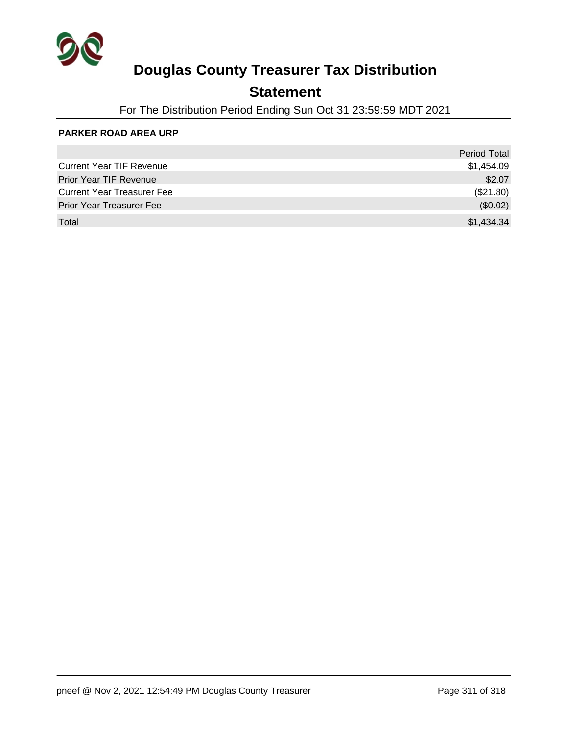

### **Statement**

For The Distribution Period Ending Sun Oct 31 23:59:59 MDT 2021

#### **PARKER ROAD AREA URP**

|                                   | <b>Period Total</b> |
|-----------------------------------|---------------------|
| <b>Current Year TIF Revenue</b>   | \$1,454.09          |
| <b>Prior Year TIF Revenue</b>     | \$2.07              |
| <b>Current Year Treasurer Fee</b> | (\$21.80)           |
| <b>Prior Year Treasurer Fee</b>   | (\$0.02)            |
| Total                             | \$1,434.34          |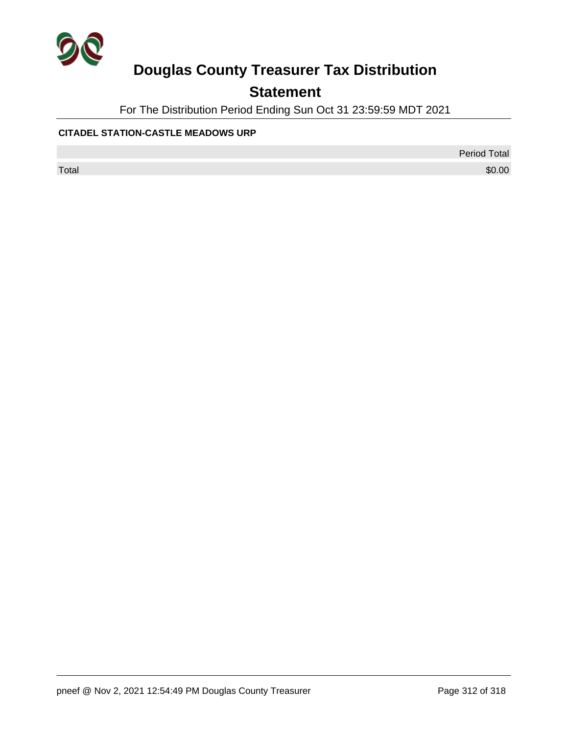

## **Statement**

For The Distribution Period Ending Sun Oct 31 23:59:59 MDT 2021

### **CITADEL STATION-CASTLE MEADOWS URP**

Period Total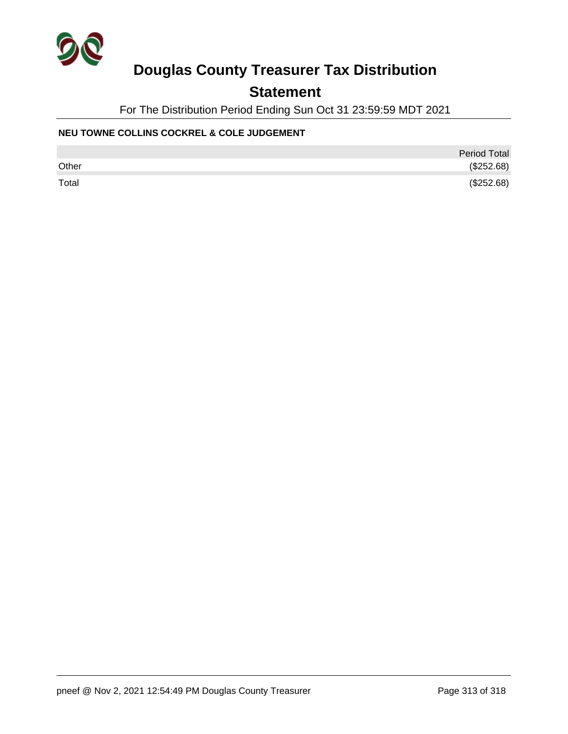

## **Statement**

For The Distribution Period Ending Sun Oct 31 23:59:59 MDT 2021

### **NEU TOWNE COLLINS COCKREL & COLE JUDGEMENT**

|       | <b>Period Total</b> |
|-------|---------------------|
| Other | (\$252.68)          |
| Total | (\$252.68)          |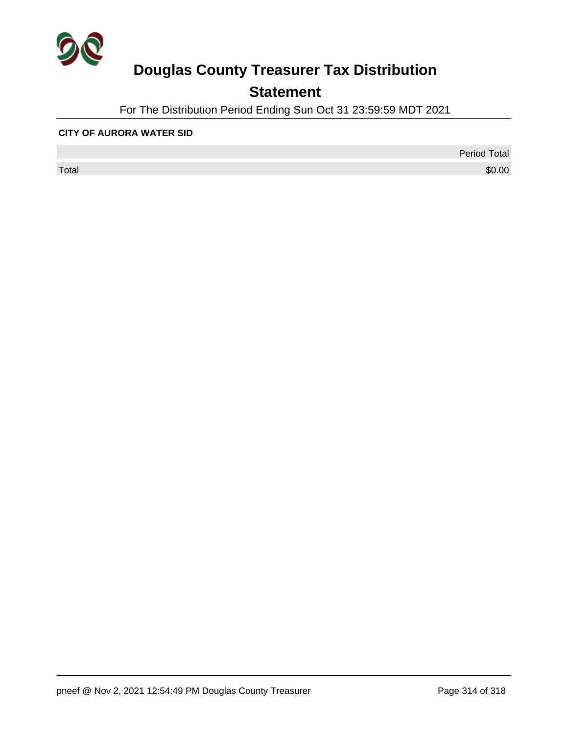

## **Statement**

For The Distribution Period Ending Sun Oct 31 23:59:59 MDT 2021

#### **CITY OF AURORA WATER SID**

 $\sf Total$   $\$0.00$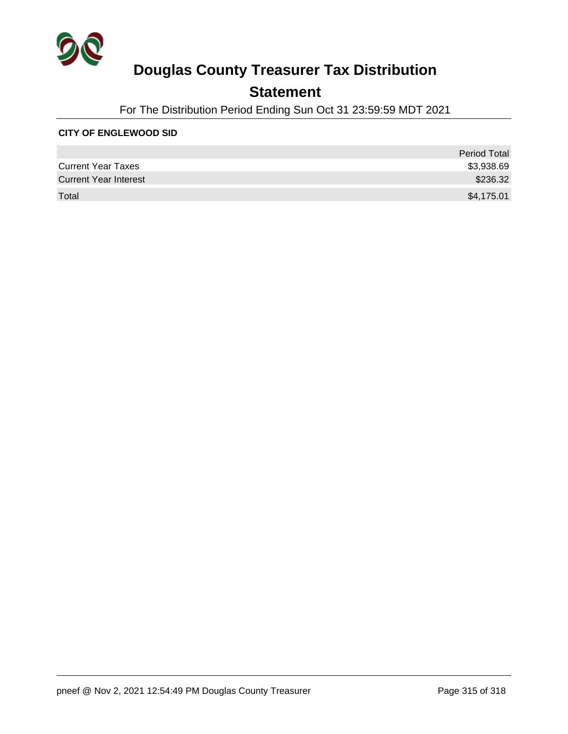

## **Statement**

For The Distribution Period Ending Sun Oct 31 23:59:59 MDT 2021

#### **CITY OF ENGLEWOOD SID**

|                              | <b>Period Total</b> |
|------------------------------|---------------------|
| <b>Current Year Taxes</b>    | \$3,938.69          |
| <b>Current Year Interest</b> | \$236.32            |
| Total                        | \$4,175.01          |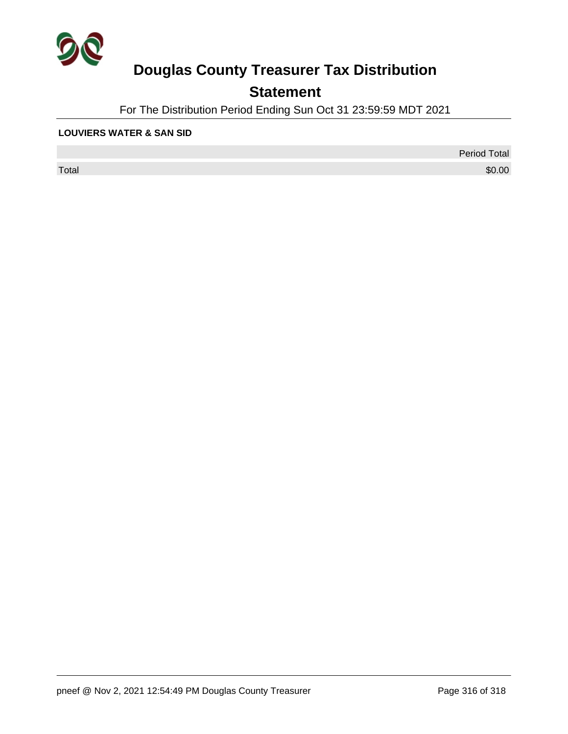

## **Statement**

For The Distribution Period Ending Sun Oct 31 23:59:59 MDT 2021

#### **LOUVIERS WATER & SAN SID**

 $\sf Total$   $\$0.00$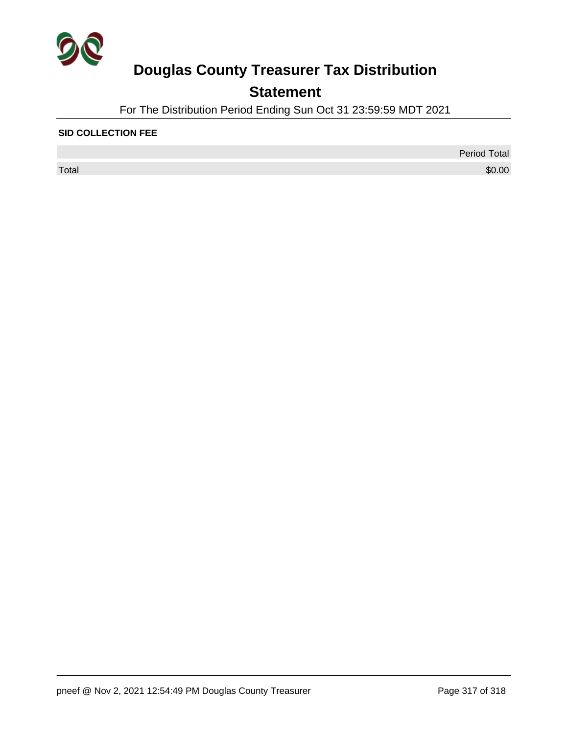

## **Statement**

For The Distribution Period Ending Sun Oct 31 23:59:59 MDT 2021

#### **SID COLLECTION FEE**

 $\sf Total$   $\$0.00$